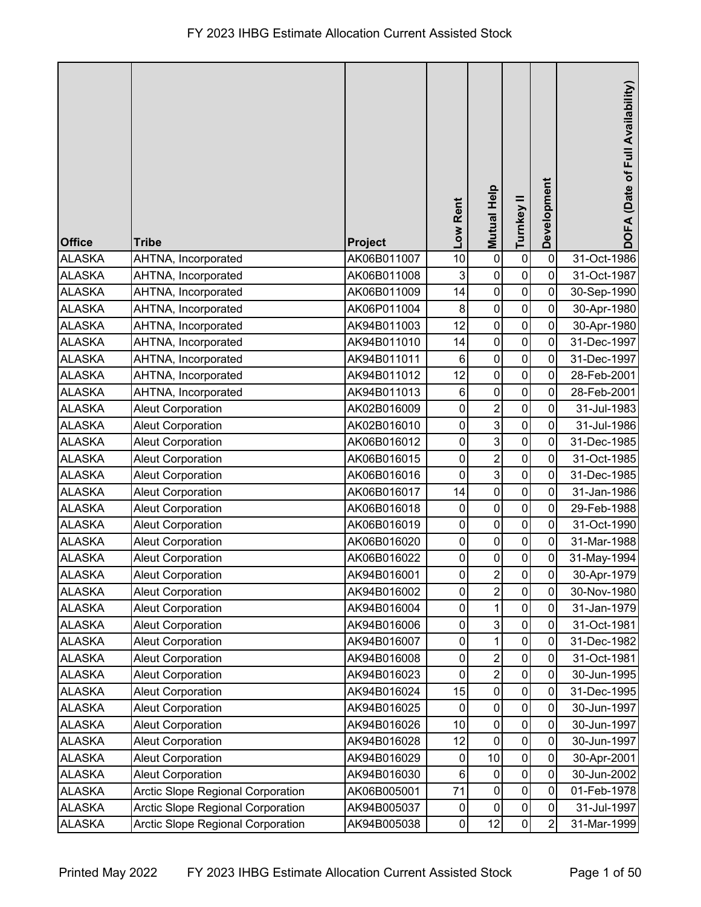| <b>Office</b> | <b>Tribe</b>                             | Project     | Low Rent       | Mutual Help    | Turnkey II     | Development    | DOFA (Date of Full Availability) |
|---------------|------------------------------------------|-------------|----------------|----------------|----------------|----------------|----------------------------------|
| <b>ALASKA</b> | AHTNA, Incorporated                      | AK06B011007 | 10             | $\mathbf 0$    | $\pmb{0}$      | $\mathbf 0$    | 31-Oct-1986                      |
| <b>ALASKA</b> | AHTNA, Incorporated                      | AK06B011008 | 3              | $\pmb{0}$      | $\mathbf 0$    | 0              | 31-Oct-1987                      |
| <b>ALASKA</b> | AHTNA, Incorporated                      | AK06B011009 | 14             | $\mathbf 0$    | $\mathbf 0$    | 0              | 30-Sep-1990                      |
| <b>ALASKA</b> | AHTNA, Incorporated                      | AK06P011004 | 8              | $\pmb{0}$      | $\mathbf 0$    | $\mathbf 0$    | 30-Apr-1980                      |
| <b>ALASKA</b> | AHTNA, Incorporated                      | AK94B011003 | 12             | $\mathbf 0$    | $\mathbf 0$    | $\overline{0}$ | 30-Apr-1980                      |
| <b>ALASKA</b> | AHTNA, Incorporated                      | AK94B011010 | 14             | $\mathbf 0$    | $\mathsf 0$    | 0              | 31-Dec-1997                      |
| <b>ALASKA</b> | AHTNA, Incorporated                      | AK94B011011 | $\,6$          | $\mathbf 0$    | $\mathbf 0$    | 0              | 31-Dec-1997                      |
| <b>ALASKA</b> | AHTNA, Incorporated                      | AK94B011012 | 12             | $\pmb{0}$      | $\pmb{0}$      | 0              | 28-Feb-2001                      |
| <b>ALASKA</b> | AHTNA, Incorporated                      | AK94B011013 | 6              | $\pmb{0}$      | $\mathbf 0$    | 0              | 28-Feb-2001                      |
| <b>ALASKA</b> | <b>Aleut Corporation</b>                 | AK02B016009 | $\mathbf 0$    | $\overline{c}$ | $\pmb{0}$      | 0              | 31-Jul-1983                      |
| <b>ALASKA</b> | <b>Aleut Corporation</b>                 | AK02B016010 | 0              | 3              | $\mathbf 0$    | 0              | 31-Jul-1986                      |
| <b>ALASKA</b> | <b>Aleut Corporation</b>                 | AK06B016012 | 0              | $\overline{3}$ | $\mathbf 0$    | 0              | 31-Dec-1985                      |
| <b>ALASKA</b> | <b>Aleut Corporation</b>                 | AK06B016015 | $\pmb{0}$      | $\overline{c}$ | $\pmb{0}$      | $\mathbf 0$    | 31-Oct-1985                      |
| <b>ALASKA</b> | <b>Aleut Corporation</b>                 | AK06B016016 | $\pmb{0}$      | $\overline{3}$ | $\mathbf 0$    | 0              | 31-Dec-1985                      |
| <b>ALASKA</b> | <b>Aleut Corporation</b>                 | AK06B016017 | 14             | $\mathbf 0$    | $\mathbf 0$    | $\mathbf 0$    | 31-Jan-1986                      |
| <b>ALASKA</b> | <b>Aleut Corporation</b>                 | AK06B016018 | $\mathbf 0$    | $\mathbf 0$    | $\mathbf 0$    | 0              | 29-Feb-1988                      |
| <b>ALASKA</b> | <b>Aleut Corporation</b>                 | AK06B016019 | 0              | $\mathbf 0$    | $\mathbf 0$    | 0              | 31-Oct-1990                      |
| <b>ALASKA</b> | <b>Aleut Corporation</b>                 | AK06B016020 | $\pmb{0}$      | $\mathbf 0$    | 0              | $\overline{0}$ | 31-Mar-1988                      |
| <b>ALASKA</b> | <b>Aleut Corporation</b>                 | AK06B016022 | $\pmb{0}$      | $\mathbf 0$    | $\pmb{0}$      | $\pmb{0}$      | 31-May-1994                      |
| <b>ALASKA</b> | <b>Aleut Corporation</b>                 | AK94B016001 | $\overline{0}$ | $\overline{c}$ | $\mathbf 0$    | $\pmb{0}$      | 30-Apr-1979                      |
| <b>ALASKA</b> | <b>Aleut Corporation</b>                 | AK94B016002 | $\mathbf 0$    | $\overline{2}$ | $\overline{0}$ | 0              | 30-Nov-1980                      |
| <b>ALASKA</b> | <b>Aleut Corporation</b>                 | AK94B016004 | $\pmb{0}$      | $\mathbf 1$    | $\pmb{0}$      | $\mathbf 0$    | 31-Jan-1979                      |
| <b>ALASKA</b> | <b>Aleut Corporation</b>                 | AK94B016006 | 0              | $\mathbf{3}$   | 0              | 0              | 31-Oct-1981                      |
| <b>ALASKA</b> | <b>Aleut Corporation</b>                 | AK94B016007 | $\pmb{0}$      | $\mathbf{1}$   | $\pmb{0}$      | 0              | 31-Dec-1982                      |
| <b>ALASKA</b> | <b>Aleut Corporation</b>                 | AK94B016008 | 0              | $\overline{c}$ | $\pmb{0}$      | 0              | 31-Oct-1981                      |
| <b>ALASKA</b> | <b>Aleut Corporation</b>                 | AK94B016023 | $\mathbf 0$    | $\overline{2}$ | $\pmb{0}$      | $\mathbf 0$    | 30-Jun-1995                      |
| <b>ALASKA</b> | <b>Aleut Corporation</b>                 | AK94B016024 | 15             | $\pmb{0}$      | $\pmb{0}$      | $\mathbf 0$    | 31-Dec-1995                      |
| <b>ALASKA</b> | <b>Aleut Corporation</b>                 | AK94B016025 | 0              | $\pmb{0}$      | 0              | 0              | 30-Jun-1997                      |
| <b>ALASKA</b> | <b>Aleut Corporation</b>                 | AK94B016026 | 10             | $\pmb{0}$      | $\mathbf 0$    | 0              | 30-Jun-1997                      |
| <b>ALASKA</b> | <b>Aleut Corporation</b>                 | AK94B016028 | 12             | $\mathbf 0$    | $\pmb{0}$      | $\mathbf 0$    | 30-Jun-1997                      |
| <b>ALASKA</b> | <b>Aleut Corporation</b>                 | AK94B016029 | $\pmb{0}$      | 10             | $\mathbf 0$    | $\mathbf 0$    | 30-Apr-2001                      |
| <b>ALASKA</b> | <b>Aleut Corporation</b>                 | AK94B016030 | 6              | $\pmb{0}$      | $\pmb{0}$      | $\mathbf 0$    | 30-Jun-2002                      |
| <b>ALASKA</b> | <b>Arctic Slope Regional Corporation</b> | AK06B005001 | 71             | $\pmb{0}$      | $\pmb{0}$      | 0              | 01-Feb-1978                      |
| <b>ALASKA</b> | Arctic Slope Regional Corporation        | AK94B005037 | $\pmb{0}$      | $\pmb{0}$      | $\mathbf 0$    | 0              | 31-Jul-1997                      |
| <b>ALASKA</b> | Arctic Slope Regional Corporation        | AK94B005038 | $\overline{0}$ | 12             | $\mathbf 0$    | $\overline{2}$ | 31-Mar-1999                      |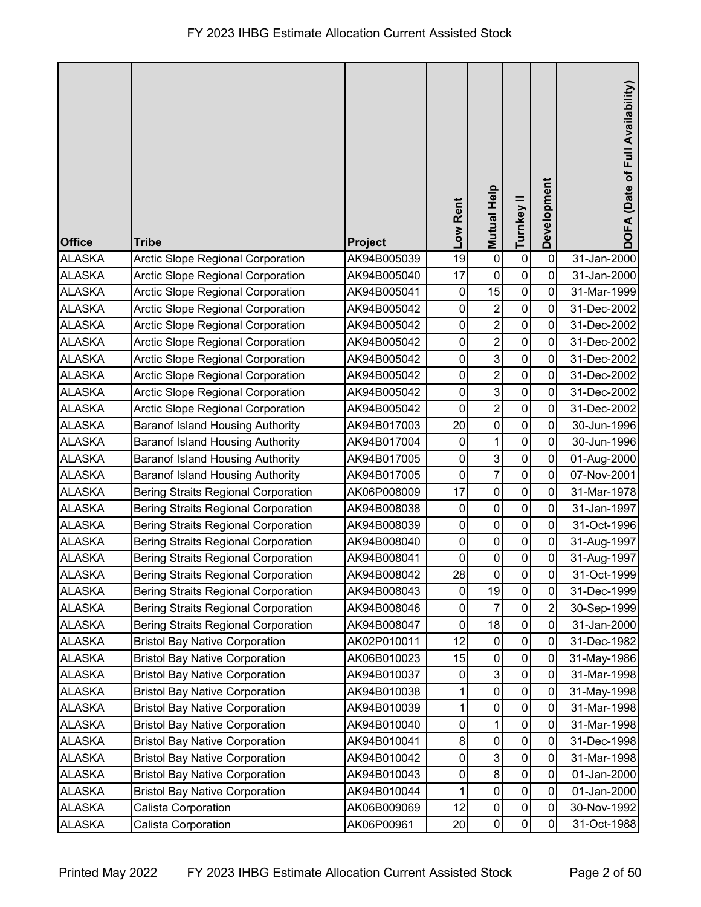| <b>Office</b> | <b>Tribe</b>                               | Project     | Low Rent         | Mutual Help         | Turnkey II   | Development    | DOFA (Date of Full Availability) |
|---------------|--------------------------------------------|-------------|------------------|---------------------|--------------|----------------|----------------------------------|
| <b>ALASKA</b> | Arctic Slope Regional Corporation          | AK94B005039 | 19               | $\mathbf 0$         | $\pmb{0}$    | $\mathbf 0$    | 31-Jan-2000                      |
| <b>ALASKA</b> | <b>Arctic Slope Regional Corporation</b>   | AK94B005040 | 17               | $\pmb{0}$           | $\mathbf 0$  | 0              | 31-Jan-2000                      |
| <b>ALASKA</b> | <b>Arctic Slope Regional Corporation</b>   | AK94B005041 | 0                | 15                  | $\pmb{0}$    | 0              | 31-Mar-1999                      |
| <b>ALASKA</b> | Arctic Slope Regional Corporation          | AK94B005042 | 0                | $\overline{c}$      | $\mathbf 0$  | 0              | 31-Dec-2002                      |
| <b>ALASKA</b> | Arctic Slope Regional Corporation          | AK94B005042 | 0                | $\overline{2}$      | $\mathbf 0$  | $\overline{0}$ | 31-Dec-2002                      |
| <b>ALASKA</b> | Arctic Slope Regional Corporation          | AK94B005042 | $\pmb{0}$        | $\overline{c}$      | $\mathsf 0$  | 0              | 31-Dec-2002                      |
| <b>ALASKA</b> | <b>Arctic Slope Regional Corporation</b>   | AK94B005042 | $\pmb{0}$        | $\overline{3}$      | $\mathbf 0$  | 0              | 31-Dec-2002                      |
| <b>ALASKA</b> | Arctic Slope Regional Corporation          | AK94B005042 | $\pmb{0}$        | $\overline{c}$      | $\pmb{0}$    | 0              | 31-Dec-2002                      |
| <b>ALASKA</b> | Arctic Slope Regional Corporation          | AK94B005042 | 0                | ω                   | $\pmb{0}$    | 0              | 31-Dec-2002                      |
| <b>ALASKA</b> | Arctic Slope Regional Corporation          | AK94B005042 | $\mathbf 0$      | $\overline{2}$      | $\pmb{0}$    | 0              | 31-Dec-2002                      |
| <b>ALASKA</b> | <b>Baranof Island Housing Authority</b>    | AK94B017003 | 20               | $\pmb{0}$           | $\mathbf 0$  | 0              | 30-Jun-1996                      |
| <b>ALASKA</b> | <b>Baranof Island Housing Authority</b>    | AK94B017004 | $\pmb{0}$        | $\mathbf 1$         | $\mathbf 0$  | 0              | 30-Jun-1996                      |
| <b>ALASKA</b> | <b>Baranof Island Housing Authority</b>    | AK94B017005 | $\pmb{0}$        | $\mathbf{3}$        | $\pmb{0}$    | $\mathbf 0$    | 01-Aug-2000                      |
| <b>ALASKA</b> | <b>Baranof Island Housing Authority</b>    | AK94B017005 | $\pmb{0}$        | $\overline{7}$      | $\pmb{0}$    | 0              | 07-Nov-2001                      |
| <b>ALASKA</b> | <b>Bering Straits Regional Corporation</b> | AK06P008009 | 17               | $\mathsf{O}\xspace$ | $\pmb{0}$    | 0              | 31-Mar-1978                      |
| <b>ALASKA</b> | <b>Bering Straits Regional Corporation</b> | AK94B008038 | 0                | $\pmb{0}$           | $\mathbf 0$  | 0              | 31-Jan-1997                      |
| <b>ALASKA</b> | <b>Bering Straits Regional Corporation</b> | AK94B008039 | $\pmb{0}$        | $\boldsymbol{0}$    | $\pmb{0}$    | 0              | 31-Oct-1996                      |
| <b>ALASKA</b> | <b>Bering Straits Regional Corporation</b> | AK94B008040 | 0                | $\pmb{0}$           | $\pmb{0}$    | $\mathbf 0$    | 31-Aug-1997                      |
| <b>ALASKA</b> | <b>Bering Straits Regional Corporation</b> | AK94B008041 | $\pmb{0}$        | $\mathbf 0$         | $\pmb{0}$    | $\pmb{0}$      | 31-Aug-1997                      |
| <b>ALASKA</b> | <b>Bering Straits Regional Corporation</b> | AK94B008042 | 28               | $\pmb{0}$           | $\mathbf{0}$ | $\pmb{0}$      | 31-Oct-1999                      |
| <b>ALASKA</b> | <b>Bering Straits Regional Corporation</b> | AK94B008043 | 0                | 19                  | $\mathsf 0$  | 0              | 31-Dec-1999                      |
| <b>ALASKA</b> | <b>Bering Straits Regional Corporation</b> | AK94B008046 | $\pmb{0}$        | 7                   | $\pmb{0}$    | $\overline{2}$ | 30-Sep-1999                      |
| <b>ALASKA</b> | <b>Bering Straits Regional Corporation</b> | AK94B008047 | 0                | 18                  | 0            | 0              | 31-Jan-2000                      |
| <b>ALASKA</b> | <b>Bristol Bay Native Corporation</b>      | AK02P010011 | 12               | $\mathbf 0$         | $\pmb{0}$    | 0              | 31-Dec-1982                      |
| <b>ALASKA</b> | <b>Bristol Bay Native Corporation</b>      | AK06B010023 | 15               | $\pmb{0}$           | $\pmb{0}$    | 0              | 31-May-1986                      |
| <b>ALASKA</b> | <b>Bristol Bay Native Corporation</b>      | AK94B010037 | $\boldsymbol{0}$ | $\mathbf{3}$        | $\pmb{0}$    | $\mathbf 0$    | 31-Mar-1998                      |
| <b>ALASKA</b> | <b>Bristol Bay Native Corporation</b>      | AK94B010038 |                  | $\pmb{0}$           | $\pmb{0}$    | $\mathbf 0$    | 31-May-1998                      |
| <b>ALASKA</b> | <b>Bristol Bay Native Corporation</b>      | AK94B010039 | 1                | $\pmb{0}$           | 0            | 0              | 31-Mar-1998                      |
| <b>ALASKA</b> | <b>Bristol Bay Native Corporation</b>      | AK94B010040 | 0                | 1                   | $\mathbf 0$  | 0              | 31-Mar-1998                      |
| <b>ALASKA</b> | <b>Bristol Bay Native Corporation</b>      | AK94B010041 | 8                | $\pmb{0}$           | $\mathbf 0$  | 0              | 31-Dec-1998                      |
| <b>ALASKA</b> | <b>Bristol Bay Native Corporation</b>      | AK94B010042 | 0                | 3                   | $\pmb{0}$    | 0              | 31-Mar-1998                      |
| <b>ALASKA</b> | <b>Bristol Bay Native Corporation</b>      | AK94B010043 | 0                | $\bf 8$             | $\pmb{0}$    | $\mathbf 0$    | 01-Jan-2000                      |
| <b>ALASKA</b> | <b>Bristol Bay Native Corporation</b>      | AK94B010044 | 1                | $\pmb{0}$           | $\pmb{0}$    | 0              | 01-Jan-2000                      |
| <b>ALASKA</b> | Calista Corporation                        | AK06B009069 | 12               | $\boldsymbol{0}$    | $\pmb{0}$    | 0              | 30-Nov-1992                      |
| <b>ALASKA</b> | Calista Corporation                        | AK06P00961  | 20               | $\pmb{0}$           | 0            | 0              | 31-Oct-1988                      |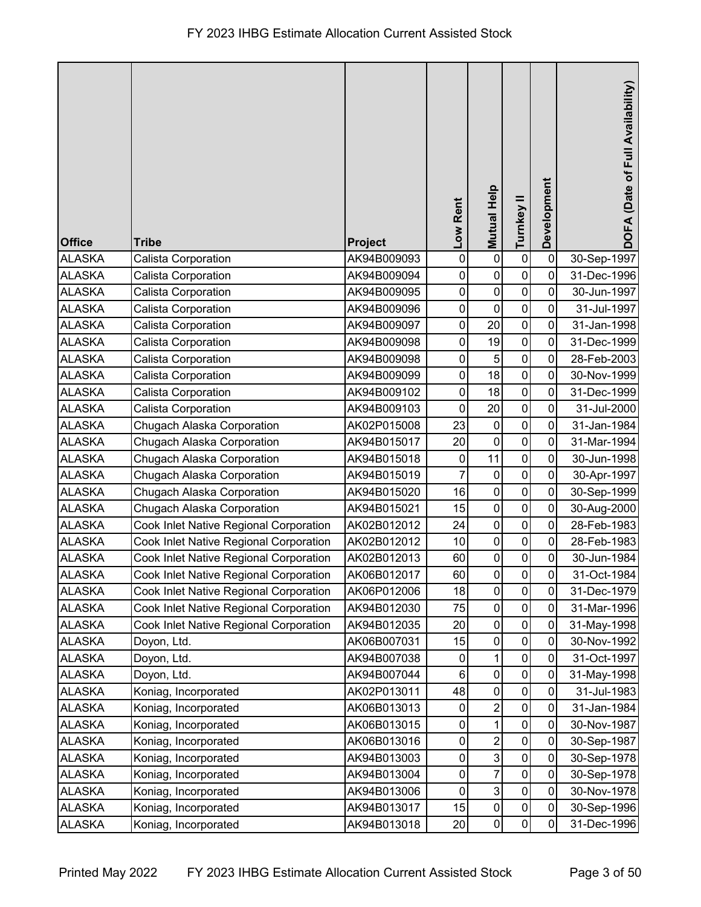|               |                                        |                |             | <b>Mutual Help</b> |                  | Development | DOFA (Date of Full Availability) |
|---------------|----------------------------------------|----------------|-------------|--------------------|------------------|-------------|----------------------------------|
|               |                                        |                | Low Rent    |                    | Turnkey II       |             |                                  |
| <b>Office</b> | <b>Tribe</b>                           | <b>Project</b> |             |                    |                  |             |                                  |
| <b>ALASKA</b> | Calista Corporation                    | AK94B009093    | $\pmb{0}$   | $\pmb{0}$          | $\pmb{0}$        | $\mathbf 0$ | 30-Sep-1997                      |
| <b>ALASKA</b> | Calista Corporation                    | AK94B009094    | $\pmb{0}$   | $\pmb{0}$          | $\pmb{0}$        | $\mathbf 0$ | 31-Dec-1996                      |
| <b>ALASKA</b> | Calista Corporation                    | AK94B009095    | $\pmb{0}$   | $\pmb{0}$          | $\pmb{0}$        | 0           | 30-Jun-1997                      |
| <b>ALASKA</b> | Calista Corporation                    | AK94B009096    | 0           | $\pmb{0}$          | $\boldsymbol{0}$ | 0           | 31-Jul-1997                      |
| <b>ALASKA</b> | Calista Corporation                    | AK94B009097    | $\pmb{0}$   | 20                 | $\mathbf 0$      | 0           | 31-Jan-1998                      |
| <b>ALASKA</b> | Calista Corporation                    | AK94B009098    | $\mathbf 0$ | 19                 | $\pmb{0}$        | $\mathbf 0$ | 31-Dec-1999                      |
| <b>ALASKA</b> | Calista Corporation                    | AK94B009098    | $\pmb{0}$   | 5                  | $\mathbf 0$      | $\mathbf 0$ | 28-Feb-2003                      |
| <b>ALASKA</b> | Calista Corporation                    | AK94B009099    | $\pmb{0}$   | 18                 | $\pmb{0}$        | $\mathbf 0$ | 30-Nov-1999                      |
| <b>ALASKA</b> | Calista Corporation                    | AK94B009102    | $\pmb{0}$   | 18                 | $\pmb{0}$        | 0           | 31-Dec-1999                      |
| <b>ALASKA</b> | Calista Corporation                    | AK94B009103    | $\pmb{0}$   | 20                 | $\pmb{0}$        | 0           | 31-Jul-2000                      |
| <b>ALASKA</b> | Chugach Alaska Corporation             | AK02P015008    | 23          | 0                  | $\pmb{0}$        | $\mathbf 0$ | 31-Jan-1984                      |
| <b>ALASKA</b> | Chugach Alaska Corporation             | AK94B015017    | 20          | $\mathbf 0$        | $\mathbf 0$      | $\mathbf 0$ | 31-Mar-1994                      |
| <b>ALASKA</b> | Chugach Alaska Corporation             | AK94B015018    | 0           | 11                 | $\mathbf 0$      | $\mathbf 0$ | 30-Jun-1998                      |
| <b>ALASKA</b> | Chugach Alaska Corporation             | AK94B015019    | 7           | $\mathbf 0$        | $\pmb{0}$        | $\mathbf 0$ | 30-Apr-1997                      |
| <b>ALASKA</b> | Chugach Alaska Corporation             | AK94B015020    | 16          | $\pmb{0}$          | $\pmb{0}$        | $\mathbf 0$ | 30-Sep-1999                      |
| <b>ALASKA</b> | Chugach Alaska Corporation             | AK94B015021    | 15          | $\mathbf 0$        | $\pmb{0}$        | $\mathbf 0$ | 30-Aug-2000                      |
| <b>ALASKA</b> | Cook Inlet Native Regional Corporation | AK02B012012    | 24          | $\pmb{0}$          | $\mathbf 0$      | 0           | 28-Feb-1983                      |
| <b>ALASKA</b> | Cook Inlet Native Regional Corporation | AK02B012012    | 10          | $\pmb{0}$          | $\pmb{0}$        | 0           | 28-Feb-1983                      |
| <b>ALASKA</b> | Cook Inlet Native Regional Corporation | AK02B012013    | 60          | $\pmb{0}$          | $\boldsymbol{0}$ | $\pmb{0}$   | 30-Jun-1984                      |
| <b>ALASKA</b> | Cook Inlet Native Regional Corporation | AK06B012017    | 60          | $\pmb{0}$          | $\overline{0}$   | $\mathbf 0$ | 31-Oct-1984                      |
| <b>ALASKA</b> | Cook Inlet Native Regional Corporation | AK06P012006    | 18          | $\pmb{0}$          | $\pmb{0}$        | 0           | 31-Dec-1979                      |
| <b>ALASKA</b> | Cook Inlet Native Regional Corporation | AK94B012030    | 75          | $\pmb{0}$          | $\pmb{0}$        | 0           | 31-Mar-1996                      |
| <b>ALASKA</b> | Cook Inlet Native Regional Corporation | AK94B012035    | 20          | 0                  | $\mathbf 0$      | 0           | 31-May-1998                      |
| <b>ALASKA</b> | Doyon, Ltd.                            | AK06B007031    | 15          | $\pmb{0}$          | $\pmb{0}$        | 0           | 30-Nov-1992                      |
| <b>ALASKA</b> | Doyon, Ltd.                            | AK94B007038    | 0           | 1                  | $\pmb{0}$        | 0           | 31-Oct-1997                      |
| <b>ALASKA</b> | Doyon, Ltd.                            | AK94B007044    | $\,6$       | $\pmb{0}$          | $\pmb{0}$        | 0           | 31-May-1998                      |
| <b>ALASKA</b> | Koniag, Incorporated                   | AK02P013011    | 48          | $\pmb{0}$          | $\pmb{0}$        | $\pmb{0}$   | 31-Jul-1983                      |
| <b>ALASKA</b> | Koniag, Incorporated                   | AK06B013013    | 0           | $\overline{2}$     | $\pmb{0}$        | 0           | 31-Jan-1984                      |
| <b>ALASKA</b> | Koniag, Incorporated                   | AK06B013015    | 0           | $\mathbf{1}$       | $\pmb{0}$        | 0           | 30-Nov-1987                      |
| <b>ALASKA</b> | Koniag, Incorporated                   | AK06B013016    | 0           | $\overline{2}$     | $\boldsymbol{0}$ | $\pmb{0}$   | 30-Sep-1987                      |
| <b>ALASKA</b> | Koniag, Incorporated                   | AK94B013003    | $\mathbf 0$ | 3                  | $\pmb{0}$        | $\mathbf 0$ | 30-Sep-1978                      |
| <b>ALASKA</b> | Koniag, Incorporated                   | AK94B013004    | 0           | $\overline{7}$     | $\pmb{0}$        | $\mathbf 0$ | 30-Sep-1978                      |
| <b>ALASKA</b> | Koniag, Incorporated                   | AK94B013006    | $\pmb{0}$   | $\mathbf{3}$       | $\pmb{0}$        | $\mathbf 0$ | 30-Nov-1978                      |
| <b>ALASKA</b> | Koniag, Incorporated                   | AK94B013017    | 15          | $\pmb{0}$          | $\pmb{0}$        | 0           | 30-Sep-1996                      |
| <b>ALASKA</b> | Koniag, Incorporated                   | AK94B013018    | 20          | $\pmb{0}$          | $\pmb{0}$        | 0           | 31-Dec-1996                      |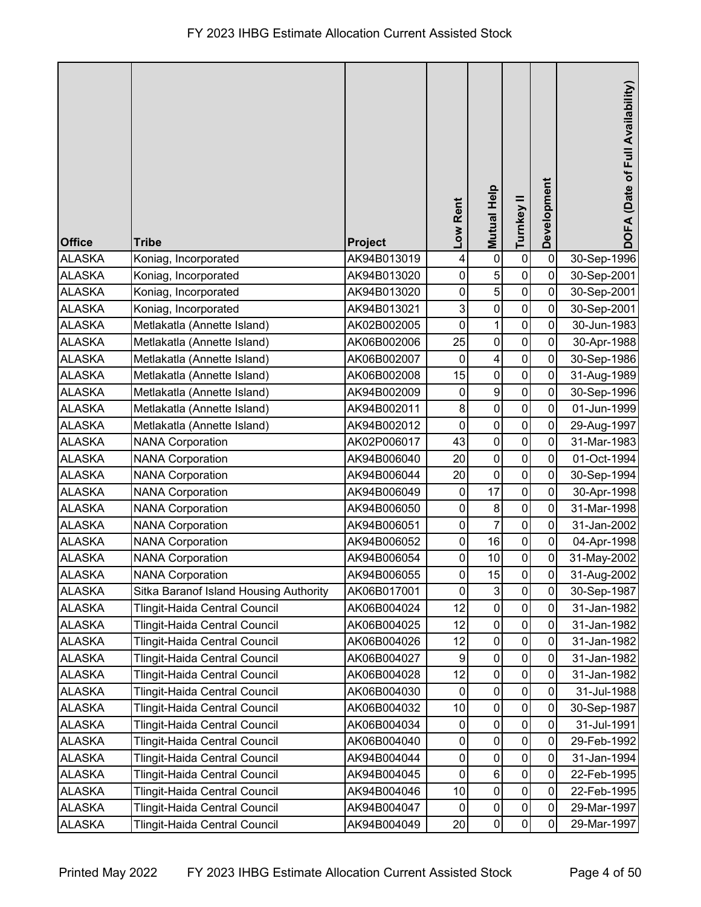| <b>Office</b> | <b>Tribe</b>                           | Project     | -ow Rent    | <b>Mutual Help</b>      | Turnkey II     | Development    | DOFA (Date of Full Availability) |
|---------------|----------------------------------------|-------------|-------------|-------------------------|----------------|----------------|----------------------------------|
| <b>ALASKA</b> | Koniag, Incorporated                   | AK94B013019 | 4           | $\mathbf 0$             | $\pmb{0}$      | $\mathbf 0$    | 30-Sep-1996                      |
| <b>ALASKA</b> | Koniag, Incorporated                   | AK94B013020 | 0           | 5                       | $\mathbf 0$    | 0              | 30-Sep-2001                      |
| <b>ALASKA</b> | Koniag, Incorporated                   | AK94B013020 | $\pmb{0}$   | $\overline{5}$          | $\pmb{0}$      | $\mathbf 0$    | 30-Sep-2001                      |
| <b>ALASKA</b> | Koniag, Incorporated                   | AK94B013021 | 3           | $\pmb{0}$               | $\pmb{0}$      | 0              | 30-Sep-2001                      |
| <b>ALASKA</b> | Metlakatla (Annette Island)            | AK02B002005 | $\mathbf 0$ | 1                       | $\pmb{0}$      | 0              | 30-Jun-1983                      |
| <b>ALASKA</b> | Metlakatla (Annette Island)            | AK06B002006 | 25          | $\mathbf 0$             | $\mathbf 0$    | $\mathbf 0$    | 30-Apr-1988                      |
| <b>ALASKA</b> | Metlakatla (Annette Island)            | AK06B002007 | $\mathbf 0$ | $\overline{\mathbf{4}}$ | $\mathbf 0$    | 0              | 30-Sep-1986                      |
| <b>ALASKA</b> | Metlakatla (Annette Island)            | AK06B002008 | 15          | $\pmb{0}$               | $\pmb{0}$      | $\mathbf 0$    | 31-Aug-1989                      |
| <b>ALASKA</b> | Metlakatla (Annette Island)            | AK94B002009 | $\pmb{0}$   | 9                       | $\pmb{0}$      | 0              | 30-Sep-1996                      |
| <b>ALASKA</b> | Metlakatla (Annette Island)            | AK94B002011 | 8           | $\mathbf 0$             | $\pmb{0}$      | $\mathbf 0$    | 01-Jun-1999                      |
| <b>ALASKA</b> | Metlakatla (Annette Island)            | AK94B002012 | 0           | $\pmb{0}$               | $\mathbf 0$    | 0              | 29-Aug-1997                      |
| <b>ALASKA</b> | <b>NANA Corporation</b>                | AK02P006017 | 43          | $\mathbf 0$             | $\mathbf 0$    | $\mathbf 0$    | 31-Mar-1983                      |
| <b>ALASKA</b> | <b>NANA Corporation</b>                | AK94B006040 | 20          | $\pmb{0}$               | $\mathbf 0$    | 0              | 01-Oct-1994                      |
| <b>ALASKA</b> | <b>NANA Corporation</b>                | AK94B006044 | 20          | $\mathbf 0$             | $\mathsf 0$    | 0              | 30-Sep-1994                      |
| <b>ALASKA</b> | <b>NANA Corporation</b>                | AK94B006049 | 0           | 17                      | $\pmb{0}$      | $\mathbf 0$    | 30-Apr-1998                      |
| <b>ALASKA</b> | <b>NANA Corporation</b>                | AK94B006050 | $\pmb{0}$   | 8                       | $\mathbf 0$    | 0              | 31-Mar-1998                      |
| <b>ALASKA</b> | <b>NANA Corporation</b>                | AK94B006051 | $\pmb{0}$   | $\overline{7}$          | $\pmb{0}$      | 0              | 31-Jan-2002                      |
| <b>ALASKA</b> | <b>NANA Corporation</b>                | AK94B006052 | 0           | 16                      | 0              | 0              | 04-Apr-1998                      |
| <b>ALASKA</b> | <b>NANA Corporation</b>                | AK94B006054 | $\pmb{0}$   | 10                      | $\mathsf 0$    | $\pmb{0}$      | 31-May-2002                      |
| ALASKA        | <b>NANA Corporation</b>                | AK94B006055 | $\mathbf 0$ | 15                      | $\overline{0}$ | $\overline{0}$ | 31-Aug-2002                      |
| <b>ALASKA</b> | Sitka Baranof Island Housing Authority | AK06B017001 | $\mathbf 0$ | $\mathbf{3}$            | $\mathsf 0$    | $\mathbf{0}$   | 30-Sep-1987                      |
| <b>ALASKA</b> | Tlingit-Haida Central Council          | AK06B004024 | 12          | $\pmb{0}$               | $\pmb{0}$      | $\mathbf 0$    | 31-Jan-1982                      |
| <b>ALASKA</b> | Tlingit-Haida Central Council          | AK06B004025 | 12          | $\pmb{0}$               | 0              | 0              | 31-Jan-1982                      |
| <b>ALASKA</b> | Tlingit-Haida Central Council          | AK06B004026 | 12          | $\pmb{0}$               | $\mathbf 0$    | 0              | 31-Jan-1982                      |
| <b>ALASKA</b> | Tlingit-Haida Central Council          | AK06B004027 | 9           | $\boldsymbol{0}$        | $\pmb{0}$      | 0              | 31-Jan-1982                      |
| <b>ALASKA</b> | Tlingit-Haida Central Council          | AK06B004028 | 12          | $\pmb{0}$               | $\pmb{0}$      | 0              | 31-Jan-1982                      |
| <b>ALASKA</b> | Tlingit-Haida Central Council          | AK06B004030 | 0           | $\pmb{0}$               | $\pmb{0}$      | 0              | 31-Jul-1988                      |
| <b>ALASKA</b> | Tlingit-Haida Central Council          | AK06B004032 | 10          | $\pmb{0}$               | $\pmb{0}$      | 0              | 30-Sep-1987                      |
| <b>ALASKA</b> | Tlingit-Haida Central Council          | AK06B004034 | 0           | $\pmb{0}$               | $\pmb{0}$      | 0              | 31-Jul-1991                      |
| <b>ALASKA</b> | Tlingit-Haida Central Council          | AK06B004040 | 0           | $\pmb{0}$               | $\pmb{0}$      | 0              | 29-Feb-1992                      |
| <b>ALASKA</b> | Tlingit-Haida Central Council          | AK94B004044 | 0           | $\boldsymbol{0}$        | $\pmb{0}$      | $\mathbf 0$    | 31-Jan-1994                      |
| <b>ALASKA</b> | Tlingit-Haida Central Council          | AK94B004045 | 0           | $\,6$                   | 0              | 0              | 22-Feb-1995                      |
| <b>ALASKA</b> | Tlingit-Haida Central Council          | AK94B004046 | 10          | $\boldsymbol{0}$        | $\pmb{0}$      | 0              | 22-Feb-1995                      |
| <b>ALASKA</b> | Tlingit-Haida Central Council          | AK94B004047 | $\pmb{0}$   | $\pmb{0}$               | $\pmb{0}$      | 0              | 29-Mar-1997                      |
| <b>ALASKA</b> | Tlingit-Haida Central Council          | AK94B004049 | 20          | $\pmb{0}$               | 0              | 0              | 29-Mar-1997                      |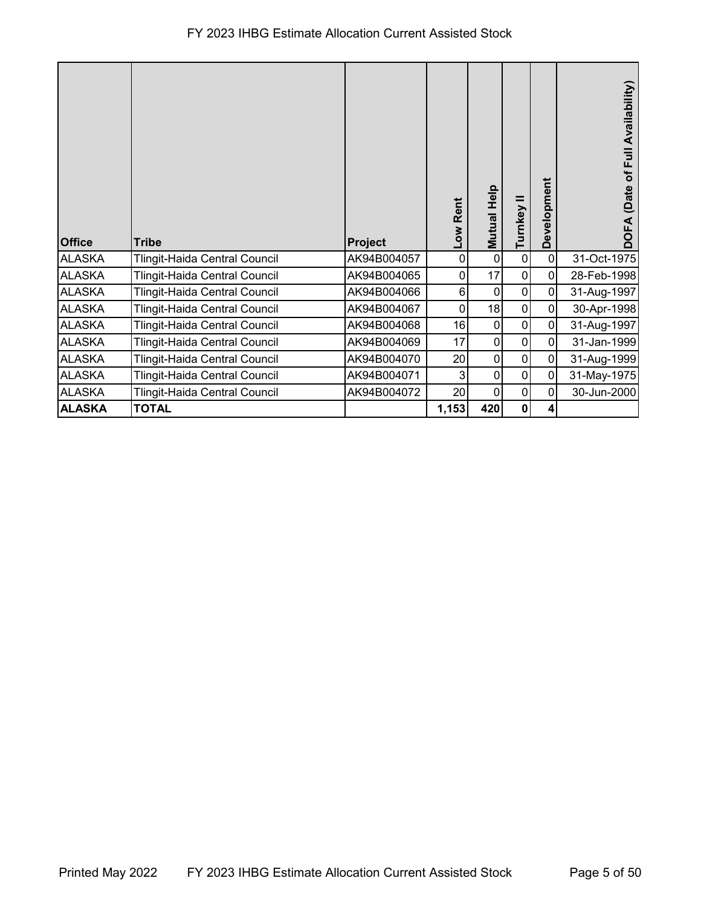## FY 2023 IHBG Estimate Allocation Current Assisted Stock

| <b>Office</b> | <b>Tribe</b>                  | Project     | -ow Rent | Mutual Help    | Turnkey     | Development    | Availability<br>Full<br>đ<br>(Date<br>$\mathbf{f}$<br>ā |
|---------------|-------------------------------|-------------|----------|----------------|-------------|----------------|---------------------------------------------------------|
| <b>ALASKA</b> | Tlingit-Haida Central Council | AK94B004057 | 0        | $\overline{0}$ | $\pmb{0}$   | $\overline{0}$ | 31-Oct-1975                                             |
| <b>ALASKA</b> | Tlingit-Haida Central Council | AK94B004065 | 0        | 17             | 0           | $\overline{0}$ | 28-Feb-1998                                             |
| <b>ALASKA</b> | Tlingit-Haida Central Council | AK94B004066 | 6        | $\mathbf 0$    | 0           | $\mathbf 0$    | 31-Aug-1997                                             |
| <b>ALASKA</b> | Tlingit-Haida Central Council | AK94B004067 | 0        | 18             | $\pmb{0}$   | $\overline{0}$ | 30-Apr-1998                                             |
| <b>ALASKA</b> | Tlingit-Haida Central Council | AK94B004068 | 16       | $\overline{0}$ | 0           | $\pmb{0}$      | 31-Aug-1997                                             |
| <b>ALASKA</b> | Tlingit-Haida Central Council | AK94B004069 | 17       | $\overline{0}$ | $\mathbf 0$ | $\mathbf{0}$   | 31-Jan-1999                                             |
| <b>ALASKA</b> | Tlingit-Haida Central Council | AK94B004070 | 20       | $\overline{0}$ | $\pmb{0}$   | $\overline{0}$ | 31-Aug-1999                                             |
| <b>ALASKA</b> | Tlingit-Haida Central Council | AK94B004071 | 3        | $\overline{0}$ | 0           | $\mathbf 0$    | 31-May-1975                                             |
| <b>ALASKA</b> | Tlingit-Haida Central Council | AK94B004072 | 20       | $\overline{0}$ | 0           | $\mathbf 0$    | 30-Jun-2000                                             |
| <b>ALASKA</b> | <b>TOTAL</b>                  |             | 1,153    | 420            | 0           | 4              |                                                         |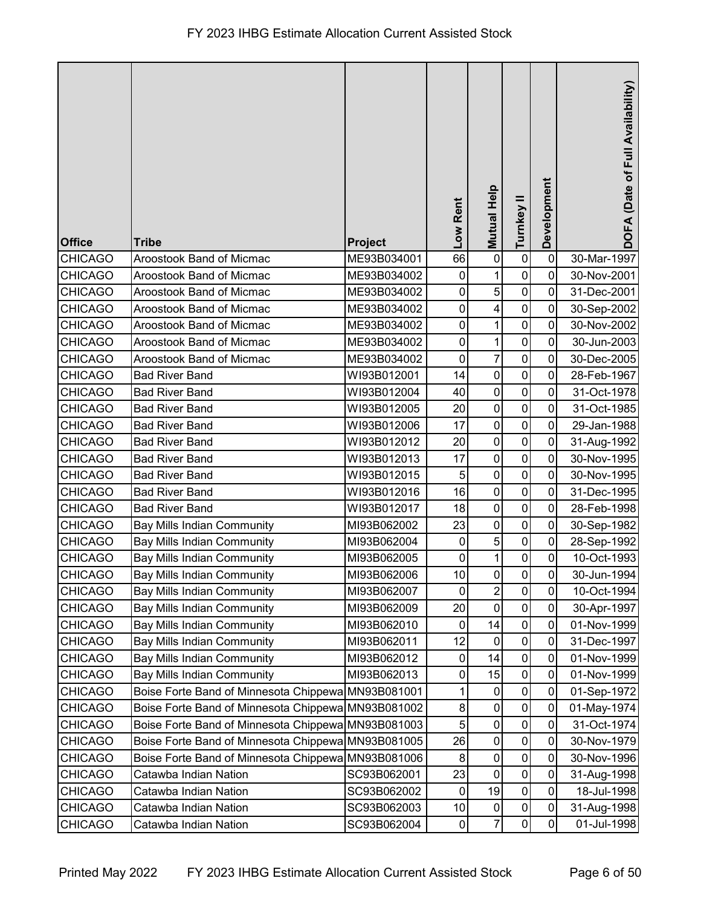|                |                                                    |             | Low Rent        | <b>Mutual Help</b>      | Turnkey II       | Development    | DOFA (Date of Full Availability) |
|----------------|----------------------------------------------------|-------------|-----------------|-------------------------|------------------|----------------|----------------------------------|
| <b>Office</b>  | <b>Tribe</b>                                       | Project     |                 |                         |                  |                |                                  |
| <b>CHICAGO</b> | Aroostook Band of Micmac                           | ME93B034001 | 66              | $\pmb{0}$               | $\pmb{0}$        | $\mathbf 0$    | 30-Mar-1997                      |
| <b>CHICAGO</b> | Aroostook Band of Micmac                           | ME93B034002 | $\mathbf 0$     | 1                       | $\pmb{0}$        | 0              | 30-Nov-2001                      |
| <b>CHICAGO</b> | Aroostook Band of Micmac                           | ME93B034002 | 0               | 5                       | $\pmb{0}$        | 0              | 31-Dec-2001                      |
| <b>CHICAGO</b> | Aroostook Band of Micmac                           | ME93B034002 | 0               | $\overline{\mathbf{4}}$ | $\mathbf 0$      | $\mathbf 0$    | 30-Sep-2002                      |
| <b>CHICAGO</b> | Aroostook Band of Micmac                           | ME93B034002 | $\mathbf 0$     | $\mathbf{1}$            | $\mathbf 0$      | $\overline{0}$ | 30-Nov-2002                      |
| <b>CHICAGO</b> | Aroostook Band of Micmac                           | ME93B034002 | 0               | 1                       | $\mathbf 0$      | $\mathbf 0$    | 30-Jun-2003                      |
| <b>CHICAGO</b> | Aroostook Band of Micmac                           | ME93B034002 | $\mathbf 0$     | $\overline{7}$          | $\mathbf 0$      | 0              | 30-Dec-2005                      |
| <b>CHICAGO</b> | <b>Bad River Band</b>                              | WI93B012001 | 14              | $\pmb{0}$               | $\pmb{0}$        | 0              | 28-Feb-1967                      |
| <b>CHICAGO</b> | <b>Bad River Band</b>                              | WI93B012004 | 40              | $\pmb{0}$               | 0                | 0              | 31-Oct-1978                      |
| <b>CHICAGO</b> | <b>Bad River Band</b>                              | WI93B012005 | 20              | $\pmb{0}$               | $\mathbf 0$      | $\overline{0}$ | 31-Oct-1985                      |
| <b>CHICAGO</b> | <b>Bad River Band</b>                              | WI93B012006 | 17              | $\pmb{0}$               | $\mathbf 0$      | 0              | 29-Jan-1988                      |
| <b>CHICAGO</b> | <b>Bad River Band</b>                              | WI93B012012 | 20              | $\mathbf 0$             | $\mathbf 0$      | $\mathbf 0$    | 31-Aug-1992                      |
| <b>CHICAGO</b> | <b>Bad River Band</b>                              | WI93B012013 | 17              | $\pmb{0}$               | $\pmb{0}$        | $\mathbf 0$    | 30-Nov-1995                      |
| <b>CHICAGO</b> | <b>Bad River Band</b>                              | WI93B012015 | 5               | $\pmb{0}$               | $\boldsymbol{0}$ | 0              | 30-Nov-1995                      |
| <b>CHICAGO</b> | <b>Bad River Band</b>                              | WI93B012016 | 16              | $\pmb{0}$               | $\mathbf 0$      | 0              | 31-Dec-1995                      |
| <b>CHICAGO</b> | <b>Bad River Band</b>                              | WI93B012017 | 18              | $\pmb{0}$               | $\mathbf 0$      | 0              | 28-Feb-1998                      |
| <b>CHICAGO</b> | <b>Bay Mills Indian Community</b>                  | MI93B062002 | 23              | $\pmb{0}$               | $\mathbf 0$      | 0              | 30-Sep-1982                      |
| <b>CHICAGO</b> | <b>Bay Mills Indian Community</b>                  | MI93B062004 | $\pmb{0}$       | 5                       | $\pmb{0}$        | $\mathbf 0$    | 28-Sep-1992                      |
| <b>CHICAGO</b> | <b>Bay Mills Indian Community</b>                  | MI93B062005 | $\pmb{0}$       | 1                       | $\pmb{0}$        | $\pmb{0}$      | 10-Oct-1993                      |
| <b>CHICAGO</b> | <b>Bay Mills Indian Community</b>                  | MI93B062006 | 10 <sub>1</sub> | $\pmb{0}$               | $\pmb{0}$        | $\pmb{0}$      | 30-Jun-1994                      |
| <b>CHICAGO</b> | <b>Bay Mills Indian Community</b>                  | MI93B062007 | $\mathbf 0$     | $\overline{c}$          | $\mathbf 0$      | 0              | 10-Oct-1994                      |
| <b>CHICAGO</b> | <b>Bay Mills Indian Community</b>                  | MI93B062009 | 20              | 0                       | $\pmb{0}$        | $\mathbf 0$    | 30-Apr-1997                      |
| <b>CHICAGO</b> | <b>Bay Mills Indian Community</b>                  | MI93B062010 | 0               | 14                      | $\mathbf 0$      | 0              | 01-Nov-1999                      |
| <b>CHICAGO</b> | <b>Bay Mills Indian Community</b>                  | MI93B062011 | 12              | $\mathbf 0$             | $\pmb{0}$        | 0              | 31-Dec-1997                      |
| <b>CHICAGO</b> | <b>Bay Mills Indian Community</b>                  | MI93B062012 | $\pmb{0}$       | 14                      | $\pmb{0}$        | 0              | 01-Nov-1999                      |
| <b>CHICAGO</b> | <b>Bay Mills Indian Community</b>                  | MI93B062013 | $\pmb{0}$       | 15                      | $\pmb{0}$        | 0              | 01-Nov-1999                      |
| <b>CHICAGO</b> | Boise Forte Band of Minnesota Chippewa MN93B081001 |             | 1               | 0                       | $\pmb{0}$        | 0              | 01-Sep-1972                      |
| CHICAGO        | Boise Forte Band of Minnesota Chippewa MN93B081002 |             | 8               | 0                       | 0                | 0              | 01-May-1974                      |
| <b>CHICAGO</b> | Boise Forte Band of Minnesota Chippewa MN93B081003 |             | 5               | $\pmb{0}$               | $\pmb{0}$        | 0              | 31-Oct-1974                      |
| <b>CHICAGO</b> | Boise Forte Band of Minnesota Chippewa             | MN93B081005 | 26              | $\pmb{0}$               | $\pmb{0}$        | 0              | 30-Nov-1979                      |
| <b>CHICAGO</b> | Boise Forte Band of Minnesota Chippewa MN93B081006 |             | $\bf 8$         | $\pmb{0}$               | $\pmb{0}$        | 0              | 30-Nov-1996                      |
| <b>CHICAGO</b> | Catawba Indian Nation                              | SC93B062001 | 23              | 0                       | $\pmb{0}$        | 0              | 31-Aug-1998                      |
| <b>CHICAGO</b> | Catawba Indian Nation                              | SC93B062002 | $\mathbf 0$     | 19                      | $\pmb{0}$        | 0              | 18-Jul-1998                      |
| <b>CHICAGO</b> | Catawba Indian Nation                              | SC93B062003 | 10              | 0                       | $\pmb{0}$        | 0              | 31-Aug-1998                      |
| <b>CHICAGO</b> | Catawba Indian Nation                              | SC93B062004 | $\mathbf 0$     | $\overline{7}$          | $\pmb{0}$        | 0              | 01-Jul-1998                      |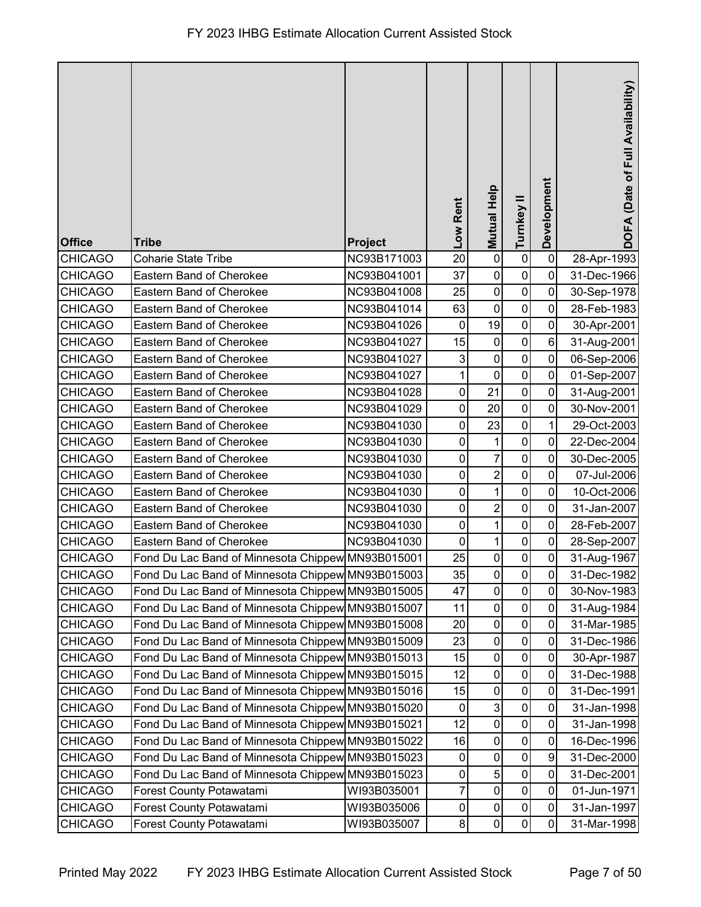| <b>Office</b>  | <b>Tribe</b>                                      | Project                    | Low Rent    | <b>Mutual Help</b>      | Turnkey II     | Development     | DOFA (Date of Full Availability) |
|----------------|---------------------------------------------------|----------------------------|-------------|-------------------------|----------------|-----------------|----------------------------------|
| <b>CHICAGO</b> | <b>Coharie State Tribe</b>                        | NC93B171003                | 20          | $\pmb{0}$               | $\pmb{0}$      | $\mathbf 0$     | 28-Apr-1993                      |
| <b>CHICAGO</b> | Eastern Band of Cherokee                          | NC93B041001                | 37          | $\pmb{0}$               | $\pmb{0}$      | $\mathbf 0$     | 31-Dec-1966                      |
| <b>CHICAGO</b> | Eastern Band of Cherokee                          | NC93B041008                | 25          | $\pmb{0}$               | $\mathbf 0$    | $\mathbf 0$     | 30-Sep-1978                      |
| <b>CHICAGO</b> | Eastern Band of Cherokee                          |                            | 63          | $\pmb{0}$               | $\pmb{0}$      | $\pmb{0}$       | 28-Feb-1983                      |
| <b>CHICAGO</b> | Eastern Band of Cherokee                          | NC93B041014<br>NC93B041026 | $\mathbf 0$ | 19                      | $\pmb{0}$      | $\mathbf 0$     |                                  |
| <b>CHICAGO</b> | Eastern Band of Cherokee                          | NC93B041027                | 15          | $\pmb{0}$               | $\pmb{0}$      | $6\phantom{1}6$ | 30-Apr-2001<br>31-Aug-2001       |
| <b>CHICAGO</b> | <b>Eastern Band of Cherokee</b>                   | NC93B041027                | 3           | $\mathbf 0$             | $\mathbf 0$    | $\mathbf 0$     | 06-Sep-2006                      |
| <b>CHICAGO</b> | Eastern Band of Cherokee                          | NC93B041027                | 1           | $\pmb{0}$               | $\pmb{0}$      | $\mathbf 0$     | 01-Sep-2007                      |
| <b>CHICAGO</b> | Eastern Band of Cherokee                          | NC93B041028                | $\mathbf 0$ | 21                      | $\pmb{0}$      | $\mathbf 0$     | 31-Aug-2001                      |
| <b>CHICAGO</b> | Eastern Band of Cherokee                          | NC93B041029                | $\pmb{0}$   | 20                      | $\pmb{0}$      | $\mathbf 0$     | 30-Nov-2001                      |
| <b>CHICAGO</b> | Eastern Band of Cherokee                          | NC93B041030                | 0           | 23                      | $\pmb{0}$      | 1               | 29-Oct-2003                      |
| <b>CHICAGO</b> | Eastern Band of Cherokee                          | NC93B041030                | $\mathbf 0$ | $\mathbf 1$             | $\pmb{0}$      | $\mathbf 0$     | 22-Dec-2004                      |
| <b>CHICAGO</b> | Eastern Band of Cherokee                          | NC93B041030                | $\pmb{0}$   | 7                       | $\pmb{0}$      | $\pmb{0}$       | 30-Dec-2005                      |
| <b>CHICAGO</b> | Eastern Band of Cherokee                          | NC93B041030                | $\mathbf 0$ | $\overline{\mathbf{c}}$ | $\pmb{0}$      | $\mathbf 0$     | 07-Jul-2006                      |
| <b>CHICAGO</b> | Eastern Band of Cherokee                          | NC93B041030                | $\mathbf 0$ | 1                       | $\pmb{0}$      | $\mathbf 0$     | 10-Oct-2006                      |
| <b>CHICAGO</b> | Eastern Band of Cherokee                          | NC93B041030                | 0           | $\overline{\mathbf{c}}$ | $\pmb{0}$      | $\mathbf 0$     | 31-Jan-2007                      |
| <b>CHICAGO</b> | Eastern Band of Cherokee                          | NC93B041030                | $\pmb{0}$   | $\mathbf{1}$            | $\pmb{0}$      | $\mathbf 0$     | 28-Feb-2007                      |
| <b>CHICAGO</b> | <b>Eastern Band of Cherokee</b>                   | NC93B041030                | $\mathbf 0$ | 1                       | $\mathbf 0$    | $\mathbf 0$     | 28-Sep-2007                      |
| <b>CHICAGO</b> | Fond Du Lac Band of Minnesota Chippew MN93B015001 |                            | 25          | $\pmb{0}$               | $\pmb{0}$      | $\pmb{0}$       | 31-Aug-1967                      |
| CHICAGO        | Fond Du Lac Band of Minnesota Chippew MN93B015003 |                            | 35          | $\pmb{0}$               | $\overline{0}$ | $\pmb{0}$       | 31-Dec-1982                      |
| <b>CHICAGO</b> | Fond Du Lac Band of Minnesota Chippew MN93B015005 |                            | 47          | $\pmb{0}$               | $\pmb{0}$      | $\mathbf 0$     | 30-Nov-1983                      |
| <b>CHICAGO</b> | Fond Du Lac Band of Minnesota Chippew MN93B015007 |                            | 11          | $\pmb{0}$               | $\pmb{0}$      | $\mathbf 0$     | 31-Aug-1984                      |
| <b>CHICAGO</b> | Fond Du Lac Band of Minnesota Chippew MN93B015008 |                            | 20          | $\boldsymbol{0}$        | $\pmb{0}$      | 0               | 31-Mar-1985                      |
| <b>CHICAGO</b> | Fond Du Lac Band of Minnesota Chippew MN93B015009 |                            | 23          | $\pmb{0}$               | $\pmb{0}$      | 0               | 31-Dec-1986                      |
| <b>CHICAGO</b> | Fond Du Lac Band of Minnesota Chippew MN93B015013 |                            | 15          | $\pmb{0}$               | $\pmb{0}$      | $\mathbf 0$     | 30-Apr-1987                      |
| <b>CHICAGO</b> | Fond Du Lac Band of Minnesota Chippew MN93B015015 |                            | 12          | $\pmb{0}$               | $\pmb{0}$      | $\pmb{0}$       | 31-Dec-1988                      |
| <b>CHICAGO</b> | Fond Du Lac Band of Minnesota Chippew MN93B015016 |                            | 15          | $\pmb{0}$               | $\pmb{0}$      | 0               | 31-Dec-1991                      |
| <b>CHICAGO</b> | Fond Du Lac Band of Minnesota Chippew MN93B015020 |                            | 0           | 3                       | $\pmb{0}$      | 0               | 31-Jan-1998                      |
| <b>CHICAGO</b> | Fond Du Lac Band of Minnesota Chippew MN93B015021 |                            | 12          | $\pmb{0}$               | $\pmb{0}$      | 0               | 31-Jan-1998                      |
| <b>CHICAGO</b> | Fond Du Lac Band of Minnesota Chippew MN93B015022 |                            | 16          | $\pmb{0}$               | $\pmb{0}$      | 0               | 16-Dec-1996                      |
| <b>CHICAGO</b> | Fond Du Lac Band of Minnesota Chippew MN93B015023 |                            | $\pmb{0}$   | $\pmb{0}$               | $\pmb{0}$      | 9               | 31-Dec-2000                      |
| <b>CHICAGO</b> | Fond Du Lac Band of Minnesota Chippew MN93B015023 |                            | $\pmb{0}$   | 5                       | $\pmb{0}$      | $\pmb{0}$       | 31-Dec-2001                      |
| <b>CHICAGO</b> | Forest County Potawatami                          | WI93B035001                | 7           | $\pmb{0}$               | $\pmb{0}$      | $\mathbf 0$     | 01-Jun-1971                      |
| <b>CHICAGO</b> | Forest County Potawatami                          | WI93B035006                | $\pmb{0}$   | $\pmb{0}$               | $\pmb{0}$      | 0               | 31-Jan-1997                      |
| <b>CHICAGO</b> | Forest County Potawatami                          | WI93B035007                | 8           | $\pmb{0}$               | $\pmb{0}$      | 0               | 31-Mar-1998                      |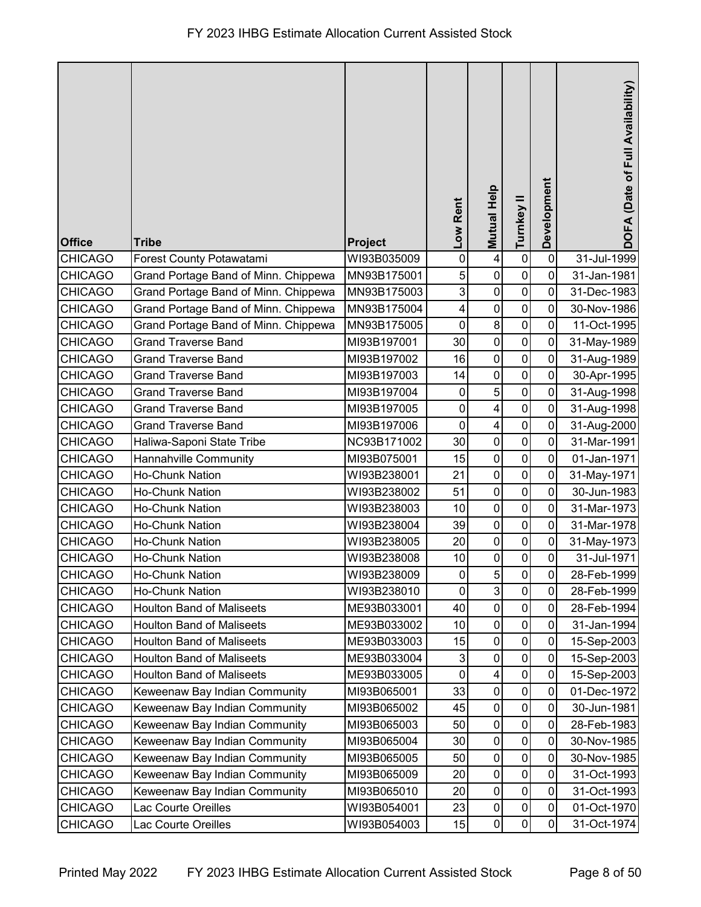| <b>Office</b>  | <b>Tribe</b>                         | <b>Project</b> | Low Rent       | <b>Mutual Help</b>      | Turnkey II     | Development    | DOFA (Date of Full Availability) |
|----------------|--------------------------------------|----------------|----------------|-------------------------|----------------|----------------|----------------------------------|
| <b>CHICAGO</b> | Forest County Potawatami             | WI93B035009    | $\mathbf 0$    | 4                       | $\pmb{0}$      | $\mathbf 0$    | 31-Jul-1999                      |
| <b>CHICAGO</b> | Grand Portage Band of Minn. Chippewa | MN93B175001    | 5              | $\mathbf 0$             | $\pmb{0}$      | $\mathbf 0$    | 31-Jan-1981                      |
| <b>CHICAGO</b> | Grand Portage Band of Minn. Chippewa | MN93B175003    | 3              | $\pmb{0}$               | $\mathbf 0$    | 0              | 31-Dec-1983                      |
| <b>CHICAGO</b> | Grand Portage Band of Minn. Chippewa | MN93B175004    | 4              | $\pmb{0}$               | $\pmb{0}$      | 0              | 30-Nov-1986                      |
| <b>CHICAGO</b> | Grand Portage Band of Minn. Chippewa | MN93B175005    | $\mathbf 0$    | $\bf 8$                 | $\pmb{0}$      | 0              | 11-Oct-1995                      |
| <b>CHICAGO</b> | <b>Grand Traverse Band</b>           | MI93B197001    | 30             | $\pmb{0}$               | $\pmb{0}$      | $\mathbf 0$    | 31-May-1989                      |
| <b>CHICAGO</b> | <b>Grand Traverse Band</b>           | MI93B197002    | 16             | $\mathbf 0$             | $\pmb{0}$      | $\mathbf 0$    | 31-Aug-1989                      |
| <b>CHICAGO</b> | <b>Grand Traverse Band</b>           | MI93B197003    | 14             | $\pmb{0}$               | $\pmb{0}$      | $\mathbf 0$    | 30-Apr-1995                      |
| <b>CHICAGO</b> | <b>Grand Traverse Band</b>           | MI93B197004    | $\mathbf 0$    | 5                       | $\pmb{0}$      | 0              | 31-Aug-1998                      |
| <b>CHICAGO</b> | <b>Grand Traverse Band</b>           | MI93B197005    | $\pmb{0}$      | 4                       | $\pmb{0}$      | 0              | 31-Aug-1998                      |
| <b>CHICAGO</b> | <b>Grand Traverse Band</b>           | MI93B197006    | $\mathbf 0$    | $\overline{\mathbf{4}}$ | $\pmb{0}$      | $\mathbf 0$    | 31-Aug-2000                      |
| <b>CHICAGO</b> | Haliwa-Saponi State Tribe            | NC93B171002    | 30             | $\mathbf 0$             | $\pmb{0}$      | $\overline{0}$ | 31-Mar-1991                      |
| <b>CHICAGO</b> | Hannahville Community                | MI93B075001    | 15             | $\pmb{0}$               | $\mathbf 0$    | $\mathbf 0$    | 01-Jan-1971                      |
| <b>CHICAGO</b> | Ho-Chunk Nation                      | WI93B238001    | 21             | $\pmb{0}$               | $\pmb{0}$      | $\mathbf 0$    | 31-May-1971                      |
| <b>CHICAGO</b> | Ho-Chunk Nation                      | WI93B238002    | 51             | $\pmb{0}$               | $\pmb{0}$      | $\mathbf 0$    | 30-Jun-1983                      |
| <b>CHICAGO</b> | Ho-Chunk Nation                      | WI93B238003    | 10             | $\pmb{0}$               | 0              | 0              | 31-Mar-1973                      |
| <b>CHICAGO</b> | Ho-Chunk Nation                      | WI93B238004    | 39             | $\boldsymbol{0}$        | $\pmb{0}$      | 0              | 31-Mar-1978                      |
| <b>CHICAGO</b> | Ho-Chunk Nation                      | WI93B238005    | 20             | $\pmb{0}$               | $\pmb{0}$      | 0              | 31-May-1973                      |
| <b>CHICAGO</b> | Ho-Chunk Nation                      | WI93B238008    | 10             | $\pmb{0}$               | $\pmb{0}$      | $\mathbf 0$    | 31-Jul-1971                      |
| CHICAGO        | Ho-Chunk Nation                      | WI93B238009    | $\overline{0}$ | 5                       | $\overline{0}$ | $\pmb{0}$      | 28-Feb-1999                      |
| <b>CHICAGO</b> | <b>Ho-Chunk Nation</b>               | WI93B238010    | $\mathbf 0$    | $\overline{3}$          | $\pmb{0}$      | 0              | 28-Feb-1999                      |
| <b>CHICAGO</b> | <b>Houlton Band of Maliseets</b>     | ME93B033001    | 40             | $\pmb{0}$               | $\pmb{0}$      | $\mathbf 0$    | 28-Feb-1994                      |
| <b>CHICAGO</b> | <b>Houlton Band of Maliseets</b>     | ME93B033002    | 10             | $\pmb{0}$               | $\pmb{0}$      | $\mathbf 0$    | 31-Jan-1994                      |
| <b>CHICAGO</b> | <b>Houlton Band of Maliseets</b>     | ME93B033003    | 15             | $\pmb{0}$               | $\pmb{0}$      | $\mathbf 0$    | 15-Sep-2003                      |
| <b>CHICAGO</b> | <b>Houlton Band of Maliseets</b>     | ME93B033004    | 3              | $\pmb{0}$               | $\pmb{0}$      | $\pmb{0}$      | 15-Sep-2003                      |
| <b>CHICAGO</b> | <b>Houlton Band of Maliseets</b>     | ME93B033005    | $\mathbf 0$    | 4                       | $\pmb{0}$      | $\mathbf 0$    | 15-Sep-2003                      |
| <b>CHICAGO</b> | Keweenaw Bay Indian Community        | MI93B065001    | 33             | $\pmb{0}$               | $\pmb{0}$      | $\mathbf 0$    | 01-Dec-1972                      |
| <b>CHICAGO</b> | Keweenaw Bay Indian Community        | MI93B065002    | 45             | $\pmb{0}$               | $\pmb{0}$      | $\mathbf 0$    | 30-Jun-1981                      |
| <b>CHICAGO</b> | Keweenaw Bay Indian Community        | MI93B065003    | 50             | $\pmb{0}$               | $\pmb{0}$      | $\mathbf 0$    | 28-Feb-1983                      |
| <b>CHICAGO</b> | Keweenaw Bay Indian Community        | MI93B065004    | 30             | $\pmb{0}$               | $\pmb{0}$      | 0              | 30-Nov-1985                      |
| <b>CHICAGO</b> | Keweenaw Bay Indian Community        | MI93B065005    | 50             | $\pmb{0}$               | $\pmb{0}$      | 0              | 30-Nov-1985                      |
| <b>CHICAGO</b> | Keweenaw Bay Indian Community        | MI93B065009    | 20             | $\pmb{0}$               | $\pmb{0}$      | $\mathbf 0$    | 31-Oct-1993                      |
| <b>CHICAGO</b> | Keweenaw Bay Indian Community        | MI93B065010    | 20             | $\pmb{0}$               | $\pmb{0}$      | $\mathbf 0$    | 31-Oct-1993                      |
| <b>CHICAGO</b> | Lac Courte Oreilles                  | WI93B054001    | 23             | $\pmb{0}$               | $\pmb{0}$      | 0              | 01-Oct-1970                      |
| <b>CHICAGO</b> | Lac Courte Oreilles                  | WI93B054003    | 15             | $\pmb{0}$               | $\pmb{0}$      | 0              | 31-Oct-1974                      |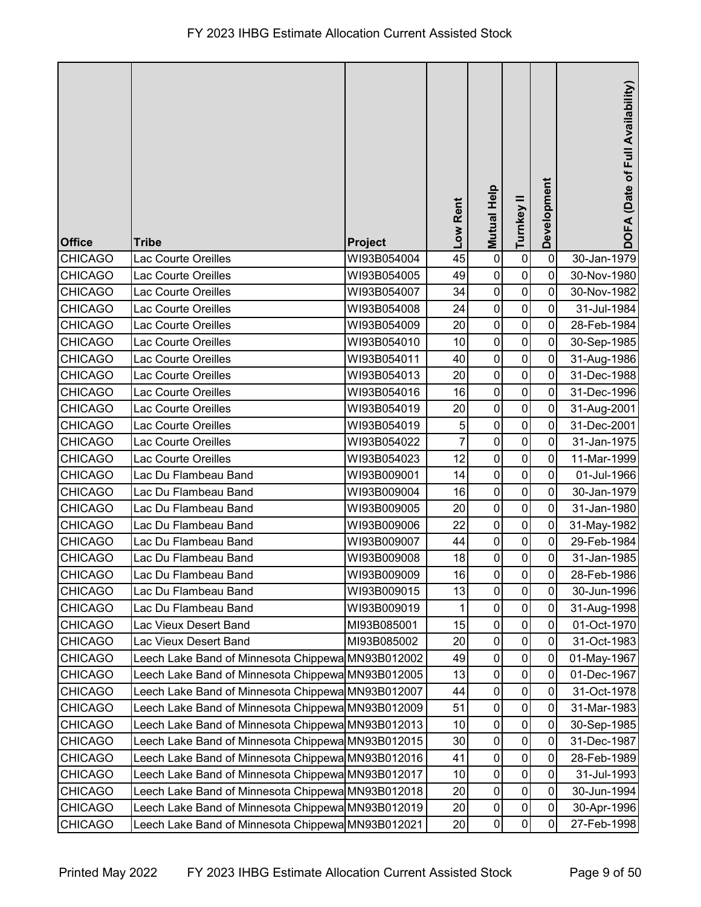| <b>Office</b>  | <b>Tribe</b>                                      | <b>Project</b> | Low Rent | Mutual Help | Turnkey II  | Development | DOFA (Date of Full Availability) |
|----------------|---------------------------------------------------|----------------|----------|-------------|-------------|-------------|----------------------------------|
| <b>CHICAGO</b> | Lac Courte Oreilles                               | WI93B054004    | 45       | $\mathbf 0$ | $\pmb{0}$   | 0           | 30-Jan-1979                      |
| <b>CHICAGO</b> | Lac Courte Oreilles                               | WI93B054005    | 49       | $\pmb{0}$   | $\pmb{0}$   | 0           | 30-Nov-1980                      |
| <b>CHICAGO</b> | Lac Courte Oreilles                               | WI93B054007    | 34       | $\mathbf 0$ | $\pmb{0}$   | 0           | 30-Nov-1982                      |
| <b>CHICAGO</b> | Lac Courte Oreilles                               | WI93B054008    | 24       | $\pmb{0}$   | 0           | 0           | 31-Jul-1984                      |
| <b>CHICAGO</b> | Lac Courte Oreilles                               | WI93B054009    | 20       | $\pmb{0}$   | $\mathbf 0$ | 0           | 28-Feb-1984                      |
| <b>CHICAGO</b> | <b>Lac Courte Oreilles</b>                        | WI93B054010    | 10       | $\mathbf 0$ | $\pmb{0}$   | 0           | 30-Sep-1985                      |
| <b>CHICAGO</b> | Lac Courte Oreilles                               | WI93B054011    | 40       | $\pmb{0}$   | $\pmb{0}$   | 0           | 31-Aug-1986                      |
| <b>CHICAGO</b> | Lac Courte Oreilles                               | WI93B054013    | 20       | $\mathbf 0$ | $\pmb{0}$   | 0           | 31-Dec-1988                      |
| <b>CHICAGO</b> | Lac Courte Oreilles                               | WI93B054016    | 16       | $\mathbf 0$ | 0           | 0           | 31-Dec-1996                      |
| <b>CHICAGO</b> | Lac Courte Oreilles                               | WI93B054019    | 20       | $\pmb{0}$   | $\pmb{0}$   | 0           | 31-Aug-2001                      |
| <b>CHICAGO</b> | <b>Lac Courte Oreilles</b>                        | WI93B054019    | 5        | $\pmb{0}$   | 0           | 0           | 31-Dec-2001                      |
| <b>CHICAGO</b> | Lac Courte Oreilles                               | WI93B054022    | 7        | $\pmb{0}$   | $\mathbf 0$ | 0           | 31-Jan-1975                      |
| <b>CHICAGO</b> | <b>Lac Courte Oreilles</b>                        | WI93B054023    | 12       | $\mathbf 0$ | $\pmb{0}$   | 0           | 11-Mar-1999                      |
| <b>CHICAGO</b> | Lac Du Flambeau Band                              | WI93B009001    | 14       | $\mathbf 0$ | $\pmb{0}$   | 0           | 01-Jul-1966                      |
| <b>CHICAGO</b> | Lac Du Flambeau Band                              | WI93B009004    | 16       | $\mathbf 0$ | $\pmb{0}$   | 0           | 30-Jan-1979                      |
| <b>CHICAGO</b> | Lac Du Flambeau Band                              | WI93B009005    | 20       | $\pmb{0}$   | 0           | 0           | 31-Jan-1980                      |
| <b>CHICAGO</b> | Lac Du Flambeau Band                              | WI93B009006    | 22       | $\pmb{0}$   | $\pmb{0}$   | 0           | 31-May-1982                      |
| <b>CHICAGO</b> | Lac Du Flambeau Band                              | WI93B009007    | 44       | $\mathbf 0$ | $\pmb{0}$   | 0           | 29-Feb-1984                      |
| <b>CHICAGO</b> | Lac Du Flambeau Band                              | WI93B009008    | 18       | $\pmb{0}$   | $\pmb{0}$   | 0           | 31-Jan-1985                      |
| CHICAGO        | Lac Du Flambeau Band                              | WI93B009009    | 16       | $\mathbf 0$ | $\pmb{0}$   | 0           | 28-Feb-1986                      |
| <b>CHICAGO</b> | Lac Du Flambeau Band                              | WI93B009015    | 13       | $\pmb{0}$   | $\mathbf 0$ | 0           | 30-Jun-1996                      |
| <b>CHICAGO</b> | Lac Du Flambeau Band                              | WI93B009019    | 1        | $\pmb{0}$   | $\pmb{0}$   | 0           | 31-Aug-1998                      |
| <b>CHICAGO</b> | Lac Vieux Desert Band                             | MI93B085001    | 15       | 0           | 0           | 0           | 01-Oct-1970                      |
| <b>CHICAGO</b> | Lac Vieux Desert Band                             | MI93B085002    | 20       | $\pmb{0}$   | $\pmb{0}$   | 0           | 31-Oct-1983                      |
| <b>CHICAGO</b> | Leech Lake Band of Minnesota Chippewa             | MN93B012002    | 49       | 0           | 0           | 0           | 01-May-1967                      |
| <b>CHICAGO</b> | Leech Lake Band of Minnesota Chippewa MN93B012005 |                | 13       | $\pmb{0}$   | $\pmb{0}$   | 0           | 01-Dec-1967                      |
| <b>CHICAGO</b> | Leech Lake Band of Minnesota Chippewa MN93B012007 |                | 44       | 0           | $\pmb{0}$   | 0           | 31-Oct-1978                      |
| <b>CHICAGO</b> | Leech Lake Band of Minnesota Chippewa             | MN93B012009    | 51       | 0           | 0           | 0           | 31-Mar-1983                      |
| <b>CHICAGO</b> | Leech Lake Band of Minnesota Chippewa MN93B012013 |                | 10       | 0           | $\pmb{0}$   | 0           | 30-Sep-1985                      |
| <b>CHICAGO</b> | Leech Lake Band of Minnesota Chippewa MN93B012015 |                | 30       | 0           | $\pmb{0}$   | 0           | 31-Dec-1987                      |
| <b>CHICAGO</b> | Leech Lake Band of Minnesota Chippewa MN93B012016 |                | 41       | $\pmb{0}$   | $\pmb{0}$   | 0           | 28-Feb-1989                      |
| <b>CHICAGO</b> | Leech Lake Band of Minnesota Chippewa MN93B012017 |                | 10       | $\pmb{0}$   | $\pmb{0}$   | 0           | 31-Jul-1993                      |
| <b>CHICAGO</b> | Leech Lake Band of Minnesota Chippewa MN93B012018 |                | 20       | $\pmb{0}$   | $\pmb{0}$   | 0           | 30-Jun-1994                      |
| <b>CHICAGO</b> | Leech Lake Band of Minnesota Chippewa MN93B012019 |                | 20       | 0           | 0           | 0           | 30-Apr-1996                      |
| <b>CHICAGO</b> | Leech Lake Band of Minnesota Chippewa MN93B012021 |                | 20       | $\pmb{0}$   | $\pmb{0}$   | 0           | 27-Feb-1998                      |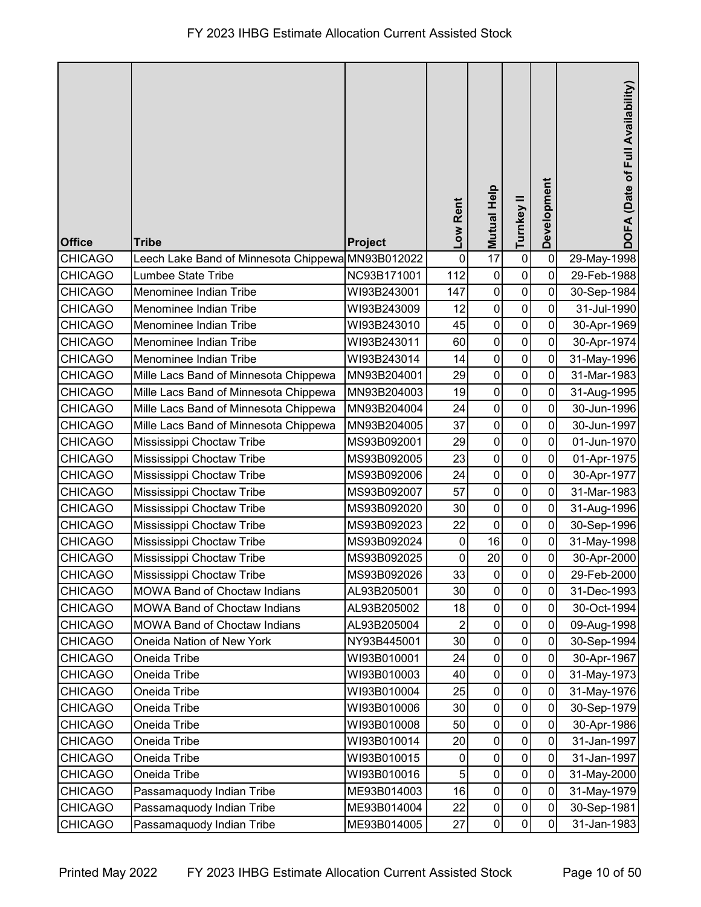| <b>Office</b>  | <b>Tribe</b>                                      | Project     | Low Rent    | Mutual Help         | Turnkey II   | Development    | DOFA (Date of Full Availability) |
|----------------|---------------------------------------------------|-------------|-------------|---------------------|--------------|----------------|----------------------------------|
| <b>CHICAGO</b> | Leech Lake Band of Minnesota Chippewa MN93B012022 |             | $\mathbf 0$ | 17                  | $\pmb{0}$    | $\mathbf 0$    | 29-May-1998                      |
| <b>CHICAGO</b> | Lumbee State Tribe                                | NC93B171001 | 112         | $\pmb{0}$           | $\mathbf 0$  | 0              | 29-Feb-1988                      |
| <b>CHICAGO</b> | Menominee Indian Tribe                            | WI93B243001 | 147         | $\pmb{0}$           | $\pmb{0}$    | 0              | 30-Sep-1984                      |
| <b>CHICAGO</b> | Menominee Indian Tribe                            | WI93B243009 | 12          | $\pmb{0}$           | $\mathbf 0$  | 0              | 31-Jul-1990                      |
| <b>CHICAGO</b> | Menominee Indian Tribe                            | WI93B243010 | 45          | $\pmb{0}$           | $\mathbf 0$  | $\overline{0}$ | 30-Apr-1969                      |
| <b>CHICAGO</b> | Menominee Indian Tribe                            | WI93B243011 | 60          | $\pmb{0}$           | $\pmb{0}$    | $\mathbf 0$    | 30-Apr-1974                      |
| <b>CHICAGO</b> | Menominee Indian Tribe                            | WI93B243014 | 14          | $\pmb{0}$           | $\mathbf 0$  | 0              | 31-May-1996                      |
| <b>CHICAGO</b> | Mille Lacs Band of Minnesota Chippewa             | MN93B204001 | 29          | $\pmb{0}$           | $\pmb{0}$    | 0              | 31-Mar-1983                      |
| <b>CHICAGO</b> | Mille Lacs Band of Minnesota Chippewa             | MN93B204003 | 19          | $\pmb{0}$           | $\mathbf 0$  | 0              | 31-Aug-1995                      |
| <b>CHICAGO</b> | Mille Lacs Band of Minnesota Chippewa             | MN93B204004 | 24          | $\pmb{0}$           | $\pmb{0}$    | 0              | 30-Jun-1996                      |
| <b>CHICAGO</b> | Mille Lacs Band of Minnesota Chippewa             | MN93B204005 | 37          | $\pmb{0}$           | $\mathbf 0$  | 0              | 30-Jun-1997                      |
| <b>CHICAGO</b> | Mississippi Choctaw Tribe                         | MS93B092001 | 29          | $\pmb{0}$           | $\mathbf 0$  | 0              | 01-Jun-1970                      |
| <b>CHICAGO</b> | Mississippi Choctaw Tribe                         | MS93B092005 | 23          | $\pmb{0}$           | $\pmb{0}$    | $\mathbf 0$    | 01-Apr-1975                      |
| <b>CHICAGO</b> | Mississippi Choctaw Tribe                         | MS93B092006 | 24          | $\pmb{0}$           | $\mathbf 0$  | $\mathbf 0$    | 30-Apr-1977                      |
| <b>CHICAGO</b> | Mississippi Choctaw Tribe                         | MS93B092007 | 57          | $\pmb{0}$           | $\pmb{0}$    | 0              | 31-Mar-1983                      |
| <b>CHICAGO</b> | Mississippi Choctaw Tribe                         | MS93B092020 | 30          | $\pmb{0}$           | $\mathbf 0$  | 0              | 31-Aug-1996                      |
| <b>CHICAGO</b> | Mississippi Choctaw Tribe                         | MS93B092023 | 22          | $\pmb{0}$           | $\pmb{0}$    | $\overline{0}$ | 30-Sep-1996                      |
| <b>CHICAGO</b> | Mississippi Choctaw Tribe                         | MS93B092024 | 0           | 16                  | 0            | $\mathbf 0$    | 31-May-1998                      |
| <b>CHICAGO</b> | Mississippi Choctaw Tribe                         | MS93B092025 | $\pmb{0}$   | 20                  | $\pmb{0}$    | $\pmb{0}$      | 30-Apr-2000                      |
| CHICAGO        | Mississippi Choctaw Tribe                         | MS93B092026 | 33          | $\mathsf{O}\xspace$ | $\mathbf{0}$ | $\pmb{0}$      | 29-Feb-2000                      |
| <b>CHICAGO</b> | <b>MOWA Band of Choctaw Indians</b>               | AL93B205001 | 30          | $\mathbf 0$         | $\mathbf 0$  | 0              | 31-Dec-1993                      |
| <b>CHICAGO</b> | <b>MOWA Band of Choctaw Indians</b>               | AL93B205002 | 18          | $\pmb{0}$           | $\mathbf 0$  | $\mathbf 0$    | 30-Oct-1994                      |
| <b>CHICAGO</b> | <b>MOWA Band of Choctaw Indians</b>               | AL93B205004 | 2           | 0                   | 0            | 0              | 09-Aug-1998                      |
| <b>CHICAGO</b> | Oneida Nation of New York                         | NY93B445001 | 30          | $\pmb{0}$           | $\pmb{0}$    | $\mathbf 0$    | 30-Sep-1994                      |
| <b>CHICAGO</b> | Oneida Tribe                                      | WI93B010001 | 24          | $\pmb{0}$           | $\pmb{0}$    | $\mathbf 0$    | 30-Apr-1967                      |
| <b>CHICAGO</b> | Oneida Tribe                                      | WI93B010003 | 40          | $\pmb{0}$           | $\pmb{0}$    | $\mathbf 0$    | 31-May-1973                      |
| <b>CHICAGO</b> | Oneida Tribe                                      | WI93B010004 | 25          | $\pmb{0}$           | $\pmb{0}$    | $\mathbf 0$    | 31-May-1976                      |
| <b>CHICAGO</b> | Oneida Tribe                                      | WI93B010006 | 30          | $\pmb{0}$           | $\mathbf 0$  | 0              | 30-Sep-1979                      |
| <b>CHICAGO</b> | Oneida Tribe                                      | WI93B010008 | 50          | $\pmb{0}$           | $\mathbf 0$  | 0              | 30-Apr-1986                      |
| <b>CHICAGO</b> | Oneida Tribe                                      | WI93B010014 | 20          | $\pmb{0}$           | $\mathbf 0$  | 0              | 31-Jan-1997                      |
| <b>CHICAGO</b> | Oneida Tribe                                      | WI93B010015 | $\mathbf 0$ | $\pmb{0}$           | $\pmb{0}$    | $\mathbf 0$    | 31-Jan-1997                      |
| <b>CHICAGO</b> | Oneida Tribe                                      | WI93B010016 | 5           | $\pmb{0}$           | $\pmb{0}$    | $\mathbf 0$    | 31-May-2000                      |
| <b>CHICAGO</b> | Passamaquody Indian Tribe                         | ME93B014003 | 16          | $\pmb{0}$           | $\pmb{0}$    | $\mathbf 0$    | 31-May-1979                      |
| <b>CHICAGO</b> | Passamaquody Indian Tribe                         | ME93B014004 | 22          | $\pmb{0}$           | $\pmb{0}$    | $\mathbf 0$    | 30-Sep-1981                      |
| <b>CHICAGO</b> | Passamaquody Indian Tribe                         | ME93B014005 | 27          | $\pmb{0}$           | $\mathbf 0$  | $\mathbf 0$    | 31-Jan-1983                      |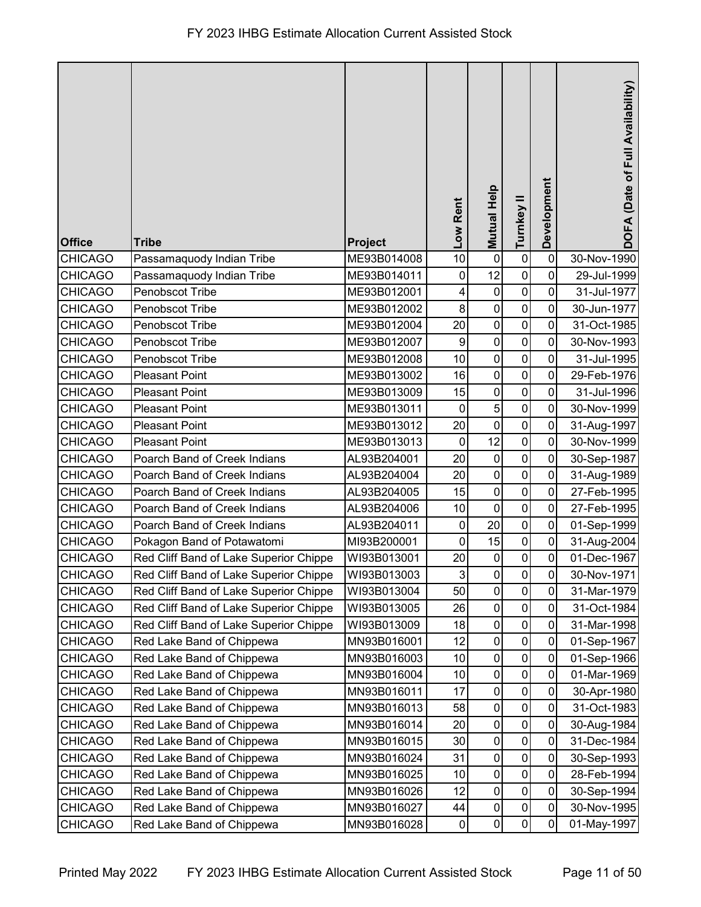| <b>Office</b>  | <b>Tribe</b>                           | Project     | Low Rent                  | Mutual Help | Turnkey II     | Development    | DOFA (Date of Full Availability) |
|----------------|----------------------------------------|-------------|---------------------------|-------------|----------------|----------------|----------------------------------|
| <b>CHICAGO</b> | Passamaquody Indian Tribe              | ME93B014008 | 10                        | $\mathbf 0$ | $\pmb{0}$      | $\mathbf 0$    | 30-Nov-1990                      |
| <b>CHICAGO</b> | Passamaquody Indian Tribe              | ME93B014011 | $\pmb{0}$                 | 12          | $\mathbf 0$    | 0              | 29-Jul-1999                      |
| <b>CHICAGO</b> | Penobscot Tribe                        | ME93B012001 | 4                         | $\pmb{0}$   | $\mathbf 0$    | $\mathbf 0$    | 31-Jul-1977                      |
| <b>CHICAGO</b> | Penobscot Tribe                        | ME93B012002 | 8                         | $\mathbf 0$ | $\mathbf 0$    | 0              | 30-Jun-1977                      |
| <b>CHICAGO</b> | Penobscot Tribe                        | ME93B012004 | 20                        | $\pmb{0}$   | $\mathbf 0$    | 0              | 31-Oct-1985                      |
| <b>CHICAGO</b> | Penobscot Tribe                        | ME93B012007 | 9                         | $\mathbf 0$ | $\mathbf 0$    | 0              | 30-Nov-1993                      |
| <b>CHICAGO</b> | Penobscot Tribe                        | ME93B012008 | 10                        | $\mathbf 0$ | $\mathbf 0$    | 0              | 31-Jul-1995                      |
| <b>CHICAGO</b> | <b>Pleasant Point</b>                  | ME93B013002 | 16                        | $\pmb{0}$   | $\pmb{0}$      | $\mathbf 0$    | 29-Feb-1976                      |
| <b>CHICAGO</b> | <b>Pleasant Point</b>                  | ME93B013009 | 15                        | $\mathbf 0$ | $\pmb{0}$      | 0              | 31-Jul-1996                      |
| <b>CHICAGO</b> | <b>Pleasant Point</b>                  | ME93B013011 | $\mathbf 0$               | $\sqrt{5}$  | $\pmb{0}$      | 0              | 30-Nov-1999                      |
| <b>CHICAGO</b> | <b>Pleasant Point</b>                  | ME93B013012 | 20                        | $\pmb{0}$   | $\mathbf 0$    | 0              | 31-Aug-1997                      |
| <b>CHICAGO</b> | <b>Pleasant Point</b>                  | ME93B013013 | $\mathbf 0$               | 12          | $\mathbf 0$    | 0              | 30-Nov-1999                      |
| <b>CHICAGO</b> | Poarch Band of Creek Indians           | AL93B204001 | 20                        | $\pmb{0}$   | $\mathbf 0$    | $\mathbf 0$    | 30-Sep-1987                      |
| <b>CHICAGO</b> | Poarch Band of Creek Indians           | AL93B204004 | 20                        | $\mathbf 0$ | $\pmb{0}$      | $\mathbf 0$    | 31-Aug-1989                      |
| <b>CHICAGO</b> | Poarch Band of Creek Indians           | AL93B204005 | 15                        | $\pmb{0}$   | $\pmb{0}$      | $\overline{0}$ | 27-Feb-1995                      |
| <b>CHICAGO</b> | Poarch Band of Creek Indians           | AL93B204006 | 10                        | $\mathbf 0$ | 0              | 0              | 27-Feb-1995                      |
| <b>CHICAGO</b> | Poarch Band of Creek Indians           | AL93B204011 | 0                         | 20          | $\pmb{0}$      | 0              | 01-Sep-1999                      |
| <b>CHICAGO</b> | Pokagon Band of Potawatomi             | MI93B200001 | $\mathbf 0$               | 15          | 0              | 0              | 31-Aug-2004                      |
| <b>CHICAGO</b> | Red Cliff Band of Lake Superior Chippe | WI93B013001 | 20                        | $\mathbf 0$ | $\mathsf 0$    | $\mathbf 0$    | 01-Dec-1967                      |
| CHICAGO        | Red Cliff Band of Lake Superior Chippe | WI93B013003 | $\ensuremath{\mathsf{3}}$ | $\pmb{0}$   | $\overline{0}$ | $\overline{0}$ | 30-Nov-1971                      |
| <b>CHICAGO</b> | Red Cliff Band of Lake Superior Chippe | WI93B013004 | 50                        | $\mathbf 0$ | $\mathsf 0$    | 0              | 31-Mar-1979                      |
| <b>CHICAGO</b> | Red Cliff Band of Lake Superior Chippe | WI93B013005 | 26                        | $\pmb{0}$   | 0              | 0              | 31-Oct-1984                      |
| <b>CHICAGO</b> | Red Cliff Band of Lake Superior Chippe | WI93B013009 | 18                        | $\pmb{0}$   | 0              | 0              | 31-Mar-1998                      |
| <b>CHICAGO</b> | Red Lake Band of Chippewa              | MN93B016001 | 12                        | $\pmb{0}$   | $\mathbf 0$    | 0              | 01-Sep-1967                      |
| <b>CHICAGO</b> | Red Lake Band of Chippewa              | MN93B016003 | 10                        | $\pmb{0}$   | $\pmb{0}$      | 0              | 01-Sep-1966                      |
| <b>CHICAGO</b> | Red Lake Band of Chippewa              | MN93B016004 | 10                        | $\pmb{0}$   | $\pmb{0}$      | 0              | 01-Mar-1969                      |
| <b>CHICAGO</b> | Red Lake Band of Chippewa              | MN93B016011 | 17                        | $\pmb{0}$   | 0              | 0              | 30-Apr-1980                      |
| <b>CHICAGO</b> | Red Lake Band of Chippewa              | MN93B016013 | 58                        | $\pmb{0}$   | 0              | 0              | 31-Oct-1983                      |
| <b>CHICAGO</b> | Red Lake Band of Chippewa              | MN93B016014 | 20                        | $\pmb{0}$   | $\pmb{0}$      | 0              | 30-Aug-1984                      |
| CHICAGO        | Red Lake Band of Chippewa              | MN93B016015 | 30                        | $\pmb{0}$   | 0              | 0              | 31-Dec-1984                      |
| <b>CHICAGO</b> | Red Lake Band of Chippewa              | MN93B016024 | 31                        | $\mathbf 0$ | $\pmb{0}$      | 0              | 30-Sep-1993                      |
| <b>CHICAGO</b> | Red Lake Band of Chippewa              | MN93B016025 | 10                        | $\pmb{0}$   | $\pmb{0}$      | $\mathbf 0$    | 28-Feb-1994                      |
| <b>CHICAGO</b> | Red Lake Band of Chippewa              | MN93B016026 | 12                        | $\mathbf 0$ | $\mathsf 0$    | 0              | 30-Sep-1994                      |
| <b>CHICAGO</b> | Red Lake Band of Chippewa              | MN93B016027 | 44                        | $\pmb{0}$   | $\pmb{0}$      | 0              | 30-Nov-1995                      |
| <b>CHICAGO</b> | Red Lake Band of Chippewa              | MN93B016028 | $\pmb{0}$                 | $\pmb{0}$   | 0              | 0              | 01-May-1997                      |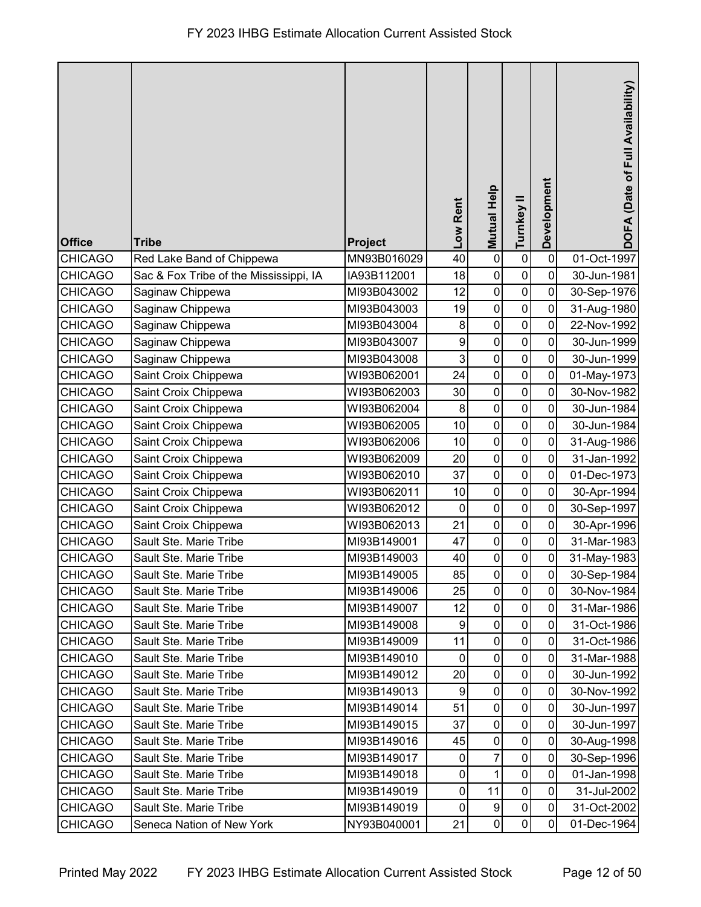| <b>Office</b>  | <b>Tribe</b>                           | Project     | Low Rent    | <b>Mutual Help</b> | Turnkey II       | Development    | DOFA (Date of Full Availability) |
|----------------|----------------------------------------|-------------|-------------|--------------------|------------------|----------------|----------------------------------|
| <b>CHICAGO</b> | Red Lake Band of Chippewa              | MN93B016029 | 40          | $\pmb{0}$          | $\pmb{0}$        | $\mathbf 0$    | 01-Oct-1997                      |
| <b>CHICAGO</b> | Sac & Fox Tribe of the Mississippi, IA | IA93B112001 | 18          | $\pmb{0}$          | $\boldsymbol{0}$ | 0              | 30-Jun-1981                      |
| <b>CHICAGO</b> | Saginaw Chippewa                       | MI93B043002 | 12          | $\pmb{0}$          | $\pmb{0}$        | $\mathbf 0$    | 30-Sep-1976                      |
| <b>CHICAGO</b> | Saginaw Chippewa                       | MI93B043003 | 19          | $\pmb{0}$          | $\mathbf 0$      | $\mathbf 0$    | 31-Aug-1980                      |
| <b>CHICAGO</b> | Saginaw Chippewa                       | MI93B043004 | 8           | $\mathbf 0$        | $\mathbf 0$      | $\mathbf 0$    | 22-Nov-1992                      |
| <b>CHICAGO</b> | Saginaw Chippewa                       | MI93B043007 | 9           | $\mathbf 0$        | $\mathbf 0$      | $\mathbf 0$    | 30-Jun-1999                      |
| <b>CHICAGO</b> | Saginaw Chippewa                       | MI93B043008 | 3           | $\mathbf 0$        | $\mathbf 0$      | $\mathbf 0$    | 30-Jun-1999                      |
| <b>CHICAGO</b> | Saint Croix Chippewa                   | WI93B062001 | 24          | $\pmb{0}$          | $\pmb{0}$        | 0              | 01-May-1973                      |
| <b>CHICAGO</b> | Saint Croix Chippewa                   | WI93B062003 | 30          | $\mathbf 0$        | $\pmb{0}$        | 0              | 30-Nov-1982                      |
| <b>CHICAGO</b> | Saint Croix Chippewa                   | WI93B062004 | 8           | $\pmb{0}$          | $\pmb{0}$        | 0              | 30-Jun-1984                      |
| <b>CHICAGO</b> | Saint Croix Chippewa                   | WI93B062005 | 10          | $\pmb{0}$          | $\pmb{0}$        | $\mathbf 0$    | 30-Jun-1984                      |
| <b>CHICAGO</b> | Saint Croix Chippewa                   | WI93B062006 | 10          | $\mathbf 0$        | $\mathbf 0$      | $\mathbf 0$    | 31-Aug-1986                      |
| <b>CHICAGO</b> | Saint Croix Chippewa                   | WI93B062009 | 20          | $\mathbf 0$        | $\pmb{0}$        | $\mathbf 0$    | 31-Jan-1992                      |
| <b>CHICAGO</b> | Saint Croix Chippewa                   | WI93B062010 | 37          | $\mathbf 0$        | $\pmb{0}$        | 0              | 01-Dec-1973                      |
| <b>CHICAGO</b> | Saint Croix Chippewa                   | WI93B062011 | 10          | $\mathbf 0$        | $\pmb{0}$        | 0              | 30-Apr-1994                      |
| <b>CHICAGO</b> | Saint Croix Chippewa                   | WI93B062012 | 0           | $\pmb{0}$          | $\pmb{0}$        | 0              | 30-Sep-1997                      |
| <b>CHICAGO</b> | Saint Croix Chippewa                   | WI93B062013 | 21          | $\mathbf 0$        | $\mathbf 0$      | $\mathbf 0$    | 30-Apr-1996                      |
| <b>CHICAGO</b> | Sault Ste. Marie Tribe                 | MI93B149001 | 47          | $\mathbf 0$        | $\pmb{0}$        | $\overline{0}$ | 31-Mar-1983                      |
| <b>CHICAGO</b> | Sault Ste. Marie Tribe                 | MI93B149003 | 40          | $\pmb{0}$          | $\pmb{0}$        | $\pmb{0}$      | 31-May-1983                      |
| CHICAGO        | Sault Ste. Marie Tribe                 | MI93B149005 | 85          | $\overline{0}$     | 0                | $\pmb{0}$      | 30-Sep-1984                      |
| <b>CHICAGO</b> | Sault Ste. Marie Tribe                 | MI93B149006 | 25          | $\mathbf 0$        | $\mathbf 0$      | 0              | 30-Nov-1984                      |
| <b>CHICAGO</b> | Sault Ste. Marie Tribe                 | MI93B149007 | 12          | 0                  | $\pmb{0}$        | $\mathbf 0$    | 31-Mar-1986                      |
| <b>CHICAGO</b> | Sault Ste. Marie Tribe                 | MI93B149008 | 9           | 0                  | $\mathbf 0$      | 0              | 31-Oct-1986                      |
| <b>CHICAGO</b> | Sault Ste. Marie Tribe                 | MI93B149009 | 11          | $\mathbf 0$        | $\mathbf 0$      | $\mathbf 0$    | 31-Oct-1986                      |
| <b>CHICAGO</b> | Sault Ste. Marie Tribe                 | MI93B149010 | 0           | $\pmb{0}$          | $\pmb{0}$        | $\mathbf 0$    | 31-Mar-1988                      |
| <b>CHICAGO</b> | Sault Ste. Marie Tribe                 | MI93B149012 | 20          | $\pmb{0}$          | $\pmb{0}$        | 0              | 30-Jun-1992                      |
| <b>CHICAGO</b> | Sault Ste. Marie Tribe                 | MI93B149013 | 9           | 0                  | $\pmb{0}$        | 0              | 30-Nov-1992                      |
| <b>CHICAGO</b> | Sault Ste. Marie Tribe                 | MI93B149014 | 51          | 0                  | 0                | $\mathbf 0$    | 30-Jun-1997                      |
| <b>CHICAGO</b> | Sault Ste. Marie Tribe                 | MI93B149015 | 37          | $\mathbf 0$        | $\mathbf 0$      | $\mathbf 0$    | 30-Jun-1997                      |
| <b>CHICAGO</b> | Sault Ste. Marie Tribe                 | MI93B149016 | 45          | 0                  | $\pmb{0}$        | 0              | 30-Aug-1998                      |
| <b>CHICAGO</b> | Sault Ste. Marie Tribe                 | MI93B149017 | $\mathbf 0$ | 7                  | $\pmb{0}$        | $\mathbf 0$    | 30-Sep-1996                      |
| <b>CHICAGO</b> | Sault Ste. Marie Tribe                 | MI93B149018 | $\mathbf 0$ | 1                  | $\pmb{0}$        | $\mathbf 0$    | 01-Jan-1998                      |
| <b>CHICAGO</b> | Sault Ste. Marie Tribe                 | MI93B149019 | $\pmb{0}$   | 11                 | $\pmb{0}$        | $\overline{0}$ | 31-Jul-2002                      |
| <b>CHICAGO</b> | Sault Ste. Marie Tribe                 | MI93B149019 | $\mathbf 0$ | 9                  | $\pmb{0}$        | $\mathbf 0$    | 31-Oct-2002                      |
| <b>CHICAGO</b> | Seneca Nation of New York              | NY93B040001 | 21          | $\pmb{0}$          | $\pmb{0}$        | 0              | 01-Dec-1964                      |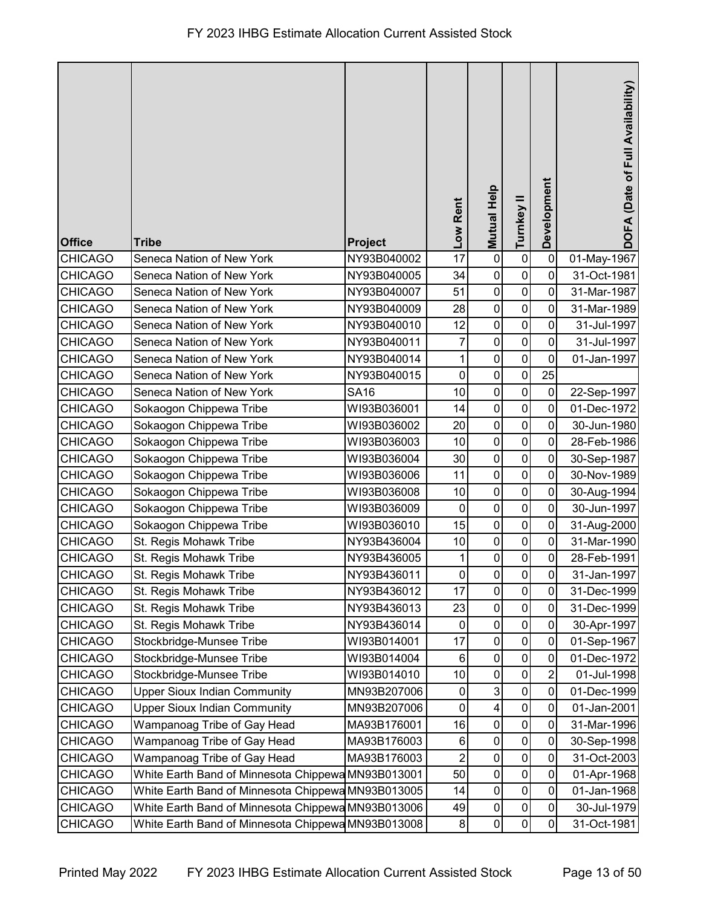| <b>Office</b>  | <b>Tribe</b>                                       | Project     | Low Rent       | <b>Mutual Help</b> | Turnkey II          | Development    | DOFA (Date of Full Availability) |
|----------------|----------------------------------------------------|-------------|----------------|--------------------|---------------------|----------------|----------------------------------|
| <b>CHICAGO</b> | Seneca Nation of New York                          | NY93B040002 | 17             | $\mathbf 0$        | $\pmb{0}$           | 0              | 01-May-1967                      |
| <b>CHICAGO</b> | Seneca Nation of New York                          | NY93B040005 | 34             | $\pmb{0}$          | $\mathbf 0$         | $\mathbf 0$    | 31-Oct-1981                      |
| <b>CHICAGO</b> | Seneca Nation of New York                          | NY93B040007 | 51             | $\pmb{0}$          | $\mathbf 0$         | $\mathbf 0$    | 31-Mar-1987                      |
| <b>CHICAGO</b> | Seneca Nation of New York                          | NY93B040009 | 28             | $\pmb{0}$          | $\mathbf 0$         | 0              | 31-Mar-1989                      |
| <b>CHICAGO</b> | Seneca Nation of New York                          | NY93B040010 | 12             | $\mathbf 0$        | $\mathbf 0$         | $\overline{0}$ | 31-Jul-1997                      |
| <b>CHICAGO</b> | Seneca Nation of New York                          | NY93B040011 | 7              | $\mathbf 0$        | $\mathbf 0$         | $\mathbf 0$    | 31-Jul-1997                      |
| <b>CHICAGO</b> | Seneca Nation of New York                          | NY93B040014 | 1              | $\mathbf 0$        | $\mathbf 0$         | $\overline{0}$ | 01-Jan-1997                      |
| <b>CHICAGO</b> | Seneca Nation of New York                          | NY93B040015 | $\mathbf 0$    | $\pmb{0}$          | $\pmb{0}$           | 25             |                                  |
| <b>CHICAGO</b> | Seneca Nation of New York                          | <b>SA16</b> | 10             | $\pmb{0}$          | 0                   | 0              | 22-Sep-1997                      |
| <b>CHICAGO</b> | Sokaogon Chippewa Tribe                            | WI93B036001 | 14             | $\pmb{0}$          | $\mathbf 0$         | 0              | 01-Dec-1972                      |
| <b>CHICAGO</b> | Sokaogon Chippewa Tribe                            | WI93B036002 | 20             | $\pmb{0}$          | $\mathbf 0$         | 0              | 30-Jun-1980                      |
| <b>CHICAGO</b> | Sokaogon Chippewa Tribe                            | WI93B036003 | 10             | $\mathbf 0$        | $\mathbf 0$         | $\mathbf 0$    | 28-Feb-1986                      |
| <b>CHICAGO</b> | Sokaogon Chippewa Tribe                            | WI93B036004 | 30             | $\mathbf 0$        | $\pmb{0}$           | $\mathbf 0$    | 30-Sep-1987                      |
| <b>CHICAGO</b> | Sokaogon Chippewa Tribe                            | WI93B036006 | 11             | $\pmb{0}$          | $\mathbf 0$         | 0              | 30-Nov-1989                      |
| <b>CHICAGO</b> | Sokaogon Chippewa Tribe                            | WI93B036008 | 10             | $\pmb{0}$          | $\mathbf 0$         | 0              | 30-Aug-1994                      |
| <b>CHICAGO</b> | Sokaogon Chippewa Tribe                            | WI93B036009 | 0              | $\pmb{0}$          | $\mathbf 0$         | 0              | 30-Jun-1997                      |
| <b>CHICAGO</b> | Sokaogon Chippewa Tribe                            | WI93B036010 | 15             | $\mathbf 0$        | $\mathbf 0$         | $\mathbf 0$    | 31-Aug-2000                      |
| <b>CHICAGO</b> | St. Regis Mohawk Tribe                             | NY93B436004 | 10             | $\pmb{0}$          | $\mathbf 0$         | $\overline{0}$ | 31-Mar-1990                      |
| <b>CHICAGO</b> | St. Regis Mohawk Tribe                             | NY93B436005 | 1              | $\pmb{0}$          | $\mathbf 0$         | $\pmb{0}$      | 28-Feb-1991                      |
| <b>CHICAGO</b> | St. Regis Mohawk Tribe                             | NY93B436011 | $\overline{0}$ | $\pmb{0}$          | $\mathsf{O}\xspace$ | $\pmb{0}$      | 31-Jan-1997                      |
| <b>CHICAGO</b> | St. Regis Mohawk Tribe                             | NY93B436012 | 17             | $\mathbf 0$        | $\mathbf 0$         | 0              | 31-Dec-1999                      |
| <b>CHICAGO</b> | St. Regis Mohawk Tribe                             | NY93B436013 | 23             | $\pmb{0}$          | $\pmb{0}$           | $\mathbf 0$    | 31-Dec-1999                      |
| <b>CHICAGO</b> | St. Regis Mohawk Tribe                             | NY93B436014 | 0              | $\pmb{0}$          | $\mathbf 0$         | 0              | 30-Apr-1997                      |
| <b>CHICAGO</b> | Stockbridge-Munsee Tribe                           | WI93B014001 | 17             | $\pmb{0}$          | $\pmb{0}$           | 0              | 01-Sep-1967                      |
| <b>CHICAGO</b> | Stockbridge-Munsee Tribe                           | WI93B014004 | 6              | $\pmb{0}$          | $\pmb{0}$           | 0              | 01-Dec-1972                      |
| <b>CHICAGO</b> | Stockbridge-Munsee Tribe                           | WI93B014010 | 10             | $\pmb{0}$          | $\pmb{0}$           | $\overline{2}$ | 01-Jul-1998                      |
| <b>CHICAGO</b> | <b>Upper Sioux Indian Community</b>                | MN93B207006 | $\pmb{0}$      | 3                  | $\pmb{0}$           | 0              | 01-Dec-1999                      |
| CHICAGO        | <b>Upper Sioux Indian Community</b>                | MN93B207006 | 0              | 4                  | $\pmb{0}$           | 0              | 01-Jan-2001                      |
| <b>CHICAGO</b> | Wampanoag Tribe of Gay Head                        | MA93B176001 | 16             | $\pmb{0}$          | $\pmb{0}$           | 0              | 31-Mar-1996                      |
| <b>CHICAGO</b> | Wampanoag Tribe of Gay Head                        | MA93B176003 | 6              | $\pmb{0}$          | $\pmb{0}$           | 0              | 30-Sep-1998                      |
| <b>CHICAGO</b> | Wampanoag Tribe of Gay Head                        | MA93B176003 | $\overline{2}$ | $\pmb{0}$          | $\pmb{0}$           | $\mathbf 0$    | 31-Oct-2003                      |
| <b>CHICAGO</b> | White Earth Band of Minnesota Chippewa MN93B013001 |             | 50             | $\pmb{0}$          | $\pmb{0}$           | $\pmb{0}$      | 01-Apr-1968                      |
| <b>CHICAGO</b> | White Earth Band of Minnesota Chippewa MN93B013005 |             | 14             | $\pmb{0}$          | $\pmb{0}$           | $\mathbf 0$    | 01-Jan-1968                      |
| <b>CHICAGO</b> | White Earth Band of Minnesota Chippewa MN93B013006 |             | 49             | 0                  | $\pmb{0}$           | 0              | 30-Jul-1979                      |
| <b>CHICAGO</b> | White Earth Band of Minnesota Chippewa MN93B013008 |             | 8 <sup>1</sup> | $\pmb{0}$          | $\pmb{0}$           | 0              | 31-Oct-1981                      |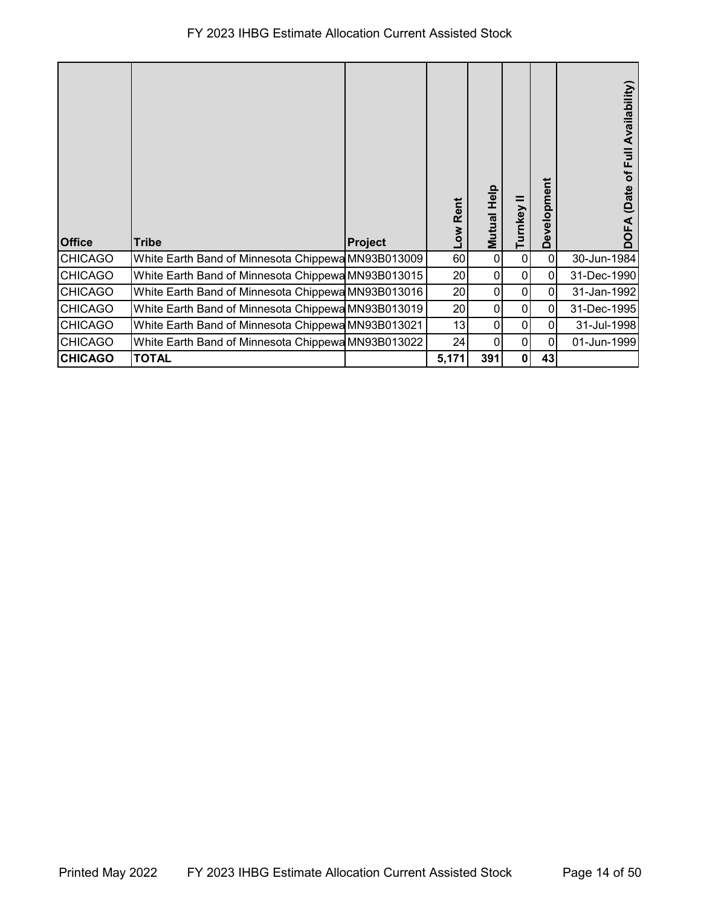## FY 2023 IHBG Estimate Allocation Current Assisted Stock

| <b>Office</b>  | <b>Tribe</b>                                       | Project | Rent<br><b>MOT</b> | Mutual Help | Turnkey      | pment<br>velop<br>ە | <b>Availability</b><br>⋾<br>щ<br>৳<br>(Date |
|----------------|----------------------------------------------------|---------|--------------------|-------------|--------------|---------------------|---------------------------------------------|
| <b>CHICAGO</b> | White Earth Band of Minnesota Chippewa MN93B013009 |         | 60                 | 0           | 0            | $\mathbf{0}$        | 30-Jun-1984                                 |
| <b>CHICAGO</b> | White Earth Band of Minnesota Chippewa MN93B013015 |         | 20                 | 0           | 0            | $\mathbf{0}$        | 31-Dec-1990                                 |
| <b>CHICAGO</b> | White Earth Band of Minnesota Chippewa MN93B013016 |         | 20                 | 0           | 0            | 0                   | 31-Jan-1992                                 |
| <b>CHICAGO</b> | White Earth Band of Minnesota Chippewa MN93B013019 |         | 20                 | 0           | 0            | $\mathbf{0}$        | 31-Dec-1995                                 |
| <b>CHICAGO</b> | White Earth Band of Minnesota Chippewa MN93B013021 |         | 13                 | 0           | 0            | 0                   | 31-Jul-1998                                 |
| <b>CHICAGO</b> | White Earth Band of Minnesota Chippewa MN93B013022 |         | 24                 | 0           | 0            | 0                   | 01-Jun-1999                                 |
| <b>CHICAGO</b> | <b>TOTAL</b>                                       |         | 5,171              | 391         | $\mathbf{0}$ | 43                  |                                             |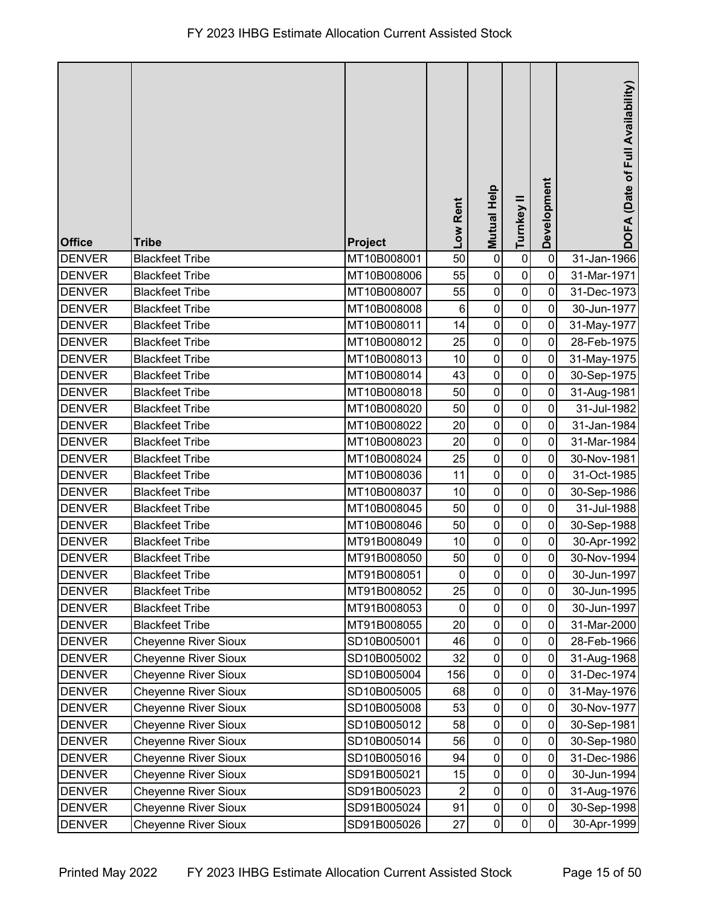| <b>Office</b> | <b>Tribe</b>                | Project     | Low Rent       | <b>Mutual Help</b> | Turnkey II     | Development | DOFA (Date of Full Availability) |
|---------------|-----------------------------|-------------|----------------|--------------------|----------------|-------------|----------------------------------|
| <b>DENVER</b> | <b>Blackfeet Tribe</b>      | MT10B008001 | 50             | $\pmb{0}$          | $\pmb{0}$      | $\mathbf 0$ | 31-Jan-1966                      |
| <b>DENVER</b> | <b>Blackfeet Tribe</b>      | MT10B008006 | 55             | $\pmb{0}$          | $\mathbf 0$    | $\mathbf 0$ | 31-Mar-1971                      |
| <b>DENVER</b> | <b>Blackfeet Tribe</b>      | MT10B008007 | 55             | $\pmb{0}$          | $\pmb{0}$      | $\mathbf 0$ | 31-Dec-1973                      |
| <b>DENVER</b> | <b>Blackfeet Tribe</b>      | MT10B008008 | $\,6$          | $\pmb{0}$          | $\mathbf 0$    | 0           | 30-Jun-1977                      |
| <b>DENVER</b> | <b>Blackfeet Tribe</b>      | MT10B008011 | 14             | $\pmb{0}$          | $\pmb{0}$      | 0           | 31-May-1977                      |
| <b>DENVER</b> | <b>Blackfeet Tribe</b>      | MT10B008012 | 25             | $\pmb{0}$          | $\mathbf 0$    | $\mathbf 0$ | 28-Feb-1975                      |
| <b>DENVER</b> | <b>Blackfeet Tribe</b>      | MT10B008013 | 10             | $\pmb{0}$          | $\mathbf 0$    | $\mathbf 0$ | 31-May-1975                      |
| <b>DENVER</b> | <b>Blackfeet Tribe</b>      | MT10B008014 | 43             | $\pmb{0}$          | $\pmb{0}$      | $\mathbf 0$ | 30-Sep-1975                      |
| <b>DENVER</b> | <b>Blackfeet Tribe</b>      | MT10B008018 | 50             | $\pmb{0}$          | $\pmb{0}$      | $\mathbf 0$ | 31-Aug-1981                      |
| <b>DENVER</b> | <b>Blackfeet Tribe</b>      | MT10B008020 | 50             | $\pmb{0}$          | $\pmb{0}$      | $\mathbf 0$ | 31-Jul-1982                      |
| <b>DENVER</b> | <b>Blackfeet Tribe</b>      | MT10B008022 | 20             | $\pmb{0}$          | $\pmb{0}$      | 0           | 31-Jan-1984                      |
| <b>DENVER</b> | <b>Blackfeet Tribe</b>      | MT10B008023 | 20             | $\mathbf 0$        | $\mathbf 0$    | $\mathbf 0$ | 31-Mar-1984                      |
| <b>DENVER</b> | <b>Blackfeet Tribe</b>      | MT10B008024 | 25             | $\pmb{0}$          | $\pmb{0}$      | 0           | 30-Nov-1981                      |
| <b>DENVER</b> | <b>Blackfeet Tribe</b>      | MT10B008036 | 11             | $\pmb{0}$          | $\pmb{0}$      | 0           | 31-Oct-1985                      |
| <b>DENVER</b> | <b>Blackfeet Tribe</b>      | MT10B008037 | 10             | $\pmb{0}$          | $\pmb{0}$      | $\mathbf 0$ | 30-Sep-1986                      |
| <b>DENVER</b> | <b>Blackfeet Tribe</b>      | MT10B008045 | 50             | $\pmb{0}$          | $\mathbf 0$    | $\mathbf 0$ | 31-Jul-1988                      |
| <b>DENVER</b> | <b>Blackfeet Tribe</b>      | MT10B008046 | 50             | $\pmb{0}$          | $\pmb{0}$      | 0           | 30-Sep-1988                      |
| <b>DENVER</b> | <b>Blackfeet Tribe</b>      | MT91B008049 | 10             | $\pmb{0}$          | $\pmb{0}$      | $\mathbf 0$ | 30-Apr-1992                      |
| <b>DENVER</b> | <b>Blackfeet Tribe</b>      | MT91B008050 | 50             | $\pmb{0}$          | $\pmb{0}$      | $\mathbf 0$ | 30-Nov-1994                      |
| <b>DENVER</b> | <b>Blackfeet Tribe</b>      | MT91B008051 | $\overline{0}$ | $\pmb{0}$          | $\overline{0}$ | $\pmb{0}$   | 30-Jun-1997                      |
| <b>DENVER</b> | <b>Blackfeet Tribe</b>      | MT91B008052 | 25             | $\pmb{0}$          | $\pmb{0}$      | $\mathbf 0$ | 30-Jun-1995                      |
| <b>DENVER</b> | <b>Blackfeet Tribe</b>      | MT91B008053 | $\mathbf 0$    | $\pmb{0}$          | $\pmb{0}$      | $\mathbf 0$ | 30-Jun-1997                      |
| <b>DENVER</b> | <b>Blackfeet Tribe</b>      | MT91B008055 | 20             | $\pmb{0}$          | $\mathbf 0$    | 0           | 31-Mar-2000                      |
| <b>DENVER</b> | <b>Cheyenne River Sioux</b> | SD10B005001 | 46             | $\pmb{0}$          | $\pmb{0}$      | $\mathbf 0$ | 28-Feb-1966                      |
| <b>DENVER</b> | <b>Cheyenne River Sioux</b> | SD10B005002 | 32             | $\pmb{0}$          | 0              | 0           | 31-Aug-1968                      |
| <b>DENVER</b> | <b>Cheyenne River Sioux</b> | SD10B005004 | 156            | $\pmb{0}$          | $\pmb{0}$      | $\mathbf 0$ | 31-Dec-1974                      |
| <b>DENVER</b> | <b>Cheyenne River Sioux</b> | SD10B005005 | 68             | $\pmb{0}$          | $\pmb{0}$      | $\mathbf 0$ | 31-May-1976                      |
| <b>DENVER</b> | <b>Cheyenne River Sioux</b> | SD10B005008 | 53             | $\pmb{0}$          | $\pmb{0}$      | $\mathbf 0$ | 30-Nov-1977                      |
| <b>DENVER</b> | <b>Cheyenne River Sioux</b> | SD10B005012 | 58             | $\pmb{0}$          | $\pmb{0}$      | 0           | 30-Sep-1981                      |
| <b>DENVER</b> | <b>Cheyenne River Sioux</b> | SD10B005014 | 56             | $\pmb{0}$          | $\pmb{0}$      | $\pmb{0}$   | 30-Sep-1980                      |
| <b>DENVER</b> | <b>Cheyenne River Sioux</b> | SD10B005016 | 94             | $\pmb{0}$          | $\pmb{0}$      | $\mathbf 0$ | 31-Dec-1986                      |
| <b>DENVER</b> | <b>Cheyenne River Sioux</b> | SD91B005021 | 15             | $\pmb{0}$          | $\pmb{0}$      | $\mathbf 0$ | 30-Jun-1994                      |
| <b>DENVER</b> | <b>Cheyenne River Sioux</b> | SD91B005023 | $\overline{2}$ | $\pmb{0}$          | $\pmb{0}$      | $\mathbf 0$ | 31-Aug-1976                      |
| <b>DENVER</b> | <b>Cheyenne River Sioux</b> | SD91B005024 | 91             | $\pmb{0}$          | $\pmb{0}$      | $\pmb{0}$   | 30-Sep-1998                      |
| <b>DENVER</b> | <b>Cheyenne River Sioux</b> | SD91B005026 | 27             | $\pmb{0}$          | $\pmb{0}$      | $\mathbf 0$ | 30-Apr-1999                      |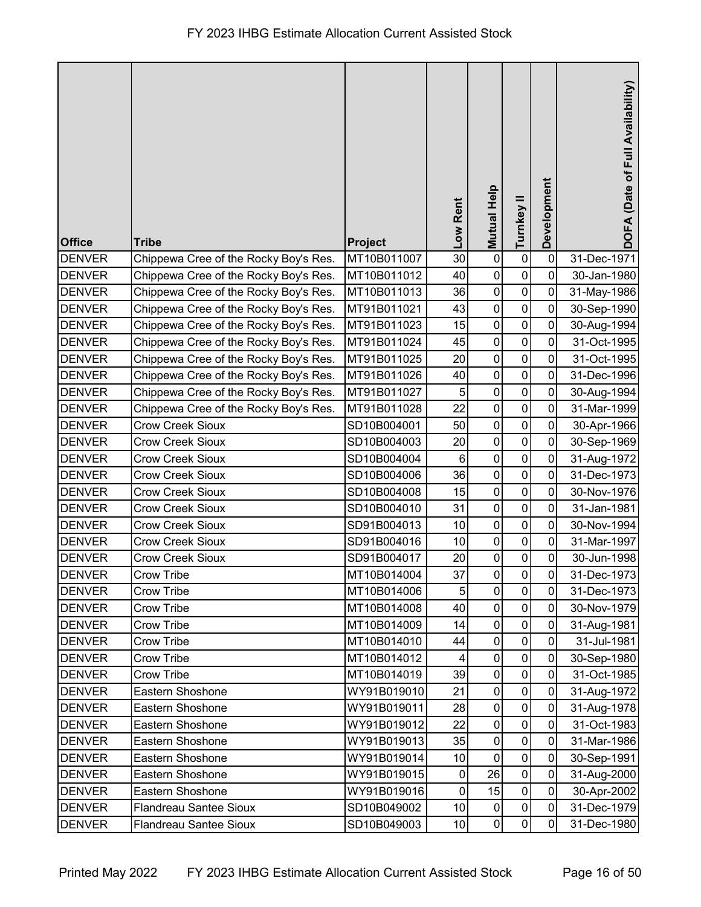| <b>Office</b> | <b>Tribe</b>                          | Project     | Low Rent       | Mutual Help         | Turnkey II   | Development    | DOFA (Date of Full Availability) |
|---------------|---------------------------------------|-------------|----------------|---------------------|--------------|----------------|----------------------------------|
| <b>DENVER</b> | Chippewa Cree of the Rocky Boy's Res. | MT10B011007 | 30             | $\pmb{0}$           | $\pmb{0}$    | $\mathbf 0$    | 31-Dec-1971                      |
| <b>DENVER</b> | Chippewa Cree of the Rocky Boy's Res. | MT10B011012 | 40             | $\pmb{0}$           | $\pmb{0}$    | 0              | 30-Jan-1980                      |
| <b>DENVER</b> | Chippewa Cree of the Rocky Boy's Res. | MT10B011013 | 36             | $\pmb{0}$           | $\pmb{0}$    | 0              | 31-May-1986                      |
| <b>DENVER</b> | Chippewa Cree of the Rocky Boy's Res. | MT91B011021 | 43             | $\pmb{0}$           | $\mathbf 0$  | $\mathbf 0$    | 30-Sep-1990                      |
| <b>DENVER</b> | Chippewa Cree of the Rocky Boy's Res. | MT91B011023 | 15             | $\pmb{0}$           | $\mathbf 0$  | $\mathbf 0$    | 30-Aug-1994                      |
| <b>DENVER</b> | Chippewa Cree of the Rocky Boy's Res. | MT91B011024 | 45             | $\pmb{0}$           | $\pmb{0}$    | $\mathbf 0$    | 31-Oct-1995                      |
| <b>DENVER</b> | Chippewa Cree of the Rocky Boy's Res. | MT91B011025 | 20             | $\pmb{0}$           | $\pmb{0}$    | 0              | 31-Oct-1995                      |
| <b>DENVER</b> | Chippewa Cree of the Rocky Boy's Res. | MT91B011026 | 40             | $\pmb{0}$           | $\pmb{0}$    | $\mathbf 0$    | 31-Dec-1996                      |
| <b>DENVER</b> | Chippewa Cree of the Rocky Boy's Res. | MT91B011027 | 5              | $\mathbf 0$         | $\pmb{0}$    | 0              | 30-Aug-1994                      |
| <b>DENVER</b> | Chippewa Cree of the Rocky Boy's Res. | MT91B011028 | 22             | $\pmb{0}$           | $\pmb{0}$    | 0              | 31-Mar-1999                      |
| <b>DENVER</b> | <b>Crow Creek Sioux</b>               | SD10B004001 | 50             | $\pmb{0}$           | $\mathbf 0$  | 0              | 30-Apr-1966                      |
| <b>DENVER</b> | <b>Crow Creek Sioux</b>               | SD10B004003 | 20             | $\pmb{0}$           | $\pmb{0}$    | $\mathbf 0$    | 30-Sep-1969                      |
| <b>DENVER</b> | <b>Crow Creek Sioux</b>               | SD10B004004 | $6\phantom{1}$ | $\pmb{0}$           | $\pmb{0}$    | $\mathbf 0$    | 31-Aug-1972                      |
| <b>DENVER</b> | <b>Crow Creek Sioux</b>               | SD10B004006 | 36             | $\pmb{0}$           | $\pmb{0}$    | $\mathbf 0$    | 31-Dec-1973                      |
| <b>DENVER</b> | <b>Crow Creek Sioux</b>               | SD10B004008 | 15             | $\pmb{0}$           | $\pmb{0}$    | $\mathbf 0$    | 30-Nov-1976                      |
| <b>DENVER</b> | <b>Crow Creek Sioux</b>               | SD10B004010 | 31             | $\pmb{0}$           | $\mathbf 0$  | 0              | 31-Jan-1981                      |
| <b>DENVER</b> | <b>Crow Creek Sioux</b>               | SD91B004013 | 10             | $\pmb{0}$           | $\pmb{0}$    | $\overline{0}$ | 30-Nov-1994                      |
| <b>DENVER</b> | <b>Crow Creek Sioux</b>               | SD91B004016 | 10             | $\pmb{0}$           | $\pmb{0}$    | $\mathbf 0$    | 31-Mar-1997                      |
| <b>DENVER</b> | <b>Crow Creek Sioux</b>               | SD91B004017 | 20             | $\pmb{0}$           | $\pmb{0}$    | $\pmb{0}$      | 30-Jun-1998                      |
| <b>DENVER</b> | Crow Tribe                            | MT10B014004 | 37             | $\mathsf{O}\xspace$ | $\mathbf{0}$ | $\pmb{0}$      | 31-Dec-1973                      |
| <b>DENVER</b> | Crow Tribe                            | MT10B014006 | 5              | $\mathbf 0$         | $\mathbf 0$  | 0              | 31-Dec-1973                      |
| <b>DENVER</b> | <b>Crow Tribe</b>                     | MT10B014008 | 40             | $\pmb{0}$           | $\mathbf 0$  | $\mathbf 0$    | 30-Nov-1979                      |
| <b>DENVER</b> | Crow Tribe                            | MT10B014009 | 14             | 0                   | 0            | 0              | 31-Aug-1981                      |
| <b>DENVER</b> | <b>Crow Tribe</b>                     | MT10B014010 | 44             | $\pmb{0}$           | $\pmb{0}$    | $\mathbf 0$    | 31-Jul-1981                      |
| <b>DENVER</b> | Crow Tribe                            | MT10B014012 |                | $\pmb{0}$           | $\pmb{0}$    | $\mathbf 0$    | 30-Sep-1980                      |
| <b>DENVER</b> | Crow Tribe                            | MT10B014019 | 39             | $\pmb{0}$           | $\pmb{0}$    | $\mathbf 0$    | 31-Oct-1985                      |
| <b>DENVER</b> | Eastern Shoshone                      | WY91B019010 | 21             | $\pmb{0}$           | $\pmb{0}$    | $\mathbf 0$    | 31-Aug-1972                      |
| <b>DENVER</b> | Eastern Shoshone                      | WY91B019011 | 28             | $\pmb{0}$           | $\pmb{0}$    | $\mathbf 0$    | 31-Aug-1978                      |
| <b>DENVER</b> | Eastern Shoshone                      | WY91B019012 | 22             | $\pmb{0}$           | $\mathbf 0$  | $\mathbf 0$    | 31-Oct-1983                      |
| <b>DENVER</b> | Eastern Shoshone                      | WY91B019013 | 35             | $\pmb{0}$           | $\mathbf 0$  | 0              | 31-Mar-1986                      |
| <b>DENVER</b> | Eastern Shoshone                      | WY91B019014 | 10             | $\mathbf 0$         | $\pmb{0}$    | $\mathbf 0$    | 30-Sep-1991                      |
| <b>DENVER</b> | Eastern Shoshone                      | WY91B019015 | $\pmb{0}$      | 26                  | $\pmb{0}$    | $\mathbf 0$    | 31-Aug-2000                      |
| <b>DENVER</b> | Eastern Shoshone                      | WY91B019016 | $\pmb{0}$      | 15                  | $\pmb{0}$    | $\mathbf 0$    | 30-Apr-2002                      |
| <b>DENVER</b> | <b>Flandreau Santee Sioux</b>         | SD10B049002 | 10             | $\pmb{0}$           | $\pmb{0}$    | $\mathbf 0$    | 31-Dec-1979                      |
| <b>DENVER</b> | <b>Flandreau Santee Sioux</b>         | SD10B049003 | 10             | $\pmb{0}$           | $\pmb{0}$    | $\mathbf{0}$   | 31-Dec-1980                      |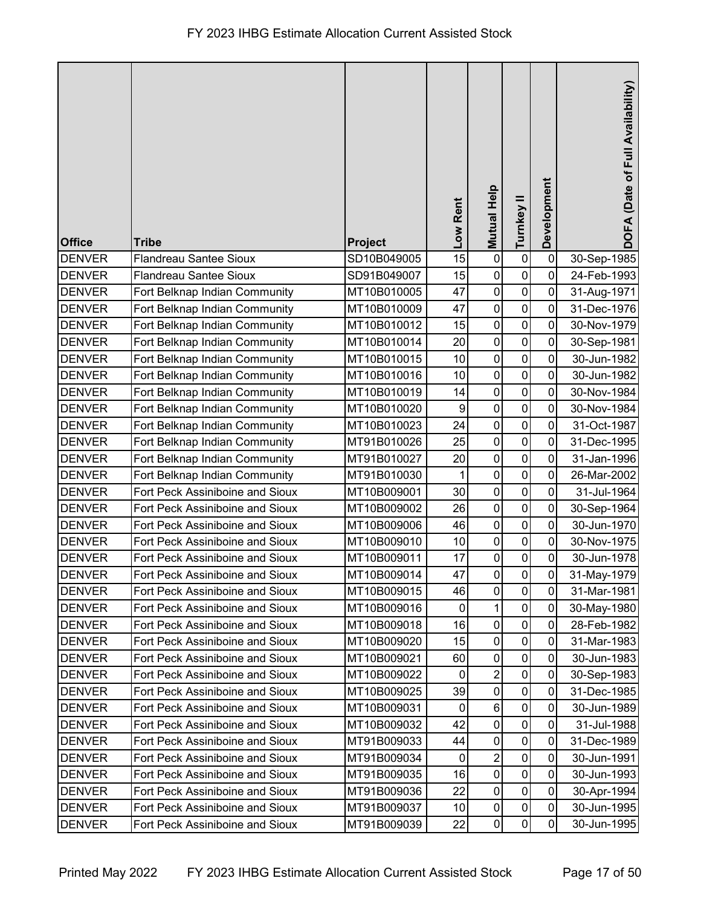|               |                                 |                | Low Rent     | <b>Mutual Help</b>  | Turnkey II     | Development | DOFA (Date of Full Availability) |
|---------------|---------------------------------|----------------|--------------|---------------------|----------------|-------------|----------------------------------|
| <b>Office</b> | <b>Tribe</b>                    | <b>Project</b> |              |                     |                |             |                                  |
| <b>DENVER</b> | <b>Flandreau Santee Sioux</b>   | SD10B049005    | 15           | $\pmb{0}$           | $\pmb{0}$      | $\pmb{0}$   | 30-Sep-1985                      |
| <b>DENVER</b> | <b>Flandreau Santee Sioux</b>   | SD91B049007    | 15           | $\pmb{0}$           | $\pmb{0}$      | 0           | 24-Feb-1993                      |
| <b>DENVER</b> | Fort Belknap Indian Community   | MT10B010005    | 47           | $\pmb{0}$           | $\pmb{0}$      | 0           | 31-Aug-1971                      |
| <b>DENVER</b> | Fort Belknap Indian Community   | MT10B010009    | 47           | $\mathbf 0$         | 0              | 0           | 31-Dec-1976                      |
| <b>DENVER</b> | Fort Belknap Indian Community   | MT10B010012    | 15           | $\pmb{0}$           | $\pmb{0}$      | 0           | 30-Nov-1979                      |
| <b>DENVER</b> | Fort Belknap Indian Community   | MT10B010014    | 20           | $\pmb{0}$           | $\pmb{0}$      | 0           | 30-Sep-1981                      |
| <b>DENVER</b> | Fort Belknap Indian Community   | MT10B010015    | 10           | $\pmb{0}$           | $\mathbf 0$    | 0           | 30-Jun-1982                      |
| <b>DENVER</b> | Fort Belknap Indian Community   | MT10B010016    | 10           | $\mathbf 0$         | $\pmb{0}$      | 0           | 30-Jun-1982                      |
| <b>DENVER</b> | Fort Belknap Indian Community   | MT10B010019    | 14           | $\mathbf 0$         | $\pmb{0}$      | 0           | 30-Nov-1984                      |
| <b>DENVER</b> | Fort Belknap Indian Community   | MT10B010020    | 9            | $\pmb{0}$           | $\pmb{0}$      | 0           | 30-Nov-1984                      |
| <b>DENVER</b> | Fort Belknap Indian Community   | MT10B010023    | 24           | $\mathbf 0$         | 0              | 0           | 31-Oct-1987                      |
| <b>DENVER</b> | Fort Belknap Indian Community   | MT91B010026    | 25           | $\pmb{0}$           | $\mathbf 0$    | 0           | 31-Dec-1995                      |
| <b>DENVER</b> | Fort Belknap Indian Community   | MT91B010027    | 20           | $\mathbf 0$         | $\pmb{0}$      | 0           | 31-Jan-1996                      |
| <b>DENVER</b> | Fort Belknap Indian Community   | MT91B010030    | 1            | $\pmb{0}$           | $\mathbf 0$    | 0           | 26-Mar-2002                      |
| <b>DENVER</b> | Fort Peck Assiniboine and Sioux | MT10B009001    | 30           | $\mathbf 0$         | $\pmb{0}$      | 0           | 31-Jul-1964                      |
| <b>DENVER</b> | Fort Peck Assiniboine and Sioux | MT10B009002    | 26           | $\mathbf 0$         | $\pmb{0}$      | 0           | 30-Sep-1964                      |
| <b>DENVER</b> | Fort Peck Assiniboine and Sioux | MT10B009006    | 46           | $\pmb{0}$           | $\pmb{0}$      | 0           | 30-Jun-1970                      |
| <b>DENVER</b> | Fort Peck Assiniboine and Sioux | MT10B009010    | 10           | $\mathbf 0$         | $\pmb{0}$      | 0           | 30-Nov-1975                      |
| <b>DENVER</b> | Fort Peck Assiniboine and Sioux | MT10B009011    | 17           | $\mathsf{O}\xspace$ | $\pmb{0}$      | 0           | 30-Jun-1978                      |
| <b>DENVER</b> | Fort Peck Assiniboine and Sioux | MT10B009014    | 47           | $\overline{0}$      | $\overline{0}$ | $\pmb{0}$   | 31-May-1979                      |
| <b>DENVER</b> | Fort Peck Assiniboine and Sioux | MT10B009015    | 46           | $\pmb{0}$           | $\mathbf 0$    | 0           | 31-Mar-1981                      |
| <b>DENVER</b> | Fort Peck Assiniboine and Sioux | MT10B009016    | 0            | 1                   | $\pmb{0}$      | 0           | 30-May-1980                      |
| <b>DENVER</b> | Fort Peck Assiniboine and Sioux | MT10B009018    | 16           | $\pmb{0}$           | $\pmb{0}$      | 0           | 28-Feb-1982                      |
| <b>DENVER</b> | Fort Peck Assiniboine and Sioux | MT10B009020    | 15           | $\pmb{0}$           | $\pmb{0}$      | 0           | 31-Mar-1983                      |
| <b>DENVER</b> | Fort Peck Assiniboine and Sioux | MT10B009021    | 60           | $\pmb{0}$           | $\pmb{0}$      | 0           | 30-Jun-1983                      |
| <b>DENVER</b> | Fort Peck Assiniboine and Sioux | MT10B009022    | $\mathbf 0$  | $\overline{2}$      | $\pmb{0}$      | 0           | 30-Sep-1983                      |
| <b>DENVER</b> | Fort Peck Assiniboine and Sioux | MT10B009025    | 39           | 0                   | 0              | 0           | 31-Dec-1985                      |
| <b>DENVER</b> | Fort Peck Assiniboine and Sioux | MT10B009031    | $\mathbf{0}$ | $\,6$               | $\pmb{0}$      | 0           | 30-Jun-1989                      |
| <b>DENVER</b> | Fort Peck Assiniboine and Sioux | MT10B009032    | 42           | $\pmb{0}$           | $\pmb{0}$      | 0           | 31-Jul-1988                      |
| <b>DENVER</b> | Fort Peck Assiniboine and Sioux | MT91B009033    | 44           | 0                   | $\pmb{0}$      | 0           | 31-Dec-1989                      |
| <b>DENVER</b> | Fort Peck Assiniboine and Sioux | MT91B009034    | $\mathbf 0$  | $\overline{2}$      | $\pmb{0}$      | 0           | 30-Jun-1991                      |
| <b>DENVER</b> | Fort Peck Assiniboine and Sioux | MT91B009035    | 16           | $\pmb{0}$           | 0              | 0           | 30-Jun-1993                      |
| <b>DENVER</b> | Fort Peck Assiniboine and Sioux | MT91B009036    | 22           | $\pmb{0}$           | $\pmb{0}$      | 0           | 30-Apr-1994                      |
| <b>DENVER</b> | Fort Peck Assiniboine and Sioux | MT91B009037    | 10           | $\pmb{0}$           | $\pmb{0}$      | 0           | 30-Jun-1995                      |
| <b>DENVER</b> | Fort Peck Assiniboine and Sioux | MT91B009039    | 22           | $\pmb{0}$           | 0              | 0           | 30-Jun-1995                      |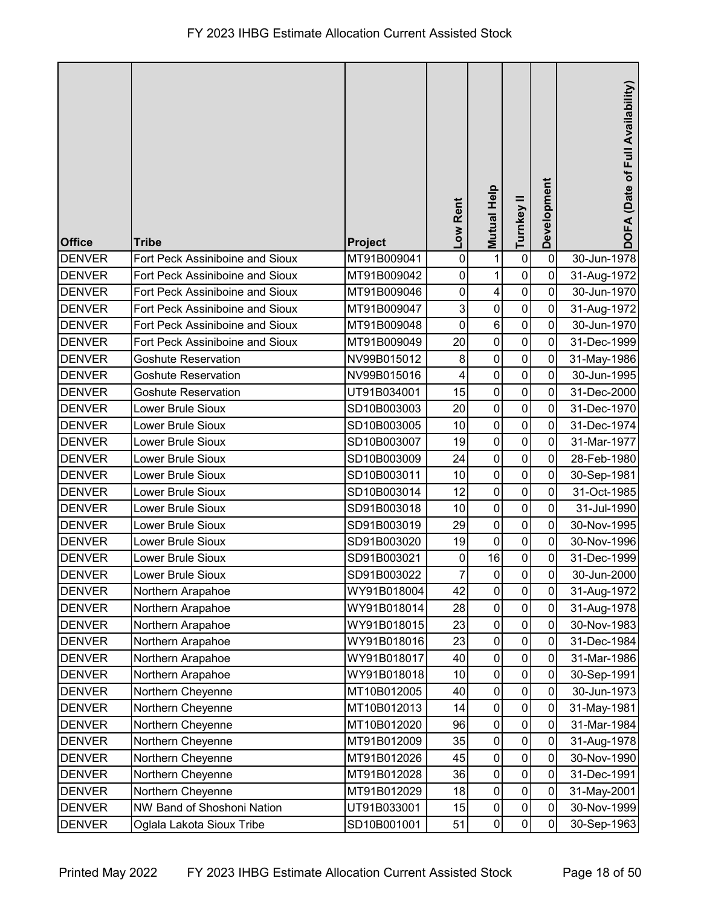|               |                                 |                | Low Rent       | <b>Mutual Help</b>      | Turnkey II       | Development | DOFA (Date of Full Availability) |
|---------------|---------------------------------|----------------|----------------|-------------------------|------------------|-------------|----------------------------------|
| <b>Office</b> | <b>Tribe</b>                    | <b>Project</b> |                |                         |                  |             |                                  |
| <b>DENVER</b> | Fort Peck Assiniboine and Sioux | MT91B009041    | $\pmb{0}$      | 1                       | $\pmb{0}$        | $\pmb{0}$   | 30-Jun-1978                      |
| <b>DENVER</b> | Fort Peck Assiniboine and Sioux | MT91B009042    | $\pmb{0}$      | $\mathbf{1}$            | $\pmb{0}$        | $\mathbf 0$ | 31-Aug-1972                      |
| <b>DENVER</b> | Fort Peck Assiniboine and Sioux | MT91B009046    | $\pmb{0}$      | $\overline{\mathbf{4}}$ | $\mathbf 0$      | 0           | 30-Jun-1970                      |
| <b>DENVER</b> | Fort Peck Assiniboine and Sioux | MT91B009047    | 3              | $\pmb{0}$               | $\pmb{0}$        | 0           | 31-Aug-1972                      |
| <b>DENVER</b> | Fort Peck Assiniboine and Sioux | MT91B009048    | $\mathbf 0$    | $\,6$                   | $\pmb{0}$        | $\mathbf 0$ | 30-Jun-1970                      |
| <b>DENVER</b> | Fort Peck Assiniboine and Sioux | MT91B009049    | 20             | $\pmb{0}$               | $\pmb{0}$        | $\mathbf 0$ | 31-Dec-1999                      |
| <b>DENVER</b> | <b>Goshute Reservation</b>      | NV99B015012    | $\,8\,$        | $\mathbf 0$             | $\mathbf 0$      | $\mathbf 0$ | 31-May-1986                      |
| <b>DENVER</b> | <b>Goshute Reservation</b>      | NV99B015016    | 4              | $\mathbf 0$             | $\pmb{0}$        | $\pmb{0}$   | 30-Jun-1995                      |
| <b>DENVER</b> | <b>Goshute Reservation</b>      | UT91B034001    | 15             | $\mathbf 0$             | $\pmb{0}$        | 0           | 31-Dec-2000                      |
| <b>DENVER</b> | Lower Brule Sioux               | SD10B003003    | 20             | $\pmb{0}$               | $\pmb{0}$        | 0           | 31-Dec-1970                      |
| <b>DENVER</b> | Lower Brule Sioux               | SD10B003005    | 10             | $\pmb{0}$               | $\pmb{0}$        | 0           | 31-Dec-1974                      |
| <b>DENVER</b> | Lower Brule Sioux               | SD10B003007    | 19             | $\mathbf 0$             | $\mathbf 0$      | $\mathbf 0$ | 31-Mar-1977                      |
| <b>DENVER</b> | Lower Brule Sioux               | SD10B003009    | 24             | $\mathbf 0$             | $\pmb{0}$        | 0           | 28-Feb-1980                      |
| <b>DENVER</b> | Lower Brule Sioux               | SD10B003011    | 10             | $\mathbf 0$             | $\pmb{0}$        | $\mathbf 0$ | 30-Sep-1981                      |
| <b>DENVER</b> | Lower Brule Sioux               | SD10B003014    | 12             | $\pmb{0}$               | $\pmb{0}$        | $\mathbf 0$ | 31-Oct-1985                      |
| <b>DENVER</b> | Lower Brule Sioux               | SD91B003018    | 10             | $\mathbf 0$             | $\pmb{0}$        | $\mathbf 0$ | 31-Jul-1990                      |
| <b>DENVER</b> | Lower Brule Sioux               | SD91B003019    | 29             | $\pmb{0}$               | $\pmb{0}$        | 0           | 30-Nov-1995                      |
| <b>DENVER</b> | Lower Brule Sioux               | SD91B003020    | 19             | $\pmb{0}$               | $\boldsymbol{0}$ | 0           | 30-Nov-1996                      |
| <b>DENVER</b> | Lower Brule Sioux               | SD91B003021    | $\pmb{0}$      | 16                      | $\pmb{0}$        | $\pmb{0}$   | 31-Dec-1999                      |
| <b>DENVER</b> | Lower Brule Sioux               | SD91B003022    | $\overline{7}$ | $\pmb{0}$               | $\overline{0}$   | $\mathbf 0$ | 30-Jun-2000                      |
| <b>DENVER</b> | Northern Arapahoe               | WY91B018004    | 42             | $\pmb{0}$               | $\mathbf 0$      | $\mathbf 0$ | 31-Aug-1972                      |
| <b>DENVER</b> | Northern Arapahoe               | WY91B018014    | 28             | $\pmb{0}$               | $\pmb{0}$        | $\mathbf 0$ | 31-Aug-1978                      |
| <b>DENVER</b> | Northern Arapahoe               | WY91B018015    | 23             | 0                       | $\pmb{0}$        | 0           | 30-Nov-1983                      |
| <b>DENVER</b> | Northern Arapahoe               | WY91B018016    | 23             | $\pmb{0}$               | $\pmb{0}$        | 0           | 31-Dec-1984                      |
| <b>DENVER</b> | Northern Arapahoe               | WY91B018017    | 40             | $\pmb{0}$               | $\pmb{0}$        | 0           | 31-Mar-1986                      |
| <b>DENVER</b> | Northern Arapahoe               | WY91B018018    | 10             | $\pmb{0}$               | $\pmb{0}$        | $\mathbf 0$ | 30-Sep-1991                      |
| <b>DENVER</b> | Northern Cheyenne               | MT10B012005    | 40             | $\pmb{0}$               | $\pmb{0}$        | $\mathbf 0$ | 30-Jun-1973                      |
| <b>DENVER</b> | Northern Cheyenne               | MT10B012013    | 14             | 0                       | $\pmb{0}$        | 0           | 31-May-1981                      |
| <b>DENVER</b> | Northern Cheyenne               | MT10B012020    | 96             | $\pmb{0}$               | $\pmb{0}$        | 0           | 31-Mar-1984                      |
| <b>DENVER</b> | Northern Cheyenne               | MT91B012009    | 35             | $\pmb{0}$               | $\pmb{0}$        | $\pmb{0}$   | 31-Aug-1978                      |
| <b>DENVER</b> | Northern Cheyenne               | MT91B012026    | 45             | $\pmb{0}$               | $\pmb{0}$        | $\mathbf 0$ | 30-Nov-1990                      |
| <b>DENVER</b> | Northern Cheyenne               | MT91B012028    | 36             | $\pmb{0}$               | $\pmb{0}$        | $\mathbf 0$ | 31-Dec-1991                      |
| <b>DENVER</b> | Northern Cheyenne               | MT91B012029    | 18             | $\pmb{0}$               | $\pmb{0}$        | $\mathbf 0$ | 31-May-2001                      |
| <b>DENVER</b> | NW Band of Shoshoni Nation      | UT91B033001    | 15             | 0                       | $\pmb{0}$        | 0           | 30-Nov-1999                      |
| <b>DENVER</b> | Oglala Lakota Sioux Tribe       | SD10B001001    | 51             | $\pmb{0}$               | $\pmb{0}$        | 0           | 30-Sep-1963                      |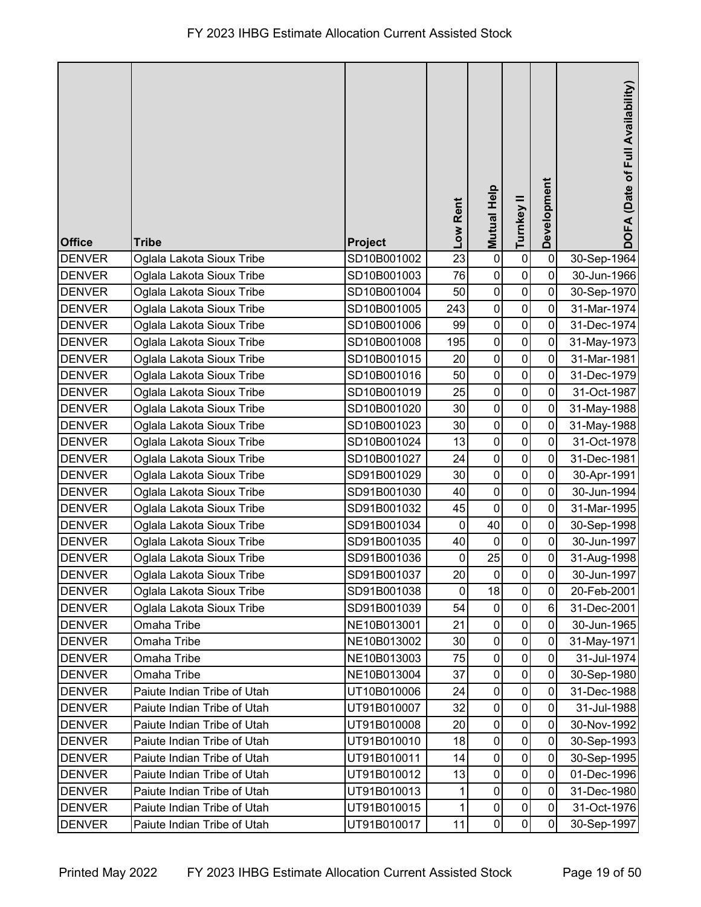|               |                             |                |             |                    |                  | Development    | DOFA (Date of Full Availability) |
|---------------|-----------------------------|----------------|-------------|--------------------|------------------|----------------|----------------------------------|
|               |                             |                | Low Rent    | <b>Mutual Help</b> | Turnkey II       |                |                                  |
| <b>Office</b> | <b>Tribe</b>                | <b>Project</b> |             |                    |                  |                |                                  |
| <b>DENVER</b> | Oglala Lakota Sioux Tribe   | SD10B001002    | 23          | $\pmb{0}$          | $\pmb{0}$        | $\pmb{0}$      | 30-Sep-1964                      |
| <b>DENVER</b> | Oglala Lakota Sioux Tribe   | SD10B001003    | 76          | $\pmb{0}$          | $\pmb{0}$        | $\mathbf 0$    | 30-Jun-1966                      |
| <b>DENVER</b> | Oglala Lakota Sioux Tribe   | SD10B001004    | 50          | $\pmb{0}$          | $\mathbf 0$      | 0              | 30-Sep-1970                      |
| <b>DENVER</b> | Oglala Lakota Sioux Tribe   | SD10B001005    | 243         | $\pmb{0}$          | $\boldsymbol{0}$ | $\mathbf 0$    | 31-Mar-1974                      |
| <b>DENVER</b> | Oglala Lakota Sioux Tribe   | SD10B001006    | 99          | $\pmb{0}$          | $\mathbf 0$      | 0              | 31-Dec-1974                      |
| <b>DENVER</b> | Oglala Lakota Sioux Tribe   | SD10B001008    | 195         | $\pmb{0}$          | $\pmb{0}$        | $\mathbf 0$    | 31-May-1973                      |
| <b>DENVER</b> | Oglala Lakota Sioux Tribe   | SD10B001015    | 20          | $\pmb{0}$          | $\mathbf 0$      | $\mathbf 0$    | 31-Mar-1981                      |
| <b>DENVER</b> | Oglala Lakota Sioux Tribe   | SD10B001016    | 50          | $\mathbf 0$        | $\pmb{0}$        | $\pmb{0}$      | 31-Dec-1979                      |
| <b>DENVER</b> | Oglala Lakota Sioux Tribe   | SD10B001019    | 25          | $\pmb{0}$          | $\pmb{0}$        | 0              | 31-Oct-1987                      |
| <b>DENVER</b> | Oglala Lakota Sioux Tribe   | SD10B001020    | 30          | $\pmb{0}$          | $\mathbf 0$      | 0              | 31-May-1988                      |
| <b>DENVER</b> | Oglala Lakota Sioux Tribe   | SD10B001023    | 30          | $\pmb{0}$          | $\pmb{0}$        | $\pmb{0}$      | 31-May-1988                      |
| <b>DENVER</b> | Oglala Lakota Sioux Tribe   | SD10B001024    | 13          | $\pmb{0}$          | $\pmb{0}$        | $\overline{0}$ | 31-Oct-1978                      |
| <b>DENVER</b> | Oglala Lakota Sioux Tribe   | SD10B001027    | 24          | $\mathbf 0$        | $\pmb{0}$        | $\mathbf 0$    | 31-Dec-1981                      |
| <b>DENVER</b> | Oglala Lakota Sioux Tribe   | SD91B001029    | 30          | $\pmb{0}$          | $\pmb{0}$        | $\mathbf 0$    | 30-Apr-1991                      |
| <b>DENVER</b> | Oglala Lakota Sioux Tribe   | SD91B001030    | 40          | $\pmb{0}$          | $\pmb{0}$        | $\mathbf 0$    | 30-Jun-1994                      |
| <b>DENVER</b> | Oglala Lakota Sioux Tribe   | SD91B001032    | 45          | $\pmb{0}$          | $\pmb{0}$        | 0              | 31-Mar-1995                      |
| <b>DENVER</b> | Oglala Lakota Sioux Tribe   | SD91B001034    | $\pmb{0}$   | 40                 | $\pmb{0}$        | 0              | 30-Sep-1998                      |
| <b>DENVER</b> | Oglala Lakota Sioux Tribe   | SD91B001035    | 40          | $\pmb{0}$          | $\pmb{0}$        | $\mathbf 0$    | 30-Jun-1997                      |
| <b>DENVER</b> | Oglala Lakota Sioux Tribe   | SD91B001036    | $\pmb{0}$   | 25                 | $\pmb{0}$        | $\pmb{0}$      | 31-Aug-1998                      |
| <b>DENVER</b> | Oglala Lakota Sioux Tribe   | SD91B001037    | 20          | $\overline{0}$     | 0                | $\overline{0}$ | 30-Jun-1997                      |
| <b>DENVER</b> | Oglala Lakota Sioux Tribe   | SD91B001038    | $\mathbf 0$ | 18                 | $\pmb{0}$        | 0              | 20-Feb-2001                      |
| <b>DENVER</b> | Oglala Lakota Sioux Tribe   | SD91B001039    | 54          | 0                  | $\pmb{0}$        | 6              | 31-Dec-2001                      |
| <b>DENVER</b> | Omaha Tribe                 | NE10B013001    | 21          | 0                  | $\mathbf 0$      | 0              | 30-Jun-1965                      |
| <b>DENVER</b> | Omaha Tribe                 | NE10B013002    | 30          | $\pmb{0}$          | $\pmb{0}$        | 0              | 31-May-1971                      |
| <b>DENVER</b> | Omaha Tribe                 | NE10B013003    | 75          | $\pmb{0}$          | $\pmb{0}$        | $\mathbf 0$    | 31-Jul-1974                      |
| <b>DENVER</b> | Omaha Tribe                 | NE10B013004    | 37          | $\pmb{0}$          | $\pmb{0}$        | $\mathbf 0$    | 30-Sep-1980                      |
| <b>DENVER</b> | Paiute Indian Tribe of Utah | UT10B010006    | 24          | $\pmb{0}$          | $\pmb{0}$        | $\mathbf 0$    | 31-Dec-1988                      |
| <b>DENVER</b> | Paiute Indian Tribe of Utah | UT91B010007    | 32          | 0                  | $\pmb{0}$        | 0              | 31-Jul-1988                      |
| <b>DENVER</b> | Paiute Indian Tribe of Utah | UT91B010008    | 20          | $\pmb{0}$          | $\pmb{0}$        | 0              | 30-Nov-1992                      |
| <b>DENVER</b> | Paiute Indian Tribe of Utah | UT91B010010    | 18          | $\pmb{0}$          | $\boldsymbol{0}$ | $\mathbf 0$    | 30-Sep-1993                      |
| <b>DENVER</b> | Paiute Indian Tribe of Utah | UT91B010011    | 14          | $\mathsf 0$        | $\pmb{0}$        | $\mathbf 0$    | 30-Sep-1995                      |
| <b>DENVER</b> | Paiute Indian Tribe of Utah | UT91B010012    | 13          | $\pmb{0}$          | $\pmb{0}$        | $\mathbf 0$    | 01-Dec-1996                      |
| <b>DENVER</b> | Paiute Indian Tribe of Utah | UT91B010013    | 1           | $\pmb{0}$          | $\pmb{0}$        | $\mathbf 0$    | 31-Dec-1980                      |
| <b>DENVER</b> | Paiute Indian Tribe of Utah | UT91B010015    | 1           | 0                  | $\pmb{0}$        | 0              | 31-Oct-1976                      |
| <b>DENVER</b> | Paiute Indian Tribe of Utah | UT91B010017    | 11          | $\pmb{0}$          | $\pmb{0}$        | 0              | 30-Sep-1997                      |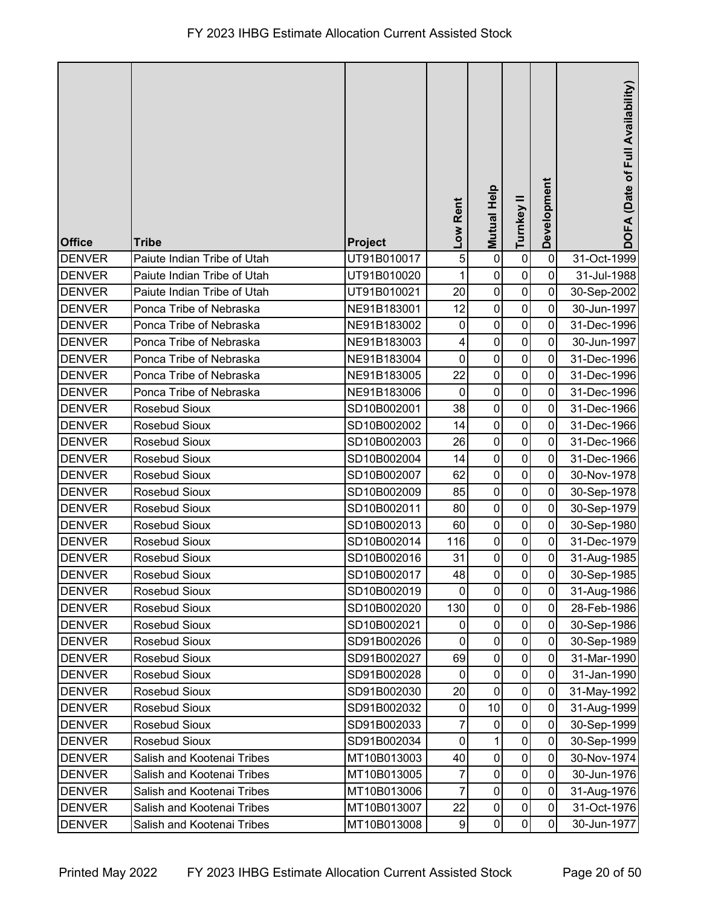| <b>Office</b> | <b>Tribe</b>                | Project     | -ow Rent         | <b>Mutual Help</b> | Turnkey II          | Development    | DOFA (Date of Full Availability) |
|---------------|-----------------------------|-------------|------------------|--------------------|---------------------|----------------|----------------------------------|
| <b>DENVER</b> | Paiute Indian Tribe of Utah | UT91B010017 | 5                | $\pmb{0}$          | $\pmb{0}$           | $\mathbf 0$    | 31-Oct-1999                      |
| <b>DENVER</b> | Paiute Indian Tribe of Utah | UT91B010020 | 1                | $\mathbf 0$        | $\mathbf 0$         | $\overline{0}$ | 31-Jul-1988                      |
| <b>DENVER</b> | Paiute Indian Tribe of Utah | UT91B010021 | 20               | $\pmb{0}$          | $\pmb{0}$           | $\mathbf 0$    | 30-Sep-2002                      |
| <b>DENVER</b> | Ponca Tribe of Nebraska     | NE91B183001 | 12               | $\mathbf 0$        | $\mathbf 0$         | 0              | 30-Jun-1997                      |
| <b>DENVER</b> | Ponca Tribe of Nebraska     | NE91B183002 | $\mathbf 0$      | $\pmb{0}$          | $\pmb{0}$           | 0              | 31-Dec-1996                      |
| <b>DENVER</b> | Ponca Tribe of Nebraska     | NE91B183003 | 4                | $\mathbf 0$        | $\mathbf 0$         | $\mathbf 0$    | 30-Jun-1997                      |
| <b>DENVER</b> | Ponca Tribe of Nebraska     | NE91B183004 | $\mathbf 0$      | $\mathbf 0$        | $\mathbf 0$         | 0              | 31-Dec-1996                      |
| <b>DENVER</b> | Ponca Tribe of Nebraska     | NE91B183005 | 22               | $\pmb{0}$          | $\pmb{0}$           | $\mathbf 0$    | 31-Dec-1996                      |
| <b>DENVER</b> | Ponca Tribe of Nebraska     | NE91B183006 | $\mathbf 0$      | $\mathbf 0$        | $\pmb{0}$           | 0              | 31-Dec-1996                      |
| <b>DENVER</b> | Rosebud Sioux               | SD10B002001 | 38               | $\pmb{0}$          | $\pmb{0}$           | 0              | 31-Dec-1966                      |
| <b>DENVER</b> | Rosebud Sioux               | SD10B002002 | 14               | $\pmb{0}$          | $\mathbf 0$         | 0              | 31-Dec-1966                      |
| <b>DENVER</b> | Rosebud Sioux               | SD10B002003 | 26               | $\mathbf 0$        | $\mathbf 0$         | 0              | 31-Dec-1966                      |
| <b>DENVER</b> | Rosebud Sioux               | SD10B002004 | 14               | $\pmb{0}$          | $\pmb{0}$           | 0              | 31-Dec-1966                      |
| <b>DENVER</b> | Rosebud Sioux               | SD10B002007 | 62               | $\mathbf 0$        | $\pmb{0}$           | 0              | 30-Nov-1978                      |
| <b>DENVER</b> | Rosebud Sioux               | SD10B002009 | 85               | $\pmb{0}$          | $\pmb{0}$           | 0              | 30-Sep-1978                      |
| <b>DENVER</b> | Rosebud Sioux               | SD10B002011 | 80               | $\pmb{0}$          | 0                   | $\mathbf 0$    | 30-Sep-1979                      |
| <b>DENVER</b> | Rosebud Sioux               | SD10B002013 | 60               | $\pmb{0}$          | $\pmb{0}$           | 0              | 30-Sep-1980                      |
| <b>DENVER</b> | Rosebud Sioux               | SD10B002014 | 116              | $\pmb{0}$          | 0                   | 0              | 31-Dec-1979                      |
| <b>DENVER</b> | Rosebud Sioux               | SD10B002016 | 31               | $\mathbf 0$        | $\mathsf 0$         | $\mathbf 0$    | 31-Aug-1985                      |
| <b>DENVER</b> | Rosebud Sioux               | SD10B002017 | 48               | $\pmb{0}$          | 0                   | $\overline{0}$ | 30-Sep-1985                      |
| <b>DENVER</b> | <b>Rosebud Sioux</b>        | SD10B002019 | $\mathbf 0$      | $\mathbf 0$        | $\mathsf{O}\xspace$ | $\mathbf{0}$   | 31-Aug-1986                      |
| <b>DENVER</b> | Rosebud Sioux               | SD10B002020 | 130              | $\pmb{0}$          | $\pmb{0}$           | $\mathbf 0$    | 28-Feb-1986                      |
| <b>DENVER</b> | Rosebud Sioux               | SD10B002021 | 0                | $\pmb{0}$          | 0                   | 0              | 30-Sep-1986                      |
| <b>DENVER</b> | Rosebud Sioux               | SD91B002026 | 0                | $\pmb{0}$          | $\mathbf 0$         | $\mathbf 0$    | 30-Sep-1989                      |
| <b>DENVER</b> | Rosebud Sioux               | SD91B002027 | 69               | $\mathbf 0$        | $\pmb{0}$           | $\mathbf 0$    | 31-Mar-1990                      |
| <b>DENVER</b> | Rosebud Sioux               | SD91B002028 | $\pmb{0}$        | $\mathbf 0$        | $\pmb{0}$           | $\mathbf 0$    | 31-Jan-1990                      |
| <b>DENVER</b> | Rosebud Sioux               | SD91B002030 | 20               | $\pmb{0}$          | $\pmb{0}$           | $\mathbf 0$    | 31-May-1992                      |
| <b>DENVER</b> | Rosebud Sioux               | SD91B002032 | $\pmb{0}$        | 10                 | $\pmb{0}$           | 0              | 31-Aug-1999                      |
| <b>DENVER</b> | Rosebud Sioux               | SD91B002033 | 7                | $\pmb{0}$          | $\pmb{0}$           | $\mathbf 0$    | 30-Sep-1999                      |
| <b>DENVER</b> | Rosebud Sioux               | SD91B002034 | 0                | 1                  | $\mathbf 0$         | $\mathbf 0$    | 30-Sep-1999                      |
| <b>DENVER</b> | Salish and Kootenai Tribes  | MT10B013003 | 40               | $\mathbf 0$        | $\pmb{0}$           | $\mathbf 0$    | 30-Nov-1974                      |
| <b>DENVER</b> | Salish and Kootenai Tribes  | MT10B013005 | 7                | $\mathbf 0$        | $\pmb{0}$           | $\mathbf 0$    | 30-Jun-1976                      |
| <b>DENVER</b> | Salish and Kootenai Tribes  | MT10B013006 | 7                | $\mathbf 0$        | $\pmb{0}$           | $\mathbf 0$    | 31-Aug-1976                      |
| <b>DENVER</b> | Salish and Kootenai Tribes  | MT10B013007 | 22               | $\pmb{0}$          | $\pmb{0}$           | $\mathbf 0$    | 31-Oct-1976                      |
| <b>DENVER</b> | Salish and Kootenai Tribes  | MT10B013008 | $\boldsymbol{9}$ | $\pmb{0}$          | $\pmb{0}$           | 0              | 30-Jun-1977                      |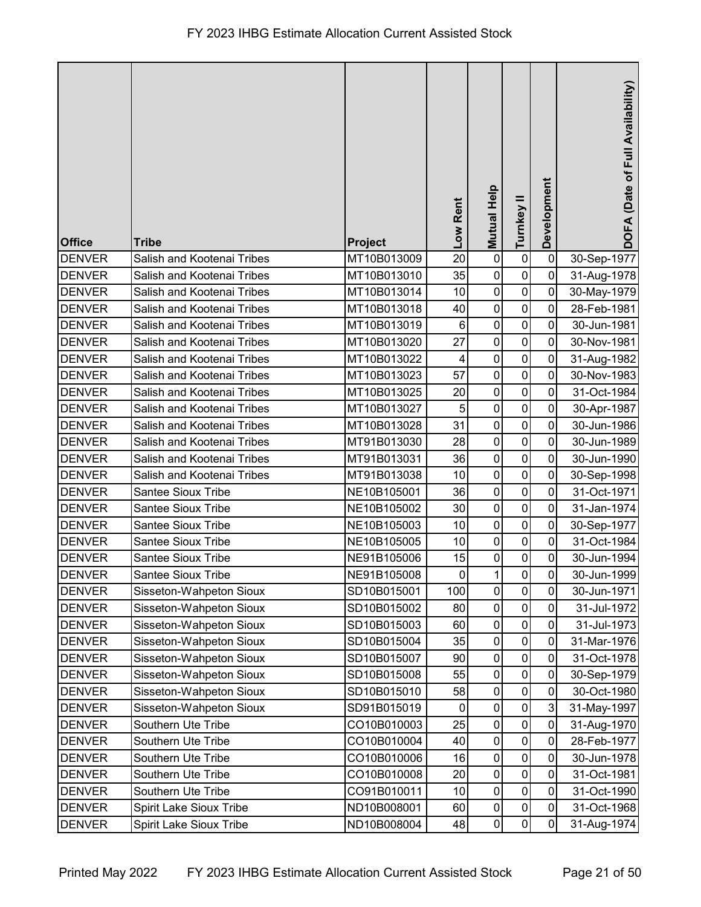| <b>Office</b> | <b>Tribe</b>                   | <b>Project</b> | Low Rent       | Mutual Help | Turnkey II       | Development    | DOFA (Date of Full Availability) |
|---------------|--------------------------------|----------------|----------------|-------------|------------------|----------------|----------------------------------|
| <b>DENVER</b> | Salish and Kootenai Tribes     | MT10B013009    | 20             | $\pmb{0}$   | $\pmb{0}$        | $\mathbf 0$    | 30-Sep-1977                      |
| <b>DENVER</b> | Salish and Kootenai Tribes     | MT10B013010    | 35             | $\pmb{0}$   | $\pmb{0}$        | 0              | 31-Aug-1978                      |
| <b>DENVER</b> | Salish and Kootenai Tribes     | MT10B013014    | 10             | $\pmb{0}$   | $\pmb{0}$        | $\pmb{0}$      | 30-May-1979                      |
| <b>DENVER</b> | Salish and Kootenai Tribes     | MT10B013018    | 40             | $\pmb{0}$   | $\mathbf 0$      | $\pmb{0}$      | 28-Feb-1981                      |
| <b>DENVER</b> | Salish and Kootenai Tribes     | MT10B013019    | $\,6\,$        | $\pmb{0}$   | $\pmb{0}$        | $\overline{0}$ | 30-Jun-1981                      |
| <b>DENVER</b> | Salish and Kootenai Tribes     | MT10B013020    | 27             | $\pmb{0}$   | $\pmb{0}$        | $\mathbf 0$    | 30-Nov-1981                      |
| <b>DENVER</b> | Salish and Kootenai Tribes     | MT10B013022    | 4              | $\pmb{0}$   | $\pmb{0}$        | $\mathbf 0$    | 31-Aug-1982                      |
| <b>DENVER</b> | Salish and Kootenai Tribes     | MT10B013023    | 57             | $\pmb{0}$   | $\pmb{0}$        | $\pmb{0}$      | 30-Nov-1983                      |
| <b>DENVER</b> | Salish and Kootenai Tribes     | MT10B013025    | 20             | $\pmb{0}$   | $\boldsymbol{0}$ | 0              | 31-Oct-1984                      |
| <b>DENVER</b> | Salish and Kootenai Tribes     | MT10B013027    | 5              | $\pmb{0}$   | $\mathbf 0$      | $\mathbf 0$    | 30-Apr-1987                      |
| <b>DENVER</b> | Salish and Kootenai Tribes     | MT10B013028    | 31             | $\pmb{0}$   | $\mathbf 0$      | $\mathbf 0$    | 30-Jun-1986                      |
| <b>DENVER</b> | Salish and Kootenai Tribes     | MT91B013030    | 28             | $\mathbf 0$ | $\mathbf 0$      | $\mathbf 0$    | 30-Jun-1989                      |
| <b>DENVER</b> | Salish and Kootenai Tribes     | MT91B013031    | 36             | $\mathbf 0$ | $\pmb{0}$        | $\pmb{0}$      | 30-Jun-1990                      |
| <b>DENVER</b> | Salish and Kootenai Tribes     | MT91B013038    | 10             | $\mathsf 0$ | $\pmb{0}$        | $\mathbf 0$    | 30-Sep-1998                      |
| <b>DENVER</b> | Santee Sioux Tribe             | NE10B105001    | 36             | $\mathsf 0$ | $\pmb{0}$        | $\mathbf 0$    | 31-Oct-1971                      |
| <b>DENVER</b> | Santee Sioux Tribe             | NE10B105002    | 30             | $\pmb{0}$   | $\pmb{0}$        | $\mathbf 0$    | 31-Jan-1974                      |
| <b>DENVER</b> | Santee Sioux Tribe             | NE10B105003    | 10             | $\mathsf 0$ | $\pmb{0}$        | $\mathbf 0$    | 30-Sep-1977                      |
| <b>DENVER</b> | <b>Santee Sioux Tribe</b>      | NE10B105005    | 10             | $\mathbf 0$ | $\mathbf 0$      | $\pmb{0}$      | 31-Oct-1984                      |
| <b>DENVER</b> | Santee Sioux Tribe             | NE91B105006    | 15             | $\pmb{0}$   | $\pmb{0}$        | $\pmb{0}$      | 30-Jun-1994                      |
| <b>DENVER</b> | Santee Sioux Tribe             | NE91B105008    | $\overline{0}$ | 1           | ${\bf 0}$        | $\pmb{0}$      | 30-Jun-1999                      |
| <b>DENVER</b> | Sisseton-Wahpeton Sioux        | SD10B015001    | 100            | $\pmb{0}$   | $\mathbf 0$      | $\mathbf 0$    | 30-Jun-1971                      |
| <b>DENVER</b> | Sisseton-Wahpeton Sioux        | SD10B015002    | 80             | $\pmb{0}$   | $\pmb{0}$        | $\mathbf 0$    | 31-Jul-1972                      |
| <b>DENVER</b> | Sisseton-Wahpeton Sioux        | SD10B015003    | 60             | 0           | $\mathbf 0$      | 0              | 31-Jul-1973                      |
| <b>DENVER</b> | Sisseton-Wahpeton Sioux        | SD10B015004    | 35             | $\pmb{0}$   | $\mathbf 0$      | $\mathbf 0$    | 31-Mar-1976                      |
| <b>DENVER</b> | Sisseton-Wahpeton Sioux        | SD10B015007    | 90             | $\pmb{0}$   | $\pmb{0}$        | $\pmb{0}$      | 31-Oct-1978                      |
| <b>DENVER</b> | Sisseton-Wahpeton Sioux        | SD10B015008    | 55             | $\pmb{0}$   | $\pmb{0}$        | $\pmb{0}$      | 30-Sep-1979                      |
| <b>DENVER</b> | Sisseton-Wahpeton Sioux        | SD10B015010    | 58             | 0           | $\pmb{0}$        | $\mathbf 0$    | 30-Oct-1980                      |
| <b>DENVER</b> | Sisseton-Wahpeton Sioux        | SD91B015019    | 0              | 0           | $\pmb{0}$        | 3              | 31-May-1997                      |
| <b>DENVER</b> | Southern Ute Tribe             | CO10B010003    | 25             | $\pmb{0}$   | $\pmb{0}$        | $\mathbf 0$    | 31-Aug-1970                      |
| <b>DENVER</b> | Southern Ute Tribe             | CO10B010004    | 40             | $\pmb{0}$   | $\pmb{0}$        | $\pmb{0}$      | 28-Feb-1977                      |
| <b>DENVER</b> | Southern Ute Tribe             | CO10B010006    | 16             | $\pmb{0}$   | $\pmb{0}$        | $\mathbf 0$    | 30-Jun-1978                      |
| <b>DENVER</b> | Southern Ute Tribe             | CO10B010008    | 20             | $\pmb{0}$   | $\pmb{0}$        | $\pmb{0}$      | 31-Oct-1981                      |
| <b>DENVER</b> | Southern Ute Tribe             | CO91B010011    | 10             | $\pmb{0}$   | $\pmb{0}$        | $\mathbf 0$    | 31-Oct-1990                      |
| <b>DENVER</b> | <b>Spirit Lake Sioux Tribe</b> | ND10B008001    | 60             | $\pmb{0}$   | $\pmb{0}$        | $\mathbf 0$    | 31-Oct-1968                      |
| <b>DENVER</b> | Spirit Lake Sioux Tribe        | ND10B008004    | 48             | $\pmb{0}$   | $\pmb{0}$        | 0              | 31-Aug-1974                      |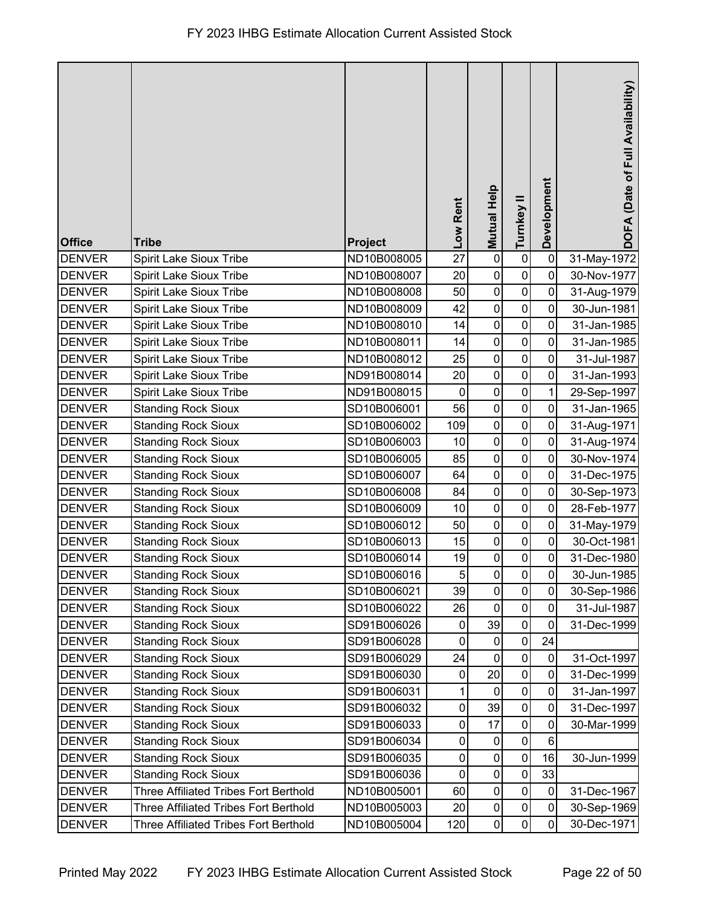| <b>Office</b> | <b>Tribe</b>                                 | Project     | Low Rent       | <b>Mutual Help</b>  | Turnkey II     | Development    | DOFA (Date of Full Availability) |
|---------------|----------------------------------------------|-------------|----------------|---------------------|----------------|----------------|----------------------------------|
| <b>DENVER</b> | <b>Spirit Lake Sioux Tribe</b>               | ND10B008005 | 27             | $\pmb{0}$           | $\pmb{0}$      | $\mathbf 0$    | 31-May-1972                      |
| <b>DENVER</b> | <b>Spirit Lake Sioux Tribe</b>               | ND10B008007 | 20             | $\mathbf 0$         | $\mathbf 0$    | 0              | 30-Nov-1977                      |
| <b>DENVER</b> | <b>Spirit Lake Sioux Tribe</b>               | ND10B008008 | 50             | $\mathbf 0$         | $\pmb{0}$      | $\mathbf 0$    | 31-Aug-1979                      |
| <b>DENVER</b> | <b>Spirit Lake Sioux Tribe</b>               | ND10B008009 | 42             | $\pmb{0}$           | $\pmb{0}$      | 0              | 30-Jun-1981                      |
| <b>DENVER</b> | Spirit Lake Sioux Tribe                      | ND10B008010 | 14             | $\pmb{0}$           | $\pmb{0}$      | 0              | 31-Jan-1985                      |
| <b>DENVER</b> | Spirit Lake Sioux Tribe                      | ND10B008011 | 14             | $\mathbf 0$         | $\mathbf 0$    | $\mathbf 0$    | 31-Jan-1985                      |
| <b>DENVER</b> | <b>Spirit Lake Sioux Tribe</b>               | ND10B008012 | 25             | $\mathbf 0$         | $\pmb{0}$      | 0              | 31-Jul-1987                      |
| <b>DENVER</b> | Spirit Lake Sioux Tribe                      | ND91B008014 | 20             | $\pmb{0}$           | $\pmb{0}$      | $\mathbf 0$    | 31-Jan-1993                      |
| <b>DENVER</b> | Spirit Lake Sioux Tribe                      | ND91B008015 | $\mathbf 0$    | $\boldsymbol{0}$    | $\pmb{0}$      | 1              | 29-Sep-1997                      |
| <b>DENVER</b> | <b>Standing Rock Sioux</b>                   | SD10B006001 | 56             | $\pmb{0}$           | $\pmb{0}$      | $\mathbf 0$    | 31-Jan-1965                      |
| <b>DENVER</b> | <b>Standing Rock Sioux</b>                   | SD10B006002 | 109            | $\pmb{0}$           | $\pmb{0}$      | 0              | 31-Aug-1971                      |
| <b>DENVER</b> | <b>Standing Rock Sioux</b>                   | SD10B006003 | 10             | $\mathbf 0$         | $\mathbf 0$    | $\mathbf 0$    | 31-Aug-1974                      |
| <b>DENVER</b> | <b>Standing Rock Sioux</b>                   | SD10B006005 | 85             | $\pmb{0}$           | $\mathbf 0$    | $\mathbf 0$    | 30-Nov-1974                      |
| <b>DENVER</b> | <b>Standing Rock Sioux</b>                   | SD10B006007 | 64             | $\boldsymbol{0}$    | $\pmb{0}$      | 0              | 31-Dec-1975                      |
| <b>DENVER</b> | <b>Standing Rock Sioux</b>                   | SD10B006008 | 84             | $\pmb{0}$           | $\pmb{0}$      | $\mathbf 0$    | 30-Sep-1973                      |
| <b>DENVER</b> | <b>Standing Rock Sioux</b>                   | SD10B006009 | 10             | $\pmb{0}$           | $\pmb{0}$      | 0              | 28-Feb-1977                      |
| <b>DENVER</b> | <b>Standing Rock Sioux</b>                   | SD10B006012 | 50             | $\pmb{0}$           | $\pmb{0}$      | 0              | 31-May-1979                      |
| <b>DENVER</b> | <b>Standing Rock Sioux</b>                   | SD10B006013 | 15             | $\pmb{0}$           | $\pmb{0}$      | $\mathbf 0$    | 30-Oct-1981                      |
| <b>DENVER</b> | <b>Standing Rock Sioux</b>                   | SD10B006014 | 19             | $\mathbf 0$         | $\pmb{0}$      | $\pmb{0}$      | 31-Dec-1980                      |
| <b>DENVER</b> | Standing Rock Sioux                          | SD10B006016 | $\overline{5}$ | $\mathbf 0$         | $\overline{0}$ | $\overline{0}$ | 30-Jun-1985                      |
| <b>DENVER</b> | <b>Standing Rock Sioux</b>                   | SD10B006021 | 39             | $\mathsf{O}\xspace$ | $\pmb{0}$      | $\mathbf{0}$   | 30-Sep-1986                      |
| <b>DENVER</b> | <b>Standing Rock Sioux</b>                   | SD10B006022 | 26             | $\pmb{0}$           | $\pmb{0}$      | $\mathbf 0$    | 31-Jul-1987                      |
| <b>DENVER</b> | <b>Standing Rock Sioux</b>                   | SD91B006026 | 0              | 39                  | 0              | 0              | 31-Dec-1999                      |
| <b>DENVER</b> | <b>Standing Rock Sioux</b>                   | SD91B006028 | $\mathbf 0$    | $\boldsymbol{0}$    | $\pmb{0}$      | 24             |                                  |
| <b>DENVER</b> | <b>Standing Rock Sioux</b>                   | SD91B006029 | 24             | 0                   | 0              | $\pmb{0}$      | 31-Oct-1997                      |
| <b>DENVER</b> | <b>Standing Rock Sioux</b>                   | SD91B006030 | $\pmb{0}$      | 20                  | $\pmb{0}$      | 0              | 31-Dec-1999                      |
| <b>DENVER</b> | <b>Standing Rock Sioux</b>                   | SD91B006031 |                | $\pmb{0}$           | $\pmb{0}$      | 0              | 31-Jan-1997                      |
| <b>DENVER</b> | <b>Standing Rock Sioux</b>                   | SD91B006032 | 0              | 39                  | $\pmb{0}$      | 0              | 31-Dec-1997                      |
| <b>DENVER</b> | <b>Standing Rock Sioux</b>                   | SD91B006033 | 0              | 17                  | $\pmb{0}$      | 0              | 30-Mar-1999                      |
| <b>DENVER</b> | <b>Standing Rock Sioux</b>                   | SD91B006034 | 0              | $\pmb{0}$           | 0              | 6              |                                  |
| <b>DENVER</b> | <b>Standing Rock Sioux</b>                   | SD91B006035 | 0              | $\mathbf 0$         | $\pmb{0}$      | 16             | 30-Jun-1999                      |
| <b>DENVER</b> | <b>Standing Rock Sioux</b>                   | SD91B006036 | 0              | $\pmb{0}$           | 0              | 33             |                                  |
| <b>DENVER</b> | <b>Three Affiliated Tribes Fort Berthold</b> | ND10B005001 | 60             | $\pmb{0}$           | $\pmb{0}$      | $\mathbf 0$    | 31-Dec-1967                      |
| <b>DENVER</b> | <b>Three Affiliated Tribes Fort Berthold</b> | ND10B005003 | 20             | $\pmb{0}$           | $\pmb{0}$      | $\mathbf 0$    | 30-Sep-1969                      |
| <b>DENVER</b> | Three Affiliated Tribes Fort Berthold        | ND10B005004 | 120            | $\pmb{0}$           | 0              | 0              | 30-Dec-1971                      |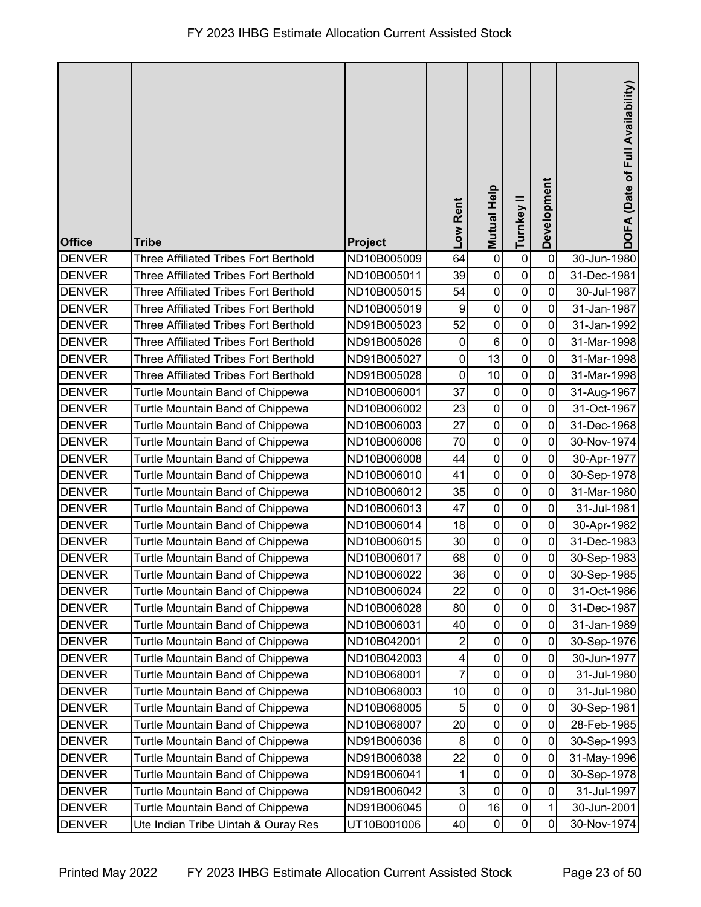|               |                                              |             | Low Rent       | <b>Mutual Help</b> | Turnkey II  | Development    | DOFA (Date of Full Availability) |
|---------------|----------------------------------------------|-------------|----------------|--------------------|-------------|----------------|----------------------------------|
| <b>Office</b> | <b>Tribe</b>                                 | Project     |                |                    |             |                |                                  |
| <b>DENVER</b> | <b>Three Affiliated Tribes Fort Berthold</b> | ND10B005009 | 64             | $\pmb{0}$          | $\pmb{0}$   | $\mathbf 0$    | 30-Jun-1980                      |
| <b>DENVER</b> | <b>Three Affiliated Tribes Fort Berthold</b> | ND10B005011 | 39             | $\pmb{0}$          | $\pmb{0}$   | 0              | 31-Dec-1981                      |
| <b>DENVER</b> | <b>Three Affiliated Tribes Fort Berthold</b> | ND10B005015 | 54             | $\pmb{0}$          | $\pmb{0}$   | 0              | 30-Jul-1987                      |
| <b>DENVER</b> | <b>Three Affiliated Tribes Fort Berthold</b> | ND10B005019 | 9              | $\pmb{0}$          | $\pmb{0}$   | $\mathbf 0$    | 31-Jan-1987                      |
| <b>DENVER</b> | <b>Three Affiliated Tribes Fort Berthold</b> | ND91B005023 | 52             | $\mathbf 0$        | $\pmb{0}$   | $\overline{0}$ | 31-Jan-1992                      |
| <b>DENVER</b> | <b>Three Affiliated Tribes Fort Berthold</b> | ND91B005026 | $\mathbf 0$    | $\,6$              | $\pmb{0}$   | $\mathbf 0$    | 31-Mar-1998                      |
| <b>DENVER</b> | <b>Three Affiliated Tribes Fort Berthold</b> | ND91B005027 | $\mathbf 0$    | 13                 | $\mathbf 0$ | 0              | 31-Mar-1998                      |
| <b>DENVER</b> | <b>Three Affiliated Tribes Fort Berthold</b> | ND91B005028 | $\pmb{0}$      | 10                 | $\pmb{0}$   | $\mathbf 0$    | 31-Mar-1998                      |
| <b>DENVER</b> | Turtle Mountain Band of Chippewa             | ND10B006001 | 37             | $\pmb{0}$          | $\pmb{0}$   | $\pmb{0}$      | 31-Aug-1967                      |
| <b>DENVER</b> | Turtle Mountain Band of Chippewa             | ND10B006002 | 23             | $\pmb{0}$          | $\pmb{0}$   | $\mathbf 0$    | 31-Oct-1967                      |
| <b>DENVER</b> | Turtle Mountain Band of Chippewa             | ND10B006003 | 27             | $\pmb{0}$          | $\mathbf 0$ | 0              | 31-Dec-1968                      |
| <b>DENVER</b> | Turtle Mountain Band of Chippewa             | ND10B006006 | 70             | $\mathbf 0$        | $\pmb{0}$   | $\mathbf 0$    | 30-Nov-1974                      |
| <b>DENVER</b> | Turtle Mountain Band of Chippewa             | ND10B006008 | 44             | $\pmb{0}$          | $\pmb{0}$   | $\pmb{0}$      | 30-Apr-1977                      |
| <b>DENVER</b> | Turtle Mountain Band of Chippewa             | ND10B006010 | 41             | $\pmb{0}$          | $\pmb{0}$   | $\pmb{0}$      | 30-Sep-1978                      |
| <b>DENVER</b> | Turtle Mountain Band of Chippewa             | ND10B006012 | 35             | $\pmb{0}$          | $\pmb{0}$   | 0              | 31-Mar-1980                      |
| <b>DENVER</b> | Turtle Mountain Band of Chippewa             | ND10B006013 | 47             | $\pmb{0}$          | $\pmb{0}$   | $\mathbf 0$    | 31-Jul-1981                      |
| <b>DENVER</b> | Turtle Mountain Band of Chippewa             | ND10B006014 | 18             | $\pmb{0}$          | $\pmb{0}$   | $\mathbf 0$    | 30-Apr-1982                      |
| <b>DENVER</b> | Turtle Mountain Band of Chippewa             | ND10B006015 | 30             | $\pmb{0}$          | $\pmb{0}$   | $\overline{0}$ | 31-Dec-1983                      |
| <b>DENVER</b> | Turtle Mountain Band of Chippewa             | ND10B006017 | 68             | $\pmb{0}$          | $\pmb{0}$   | $\pmb{0}$      | 30-Sep-1983                      |
| <b>DENVER</b> | Turtle Mountain Band of Chippewa             | ND10B006022 | 36             | 0                  | $\pmb{0}$   | 0              | 30-Sep-1985                      |
| <b>DENVER</b> | Turtle Mountain Band of Chippewa             | ND10B006024 | 22             | $\pmb{0}$          | $\pmb{0}$   | $\mathbf 0$    | 31-Oct-1986                      |
| <b>DENVER</b> | Turtle Mountain Band of Chippewa             | ND10B006028 | 80             | $\pmb{0}$          | $\pmb{0}$   | $\mathbf 0$    | 31-Dec-1987                      |
| <b>DENVER</b> | Turtle Mountain Band of Chippewa             | ND10B006031 | 40             | $\boldsymbol{0}$   | $\pmb{0}$   | 0              | 31-Jan-1989                      |
| <b>DENVER</b> | Turtle Mountain Band of Chippewa             | ND10B042001 | $\overline{2}$ | $\pmb{0}$          | $\pmb{0}$   | 0              | 30-Sep-1976                      |
| <b>DENVER</b> | Turtle Mountain Band of Chippewa             | ND10B042003 | 4              | $\pmb{0}$          | $\pmb{0}$   | $\pmb{0}$      | 30-Jun-1977                      |
| <b>DENVER</b> | Turtle Mountain Band of Chippewa             | ND10B068001 | 7              | $\pmb{0}$          | $\pmb{0}$   | $\mathbf 0$    | 31-Jul-1980                      |
| <b>DENVER</b> | Turtle Mountain Band of Chippewa             | ND10B068003 | 10             | $\pmb{0}$          | $\pmb{0}$   | $\mathbf 0$    | 31-Jul-1980                      |
| <b>DENVER</b> | Turtle Mountain Band of Chippewa             | ND10B068005 | 5              | $\pmb{0}$          | $\pmb{0}$   | $\pmb{0}$      | 30-Sep-1981                      |
| <b>DENVER</b> | Turtle Mountain Band of Chippewa             | ND10B068007 | 20             | $\pmb{0}$          | $\pmb{0}$   | $\mathbf 0$    | 28-Feb-1985                      |
| <b>DENVER</b> | Turtle Mountain Band of Chippewa             | ND91B006036 | 8              | $\pmb{0}$          | $\pmb{0}$   | 0              | 30-Sep-1993                      |
| <b>DENVER</b> | Turtle Mountain Band of Chippewa             | ND91B006038 | 22             | $\pmb{0}$          | $\pmb{0}$   | 0              | 31-May-1996                      |
| <b>DENVER</b> | Turtle Mountain Band of Chippewa             | ND91B006041 |                | $\pmb{0}$          | $\pmb{0}$   | $\pmb{0}$      | 30-Sep-1978                      |
| <b>DENVER</b> | Turtle Mountain Band of Chippewa             | ND91B006042 | 3              | $\pmb{0}$          | $\pmb{0}$   | $\mathbf 0$    | 31-Jul-1997                      |
| <b>DENVER</b> | Turtle Mountain Band of Chippewa             | ND91B006045 | $\pmb{0}$      | 16                 | $\pmb{0}$   | 1              | 30-Jun-2001                      |
| <b>DENVER</b> | Ute Indian Tribe Uintah & Ouray Res          | UT10B001006 | 40             | $\pmb{0}$          | $\pmb{0}$   | $\mathbf 0$    | 30-Nov-1974                      |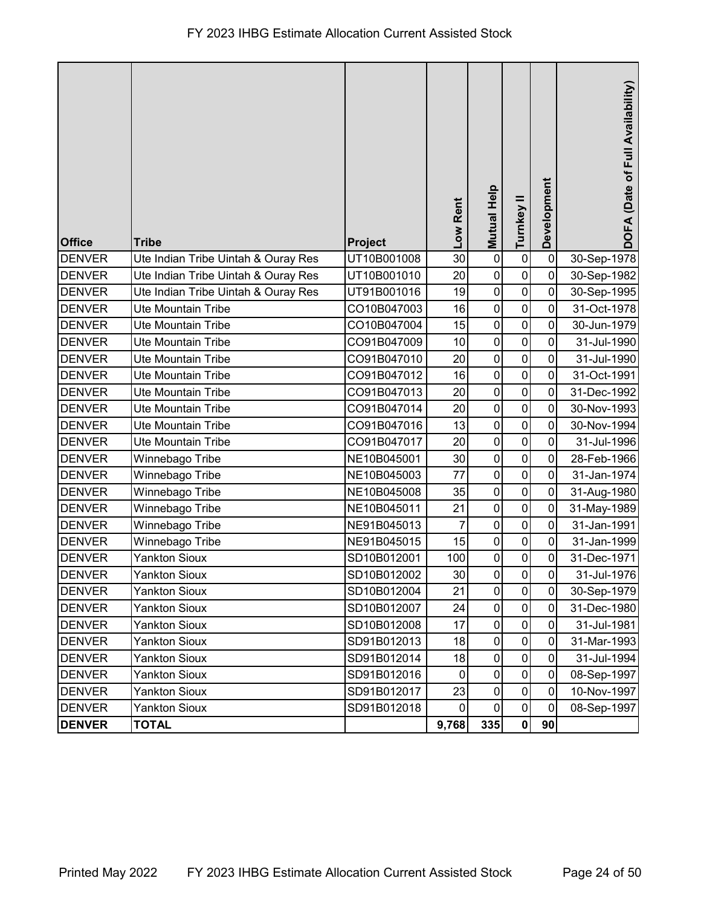| <b>Office</b> | <b>Tribe</b>                        | Project     | Low Rent       | Mutual Help         | Turnkey II   | Development    | DOFA (Date of Full Availability) |
|---------------|-------------------------------------|-------------|----------------|---------------------|--------------|----------------|----------------------------------|
| <b>DENVER</b> | Ute Indian Tribe Uintah & Ouray Res | UT10B001008 | 30             | $\mathbf 0$         | $\pmb{0}$    | $\mathbf 0$    | 30-Sep-1978                      |
| <b>DENVER</b> | Ute Indian Tribe Uintah & Ouray Res | UT10B001010 | 20             | $\pmb{0}$           | $\pmb{0}$    | 0              | 30-Sep-1982                      |
| <b>DENVER</b> | Ute Indian Tribe Uintah & Ouray Res | UT91B001016 | 19             | $\mathbf 0$         | $\mathbf 0$  | 0              | 30-Sep-1995                      |
| <b>DENVER</b> | <b>Ute Mountain Tribe</b>           | CO10B047003 | 16             | $\pmb{0}$           | $\mathbf 0$  | 0              | 31-Oct-1978                      |
| <b>DENVER</b> | Ute Mountain Tribe                  | CO10B047004 | 15             | $\mathbf 0$         | $\mathbf 0$  | 0              | 30-Jun-1979                      |
| <b>DENVER</b> | <b>Ute Mountain Tribe</b>           | CO91B047009 | 10             | $\mathbf 0$         | $\mathsf 0$  | $\mathbf 0$    | 31-Jul-1990                      |
| <b>DENVER</b> | Ute Mountain Tribe                  | CO91B047010 | 20             | $\mathbf 0$         | $\mathbf 0$  | 0              | 31-Jul-1990                      |
| <b>DENVER</b> | <b>Ute Mountain Tribe</b>           | CO91B047012 | 16             | $\pmb{0}$           | $\pmb{0}$    | $\mathbf 0$    | 31-Oct-1991                      |
| <b>DENVER</b> | <b>Ute Mountain Tribe</b>           | CO91B047013 | 20             | $\pmb{0}$           | $\pmb{0}$    | 0              | 31-Dec-1992                      |
| <b>DENVER</b> | <b>Ute Mountain Tribe</b>           | CO91B047014 | 20             | $\mathbf 0$         | $\pmb{0}$    | 0              | 30-Nov-1993                      |
| <b>DENVER</b> | <b>Ute Mountain Tribe</b>           | CO91B047016 | 13             | $\mathbf 0$         | $\mathbf 0$  | 0              | 30-Nov-1994                      |
| <b>DENVER</b> | Ute Mountain Tribe                  | CO91B047017 | 20             | $\mathbf 0$         | $\mathbf 0$  | 0              | 31-Jul-1996                      |
| <b>DENVER</b> | Winnebago Tribe                     | NE10B045001 | 30             | $\pmb{0}$           | $\pmb{0}$    | $\mathbf 0$    | 28-Feb-1966                      |
| <b>DENVER</b> | Winnebago Tribe                     | NE10B045003 | 77             | $\pmb{0}$           | $\pmb{0}$    | 0              | 31-Jan-1974                      |
| <b>DENVER</b> | Winnebago Tribe                     | NE10B045008 | 35             | $\mathbf 0$         | $\pmb{0}$    | $\mathbf 0$    | 31-Aug-1980                      |
| <b>DENVER</b> | Winnebago Tribe                     | NE10B045011 | 21             | $\pmb{0}$           | $\mathbf 0$  | 0              | 31-May-1989                      |
| <b>DENVER</b> | Winnebago Tribe                     | NE91B045013 | $\overline{7}$ | $\mathbf 0$         | $\pmb{0}$    | 0              | 31-Jan-1991                      |
| <b>DENVER</b> | Winnebago Tribe                     | NE91B045015 | 15             | $\mathbf 0$         | $\mathbf 0$  | $\mathbf 0$    | 31-Jan-1999                      |
| <b>DENVER</b> | <b>Yankton Sioux</b>                | SD10B012001 | 100            | $\mathbf 0$         | $\pmb{0}$    | $\pmb{0}$      | 31-Dec-1971                      |
| <b>DENVER</b> | Yankton Sioux                       | SD10B012002 | 30             | $\mathsf{O}\xspace$ | $\mathbf{0}$ | $\overline{0}$ | 31-Jul-1976                      |
| <b>DENVER</b> | <b>Yankton Sioux</b>                | SD10B012004 | 21             | $\mathbf 0$         | $\mathbf 0$  | 0              | 30-Sep-1979                      |
| <b>DENVER</b> | <b>Yankton Sioux</b>                | SD10B012007 | 24             | $\pmb{0}$           | $\pmb{0}$    | 0              | 31-Dec-1980                      |
| <b>DENVER</b> | <b>Yankton Sioux</b>                | SD10B012008 | 17             | $\pmb{0}$           | 0            | 0              | 31-Jul-1981                      |
| <b>DENVER</b> | <b>Yankton Sioux</b>                | SD91B012013 | 18             | $\mathbf 0$         | $\pmb{0}$    | $\mathbf 0$    | 31-Mar-1993                      |
| <b>DENVER</b> | <b>Yankton Sioux</b>                | SD91B012014 | 18             | $\pmb{0}$           | 0            | 0              | 31-Jul-1994                      |
| <b>DENVER</b> | <b>Yankton Sioux</b>                | SD91B012016 | $\pmb{0}$      | $\pmb{0}$           | $\pmb{0}$    | $\mathbf 0$    | 08-Sep-1997                      |
| <b>DENVER</b> | <b>Yankton Sioux</b>                | SD91B012017 | 23             | $\pmb{0}$           | $\pmb{0}$    | $\mathbf 0$    | 10-Nov-1997                      |
| <b>DENVER</b> | <b>Yankton Sioux</b>                | SD91B012018 | $\overline{0}$ | $\pmb{0}$           | $\pmb{0}$    | 0              | 08-Sep-1997                      |
| <b>DENVER</b> | <b>TOTAL</b>                        |             | 9,768          | 335                 | $\mathbf{0}$ | 90             |                                  |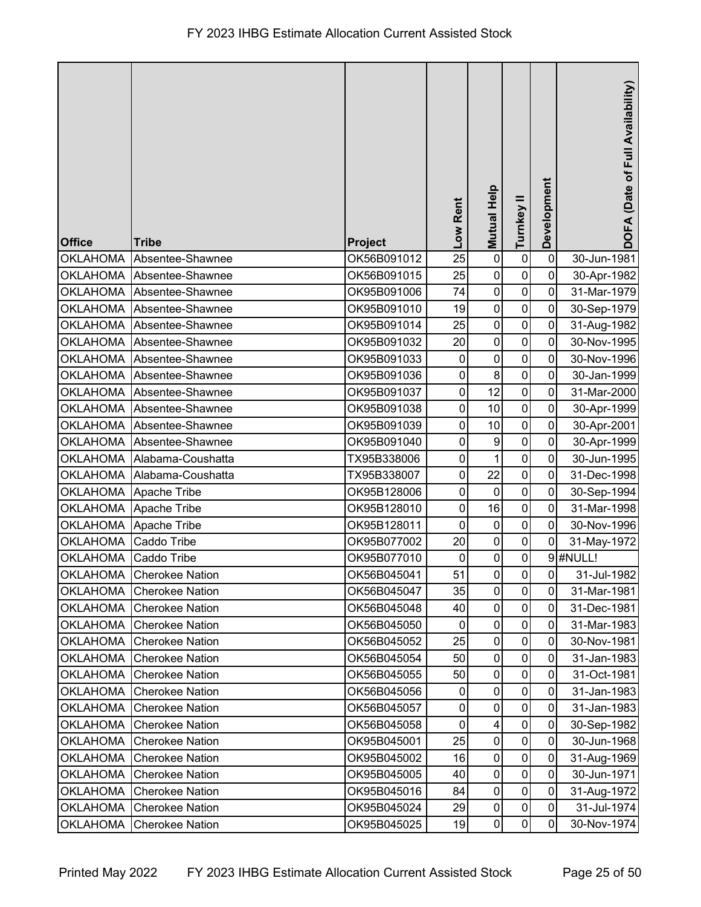| <b>Office</b>         | <b>Tribe</b>              | <b>Project</b> | Low Rent         | <b>Mutual Help</b>      | Turnkey II     | Development             | DOFA (Date of Full Availability) |
|-----------------------|---------------------------|----------------|------------------|-------------------------|----------------|-------------------------|----------------------------------|
| <b>OKLAHOMA</b>       | Absentee-Shawnee          | OK56B091012    | 25               | $\pmb{0}$               | $\pmb{0}$      | $\mathbf 0$             | 30-Jun-1981                      |
| <b>OKLAHOMA</b>       | Absentee-Shawnee          | OK56B091015    | 25               | $\pmb{0}$               | $\pmb{0}$      | $\mathbf 0$             | 30-Apr-1982                      |
| <b>OKLAHOMA</b>       | Absentee-Shawnee          | OK95B091006    | 74               | $\pmb{0}$               | $\pmb{0}$      | $\mathbf 0$             | 31-Mar-1979                      |
| <b>OKLAHOMA</b>       | Absentee-Shawnee          | OK95B091010    | 19               | $\pmb{0}$               | $\pmb{0}$      | $\mathbf 0$             | 30-Sep-1979                      |
|                       | OKLAHOMA Absentee-Shawnee | OK95B091014    | 25               | $\mathbf 0$             | $\pmb{0}$      | $\mathbf 0$             | 31-Aug-1982                      |
| <b>OKLAHOMA</b>       | Absentee-Shawnee          | OK95B091032    | 20               | $\pmb{0}$               | $\pmb{0}$      | $\mathbf 0$             | 30-Nov-1995                      |
| <b>OKLAHOMA</b>       | Absentee-Shawnee          | OK95B091033    | $\boldsymbol{0}$ | $\mathbf 0$             | $\mathbf 0$    | 0                       | 30-Nov-1996                      |
| <b>OKLAHOMA</b>       | Absentee-Shawnee          | OK95B091036    | $\pmb{0}$        | $\bf 8$                 | $\pmb{0}$      | $\mathbf 0$             | 30-Jan-1999                      |
| <b>OKLAHOMA</b>       | Absentee-Shawnee          | OK95B091037    | $\pmb{0}$        | 12                      | $\pmb{0}$      | $\mathbf 0$             | 31-Mar-2000                      |
|                       | OKLAHOMA Absentee-Shawnee | OK95B091038    | 0                | 10                      | $\pmb{0}$      | $\mathbf 0$             | 30-Apr-1999                      |
| <b>OKLAHOMA</b>       | Absentee-Shawnee          | OK95B091039    | 0                | 10                      | $\pmb{0}$      | $\mathbf 0$             | 30-Apr-2001                      |
|                       | OKLAHOMA Absentee-Shawnee | OK95B091040    | $\mathbf 0$      | $\overline{9}$          | $\pmb{0}$      | $\mathbf 0$             | 30-Apr-1999                      |
| <b>OKLAHOMA</b>       | Alabama-Coushatta         | TX95B338006    | $\pmb{0}$        | $\mathbf 1$             | $\pmb{0}$      | $\mathbf 0$             | 30-Jun-1995                      |
| <b>OKLAHOMA</b>       | Alabama-Coushatta         | TX95B338007    | $\mathbf 0$      | 22                      | $\pmb{0}$      | $\mathbf 0$             | 31-Dec-1998                      |
| <b>OKLAHOMA</b>       | Apache Tribe              | OK95B128006    | $\pmb{0}$        | $\pmb{0}$               | $\pmb{0}$      | $\mathbf 0$             | 30-Sep-1994                      |
|                       | OKLAHOMA Apache Tribe     | OK95B128010    | 0                | 16                      | $\pmb{0}$      | $\mathbf 0$             | 31-Mar-1998                      |
| OKLAHOMA Apache Tribe |                           | OK95B128011    | $\mathbf 0$      | $\pmb{0}$               | $\pmb{0}$      | $\mathbf 0$             | 30-Nov-1996                      |
| <b>OKLAHOMA</b>       | Caddo Tribe               | OK95B077002    | 20               | $\pmb{0}$               | $\pmb{0}$      | 0                       | 31-May-1972                      |
| OKLAHOMA Caddo Tribe  |                           | OK95B077010    | $\pmb{0}$        | $\pmb{0}$               | $\pmb{0}$      |                         | $9$ #NULL!                       |
|                       | OKLAHOMA Cherokee Nation  | OK56B045041    | 51               | $\pmb{0}$               | $\overline{0}$ | $\overline{\mathbf{0}}$ | 31-Jul-1982                      |
| <b>OKLAHOMA</b>       | <b>Cherokee Nation</b>    | OK56B045047    | 35               | $\mathbf 0$             | $\pmb{0}$      | $\mathbf 0$             | 31-Mar-1981                      |
| <b>OKLAHOMA</b>       | <b>Cherokee Nation</b>    | OK56B045048    | 40               | $\pmb{0}$               | $\pmb{0}$      | $\mathbf 0$             | 31-Dec-1981                      |
| <b>OKLAHOMA</b>       | <b>Cherokee Nation</b>    | OK56B045050    | 0                | $\pmb{0}$               | 0              | 0                       | 31-Mar-1983                      |
| <b>OKLAHOMA</b>       | <b>Cherokee Nation</b>    | OK56B045052    | 25               | $\pmb{0}$               | $\pmb{0}$      | $\mathbf 0$             | 30-Nov-1981                      |
| <b>OKLAHOMA</b>       | <b>Cherokee Nation</b>    | OK56B045054    | 50               | $\pmb{0}$               | $\pmb{0}$      | 0                       | 31-Jan-1983                      |
| <b>OKLAHOMA</b>       | <b>Cherokee Nation</b>    | OK56B045055    | 50               | $\pmb{0}$               | $\pmb{0}$      | $\mathbf 0$             | 31-Oct-1981                      |
| <b>OKLAHOMA</b>       | <b>Cherokee Nation</b>    | OK56B045056    | 0                | $\pmb{0}$               | $\pmb{0}$      | $\mathbf 0$             | 31-Jan-1983                      |
| <b>OKLAHOMA</b>       | <b>Cherokee Nation</b>    | OK56B045057    | $\pmb{0}$        | $\pmb{0}$               | $\pmb{0}$      | $\mathbf 0$             | 31-Jan-1983                      |
| <b>OKLAHOMA</b>       | <b>Cherokee Nation</b>    | OK56B045058    | $\mathbf 0$      | $\overline{\mathbf{4}}$ | $\pmb{0}$      | $\mathbf 0$             | 30-Sep-1982                      |
| <b>OKLAHOMA</b>       | <b>Cherokee Nation</b>    | OK95B045001    | 25               | $\pmb{0}$               | 0              | $\mathbf 0$             | 30-Jun-1968                      |
| <b>OKLAHOMA</b>       | <b>Cherokee Nation</b>    | OK95B045002    | 16               | $\pmb{0}$               | $\pmb{0}$      | $\mathbf 0$             | 31-Aug-1969                      |
| <b>OKLAHOMA</b>       | <b>Cherokee Nation</b>    | OK95B045005    | 40               | $\pmb{0}$               | 0              | $\mathbf 0$             | 30-Jun-1971                      |
| <b>OKLAHOMA</b>       | <b>Cherokee Nation</b>    | OK95B045016    | 84               | $\pmb{0}$               | $\pmb{0}$      | $\mathbf 0$             | 31-Aug-1972                      |
| <b>OKLAHOMA</b>       | <b>Cherokee Nation</b>    | OK95B045024    | 29               | $\pmb{0}$               | $\pmb{0}$      | $\mathbf 0$             | 31-Jul-1974                      |
| <b>OKLAHOMA</b>       | <b>Cherokee Nation</b>    | OK95B045025    | 19               | $\pmb{0}$               | $\overline{0}$ | $\mathbf 0$             | 30-Nov-1974                      |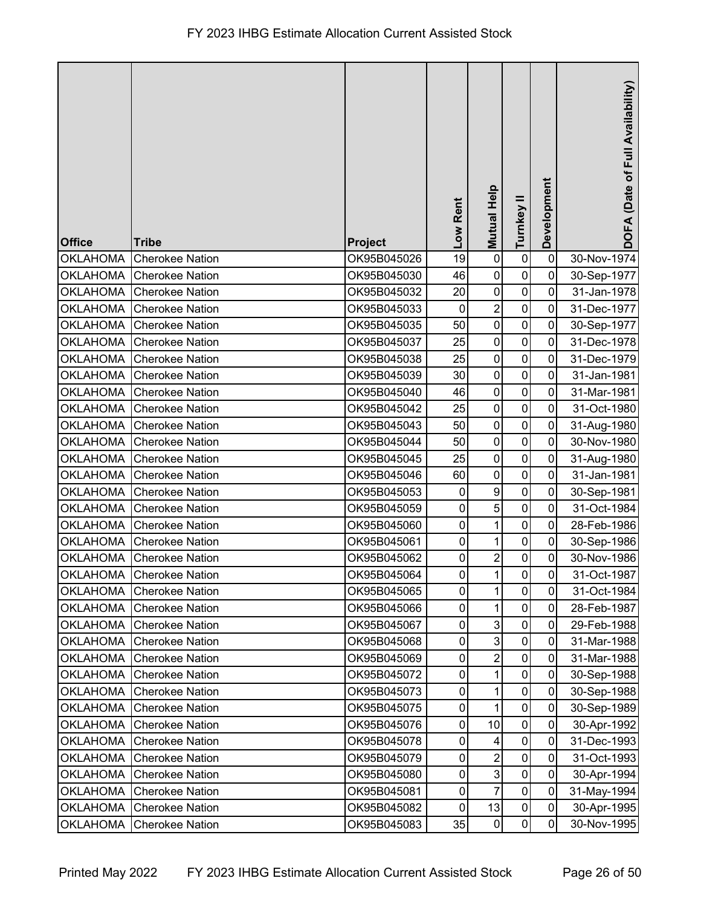| <b>Office</b>   | <b>Tribe</b>             | Project     | Low Rent       | <b>Mutual Help</b> | Turnkey II     | Development    | DOFA (Date of Full Availability) |
|-----------------|--------------------------|-------------|----------------|--------------------|----------------|----------------|----------------------------------|
| <b>OKLAHOMA</b> | <b>Cherokee Nation</b>   | OK95B045026 | 19             | $\pmb{0}$          | $\pmb{0}$      | $\mathbf 0$    | 30-Nov-1974                      |
| <b>OKLAHOMA</b> | <b>Cherokee Nation</b>   | OK95B045030 | 46             | $\mathbf 0$        | $\pmb{0}$      | 0              | 30-Sep-1977                      |
| <b>OKLAHOMA</b> | <b>Cherokee Nation</b>   | OK95B045032 | 20             | $\pmb{0}$          | $\pmb{0}$      | $\mathbf 0$    | 31-Jan-1978                      |
| <b>OKLAHOMA</b> | <b>Cherokee Nation</b>   | OK95B045033 | 0              | $\overline{c}$     | $\pmb{0}$      | 0              | 31-Dec-1977                      |
| <b>OKLAHOMA</b> | <b>Cherokee Nation</b>   | OK95B045035 | 50             | $\pmb{0}$          | $\pmb{0}$      | 0              | 30-Sep-1977                      |
| <b>OKLAHOMA</b> | <b>Cherokee Nation</b>   | OK95B045037 | 25             | $\mathbf 0$        | $\mathbf 0$    | $\mathbf 0$    | 31-Dec-1978                      |
| <b>OKLAHOMA</b> | <b>Cherokee Nation</b>   | OK95B045038 | 25             | $\mathbf 0$        | $\mathbf 0$    | 0              | 31-Dec-1979                      |
| <b>OKLAHOMA</b> | <b>Cherokee Nation</b>   | OK95B045039 | 30             | $\pmb{0}$          | $\pmb{0}$      | $\mathbf 0$    | 31-Jan-1981                      |
| <b>OKLAHOMA</b> | <b>Cherokee Nation</b>   | OK95B045040 | 46             | $\mathbf 0$        | $\pmb{0}$      | 0              | 31-Mar-1981                      |
| <b>OKLAHOMA</b> | <b>Cherokee Nation</b>   | OK95B045042 | 25             | $\mathbf 0$        | $\pmb{0}$      | $\mathbf 0$    | 31-Oct-1980                      |
| <b>OKLAHOMA</b> | <b>Cherokee Nation</b>   | OK95B045043 | 50             | $\pmb{0}$          | $\mathbf 0$    | 0              | 31-Aug-1980                      |
| <b>OKLAHOMA</b> | <b>Cherokee Nation</b>   | OK95B045044 | 50             | $\mathbf 0$        | $\mathbf 0$    | 0              | 30-Nov-1980                      |
| <b>OKLAHOMA</b> | <b>Cherokee Nation</b>   | OK95B045045 | 25             | $\pmb{0}$          | $\mathbf 0$    | $\mathbf 0$    | 31-Aug-1980                      |
| <b>OKLAHOMA</b> | <b>Cherokee Nation</b>   | OK95B045046 | 60             | $\mathbf 0$        | $\pmb{0}$      | $\mathbf 0$    | 31-Jan-1981                      |
| <b>OKLAHOMA</b> | <b>Cherokee Nation</b>   | OK95B045053 | $\pmb{0}$      | $\boldsymbol{9}$   | $\pmb{0}$      | 0              | 30-Sep-1981                      |
| <b>OKLAHOMA</b> | <b>Cherokee Nation</b>   | OK95B045059 | 0              | 5                  | $\pmb{0}$      | $\mathbf 0$    | 31-Oct-1984                      |
| <b>OKLAHOMA</b> | <b>Cherokee Nation</b>   | OK95B045060 | 0              | 1                  | $\pmb{0}$      | 0              | 28-Feb-1986                      |
| <b>OKLAHOMA</b> | <b>Cherokee Nation</b>   | OK95B045061 | 0              | 1                  | $\pmb{0}$      | 0              | 30-Sep-1986                      |
| <b>OKLAHOMA</b> | <b>Cherokee Nation</b>   | OK95B045062 | $\pmb{0}$      | $\overline{c}$     | $\pmb{0}$      | $\mathbf 0$    | 30-Nov-1986                      |
|                 | OKLAHOMA Cherokee Nation | OK95B045064 | $\overline{0}$ | $\overline{A}$     | $\overline{0}$ | $\overline{0}$ | 31-Oct-1987                      |
| <b>OKLAHOMA</b> | <b>Cherokee Nation</b>   | OK95B045065 | $\pmb{0}$      | 1                  | $\pmb{0}$      | $\mathbf 0$    | 31-Oct-1984                      |
| <b>OKLAHOMA</b> | <b>Cherokee Nation</b>   | OK95B045066 | $\pmb{0}$      | 1                  | $\pmb{0}$      | $\mathbf 0$    | 28-Feb-1987                      |
| <b>OKLAHOMA</b> | <b>Cherokee Nation</b>   | OK95B045067 | 0              | $\mathbf{3}$       | $\mathbf 0$    | 0              | 29-Feb-1988                      |
| <b>OKLAHOMA</b> | <b>Cherokee Nation</b>   | OK95B045068 | 0              | $\mathbf{3}$       | $\mathbf 0$    | 0              | 31-Mar-1988                      |
| <b>OKLAHOMA</b> | <b>Cherokee Nation</b>   | OK95B045069 | 0              | $\overline{c}$     | 0              | 0              | 31-Mar-1988                      |
| <b>OKLAHOMA</b> | <b>Cherokee Nation</b>   | OK95B045072 | $\pmb{0}$      | 1                  | $\pmb{0}$      | 0              | 30-Sep-1988                      |
| <b>OKLAHOMA</b> | <b>Cherokee Nation</b>   | OK95B045073 | $\pmb{0}$      | 1                  | $\pmb{0}$      | $\mathbf 0$    | 30-Sep-1988                      |
| <b>OKLAHOMA</b> | <b>Cherokee Nation</b>   | OK95B045075 | 0              | 1                  | $\pmb{0}$      | 0              | 30-Sep-1989                      |
| <b>OKLAHOMA</b> | <b>Cherokee Nation</b>   | OK95B045076 | $\pmb{0}$      | 10                 | $\pmb{0}$      | 0              | 30-Apr-1992                      |
| <b>OKLAHOMA</b> | <b>Cherokee Nation</b>   | OK95B045078 | 0              | 4                  | $\mathbf 0$    | 0              | 31-Dec-1993                      |
| <b>OKLAHOMA</b> | <b>Cherokee Nation</b>   | OK95B045079 | 0              | $\overline{2}$     | $\pmb{0}$      | $\mathbf 0$    | 31-Oct-1993                      |
| <b>OKLAHOMA</b> | <b>Cherokee Nation</b>   | OK95B045080 | 0              | $\mathbf{3}$       | $\pmb{0}$      | $\mathbf 0$    | 30-Apr-1994                      |
| <b>OKLAHOMA</b> | <b>Cherokee Nation</b>   | OK95B045081 | $\pmb{0}$      | $\overline{7}$     | $\pmb{0}$      | $\overline{0}$ | 31-May-1994                      |
| <b>OKLAHOMA</b> | <b>Cherokee Nation</b>   | OK95B045082 | $\pmb{0}$      | 13                 | $\pmb{0}$      | $\mathbf 0$    | 30-Apr-1995                      |
| <b>OKLAHOMA</b> | <b>Cherokee Nation</b>   | OK95B045083 | 35             | $\pmb{0}$          | 0              | 0              | 30-Nov-1995                      |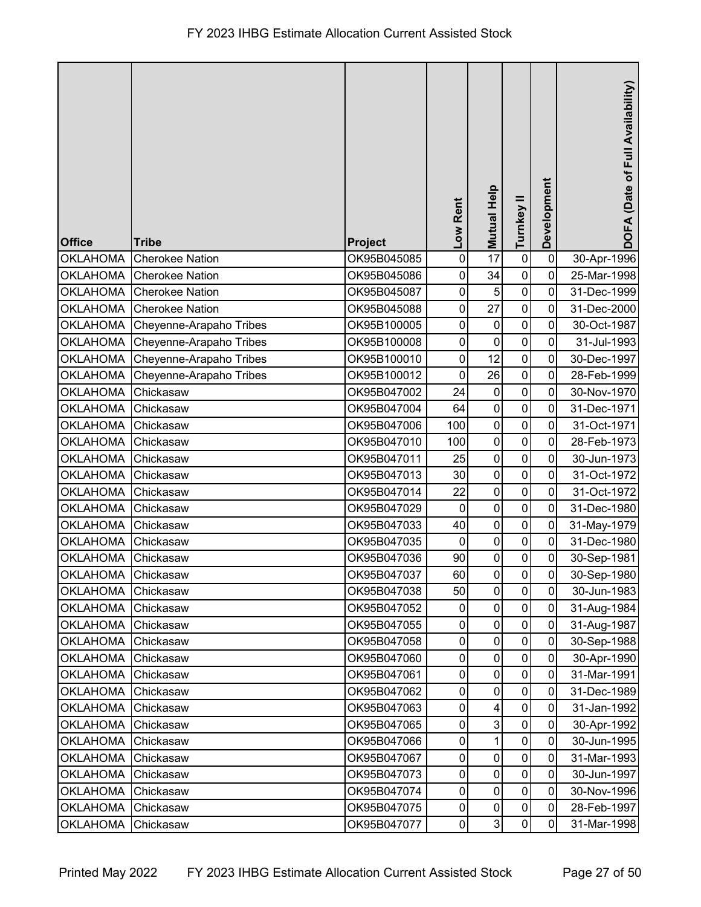| <b>Office</b>      | <b>Tribe</b>            | Project     | Low Rent       | Mutual Help         | Turnkey II     | Development    | DOFA (Date of Full Availability) |
|--------------------|-------------------------|-------------|----------------|---------------------|----------------|----------------|----------------------------------|
| <b>OKLAHOMA</b>    | <b>Cherokee Nation</b>  | OK95B045085 | $\pmb{0}$      | 17                  | $\pmb{0}$      | $\mathbf 0$    | 30-Apr-1996                      |
| <b>OKLAHOMA</b>    | <b>Cherokee Nation</b>  | OK95B045086 | 0              | 34                  | $\pmb{0}$      | $\mathbf 0$    | 25-Mar-1998                      |
| <b>OKLAHOMA</b>    | <b>Cherokee Nation</b>  | OK95B045087 | 0              | $\sqrt{5}$          | $\pmb{0}$      | 0              | 31-Dec-1999                      |
| <b>OKLAHOMA</b>    | <b>Cherokee Nation</b>  | OK95B045088 | 0              | 27                  | $\mathbf 0$    | 0              | 31-Dec-2000                      |
| <b>OKLAHOMA</b>    | Cheyenne-Arapaho Tribes | OK95B100005 | $\mathbf 0$    | $\pmb{0}$           | $\mathbf 0$    | $\overline{0}$ | 30-Oct-1987                      |
| <b>OKLAHOMA</b>    | Cheyenne-Arapaho Tribes | OK95B100008 | 0              | $\pmb{0}$           | $\pmb{0}$      | 0              | 31-Jul-1993                      |
| <b>OKLAHOMA</b>    | Cheyenne-Arapaho Tribes | OK95B100010 | $\mathbf 0$    | 12                  | $\pmb{0}$      | 0              | 30-Dec-1997                      |
| <b>OKLAHOMA</b>    | Cheyenne-Arapaho Tribes | OK95B100012 | $\pmb{0}$      | 26                  | $\pmb{0}$      | $\mathbf 0$    | 28-Feb-1999                      |
| <b>OKLAHOMA</b>    | Chickasaw               | OK95B047002 | 24             | $\pmb{0}$           | $\pmb{0}$      | 0              | 30-Nov-1970                      |
| <b>OKLAHOMA</b>    | Chickasaw               | OK95B047004 | 64             | $\pmb{0}$           | $\pmb{0}$      | 0              | 31-Dec-1971                      |
| <b>OKLAHOMA</b>    | Chickasaw               | OK95B047006 | 100            | $\pmb{0}$           | $\mathbf 0$    | 0              | 31-Oct-1971                      |
| <b>OKLAHOMA</b>    | Chickasaw               | OK95B047010 | 100            | $\pmb{0}$           | $\mathbf 0$    | 0              | 28-Feb-1973                      |
| <b>OKLAHOMA</b>    | Chickasaw               | OK95B047011 | 25             | $\pmb{0}$           | $\pmb{0}$      | $\mathbf 0$    | 30-Jun-1973                      |
| <b>OKLAHOMA</b>    | Chickasaw               | OK95B047013 | 30             | $\pmb{0}$           | $\pmb{0}$      | 0              | 31-Oct-1972                      |
| <b>OKLAHOMA</b>    | Chickasaw               | OK95B047014 | 22             | $\pmb{0}$           | $\pmb{0}$      | $\overline{0}$ | 31-Oct-1972                      |
| <b>OKLAHOMA</b>    | Chickasaw               | OK95B047029 | $\mathbf 0$    | $\pmb{0}$           | $\mathbf 0$    | 0              | 31-Dec-1980                      |
| <b>OKLAHOMA</b>    | Chickasaw               | OK95B047033 | 40             | $\pmb{0}$           | $\mathbf 0$    | 0              | 31-May-1979                      |
| <b>OKLAHOMA</b>    | Chickasaw               | OK95B047035 | 0              | $\pmb{0}$           | 0              | $\mathbf 0$    | 31-Dec-1980                      |
| OKLAHOMA           | Chickasaw               | OK95B047036 | 90             | $\pmb{0}$           | $\pmb{0}$      | $\pmb{0}$      | 30-Sep-1981                      |
| OKLAHOMA Chickasaw |                         | OK95B047037 | 60             | $\mathsf{O}\xspace$ | $\overline{0}$ | $\pmb{0}$      | 30-Sep-1980                      |
| <b>OKLAHOMA</b>    | Chickasaw               | OK95B047038 | 50             | $\mathbf 0$         | $\mathbf 0$    | 0              | 30-Jun-1983                      |
| <b>OKLAHOMA</b>    | Chickasaw               | OK95B047052 | 0              | $\pmb{0}$           | $\pmb{0}$      | 0              | 31-Aug-1984                      |
| <b>OKLAHOMA</b>    | Chickasaw               | OK95B047055 | 0              | 0                   | 0              | 0              | 31-Aug-1987                      |
| <b>OKLAHOMA</b>    | Chickasaw               | OK95B047058 | $\pmb{0}$      | $\pmb{0}$           | $\pmb{0}$      | $\mathbf 0$    | 30-Sep-1988                      |
| <b>OKLAHOMA</b>    | Chickasaw               | OK95B047060 | 0              | $\pmb{0}$           | $\pmb{0}$      | $\mathbf 0$    | 30-Apr-1990                      |
| <b>OKLAHOMA</b>    | Chickasaw               | OK95B047061 | $\pmb{0}$      | $\pmb{0}$           | $\pmb{0}$      | $\mathbf 0$    | 31-Mar-1991                      |
| <b>OKLAHOMA</b>    | Chickasaw               | OK95B047062 | 0              | $\pmb{0}$           | $\pmb{0}$      | $\mathbf 0$    | 31-Dec-1989                      |
| <b>OKLAHOMA</b>    | Chickasaw               | OK95B047063 | 0              | 4                   | $\mathbf 0$    | 0              | 31-Jan-1992                      |
| <b>OKLAHOMA</b>    | Chickasaw               | OK95B047065 | 0              | $\mathbf 3$         | $\mathbf 0$    | 0              | 30-Apr-1992                      |
| <b>OKLAHOMA</b>    | Chickasaw               | OK95B047066 | 0              | 1                   | $\mathbf 0$    | $\mathbf 0$    | 30-Jun-1995                      |
| <b>OKLAHOMA</b>    | Chickasaw               | OK95B047067 | $\mathbf 0$    | $\pmb{0}$           | $\pmb{0}$      | $\mathbf 0$    | 31-Mar-1993                      |
| <b>OKLAHOMA</b>    | Chickasaw               | OK95B047073 | $\pmb{0}$      | $\pmb{0}$           | $\pmb{0}$      | $\mathbf 0$    | 30-Jun-1997                      |
| <b>OKLAHOMA</b>    | Chickasaw               | OK95B047074 | $\pmb{0}$      | $\pmb{0}$           | $\pmb{0}$      | 0              | 30-Nov-1996                      |
| <b>OKLAHOMA</b>    | Chickasaw               | OK95B047075 | $\pmb{0}$      | $\pmb{0}$           | $\pmb{0}$      | 0              | 28-Feb-1997                      |
| <b>OKLAHOMA</b>    | Chickasaw               | OK95B047077 | $\overline{0}$ | 3                   | $\pmb{0}$      | 0              | 31-Mar-1998                      |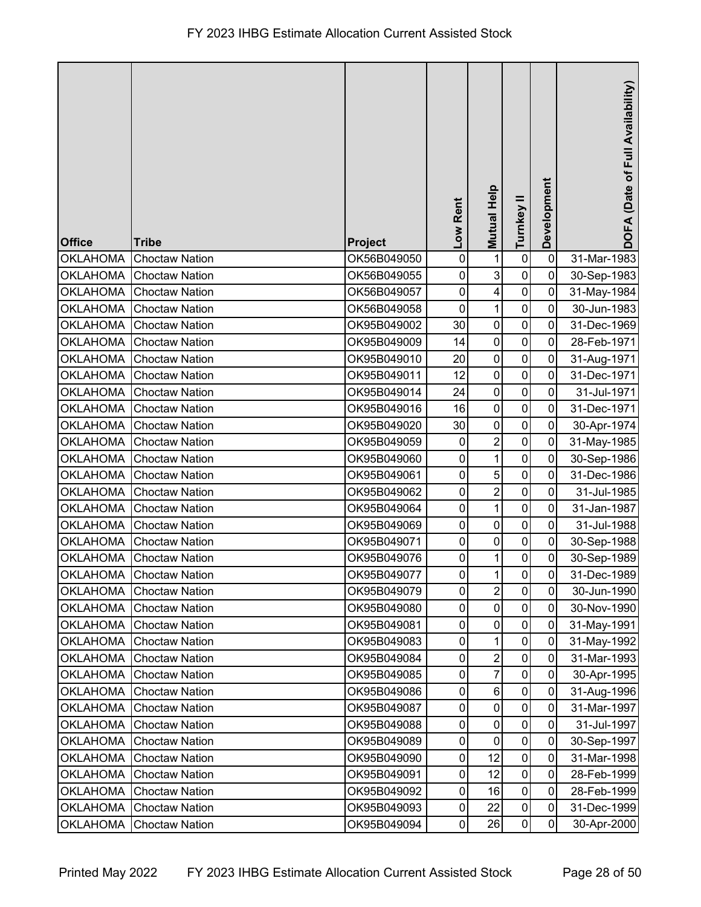| <b>Office</b>   | <b>Tribe</b>            | Project     | -ow Rent       | <b>Mutual Help</b>      | Turnkey II     | Development    | DOFA (Date of Full Availability) |
|-----------------|-------------------------|-------------|----------------|-------------------------|----------------|----------------|----------------------------------|
| <b>OKLAHOMA</b> | <b>Choctaw Nation</b>   | OK56B049050 | $\mathbf 0$    | 1                       | $\pmb{0}$      | $\mathbf 0$    | 31-Mar-1983                      |
| <b>OKLAHOMA</b> | <b>Choctaw Nation</b>   | OK56B049055 | 0              | 3                       | $\pmb{0}$      | 0              | 30-Sep-1983                      |
| <b>OKLAHOMA</b> | <b>Choctaw Nation</b>   | OK56B049057 | $\pmb{0}$      | $\overline{\mathbf{4}}$ | $\pmb{0}$      | $\mathbf 0$    | 31-May-1984                      |
| <b>OKLAHOMA</b> | <b>Choctaw Nation</b>   | OK56B049058 | 0              | $\mathbf 1$             | $\pmb{0}$      | 0              | 30-Jun-1983                      |
| <b>OKLAHOMA</b> | <b>Choctaw Nation</b>   | OK95B049002 | 30             | $\pmb{0}$               | $\pmb{0}$      | 0              | 31-Dec-1969                      |
| <b>OKLAHOMA</b> | <b>Choctaw Nation</b>   | OK95B049009 | 14             | $\mathbf 0$             | $\mathbf 0$    | 0              | 28-Feb-1971                      |
| <b>OKLAHOMA</b> | <b>Choctaw Nation</b>   | OK95B049010 | 20             | $\mathbf 0$             | $\mathbf 0$    | 0              | 31-Aug-1971                      |
| <b>OKLAHOMA</b> | <b>Choctaw Nation</b>   | OK95B049011 | 12             | $\pmb{0}$               | $\pmb{0}$      | $\mathbf 0$    | 31-Dec-1971                      |
| <b>OKLAHOMA</b> | <b>Choctaw Nation</b>   | OK95B049014 | 24             | $\mathbf 0$             | $\pmb{0}$      | 0              | 31-Jul-1971                      |
| <b>OKLAHOMA</b> | <b>Choctaw Nation</b>   | OK95B049016 | 16             | $\pmb{0}$               | $\pmb{0}$      | 0              | 31-Dec-1971                      |
| <b>OKLAHOMA</b> | <b>Choctaw Nation</b>   | OK95B049020 | 30             | $\pmb{0}$               | $\mathbf 0$    | $\mathbf 0$    | 30-Apr-1974                      |
| <b>OKLAHOMA</b> | <b>Choctaw Nation</b>   | OK95B049059 | $\mathbf 0$    | $\overline{2}$          | $\mathbf 0$    | 0              | 31-May-1985                      |
| <b>OKLAHOMA</b> | <b>Choctaw Nation</b>   | OK95B049060 | 0              | $\mathbf 1$             | $\pmb{0}$      | $\mathbf 0$    | 30-Sep-1986                      |
| <b>OKLAHOMA</b> | <b>Choctaw Nation</b>   | OK95B049061 | 0              | 5                       | $\pmb{0}$      | 0              | 31-Dec-1986                      |
| <b>OKLAHOMA</b> | <b>Choctaw Nation</b>   | OK95B049062 | 0              | $\overline{c}$          | $\pmb{0}$      | 0              | 31-Jul-1985                      |
| <b>OKLAHOMA</b> | <b>Choctaw Nation</b>   | OK95B049064 | 0              | $\mathbf 1$             | 0              | 0              | 31-Jan-1987                      |
| <b>OKLAHOMA</b> | <b>Choctaw Nation</b>   | OK95B049069 | 0              | $\pmb{0}$               | $\pmb{0}$      | 0              | 31-Jul-1988                      |
| <b>OKLAHOMA</b> | <b>Choctaw Nation</b>   | OK95B049071 | 0              | $\mathbf 0$             | $\pmb{0}$      | 0              | 30-Sep-1988                      |
| <b>OKLAHOMA</b> | <b>Choctaw Nation</b>   | OK95B049076 | 0              | 1                       | $\mathsf 0$    | $\mathbf 0$    | 30-Sep-1989                      |
|                 | OKLAHOMA Choctaw Nation | OK95B049077 | $\mathbf{0}$   | $\overline{A}$          | $\overline{0}$ | $\overline{0}$ | 31-Dec-1989                      |
| <b>OKLAHOMA</b> | <b>Choctaw Nation</b>   | OK95B049079 | $\pmb{0}$      | $\overline{2}$          | $\pmb{0}$      | $\mathbf{0}$   | 30-Jun-1990                      |
| <b>OKLAHOMA</b> | <b>Choctaw Nation</b>   | OK95B049080 | $\pmb{0}$      | $\pmb{0}$               | $\pmb{0}$      | 0              | 30-Nov-1990                      |
| <b>OKLAHOMA</b> | <b>Choctaw Nation</b>   | OK95B049081 | 0              | $\pmb{0}$               | 0              | 0              | 31-May-1991                      |
| <b>OKLAHOMA</b> | <b>Choctaw Nation</b>   | OK95B049083 | 0              | 1                       | $\mathbf 0$    | 0              | 31-May-1992                      |
| <b>OKLAHOMA</b> | <b>Choctaw Nation</b>   | OK95B049084 | 0              | $\overline{c}$          | 0              | 0              | 31-Mar-1993                      |
| <b>OKLAHOMA</b> | <b>Choctaw Nation</b>   | OK95B049085 | 0              | $\overline{7}$          | $\pmb{0}$      | 0              | 30-Apr-1995                      |
| <b>OKLAHOMA</b> | <b>Choctaw Nation</b>   | OK95B049086 | $\pmb{0}$      | $\,6$                   | $\pmb{0}$      | 0              | 31-Aug-1996                      |
| <b>OKLAHOMA</b> | <b>Choctaw Nation</b>   | OK95B049087 | 0              | $\pmb{0}$               | 0              | 0              | 31-Mar-1997                      |
| <b>OKLAHOMA</b> | <b>Choctaw Nation</b>   | OK95B049088 | 0              | $\pmb{0}$               | $\mathsf 0$    | 0              | 31-Jul-1997                      |
| <b>OKLAHOMA</b> | <b>Choctaw Nation</b>   | OK95B049089 | 0              | $\pmb{0}$               | 0              | 0              | 30-Sep-1997                      |
| <b>OKLAHOMA</b> | <b>Choctaw Nation</b>   | OK95B049090 | 0              | 12                      | $\pmb{0}$      | $\mathbf 0$    | 31-Mar-1998                      |
| <b>OKLAHOMA</b> | <b>Choctaw Nation</b>   | OK95B049091 | 0              | 12                      | 0              | 0              | 28-Feb-1999                      |
| <b>OKLAHOMA</b> | <b>Choctaw Nation</b>   | OK95B049092 | $\pmb{0}$      | 16                      | $\pmb{0}$      | 0              | 28-Feb-1999                      |
| <b>OKLAHOMA</b> | <b>Choctaw Nation</b>   | OK95B049093 | $\pmb{0}$      | 22                      | 0              | 0              | 31-Dec-1999                      |
| <b>OKLAHOMA</b> | <b>Choctaw Nation</b>   | OK95B049094 | $\overline{0}$ | 26                      | 0              | 0              | 30-Apr-2000                      |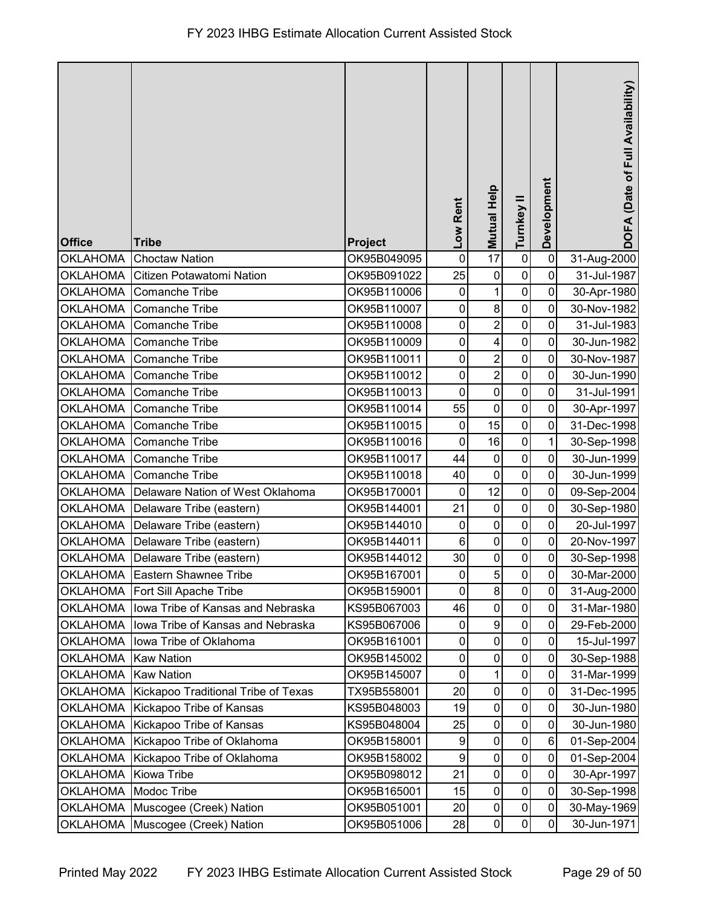| <b>Office</b>   | <b>Tribe</b>                        | Project     | Low Rent       | <b>Mutual Help</b>      | Turnkey II   | Development    | DOFA (Date of Full Availability) |
|-----------------|-------------------------------------|-------------|----------------|-------------------------|--------------|----------------|----------------------------------|
| <b>OKLAHOMA</b> | <b>Choctaw Nation</b>               | OK95B049095 | $\mathbf 0$    | 17                      | $\pmb{0}$    | $\mathbf 0$    | 31-Aug-2000                      |
| <b>OKLAHOMA</b> | Citizen Potawatomi Nation           | OK95B091022 | 25             | $\pmb{0}$               | $\mathbf 0$  | 0              | 31-Jul-1987                      |
| <b>OKLAHOMA</b> | Comanche Tribe                      | OK95B110006 | $\pmb{0}$      | $\mathbf{1}$            | $\pmb{0}$    | 0              | 30-Apr-1980                      |
| <b>OKLAHOMA</b> | <b>Comanche Tribe</b>               | OK95B110007 | 0              | $\bf 8$                 | $\mathbf 0$  | 0              | 30-Nov-1982                      |
| <b>OKLAHOMA</b> | <b>Comanche Tribe</b>               | OK95B110008 | $\mathbf 0$    | $\overline{2}$          | $\mathbf 0$  | $\mathbf 0$    | 31-Jul-1983                      |
| <b>OKLAHOMA</b> | <b>Comanche Tribe</b>               | OK95B110009 | 0              | $\overline{\mathbf{4}}$ | $\pmb{0}$    | 0              | 30-Jun-1982                      |
| <b>OKLAHOMA</b> | <b>Comanche Tribe</b>               | OK95B110011 | $\mathbf 0$    | $\overline{2}$          | $\mathbf 0$  | 0              | 30-Nov-1987                      |
| <b>OKLAHOMA</b> | <b>Comanche Tribe</b>               | OK95B110012 | 0              | $\overline{2}$          | $\pmb{0}$    | 0              | 30-Jun-1990                      |
| <b>OKLAHOMA</b> | <b>Comanche Tribe</b>               | OK95B110013 | 0              | $\mathbf 0$             | $\pmb{0}$    | 0              | 31-Jul-1991                      |
| <b>OKLAHOMA</b> | <b>Comanche Tribe</b>               | OK95B110014 | 55             | $\pmb{0}$               | $\pmb{0}$    | 0              | 30-Apr-1997                      |
| <b>OKLAHOMA</b> | <b>Comanche Tribe</b>               | OK95B110015 | $\mathbf 0$    | 15                      | $\mathbf 0$  | 0              | 31-Dec-1998                      |
| <b>OKLAHOMA</b> | Comanche Tribe                      | OK95B110016 | $\mathbf 0$    | 16                      | $\pmb{0}$    | $\mathbf{1}$   | 30-Sep-1998                      |
| <b>OKLAHOMA</b> | Comanche Tribe                      | OK95B110017 | 44             | $\pmb{0}$               | $\pmb{0}$    | $\mathbf 0$    | 30-Jun-1999                      |
| <b>OKLAHOMA</b> | <b>Comanche Tribe</b>               | OK95B110018 | 40             | $\pmb{0}$               | $\pmb{0}$    | 0              | 30-Jun-1999                      |
| <b>OKLAHOMA</b> | Delaware Nation of West Oklahoma    | OK95B170001 | $\mathbf 0$    | 12                      | $\pmb{0}$    | $\mathbf 0$    | 09-Sep-2004                      |
| <b>OKLAHOMA</b> | Delaware Tribe (eastern)            | OK95B144001 | 21             | $\pmb{0}$               | $\mathbf 0$  | $\mathbf 0$    | 30-Sep-1980                      |
| <b>OKLAHOMA</b> | Delaware Tribe (eastern)            | OK95B144010 | $\pmb{0}$      | $\boldsymbol{0}$        | $\pmb{0}$    | $\mathbf 0$    | 20-Jul-1997                      |
| <b>OKLAHOMA</b> | Delaware Tribe (eastern)            | OK95B144011 | $6\phantom{1}$ | $\mathbf 0$             | $\mathbf 0$  | $\overline{0}$ | 20-Nov-1997                      |
|                 | OKLAHOMA Delaware Tribe (eastern)   | OK95B144012 | 30             | $\pmb{0}$               | $\pmb{0}$    | $\pmb{0}$      | 30-Sep-1998                      |
|                 | OKLAHOMA Eastern Shawnee Tribe      | OK95B167001 | $\pmb{0}$      | $\overline{5}$          | $\mathbf{0}$ | $\overline{0}$ | 30-Mar-2000                      |
| <b>OKLAHOMA</b> | Fort Sill Apache Tribe              | OK95B159001 | $\overline{0}$ | $\infty$                | $\mathbf 0$  | 0              | 31-Aug-2000                      |
| <b>OKLAHOMA</b> | Iowa Tribe of Kansas and Nebraska   | KS95B067003 | 46             | $\pmb{0}$               | $\pmb{0}$    | $\mathbf 0$    | 31-Mar-1980                      |
| <b>OKLAHOMA</b> | Iowa Tribe of Kansas and Nebraska   | KS95B067006 | 0              | 9                       | $\mathbf 0$  | 0              | 29-Feb-2000                      |
| <b>OKLAHOMA</b> | Iowa Tribe of Oklahoma              | OK95B161001 | $\mathbf 0$    | $\pmb{0}$               | $\pmb{0}$    | $\mathbf 0$    | 15-Jul-1997                      |
| <b>OKLAHOMA</b> | <b>Kaw Nation</b>                   | OK95B145002 | 0              | $\pmb{0}$               | $\pmb{0}$    | $\mathbf 0$    | 30-Sep-1988                      |
| <b>OKLAHOMA</b> | <b>Kaw Nation</b>                   | OK95B145007 | $\pmb{0}$      | $\mathbf 1$             | $\pmb{0}$    | $\mathbf 0$    | 31-Mar-1999                      |
| <b>OKLAHOMA</b> | Kickapoo Traditional Tribe of Texas | TX95B558001 | 20             | $\pmb{0}$               | $\pmb{0}$    | $\mathbf 0$    | 31-Dec-1995                      |
| <b>OKLAHOMA</b> | Kickapoo Tribe of Kansas            | KS95B048003 | 19             | $\pmb{0}$               | 0            | 0              | 30-Jun-1980                      |
| <b>OKLAHOMA</b> | Kickapoo Tribe of Kansas            | KS95B048004 | 25             | $\pmb{0}$               | $\mathbf 0$  | 0              | 30-Jun-1980                      |
| <b>OKLAHOMA</b> | Kickapoo Tribe of Oklahoma          | OK95B158001 | 9              | $\pmb{0}$               | $\mathbf 0$  | $6\phantom{1}$ | 01-Sep-2004                      |
| <b>OKLAHOMA</b> | Kickapoo Tribe of Oklahoma          | OK95B158002 | 9              | $\pmb{0}$               | $\pmb{0}$    | $\mathbf 0$    | 01-Sep-2004                      |
| <b>OKLAHOMA</b> | Kiowa Tribe                         | OK95B098012 | 21             | $\pmb{0}$               | $\pmb{0}$    | $\mathbf 0$    | 30-Apr-1997                      |
| <b>OKLAHOMA</b> | Modoc Tribe                         | OK95B165001 | 15             | $\pmb{0}$               | $\pmb{0}$    | $\mathbf 0$    | 30-Sep-1998                      |
| <b>OKLAHOMA</b> | Muscogee (Creek) Nation             | OK95B051001 | 20             | $\pmb{0}$               | $\pmb{0}$    | $\mathbf 0$    | 30-May-1969                      |
| <b>OKLAHOMA</b> | Muscogee (Creek) Nation             | OK95B051006 | 28             | $\pmb{0}$               | 0            | $\mathbf 0$    | 30-Jun-1971                      |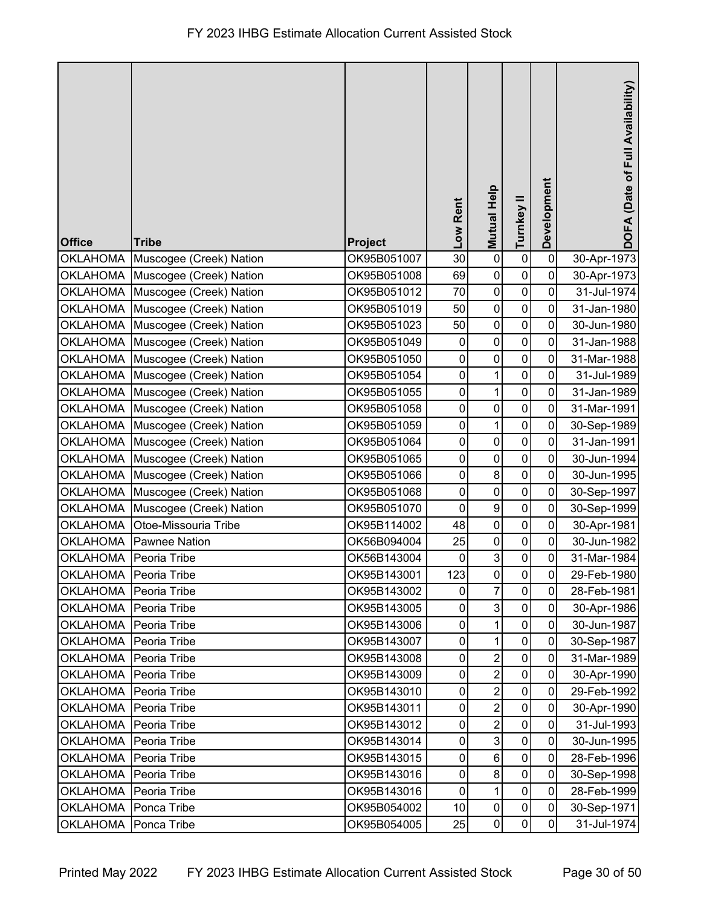| <b>Office</b>         | <b>Tribe</b>                     | <b>Project</b> | Low Rent    | <b>Mutual Help</b> | Turnkey II     | Development    | DOFA (Date of Full Availability) |
|-----------------------|----------------------------------|----------------|-------------|--------------------|----------------|----------------|----------------------------------|
|                       | OKLAHOMA Muscogee (Creek) Nation | OK95B051007    | 30          | $\pmb{0}$          | $\pmb{0}$      | $\pmb{0}$      | 30-Apr-1973                      |
|                       | OKLAHOMA Muscogee (Creek) Nation | OK95B051008    | 69          | $\pmb{0}$          | $\pmb{0}$      | $\mathbf 0$    | 30-Apr-1973                      |
|                       | OKLAHOMA Muscogee (Creek) Nation | OK95B051012    | 70          | $\pmb{0}$          | $\pmb{0}$      | $\mathbf 0$    | 31-Jul-1974                      |
| <b>OKLAHOMA</b>       | Muscogee (Creek) Nation          | OK95B051019    | 50          | $\pmb{0}$          | $\pmb{0}$      | 0              | 31-Jan-1980                      |
|                       | OKLAHOMA Muscogee (Creek) Nation | OK95B051023    | 50          | $\pmb{0}$          | $\pmb{0}$      | 0              | 30-Jun-1980                      |
| <b>OKLAHOMA</b>       | Muscogee (Creek) Nation          | OK95B051049    | $\mathbf 0$ | $\pmb{0}$          | $\pmb{0}$      | 0              | 31-Jan-1988                      |
|                       | OKLAHOMA Muscogee (Creek) Nation | OK95B051050    | $\pmb{0}$   | $\pmb{0}$          | $\pmb{0}$      | 0              | 31-Mar-1988                      |
| <b>OKLAHOMA</b>       | Muscogee (Creek) Nation          | OK95B051054    | $\pmb{0}$   | $\mathbf 1$        | $\pmb{0}$      | $\mathbf 0$    | 31-Jul-1989                      |
| <b>OKLAHOMA</b>       | Muscogee (Creek) Nation          | OK95B051055    | $\pmb{0}$   | $\mathbf 1$        | $\pmb{0}$      | 0              | 31-Jan-1989                      |
|                       | OKLAHOMA Muscogee (Creek) Nation | OK95B051058    | $\pmb{0}$   | $\pmb{0}$          | $\pmb{0}$      | 0              | 31-Mar-1991                      |
| <b>OKLAHOMA</b>       | Muscogee (Creek) Nation          | OK95B051059    | $\pmb{0}$   | $\mathbf{1}$       | $\pmb{0}$      | 0              | 30-Sep-1989                      |
|                       | OKLAHOMA Muscogee (Creek) Nation | OK95B051064    | $\pmb{0}$   | $\mathbf 0$        | $\mathbf 0$    | $\mathbf 0$    | 31-Jan-1991                      |
| OKLAHOMA              | Muscogee (Creek) Nation          | OK95B051065    | $\pmb{0}$   | $\pmb{0}$          | $\pmb{0}$      | 0              | 30-Jun-1994                      |
| <b>OKLAHOMA</b>       | Muscogee (Creek) Nation          | OK95B051066    | $\mathbf 0$ | 8                  | $\pmb{0}$      | 0              | 30-Jun-1995                      |
| <b>OKLAHOMA</b>       | Muscogee (Creek) Nation          | OK95B051068    | $\pmb{0}$   | $\pmb{0}$          | $\pmb{0}$      | 0              | 30-Sep-1997                      |
| <b>OKLAHOMA</b>       | Muscogee (Creek) Nation          | OK95B051070    | $\mathbf 0$ | $\boldsymbol{9}$   | $\pmb{0}$      | 0              | 30-Sep-1999                      |
| <b>OKLAHOMA</b>       | Otoe-Missouria Tribe             | OK95B114002    | 48          | $\pmb{0}$          | $\pmb{0}$      | 0              | 30-Apr-1981                      |
| <b>OKLAHOMA</b>       | <b>Pawnee Nation</b>             | OK56B094004    | 25          | $\pmb{0}$          | $\pmb{0}$      | 0              | 30-Jun-1982                      |
| OKLAHOMA Peoria Tribe |                                  | OK56B143004    | $\pmb{0}$   | $\mathbf{3}$       | $\pmb{0}$      | $\mathbf 0$    | 31-Mar-1984                      |
| OKLAHOMA Peoria Tribe |                                  | OK95B143001    | 123         | $\pmb{0}$          | $\overline{0}$ | $\overline{0}$ | 29-Feb-1980                      |
| <b>OKLAHOMA</b>       | Peoria Tribe                     | OK95B143002    | $\mathbf 0$ | $\overline{7}$     | $\mathbf 0$    | 0              | 28-Feb-1981                      |
| <b>OKLAHOMA</b>       | Peoria Tribe                     | OK95B143005    | 0           | $\mathbf{3}$       | $\pmb{0}$      | $\mathbf 0$    | 30-Apr-1986                      |
| <b>OKLAHOMA</b>       | Peoria Tribe                     | OK95B143006    | 0           | 1                  | 0              | 0              | 30-Jun-1987                      |
| <b>OKLAHOMA</b>       | Peoria Tribe                     | OK95B143007    | $\pmb{0}$   | 1                  | $\mathbf 0$    | 0              | 30-Sep-1987                      |
| <b>OKLAHOMA</b>       | Peoria Tribe                     | OK95B143008    | 0           | $\overline{2}$     | 0              | $\mathbf 0$    | 31-Mar-1989                      |
| <b>OKLAHOMA</b>       | Peoria Tribe                     | OK95B143009    | 0           | $\overline{2}$     | $\pmb{0}$      | $\mathbf 0$    | 30-Apr-1990                      |
| <b>OKLAHOMA</b>       | Peoria Tribe                     | OK95B143010    | $\mathbf 0$ | $\overline{2}$     | $\pmb{0}$      | $\mathbf 0$    | 29-Feb-1992                      |
| <b>OKLAHOMA</b>       | Peoria Tribe                     | OK95B143011    | 0           | $\overline{2}$     | $\mathbf 0$    | $\mathbf 0$    | 30-Apr-1990                      |
| <b>OKLAHOMA</b>       | Peoria Tribe                     | OK95B143012    | 0           | $\boldsymbol{2}$   | $\pmb{0}$      | 0              | 31-Jul-1993                      |
| <b>OKLAHOMA</b>       | Peoria Tribe                     | OK95B143014    | 0           | $\mathbf{3}$       | $\mathbf 0$    | 0              | 30-Jun-1995                      |
| <b>OKLAHOMA</b>       | Peoria Tribe                     | OK95B143015    | 0           | $\,6$              | $\pmb{0}$      | $\mathbf 0$    | 28-Feb-1996                      |
| <b>OKLAHOMA</b>       | Peoria Tribe                     | OK95B143016    | 0           | $\bf 8$            | $\pmb{0}$      | $\mathbf 0$    | 30-Sep-1998                      |
| <b>OKLAHOMA</b>       | Peoria Tribe                     | OK95B143016    | $\mathbf 0$ | $\mathbf{1}$       | $\pmb{0}$      | $\mathbf 0$    | 28-Feb-1999                      |
| <b>OKLAHOMA</b>       | Ponca Tribe                      | OK95B054002    | 10          | $\pmb{0}$          | $\pmb{0}$      | $\mathbf 0$    | 30-Sep-1971                      |
| <b>OKLAHOMA</b>       | Ponca Tribe                      | OK95B054005    | 25          | $\pmb{0}$          | $\pmb{0}$      | $\mathbf 0$    | 31-Jul-1974                      |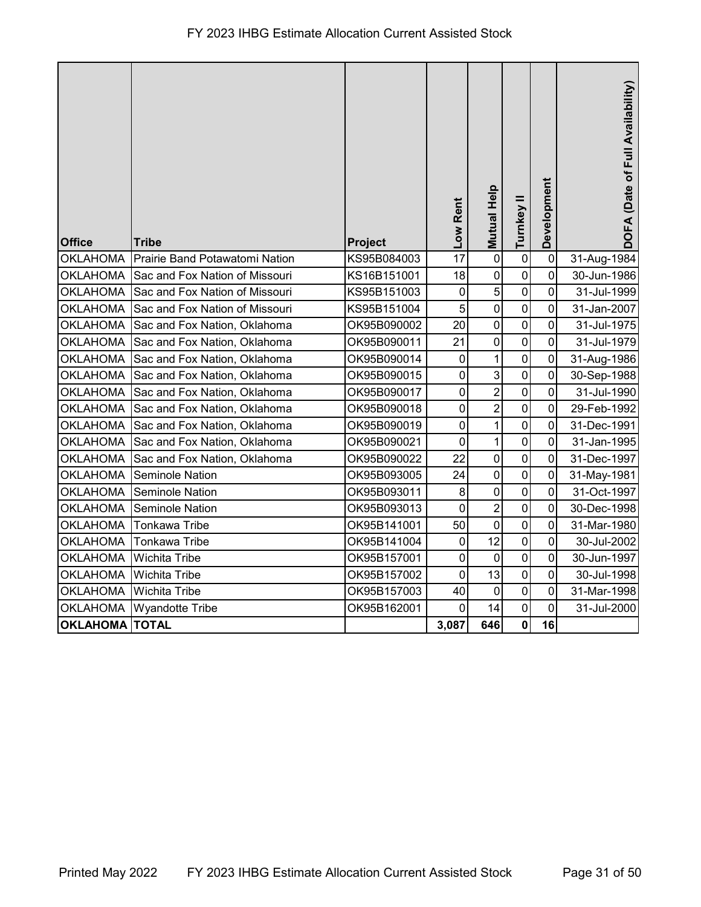| <b>Office</b>         | <b>Tribe</b>                   | Project     | Low Rent    | Mutual Help      | Turnkey II     | Development    | DOFA (Date of Full Availability) |
|-----------------------|--------------------------------|-------------|-------------|------------------|----------------|----------------|----------------------------------|
| <b>OKLAHOMA</b>       | Prairie Band Potawatomi Nation | KS95B084003 | 17          | $\mathbf 0$      | $\pmb{0}$      | $\mathbf 0$    | 31-Aug-1984                      |
| <b>OKLAHOMA</b>       | Sac and Fox Nation of Missouri | KS16B151001 | 18          | $\pmb{0}$        | $\pmb{0}$      | $\mathbf 0$    | 30-Jun-1986                      |
| <b>OKLAHOMA</b>       | Sac and Fox Nation of Missouri | KS95B151003 | $\mathbf 0$ | 5                | $\pmb{0}$      | $\overline{0}$ | 31-Jul-1999                      |
| <b>OKLAHOMA</b>       | Sac and Fox Nation of Missouri | KS95B151004 | 5           | $\pmb{0}$        | $\mathbf 0$    | 0              | 31-Jan-2007                      |
| <b>OKLAHOMA</b>       | Sac and Fox Nation, Oklahoma   | OK95B090002 | 20          | $\mathbf 0$      | $\mathbf 0$    | $\mathbf 0$    | 31-Jul-1975                      |
| <b>OKLAHOMA</b>       | Sac and Fox Nation, Oklahoma   | OK95B090011 | 21          | $\mathbf 0$      | $\pmb{0}$      | 0              | 31-Jul-1979                      |
| <b>OKLAHOMA</b>       | Sac and Fox Nation, Oklahoma   | OK95B090014 | $\mathbf 0$ | 1                | $\pmb{0}$      | 0              | 31-Aug-1986                      |
| <b>OKLAHOMA</b>       | Sac and Fox Nation, Oklahoma   | OK95B090015 | $\mathbf 0$ | 3                | $\pmb{0}$      | $\mathbf 0$    | 30-Sep-1988                      |
| <b>OKLAHOMA</b>       | Sac and Fox Nation, Oklahoma   | OK95B090017 | $\pmb{0}$   | $\overline{2}$   | $\pmb{0}$      | $\mathbf 0$    | 31-Jul-1990                      |
| <b>OKLAHOMA</b>       | Sac and Fox Nation, Oklahoma   | OK95B090018 | 0           | $\overline{c}$   | $\mathbf 0$    | $\mathbf 0$    | 29-Feb-1992                      |
| <b>OKLAHOMA</b>       | Sac and Fox Nation, Oklahoma   | OK95B090019 | $\mathbf 0$ | $\mathbf 1$      | $\overline{0}$ | $\mathbf 0$    | 31-Dec-1991                      |
| <b>OKLAHOMA</b>       | Sac and Fox Nation, Oklahoma   | OK95B090021 | $\mathbf 0$ | $\mathbf{1}$     | $\pmb{0}$      | 0              | 31-Jan-1995                      |
| <b>OKLAHOMA</b>       | Sac and Fox Nation, Oklahoma   | OK95B090022 | 22          | $\mathbf 0$      | $\pmb{0}$      | 0              | 31-Dec-1997                      |
| <b>OKLAHOMA</b>       | Seminole Nation                | OK95B093005 | 24          | $\pmb{0}$        | $\pmb{0}$      | $\mathbf 0$    | 31-May-1981                      |
| <b>OKLAHOMA</b>       | Seminole Nation                | OK95B093011 | 8           | $\boldsymbol{0}$ | $\pmb{0}$      | $\mathbf 0$    | 31-Oct-1997                      |
| <b>OKLAHOMA</b>       | <b>Seminole Nation</b>         | OK95B093013 | 0           | $\overline{2}$   | $\pmb{0}$      | $\mathbf 0$    | 30-Dec-1998                      |
| <b>OKLAHOMA</b>       | <b>Tonkawa Tribe</b>           | OK95B141001 | 50          | $\boldsymbol{0}$ | 0              | $\mathbf 0$    | 31-Mar-1980                      |
| <b>OKLAHOMA</b>       | Tonkawa Tribe                  | OK95B141004 | $\pmb{0}$   | 12               | $\pmb{0}$      | 0              | 30-Jul-2002                      |
| <b>OKLAHOMA</b>       | Wichita Tribe                  | OK95B157001 | $\mathbf 0$ | $\mathbf 0$      | $\mathbf 0$    | 0              | 30-Jun-1997                      |
| <b>OKLAHOMA</b>       | Wichita Tribe                  | OK95B157002 | $\mathbf 0$ | 13               | $\pmb{0}$      | $\mathbf 0$    | 30-Jul-1998                      |
| <b>OKLAHOMA</b>       | Wichita Tribe                  | OK95B157003 | 40          | $\pmb{0}$        | $\mathbf 0$    | $\mathbf 0$    | 31-Mar-1998                      |
| <b>OKLAHOMA</b>       | <b>Wyandotte Tribe</b>         | OK95B162001 | $\mathbf 0$ | 14               | $\mathbf 0$    | $\mathbf 0$    | 31-Jul-2000                      |
| <b>OKLAHOMA TOTAL</b> |                                |             | 3,087       | 646              | $\mathbf 0$    | 16             |                                  |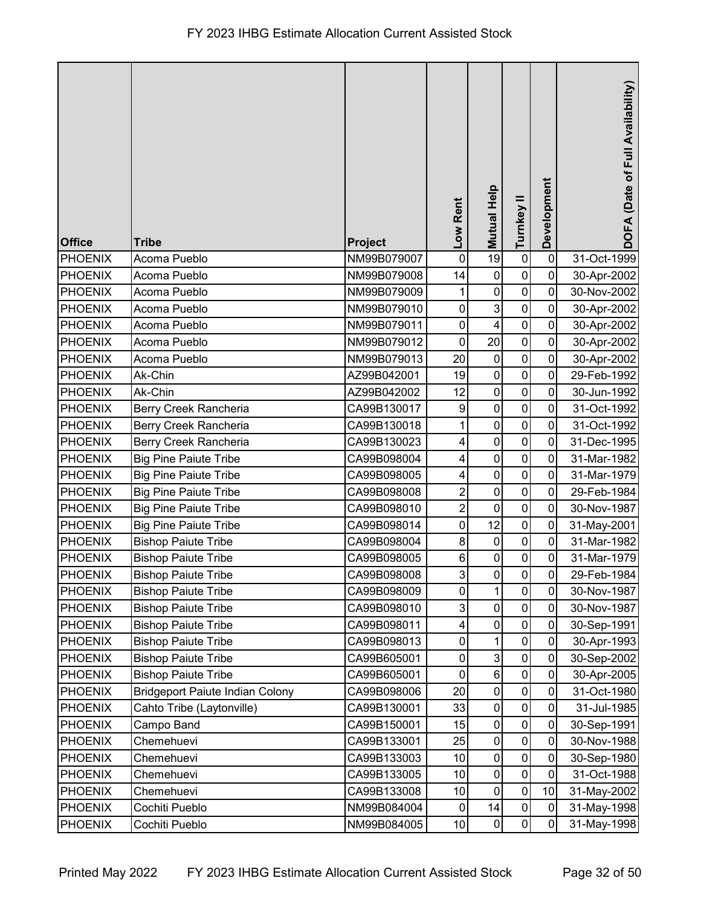| <b>Office</b>  | <b>Tribe</b>                           | Project     | Low Rent        | Mutual Help             | Turnkey II          | Development    | DOFA (Date of Full Availability) |
|----------------|----------------------------------------|-------------|-----------------|-------------------------|---------------------|----------------|----------------------------------|
| <b>PHOENIX</b> | Acoma Pueblo                           | NM99B079007 | $\pmb{0}$       | 19                      | $\pmb{0}$           | $\mathbf 0$    | 31-Oct-1999                      |
| <b>PHOENIX</b> | Acoma Pueblo                           | NM99B079008 | 14              | $\pmb{0}$               | $\mathbf 0$         | $\mathbf 0$    | 30-Apr-2002                      |
| <b>PHOENIX</b> | Acoma Pueblo                           | NM99B079009 |                 | $\mathbf 0$             | $\pmb{0}$           | $\mathbf 0$    | 30-Nov-2002                      |
| <b>PHOENIX</b> | Acoma Pueblo                           | NM99B079010 | 0               | $\mathbf{3}$            | $\pmb{0}$           | 0              | 30-Apr-2002                      |
| <b>PHOENIX</b> | Acoma Pueblo                           | NM99B079011 | $\mathbf 0$     | $\overline{\mathbf{4}}$ | $\pmb{0}$           | $\mathbf 0$    | 30-Apr-2002                      |
| <b>PHOENIX</b> | Acoma Pueblo                           | NM99B079012 | 0               | 20                      | $\pmb{0}$           | $\mathbf 0$    | 30-Apr-2002                      |
| <b>PHOENIX</b> | Acoma Pueblo                           | NM99B079013 | 20              | $\mathbf 0$             | $\pmb{0}$           | $\mathbf 0$    | 30-Apr-2002                      |
| <b>PHOENIX</b> | Ak-Chin                                | AZ99B042001 | 19              | $\pmb{0}$               | $\pmb{0}$           | $\mathbf 0$    | 29-Feb-1992                      |
| <b>PHOENIX</b> | Ak-Chin                                | AZ99B042002 | 12              | $\mathbf 0$             | $\pmb{0}$           | 0              | 30-Jun-1992                      |
| <b>PHOENIX</b> | Berry Creek Rancheria                  | CA99B130017 | 9               | $\mathbf 0$             | $\pmb{0}$           | $\mathbf 0$    | 31-Oct-1992                      |
| <b>PHOENIX</b> | Berry Creek Rancheria                  | CA99B130018 |                 | $\pmb{0}$               | $\mathbf 0$         | $\mathbf 0$    | 31-Oct-1992                      |
| <b>PHOENIX</b> | Berry Creek Rancheria                  | CA99B130023 | 4               | $\mathbf 0$             | $\mathbf 0$         | 0              | 31-Dec-1995                      |
| <b>PHOENIX</b> | <b>Big Pine Paiute Tribe</b>           | CA99B098004 | 4               | $\pmb{0}$               | $\pmb{0}$           | $\mathbf 0$    | 31-Mar-1982                      |
| <b>PHOENIX</b> | <b>Big Pine Paiute Tribe</b>           | CA99B098005 | 4               | $\mathbf 0$             | $\pmb{0}$           | 0              | 31-Mar-1979                      |
| <b>PHOENIX</b> | <b>Big Pine Paiute Tribe</b>           | CA99B098008 | $\overline{2}$  | $\pmb{0}$               | $\pmb{0}$           | $\mathbf 0$    | 29-Feb-1984                      |
| <b>PHOENIX</b> | <b>Big Pine Paiute Tribe</b>           | CA99B098010 | $\overline{2}$  | $\mathbf 0$             | $\mathsf 0$         | 0              | 30-Nov-1987                      |
| <b>PHOENIX</b> | <b>Big Pine Paiute Tribe</b>           | CA99B098014 | $\pmb{0}$       | 12                      | $\pmb{0}$           | 0              | 31-May-2001                      |
| <b>PHOENIX</b> | <b>Bishop Paiute Tribe</b>             | CA99B098004 | 8               | $\pmb{0}$               | $\mathbf 0$         | $\mathbf 0$    | 31-Mar-1982                      |
| <b>PHOENIX</b> | <b>Bishop Paiute Tribe</b>             | CA99B098005 | 6               | $\mathbf 0$             | $\pmb{0}$           | $\mathbf 0$    | 31-Mar-1979                      |
| PHOENIX        | <b>Bishop Paiute Tribe</b>             | CA99B098008 | $\mathbf{3}$    | $\pmb{0}$               | $\overline{0}$      | $\overline{0}$ | 29-Feb-1984                      |
| <b>PHOENIX</b> | <b>Bishop Paiute Tribe</b>             | CA99B098009 | $\pmb{0}$       | $\mathbf{1}$            | $\mathsf{O}\xspace$ | 0              | 30-Nov-1987                      |
| <b>PHOENIX</b> | <b>Bishop Paiute Tribe</b>             | CA99B098010 | 3               | $\pmb{0}$               | $\pmb{0}$           | $\mathbf 0$    | 30-Nov-1987                      |
| <b>PHOENIX</b> | <b>Bishop Paiute Tribe</b>             | CA99B098011 | 4               | $\pmb{0}$               | 0                   | 0              | 30-Sep-1991                      |
| <b>PHOENIX</b> | <b>Bishop Paiute Tribe</b>             | CA99B098013 | 0               | 1                       | $\mathbf 0$         | $\mathbf 0$    | 30-Apr-1993                      |
| <b>PHOENIX</b> | <b>Bishop Paiute Tribe</b>             | CA99B605001 | 0               | 3                       | 0                   | $\mathbf 0$    | 30-Sep-2002                      |
| <b>PHOENIX</b> | <b>Bishop Paiute Tribe</b>             | CA99B605001 | $\pmb{0}$       | $\,6$                   | $\pmb{0}$           | $\mathbf 0$    | 30-Apr-2005                      |
| <b>PHOENIX</b> | <b>Bridgeport Paiute Indian Colony</b> | CA99B098006 | 20              | $\pmb{0}$               | $\pmb{0}$           | $\mathbf 0$    | 31-Oct-1980                      |
| <b>PHOENIX</b> | Cahto Tribe (Laytonville)              | CA99B130001 | 33              | $\pmb{0}$               | $\mathbf 0$         | 0              | 31-Jul-1985                      |
| <b>PHOENIX</b> | Campo Band                             | CA99B150001 | 15              | $\pmb{0}$               | $\pmb{0}$           | $\mathbf 0$    | 30-Sep-1991                      |
| <b>PHOENIX</b> | Chemehuevi                             | CA99B133001 | 25              | $\pmb{0}$               | $\mathbf 0$         | 0              | 30-Nov-1988                      |
| <b>PHOENIX</b> | Chemehuevi                             | CA99B133003 | 10              | $\mathbf 0$             | $\pmb{0}$           | $\mathbf 0$    | 30-Sep-1980                      |
| <b>PHOENIX</b> | Chemehuevi                             | CA99B133005 | 10              | $\mathbf 0$             | $\pmb{0}$           | $\mathbf 0$    | 31-Oct-1988                      |
| <b>PHOENIX</b> | Chemehuevi                             | CA99B133008 | 10              | $\mathbf 0$             | $\pmb{0}$           | 10             | 31-May-2002                      |
| <b>PHOENIX</b> | Cochiti Pueblo                         | NM99B084004 | $\pmb{0}$       | 14                      | $\pmb{0}$           | $\mathbf 0$    | 31-May-1998                      |
| <b>PHOENIX</b> | Cochiti Pueblo                         | NM99B084005 | 10 <sup>1</sup> | $\pmb{0}$               | 0                   | 0              | 31-May-1998                      |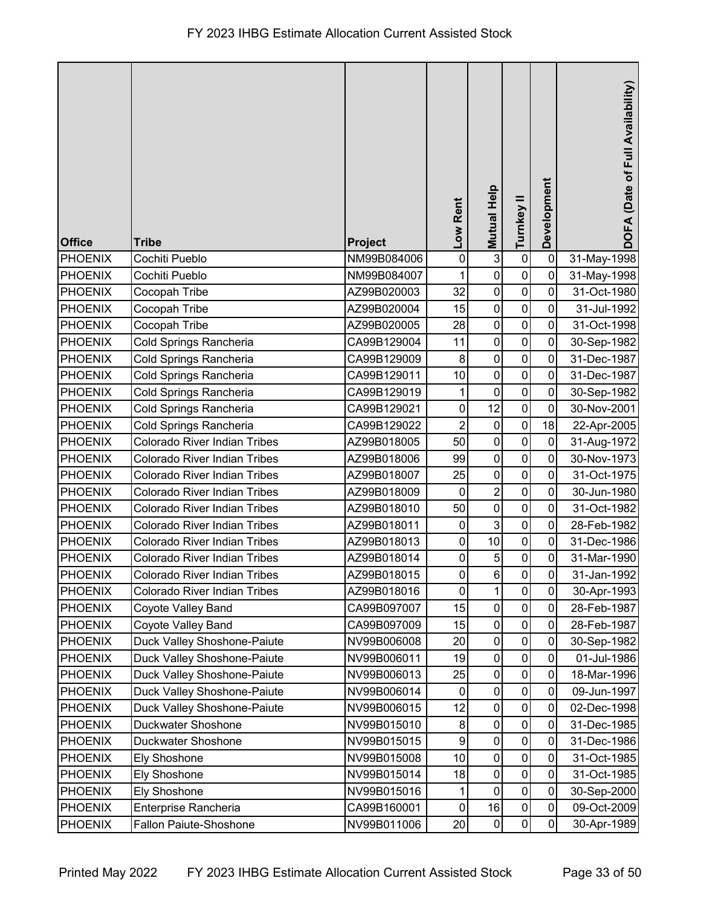| <b>Office</b>  | <b>Tribe</b>                        | Project     | Low Rent     | Mutual Help    | Turnkey II  | Development    | DOFA (Date of Full Availability) |
|----------------|-------------------------------------|-------------|--------------|----------------|-------------|----------------|----------------------------------|
| <b>PHOENIX</b> | Cochiti Pueblo                      | NM99B084006 | $\pmb{0}$    | $\mathbf{3}$   | $\pmb{0}$   | $\mathbf 0$    | 31-May-1998                      |
| <b>PHOENIX</b> | Cochiti Pueblo                      | NM99B084007 |              | $\mathbf 0$    | $\mathbf 0$ | 0              | 31-May-1998                      |
| <b>PHOENIX</b> | Cocopah Tribe                       | AZ99B020003 | 32           | $\mathbf 0$    | $\mathbf 0$ | $\mathbf 0$    | 31-Oct-1980                      |
| <b>PHOENIX</b> | Cocopah Tribe                       | AZ99B020004 | 15           | $\pmb{0}$      | $\mathbf 0$ | 0              | 31-Jul-1992                      |
| <b>PHOENIX</b> | Cocopah Tribe                       | AZ99B020005 | 28           | $\mathbf 0$    | $\mathbf 0$ | $\overline{0}$ | 31-Oct-1998                      |
| <b>PHOENIX</b> | Cold Springs Rancheria              | CA99B129004 | 11           | $\mathbf 0$    | $\pmb{0}$   | $\mathbf 0$    | 30-Sep-1982                      |
| <b>PHOENIX</b> | Cold Springs Rancheria              | CA99B129009 | 8            | $\mathbf 0$    | $\mathbf 0$ | 0              | 31-Dec-1987                      |
| <b>PHOENIX</b> | Cold Springs Rancheria              | CA99B129011 | 10           | $\pmb{0}$      | $\pmb{0}$   | 0              | 31-Dec-1987                      |
| <b>PHOENIX</b> | Cold Springs Rancheria              | CA99B129019 |              | $\mathbf 0$    | $\pmb{0}$   | 0              | 30-Sep-1982                      |
| <b>PHOENIX</b> | Cold Springs Rancheria              | CA99B129021 | $\pmb{0}$    | 12             | $\pmb{0}$   | $\mathbf 0$    | 30-Nov-2001                      |
| <b>PHOENIX</b> | Cold Springs Rancheria              | CA99B129022 | 2            | $\pmb{0}$      | $\mathbf 0$ | 18             | 22-Apr-2005                      |
| <b>PHOENIX</b> | Colorado River Indian Tribes        | AZ99B018005 | 50           | $\mathbf 0$    | $\pmb{0}$   | $\mathbf 0$    | 31-Aug-1972                      |
| <b>PHOENIX</b> | Colorado River Indian Tribes        | AZ99B018006 | 99           | $\pmb{0}$      | $\pmb{0}$   | $\pmb{0}$      | 30-Nov-1973                      |
| <b>PHOENIX</b> | Colorado River Indian Tribes        | AZ99B018007 | 25           | $\pmb{0}$      | $\pmb{0}$   | 0              | 31-Oct-1975                      |
| <b>PHOENIX</b> | Colorado River Indian Tribes        | AZ99B018009 | $\pmb{0}$    | $\overline{c}$ | $\pmb{0}$   | $\mathbf 0$    | 30-Jun-1980                      |
| <b>PHOENIX</b> | Colorado River Indian Tribes        | AZ99B018010 | 50           | $\pmb{0}$      | $\mathbf 0$ | 0              | 31-Oct-1982                      |
| <b>PHOENIX</b> | Colorado River Indian Tribes        | AZ99B018011 | $\pmb{0}$    | $\mathbf{3}$   | $\pmb{0}$   | 0              | 28-Feb-1982                      |
| <b>PHOENIX</b> | Colorado River Indian Tribes        | AZ99B018013 | 0            | 10             | $\mathsf 0$ | 0              | 31-Dec-1986                      |
| <b>PHOENIX</b> | Colorado River Indian Tribes        | AZ99B018014 | $\pmb{0}$    | 5              | $\pmb{0}$   | $\pmb{0}$      | 31-Mar-1990                      |
| PHOENIX        | Colorado River Indian Tribes        | AZ99B018015 | $\mathbf{0}$ | 6              | $\mathbf 0$ | $\pmb{0}$      | 31-Jan-1992                      |
| <b>PHOENIX</b> | <b>Colorado River Indian Tribes</b> | AZ99B018016 | $\mathbf 0$  | $\mathbf{1}$   | $\mathbf 0$ | 0              | 30-Apr-1993                      |
| <b>PHOENIX</b> | Coyote Valley Band                  | CA99B097007 | 15           | $\pmb{0}$      | $\pmb{0}$   | 0              | 28-Feb-1987                      |
| <b>PHOENIX</b> | Coyote Valley Band                  | CA99B097009 | 15           | $\pmb{0}$      | 0           | 0              | 28-Feb-1987                      |
| <b>PHOENIX</b> | Duck Valley Shoshone-Paiute         | NV99B006008 | 20           | $\mathbf 0$    | $\pmb{0}$   | 0              | 30-Sep-1982                      |
| <b>PHOENIX</b> | Duck Valley Shoshone-Paiute         | NV99B006011 | 19           | $\mathbf 0$    | $\pmb{0}$   | 0              | 01-Jul-1986                      |
| <b>PHOENIX</b> | Duck Valley Shoshone-Paiute         | NV99B006013 | 25           | $\pmb{0}$      | $\pmb{0}$   | $\mathbf 0$    | 18-Mar-1996                      |
| <b>PHOENIX</b> | <b>Duck Valley Shoshone-Paiute</b>  | NV99B006014 | 0            | $\pmb{0}$      | $\pmb{0}$   | $\mathbf 0$    | 09-Jun-1997                      |
| <b>PHOENIX</b> | Duck Valley Shoshone-Paiute         | NV99B006015 | 12           | $\pmb{0}$      | 0           | 0              | 02-Dec-1998                      |
| <b>PHOENIX</b> | Duckwater Shoshone                  | NV99B015010 | 8            | $\pmb{0}$      | $\mathbf 0$ | 0              | 31-Dec-1985                      |
| <b>PHOENIX</b> | Duckwater Shoshone                  | NV99B015015 | 9            | $\mathbf 0$    | $\mathbf 0$ | 0              | 31-Dec-1986                      |
| <b>PHOENIX</b> | Ely Shoshone                        | NV99B015008 | 10           | $\mathbf 0$    | $\pmb{0}$   | $\mathbf 0$    | 31-Oct-1985                      |
| <b>PHOENIX</b> | <b>Ely Shoshone</b>                 | NV99B015014 | 18           | $\pmb{0}$      | $\pmb{0}$   | $\mathbf 0$    | 31-Oct-1985                      |
| <b>PHOENIX</b> | <b>Ely Shoshone</b>                 | NV99B015016 | 1            | $\pmb{0}$      | $\pmb{0}$   | 0              | 30-Sep-2000                      |
| <b>PHOENIX</b> | Enterprise Rancheria                | CA99B160001 | $\pmb{0}$    | 16             | $\pmb{0}$   | $\pmb{0}$      | 09-Oct-2009                      |
| <b>PHOENIX</b> | <b>Fallon Paiute-Shoshone</b>       | NV99B011006 | 20           | $\pmb{0}$      | $\pmb{0}$   | $\mathbf 0$    | 30-Apr-1989                      |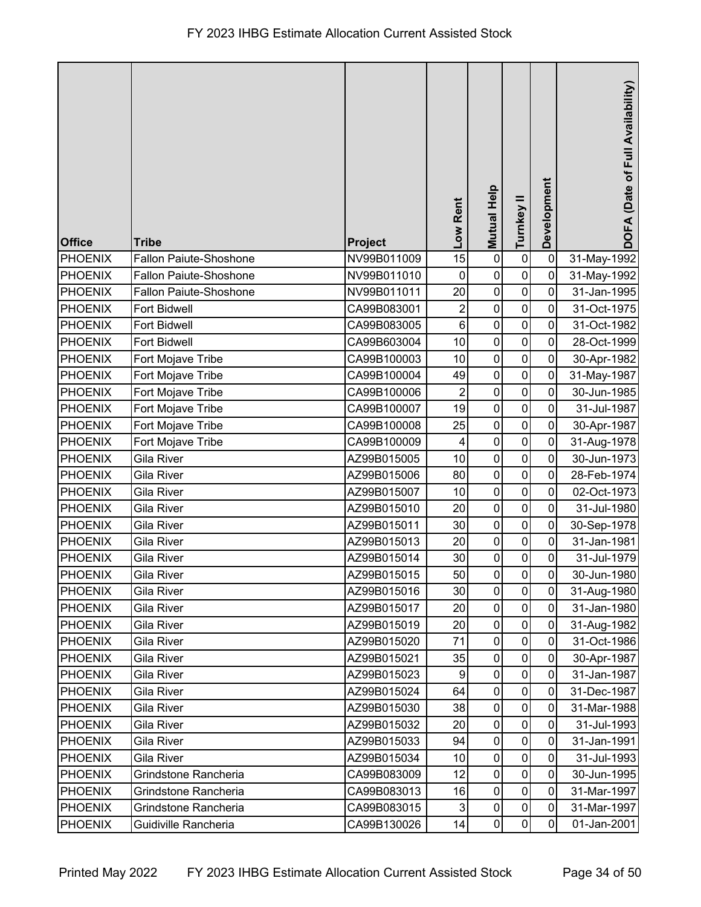| <b>Office</b>  | <b>Tribe</b>                  | Project     | Low Rent                  | Mutual Help      | Turnkey II     | Development | DOFA (Date of Full Availability) |
|----------------|-------------------------------|-------------|---------------------------|------------------|----------------|-------------|----------------------------------|
| <b>PHOENIX</b> | <b>Fallon Paiute-Shoshone</b> | NV99B011009 | 15                        | $\mathbf 0$      | $\pmb{0}$      | $\mathbf 0$ | 31-May-1992                      |
| <b>PHOENIX</b> | <b>Fallon Paiute-Shoshone</b> | NV99B011010 | $\mathbf 0$               | $\pmb{0}$        | $\pmb{0}$      | $\mathbf 0$ | 31-May-1992                      |
| <b>PHOENIX</b> | <b>Fallon Paiute-Shoshone</b> | NV99B011011 | 20                        | $\pmb{0}$        | $\pmb{0}$      | 0           | 31-Jan-1995                      |
| <b>PHOENIX</b> | Fort Bidwell                  | CA99B083001 | 2                         | $\pmb{0}$        | $\mathbf 0$    | 0           | 31-Oct-1975                      |
| <b>PHOENIX</b> | <b>Fort Bidwell</b>           | CA99B083005 | $6\phantom{1}6$           | $\mathbf 0$      | $\mathbf 0$    | 0           | 31-Oct-1982                      |
| <b>PHOENIX</b> | <b>Fort Bidwell</b>           | CA99B603004 | 10                        | $\pmb{0}$        | $\pmb{0}$      | $\mathbf 0$ | 28-Oct-1999                      |
| <b>PHOENIX</b> | Fort Mojave Tribe             | CA99B100003 | 10                        | $\pmb{0}$        | $\pmb{0}$      | $\mathbf 0$ | 30-Apr-1982                      |
| <b>PHOENIX</b> | Fort Mojave Tribe             | CA99B100004 | 49                        | $\pmb{0}$        | $\pmb{0}$      | $\mathbf 0$ | 31-May-1987                      |
| <b>PHOENIX</b> | Fort Mojave Tribe             | CA99B100006 | $\overline{2}$            | $\mathbf 0$      | $\pmb{0}$      | 0           | 30-Jun-1985                      |
| <b>PHOENIX</b> | Fort Mojave Tribe             | CA99B100007 | 19                        | $\pmb{0}$        | $\pmb{0}$      | 0           | 31-Jul-1987                      |
| <b>PHOENIX</b> | Fort Mojave Tribe             | CA99B100008 | 25                        | $\pmb{0}$        | $\pmb{0}$      | 0           | 30-Apr-1987                      |
| <b>PHOENIX</b> | Fort Mojave Tribe             | CA99B100009 | $\overline{4}$            | $\pmb{0}$        | $\mathbf 0$    | 0           | 31-Aug-1978                      |
| <b>PHOENIX</b> | Gila River                    | AZ99B015005 | 10                        | $\pmb{0}$        | $\pmb{0}$      | $\pmb{0}$   | 30-Jun-1973                      |
| PHOENIX        | Gila River                    | AZ99B015006 | 80                        | $\pmb{0}$        | $\pmb{0}$      | $\mathbf 0$ | 28-Feb-1974                      |
| <b>PHOENIX</b> | Gila River                    | AZ99B015007 | 10                        | $\pmb{0}$        | $\pmb{0}$      | $\mathbf 0$ | 02-Oct-1973                      |
| PHOENIX        | Gila River                    | AZ99B015010 | 20                        | $\pmb{0}$        | $\pmb{0}$      | 0           | 31-Jul-1980                      |
| <b>PHOENIX</b> | <b>Gila River</b>             | AZ99B015011 | 30                        | $\boldsymbol{0}$ | $\pmb{0}$      | $\mathbf 0$ | 30-Sep-1978                      |
| <b>PHOENIX</b> | Gila River                    | AZ99B015013 | 20                        | $\mathbf 0$      | $\pmb{0}$      | $\mathbf 0$ | 31-Jan-1981                      |
| <b>PHOENIX</b> | <b>Gila River</b>             | AZ99B015014 | 30                        | $\pmb{0}$        | $\pmb{0}$      | $\pmb{0}$   | 31-Jul-1979                      |
| PHOENIX        | Gila River                    | AZ99B015015 | 50                        | $\pmb{0}$        | $\overline{0}$ | $\pmb{0}$   | 30-Jun-1980                      |
| PHOENIX        | Gila River                    | AZ99B015016 | 30                        | $\mathbf 0$      | $\overline{0}$ | 0           | 31-Aug-1980                      |
| PHOENIX        | Gila River                    | AZ99B015017 | 20                        | $\pmb{0}$        | $\mathbf 0$    | $\mathbf 0$ | 31-Jan-1980                      |
| PHOENIX        | Gila River                    | AZ99B015019 | 20                        | 0                | 0              | 0           | 31-Aug-1982                      |
| <b>PHOENIX</b> | Gila River                    | AZ99B015020 | 71                        | $\mathbf 0$      | $\mathbf 0$    | $\mathbf 0$ | 31-Oct-1986                      |
| <b>PHOENIX</b> | Gila River                    | AZ99B015021 | 35                        | $\pmb{0}$        | $\pmb{0}$      | $\mathbf 0$ | 30-Apr-1987                      |
| <b>PHOENIX</b> | <b>Gila River</b>             | AZ99B015023 | $\boldsymbol{9}$          | $\pmb{0}$        | $\pmb{0}$      | $\mathbf 0$ | 31-Jan-1987                      |
| <b>PHOENIX</b> | Gila River                    | AZ99B015024 | 64                        | $\pmb{0}$        | $\mathbf 0$    | $\mathbf 0$ | 31-Dec-1987                      |
| PHOENIX        | Gila River                    | AZ99B015030 | 38                        | $\pmb{0}$        | $\pmb{0}$      | 0           | 31-Mar-1988                      |
| <b>PHOENIX</b> | Gila River                    | AZ99B015032 | 20                        | $\pmb{0}$        | $\mathbf 0$    | 0           | 31-Jul-1993                      |
| PHOENIX        | Gila River                    | AZ99B015033 | 94                        | $\pmb{0}$        | $\mathbf 0$    | $\mathbf 0$ | 31-Jan-1991                      |
| <b>PHOENIX</b> | Gila River                    | AZ99B015034 | 10                        | $\pmb{0}$        | $\pmb{0}$      | $\mathbf 0$ | 31-Jul-1993                      |
| PHOENIX        | Grindstone Rancheria          | CA99B083009 | 12                        | $\pmb{0}$        | $\pmb{0}$      | $\mathbf 0$ | 30-Jun-1995                      |
| <b>PHOENIX</b> | Grindstone Rancheria          | CA99B083013 | 16                        | $\pmb{0}$        | $\pmb{0}$      | 0           | 31-Mar-1997                      |
| <b>PHOENIX</b> | Grindstone Rancheria          | CA99B083015 | $\ensuremath{\mathsf{3}}$ | $\pmb{0}$        | 0              | $\mathbf 0$ | 31-Mar-1997                      |
| <b>PHOENIX</b> | Guidiville Rancheria          | CA99B130026 | 14                        | $\pmb{0}$        | $\pmb{0}$      | 0           | 01-Jan-2001                      |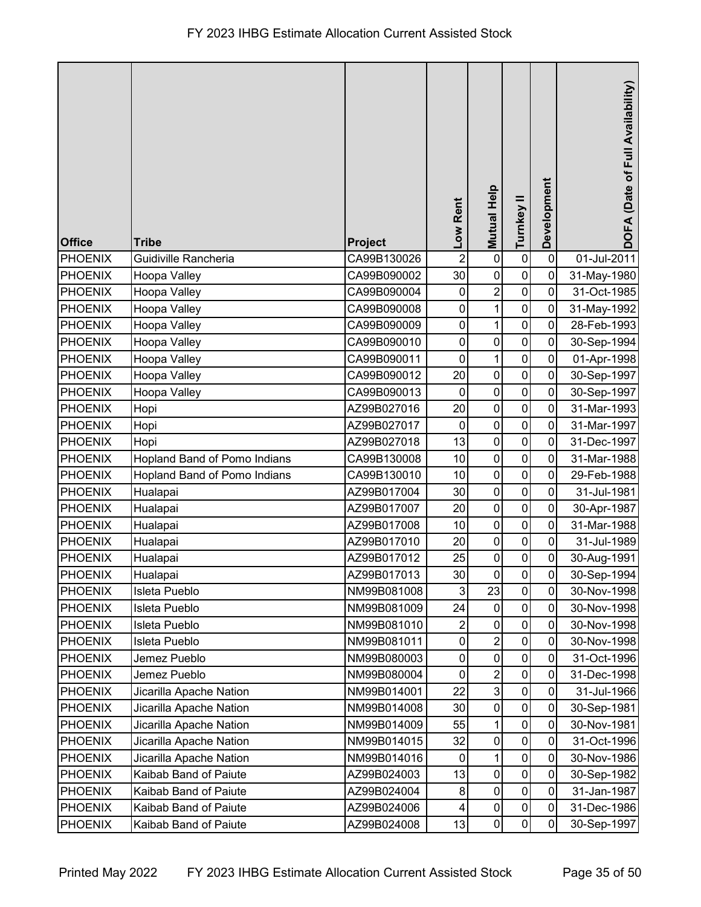| <b>Office</b>  | <b>Tribe</b>                 | Project     | Low Rent         | <b>Mutual Help</b> | Turnkey II          | Development    | DOFA (Date of Full Availability) |
|----------------|------------------------------|-------------|------------------|--------------------|---------------------|----------------|----------------------------------|
| <b>PHOENIX</b> | Guidiville Rancheria         | CA99B130026 | $\overline{2}$   | $\pmb{0}$          | $\pmb{0}$           | $\mathbf 0$    | 01-Jul-2011                      |
| <b>PHOENIX</b> | Hoopa Valley                 | CA99B090002 | 30               | $\mathbf 0$        | $\mathbf 0$         | $\mathbf 0$    | 31-May-1980                      |
| <b>PHOENIX</b> | Hoopa Valley                 | CA99B090004 | 0                | $\overline{c}$     | $\pmb{0}$           | $\mathbf 0$    | 31-Oct-1985                      |
| <b>PHOENIX</b> | Hoopa Valley                 | CA99B090008 | 0                | $\mathbf 1$        | $\pmb{0}$           | 0              | 31-May-1992                      |
| <b>PHOENIX</b> | Hoopa Valley                 | CA99B090009 | $\pmb{0}$        | $\mathbf{1}$       | $\pmb{0}$           | 0              | 28-Feb-1993                      |
| <b>PHOENIX</b> | Hoopa Valley                 | CA99B090010 | $\mathbf 0$      | $\pmb{0}$          | $\pmb{0}$           | 0              | 30-Sep-1994                      |
| <b>PHOENIX</b> | Hoopa Valley                 | CA99B090011 | $\mathbf 0$      | $\mathbf 1$        | $\mathbf 0$         | $\mathbf 0$    | 01-Apr-1998                      |
| <b>PHOENIX</b> | Hoopa Valley                 | CA99B090012 | 20               | $\pmb{0}$          | $\pmb{0}$           | $\mathbf 0$    | 30-Sep-1997                      |
| <b>PHOENIX</b> | Hoopa Valley                 | CA99B090013 | $\mathbf 0$      | $\mathbf 0$        | $\mathbf 0$         | $\mathbf 0$    | 30-Sep-1997                      |
| <b>PHOENIX</b> | Hopi                         | AZ99B027016 | 20               | $\mathbf 0$        | $\mathbf 0$         | $\mathbf 0$    | 31-Mar-1993                      |
| <b>PHOENIX</b> | Hopi                         | AZ99B027017 | $\mathbf 0$      | $\pmb{0}$          | $\mathbf 0$         | 0              | 31-Mar-1997                      |
| <b>PHOENIX</b> | Hopi                         | AZ99B027018 | 13               | $\overline{0}$     | $\mathbf 0$         | 0              | 31-Dec-1997                      |
| <b>PHOENIX</b> | Hopland Band of Pomo Indians | CA99B130008 | 10               | $\pmb{0}$          | $\pmb{0}$           | 0              | 31-Mar-1988                      |
| <b>PHOENIX</b> | Hopland Band of Pomo Indians | CA99B130010 | 10               | $\mathbf 0$        | $\pmb{0}$           | 0              | 29-Feb-1988                      |
| <b>PHOENIX</b> | Hualapai                     | AZ99B017004 | 30               | $\pmb{0}$          | $\pmb{0}$           | $\mathbf 0$    | 31-Jul-1981                      |
| <b>PHOENIX</b> | Hualapai                     | AZ99B017007 | 20               | $\pmb{0}$          | 0                   | 0              | 30-Apr-1987                      |
| <b>PHOENIX</b> | Hualapai                     | AZ99B017008 | 10               | $\mathbf 0$        | $\pmb{0}$           | 0              | 31-Mar-1988                      |
| <b>PHOENIX</b> | Hualapai                     | AZ99B017010 | 20               | $\pmb{0}$          | 0                   | 0              | 31-Jul-1989                      |
| <b>PHOENIX</b> | Hualapai                     | AZ99B017012 | 25               | $\mathbf 0$        | $\pmb{0}$           | $\pmb{0}$      | 30-Aug-1991                      |
| PHOENIX        | Hualapai                     | AZ99B017013 | $30\,$           | $\pmb{0}$          | $\overline{0}$      | $\overline{0}$ | 30-Sep-1994                      |
| <b>PHOENIX</b> | Isleta Pueblo                | NM99B081008 | 3                | 23                 | $\mathsf{O}\xspace$ | 0              | 30-Nov-1998                      |
| <b>PHOENIX</b> | Isleta Pueblo                | NM99B081009 | 24               | $\pmb{0}$          | $\pmb{0}$           | $\mathbf 0$    | 30-Nov-1998                      |
| <b>PHOENIX</b> | Isleta Pueblo                | NM99B081010 | 2                | $\pmb{0}$          | 0                   | 0              | 30-Nov-1998                      |
| <b>PHOENIX</b> | Isleta Pueblo                | NM99B081011 | 0                | $\overline{2}$     | $\mathbf 0$         | 0              | 30-Nov-1998                      |
| <b>PHOENIX</b> | Jemez Pueblo                 | NM99B080003 | 0                | $\pmb{0}$          | 0                   | 0              | 31-Oct-1996                      |
| <b>PHOENIX</b> | Jemez Pueblo                 | NM99B080004 | $\pmb{0}$        | $\overline{c}$     | $\pmb{0}$           | 0              | 31-Dec-1998                      |
| <b>PHOENIX</b> | Jicarilla Apache Nation      | NM99B014001 | 22               | $\mathbf{3}$       | $\pmb{0}$           | $\mathbf 0$    | 31-Jul-1966                      |
| <b>PHOENIX</b> | Jicarilla Apache Nation      | NM99B014008 | 30               | $\pmb{0}$          | 0                   | 0              | 30-Sep-1981                      |
| <b>PHOENIX</b> | Jicarilla Apache Nation      | NM99B014009 | 55               | $\mathbf 1$        | $\mathsf 0$         | $\mathbf 0$    | 30-Nov-1981                      |
| <b>PHOENIX</b> | Jicarilla Apache Nation      | NM99B014015 | 32               | $\pmb{0}$          | $\mathbf 0$         | 0              | 31-Oct-1996                      |
| <b>PHOENIX</b> | Jicarilla Apache Nation      | NM99B014016 | $\boldsymbol{0}$ | $\mathbf 1$        | $\pmb{0}$           | $\mathbf 0$    | 30-Nov-1986                      |
| <b>PHOENIX</b> | Kaibab Band of Paiute        | AZ99B024003 | 13               | $\pmb{0}$          | $\pmb{0}$           | $\mathbf 0$    | 30-Sep-1982                      |
| <b>PHOENIX</b> | Kaibab Band of Paiute        | AZ99B024004 | 8                | $\mathbf 0$        | $\pmb{0}$           | $\mathbf 0$    | 31-Jan-1987                      |
| <b>PHOENIX</b> | Kaibab Band of Paiute        | AZ99B024006 | 4                | $\pmb{0}$          | $\pmb{0}$           | $\mathbf 0$    | 31-Dec-1986                      |
| <b>PHOENIX</b> | Kaibab Band of Paiute        | AZ99B024008 | 13               | $\pmb{0}$          | 0                   | 0              | 30-Sep-1997                      |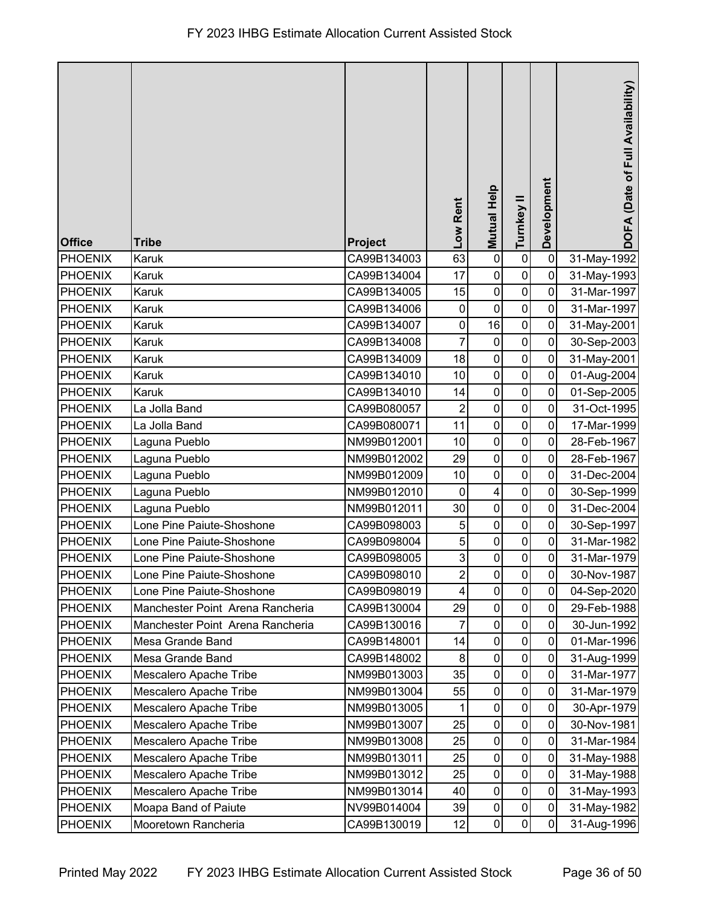| <b>Office</b>  | <b>Tribe</b>                     | Project     | Low Rent         | Mutual Help             | Turnkey II   | Development | DOFA (Date of Full Availability) |
|----------------|----------------------------------|-------------|------------------|-------------------------|--------------|-------------|----------------------------------|
| <b>PHOENIX</b> | Karuk                            | CA99B134003 | 63               | $\pmb{0}$               | $\pmb{0}$    | $\mathbf 0$ | 31-May-1992                      |
| <b>PHOENIX</b> | Karuk                            | CA99B134004 | 17               | $\pmb{0}$               | $\pmb{0}$    | $\mathbf 0$ | 31-May-1993                      |
| <b>PHOENIX</b> | Karuk                            | CA99B134005 | 15               | $\pmb{0}$               | $\pmb{0}$    | 0           | 31-Mar-1997                      |
| PHOENIX        | Karuk                            | CA99B134006 | $\boldsymbol{0}$ | $\pmb{0}$               | $\mathbf 0$  | 0           | 31-Mar-1997                      |
| <b>PHOENIX</b> | Karuk                            | CA99B134007 | $\boldsymbol{0}$ | 16                      | $\pmb{0}$    | $\mathbf 0$ | 31-May-2001                      |
| <b>PHOENIX</b> | Karuk                            | CA99B134008 | 7                | $\pmb{0}$               | $\pmb{0}$    | $\mathbf 0$ | 30-Sep-2003                      |
| <b>PHOENIX</b> | Karuk                            | CA99B134009 | 18               | $\pmb{0}$               | $\pmb{0}$    | $\mathbf 0$ | 31-May-2001                      |
| <b>PHOENIX</b> | Karuk                            | CA99B134010 | 10               | $\pmb{0}$               | $\pmb{0}$    | $\mathbf 0$ | 01-Aug-2004                      |
| <b>PHOENIX</b> | Karuk                            | CA99B134010 | 14               | $\mathbf 0$             | $\pmb{0}$    | 0           | 01-Sep-2005                      |
| <b>PHOENIX</b> | La Jolla Band                    | CA99B080057 | $\overline{2}$   | $\pmb{0}$               | $\pmb{0}$    | 0           | 31-Oct-1995                      |
| PHOENIX        | La Jolla Band                    | CA99B080071 | 11               | $\pmb{0}$               | $\mathbf 0$  | 0           | 17-Mar-1999                      |
| <b>PHOENIX</b> | Laguna Pueblo                    | NM99B012001 | 10               | $\pmb{0}$               | $\mathbf 0$  | 0           | 28-Feb-1967                      |
| <b>PHOENIX</b> | Laguna Pueblo                    | NM99B012002 | 29               | $\pmb{0}$               | $\pmb{0}$    | $\mathbf 0$ | 28-Feb-1967                      |
| <b>PHOENIX</b> | Laguna Pueblo                    | NM99B012009 | 10               | $\pmb{0}$               | $\pmb{0}$    | $\mathbf 0$ | 31-Dec-2004                      |
| <b>PHOENIX</b> | Laguna Pueblo                    | NM99B012010 | $\mathbf 0$      | $\overline{\mathbf{4}}$ | $\pmb{0}$    | $\mathbf 0$ | 30-Sep-1999                      |
| <b>PHOENIX</b> | Laguna Pueblo                    | NM99B012011 | 30               | $\pmb{0}$               | $\mathbf 0$  | 0           | 31-Dec-2004                      |
| <b>PHOENIX</b> | Lone Pine Paiute-Shoshone        | CA99B098003 | 5                | $\pmb{0}$               | $\pmb{0}$    | 0           | 30-Sep-1997                      |
| <b>PHOENIX</b> | Lone Pine Paiute-Shoshone        | CA99B098004 | 5                | $\pmb{0}$               | $\mathbf 0$  | $\mathbf 0$ | 31-Mar-1982                      |
| PHOENIX        | Lone Pine Paiute-Shoshone        | CA99B098005 | 3                | $\pmb{0}$               | $\pmb{0}$    | $\pmb{0}$   | 31-Mar-1979                      |
| PHOENIX        | Lone Pine Paiute-Shoshone        | CA99B098010 | $\overline{2}$   | $\mathsf{O}\xspace$     | $\mathbf{0}$ | $\pmb{0}$   | 30-Nov-1987                      |
| PHOENIX        | Lone Pine Paiute-Shoshone        | CA99B098019 | 4                | $\mathbf 0$             | $\mathbf 0$  | 0           | 04-Sep-2020                      |
| <b>PHOENIX</b> | Manchester Point Arena Rancheria | CA99B130004 | 29               | $\pmb{0}$               | $\pmb{0}$    | $\mathbf 0$ | 29-Feb-1988                      |
| PHOENIX        | Manchester Point Arena Rancheria | CA99B130016 |                  | $\pmb{0}$               | $\mathbf 0$  | 0           | 30-Jun-1992                      |
| <b>PHOENIX</b> | Mesa Grande Band                 | CA99B148001 | 14               | $\pmb{0}$               | $\pmb{0}$    | $\mathbf 0$ | 01-Mar-1996                      |
| <b>PHOENIX</b> | Mesa Grande Band                 | CA99B148002 | 8                | $\pmb{0}$               | $\pmb{0}$    | 0           | 31-Aug-1999                      |
| <b>PHOENIX</b> | Mescalero Apache Tribe           | NM99B013003 | 35               | $\pmb{0}$               | $\pmb{0}$    | $\mathbf 0$ | 31-Mar-1977                      |
| <b>PHOENIX</b> | Mescalero Apache Tribe           | NM99B013004 | 55               | $\pmb{0}$               | $\pmb{0}$    | $\mathbf 0$ | 31-Mar-1979                      |
| <b>PHOENIX</b> | Mescalero Apache Tribe           | NM99B013005 |                  | $\pmb{0}$               | $\mathbf 0$  | 0           | 30-Apr-1979                      |
| <b>PHOENIX</b> | Mescalero Apache Tribe           | NM99B013007 | 25               | $\pmb{0}$               | $\mathbf 0$  | 0           | 30-Nov-1981                      |
| <b>PHOENIX</b> | Mescalero Apache Tribe           | NM99B013008 | 25               | $\mathbf 0$             | $\mathbf 0$  | $\mathbf 0$ | 31-Mar-1984                      |
| <b>PHOENIX</b> | Mescalero Apache Tribe           | NM99B013011 | 25               | $\pmb{0}$               | $\pmb{0}$    | $\mathbf 0$ | 31-May-1988                      |
| <b>PHOENIX</b> | Mescalero Apache Tribe           | NM99B013012 | 25               | $\pmb{0}$               | $\pmb{0}$    | $\mathbf 0$ | 31-May-1988                      |
| <b>PHOENIX</b> | Mescalero Apache Tribe           | NM99B013014 | 40               | $\pmb{0}$               | $\pmb{0}$    | $\mathbf 0$ | 31-May-1993                      |
| <b>PHOENIX</b> | Moapa Band of Paiute             | NV99B014004 | 39               | $\pmb{0}$               | $\pmb{0}$    | $\mathbf 0$ | 31-May-1982                      |
| <b>PHOENIX</b> | Mooretown Rancheria              | CA99B130019 | 12               | $\pmb{0}$               | $\pmb{0}$    | $\mathbf 0$ | 31-Aug-1996                      |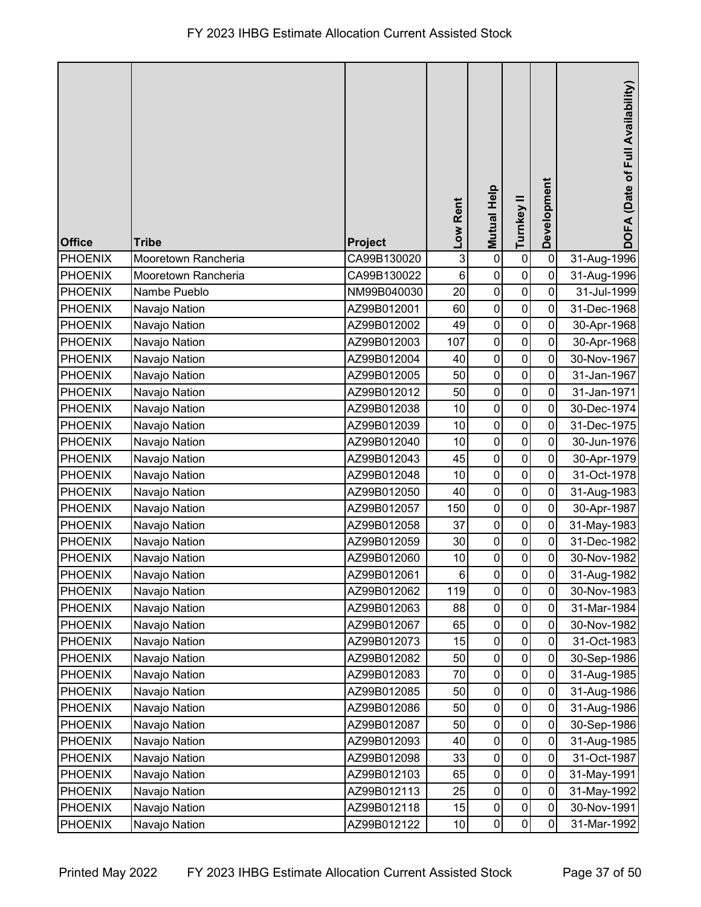|                |                     |                |                 |                    |             |                | (Date of Full Availability) |
|----------------|---------------------|----------------|-----------------|--------------------|-------------|----------------|-----------------------------|
|                |                     |                | Low Rent        | <b>Mutual Help</b> | Turnkey II  | Development    |                             |
|                |                     |                |                 |                    |             |                | <b>DOFA</b>                 |
| <b>Office</b>  | <b>Tribe</b>        | <b>Project</b> |                 |                    |             |                |                             |
| <b>PHOENIX</b> | Mooretown Rancheria | CA99B130020    | 3               | $\pmb{0}$          | $\pmb{0}$   | $\mathbf 0$    | 31-Aug-1996                 |
| <b>PHOENIX</b> | Mooretown Rancheria | CA99B130022    | $\,6$           | $\pmb{0}$          | $\pmb{0}$   | $\mathbf 0$    | 31-Aug-1996                 |
| <b>PHOENIX</b> | Nambe Pueblo        | NM99B040030    | 20              | $\pmb{0}$          | $\pmb{0}$   | $\mathbf 0$    | 31-Jul-1999                 |
| <b>PHOENIX</b> | Navajo Nation       | AZ99B012001    | 60              | $\pmb{0}$          | $\pmb{0}$   | $\mathbf 0$    | 31-Dec-1968                 |
| <b>PHOENIX</b> | Navajo Nation       | AZ99B012002    | 49              | $\pmb{0}$          | $\pmb{0}$   | $\mathbf 0$    | 30-Apr-1968                 |
| <b>PHOENIX</b> | Navajo Nation       | AZ99B012003    | 107             | $\pmb{0}$          | $\mathbf 0$ | $\mathbf 0$    | 30-Apr-1968                 |
| <b>PHOENIX</b> | Navajo Nation       | AZ99B012004    | 40              | $\pmb{0}$          | $\pmb{0}$   | $\mathbf 0$    | 30-Nov-1967                 |
| <b>PHOENIX</b> | Navajo Nation       | AZ99B012005    | 50              | $\pmb{0}$          | $\pmb{0}$   | $\mathbf 0$    | 31-Jan-1967                 |
| <b>PHOENIX</b> | Navajo Nation       | AZ99B012012    | 50              | $\pmb{0}$          | $\pmb{0}$   | 0              | 31-Jan-1971                 |
| <b>PHOENIX</b> | Navajo Nation       | AZ99B012038    | 10              | $\pmb{0}$          | $\mathbf 0$ | $\mathbf 0$    | 30-Dec-1974                 |
| <b>PHOENIX</b> | Navajo Nation       | AZ99B012039    | 10              | $\pmb{0}$          | $\pmb{0}$   | $\pmb{0}$      | 31-Dec-1975                 |
| <b>PHOENIX</b> | Navajo Nation       | AZ99B012040    | 10              | $\pmb{0}$          | $\pmb{0}$   | $\overline{0}$ | 30-Jun-1976                 |
| <b>PHOENIX</b> | Navajo Nation       | AZ99B012043    | 45              | $\pmb{0}$          | $\mathbf 0$ | $\mathbf 0$    | 30-Apr-1979                 |
| <b>PHOENIX</b> | Navajo Nation       | AZ99B012048    | 10              | $\pmb{0}$          | $\mathbf 0$ | $\mathbf 0$    | 31-Oct-1978                 |
| <b>PHOENIX</b> | Navajo Nation       | AZ99B012050    | 40              | $\pmb{0}$          | $\pmb{0}$   | $\mathbf 0$    | 31-Aug-1983                 |
| <b>PHOENIX</b> | Navajo Nation       | AZ99B012057    | 150             | $\pmb{0}$          | $\mathbf 0$ | $\mathbf 0$    | 30-Apr-1987                 |
| <b>PHOENIX</b> | Navajo Nation       | AZ99B012058    | 37              | $\pmb{0}$          | $\pmb{0}$   | $\mathbf 0$    | 31-May-1983                 |
| <b>PHOENIX</b> | Navajo Nation       | AZ99B012059    | 30              | $\pmb{0}$          | $\pmb{0}$   | $\mathbf 0$    | 31-Dec-1982                 |
| <b>PHOENIX</b> | Navajo Nation       | AZ99B012060    | 10              | $\pmb{0}$          | $\pmb{0}$   | $\pmb{0}$      | 30-Nov-1982                 |
| PHOENIX        | Navajo Nation       | AZ99B012061    | $6 \mid$        | $\pmb{0}$          | 0           | $\mathbf 0$    | 31-Aug-1982                 |
| <b>PHOENIX</b> | Navajo Nation       | AZ99B012062    | 119             | $\pmb{0}$          | $\pmb{0}$   | 0              | 30-Nov-1983                 |
| <b>PHOENIX</b> | Navajo Nation       | AZ99B012063    | 88              | $\pmb{0}$          | $\pmb{0}$   | $\mathbf 0$    | 31-Mar-1984                 |
| <b>PHOENIX</b> | Navajo Nation       | AZ99B012067    | 65              | $\pmb{0}$          | $\pmb{0}$   | $\mathbf 0$    | 30-Nov-1982                 |
| <b>PHOENIX</b> | Navajo Nation       | AZ99B012073    | 15              | $\pmb{0}$          | $\pmb{0}$   | $\mathbf 0$    | 31-Oct-1983                 |
| <b>PHOENIX</b> | Navajo Nation       | AZ99B012082    | 50              | $\pmb{0}$          | $\pmb{0}$   | $\pmb{0}$      | 30-Sep-1986                 |
| <b>PHOENIX</b> | Navajo Nation       | AZ99B012083    | 70              | $\pmb{0}$          | $\pmb{0}$   | $\mathbf 0$    | 31-Aug-1985                 |
| <b>PHOENIX</b> | Navajo Nation       | AZ99B012085    | 50              | $\pmb{0}$          | $\pmb{0}$   | $\mathbf 0$    | 31-Aug-1986                 |
| <b>PHOENIX</b> | Navajo Nation       | AZ99B012086    | 50              | $\pmb{0}$          | $\pmb{0}$   | $\mathbf 0$    | 31-Aug-1986                 |
| <b>PHOENIX</b> | Navajo Nation       | AZ99B012087    | 50              | $\pmb{0}$          | $\pmb{0}$   | $\mathbf 0$    | 30-Sep-1986                 |
| <b>PHOENIX</b> | Navajo Nation       | AZ99B012093    | 40              | $\pmb{0}$          | $\pmb{0}$   | $\mathbf 0$    | 31-Aug-1985                 |
| <b>PHOENIX</b> | Navajo Nation       | AZ99B012098    | 33              | $\pmb{0}$          | $\pmb{0}$   | $\mathbf 0$    | 31-Oct-1987                 |
| <b>PHOENIX</b> | Navajo Nation       | AZ99B012103    | 65              | $\pmb{0}$          | $\pmb{0}$   | $\mathbf 0$    | 31-May-1991                 |
| <b>PHOENIX</b> | Navajo Nation       | AZ99B012113    | 25              | $\pmb{0}$          | $\pmb{0}$   | $\mathbf 0$    | 31-May-1992                 |
| <b>PHOENIX</b> | Navajo Nation       | AZ99B012118    | 15              | $\pmb{0}$          | $\pmb{0}$   | 0              | 30-Nov-1991                 |
| <b>PHOENIX</b> | Navajo Nation       | AZ99B012122    | 10 <sub>1</sub> | $\pmb{0}$          | $\pmb{0}$   | 0              | 31-Mar-1992                 |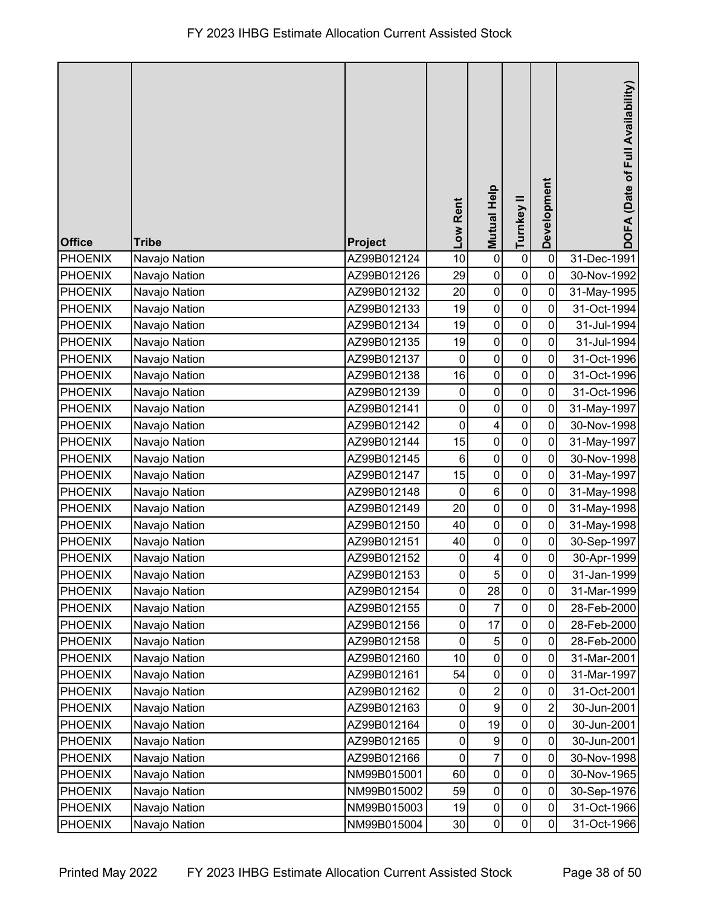| <b>Office</b>  | <b>Tribe</b>  | Project     | Low Rent     | Mutual Help             | Turnkey II   | Development      | DOFA (Date of Full Availability) |
|----------------|---------------|-------------|--------------|-------------------------|--------------|------------------|----------------------------------|
| <b>PHOENIX</b> | Navajo Nation | AZ99B012124 | 10           | $\pmb{0}$               | $\pmb{0}$    | $\mathbf 0$      | 31-Dec-1991                      |
| <b>PHOENIX</b> | Navajo Nation | AZ99B012126 | 29           | $\pmb{0}$               | $\pmb{0}$    | 0                | 30-Nov-1992                      |
| <b>PHOENIX</b> | Navajo Nation | AZ99B012132 | 20           | $\pmb{0}$               | $\pmb{0}$    | 0                | 31-May-1995                      |
| PHOENIX        | Navajo Nation | AZ99B012133 | 19           | $\pmb{0}$               | $\mathbf 0$  | 0                | 31-Oct-1994                      |
| <b>PHOENIX</b> | Navajo Nation | AZ99B012134 | 19           | $\pmb{0}$               | $\mathbf 0$  | 0                | 31-Jul-1994                      |
| <b>PHOENIX</b> | Navajo Nation | AZ99B012135 | 19           | $\pmb{0}$               | $\pmb{0}$    | 0                | 31-Jul-1994                      |
| <b>PHOENIX</b> | Navajo Nation | AZ99B012137 | $\mathbf 0$  | $\pmb{0}$               | $\pmb{0}$    | $\mathbf 0$      | 31-Oct-1996                      |
| <b>PHOENIX</b> | Navajo Nation | AZ99B012138 | 16           | $\pmb{0}$               | $\pmb{0}$    | $\mathbf 0$      | 31-Oct-1996                      |
| PHOENIX        | Navajo Nation | AZ99B012139 | $\pmb{0}$    | $\mathbf 0$             | $\pmb{0}$    | 0                | 31-Oct-1996                      |
| <b>PHOENIX</b> | Navajo Nation | AZ99B012141 | $\mathbf 0$  | $\pmb{0}$               | $\pmb{0}$    | 0                | 31-May-1997                      |
| PHOENIX        | Navajo Nation | AZ99B012142 | $\mathbf 0$  | $\overline{\mathbf{4}}$ | $\mathbf 0$  | 0                | 30-Nov-1998                      |
| <b>PHOENIX</b> | Navajo Nation | AZ99B012144 | 15           | $\pmb{0}$               | $\pmb{0}$    | 0                | 31-May-1997                      |
| <b>PHOENIX</b> | Navajo Nation | AZ99B012145 | $\,6$        | $\pmb{0}$               | $\pmb{0}$    | $\mathbf 0$      | 30-Nov-1998                      |
| PHOENIX        | Navajo Nation | AZ99B012147 | 15           | $\pmb{0}$               | $\pmb{0}$    | $\mathbf 0$      | 31-May-1997                      |
| <b>PHOENIX</b> | Navajo Nation | AZ99B012148 | $\mathbf 0$  | $\,6\,$                 | $\pmb{0}$    | $\mathbf 0$      | 31-May-1998                      |
| PHOENIX        | Navajo Nation | AZ99B012149 | 20           | $\pmb{0}$               | $\pmb{0}$    | $\mathbf 0$      | 31-May-1998                      |
| <b>PHOENIX</b> | Navajo Nation | AZ99B012150 | 40           | $\pmb{0}$               | $\pmb{0}$    | $\mathbf 0$      | 31-May-1998                      |
| PHOENIX        | Navajo Nation | AZ99B012151 | 40           | $\mathbf 0$             | $\pmb{0}$    | $\mathbf 0$      | 30-Sep-1997                      |
| <b>PHOENIX</b> | Navajo Nation | AZ99B012152 | $\pmb{0}$    | $\overline{\mathbf{4}}$ | $\pmb{0}$    | $\pmb{0}$        | 30-Apr-1999                      |
| PHOENIX        | Navajo Nation | AZ99B012153 | $\mathsf{O}$ | 5 <sup>1</sup>          | $\mathbf{0}$ | $\mathbf 0$      | 31-Jan-1999                      |
| <b>PHOENIX</b> | Navajo Nation | AZ99B012154 | 0            | 28                      | $\mathbf 0$  | 0                | 31-Mar-1999                      |
| <b>PHOENIX</b> | Navajo Nation | AZ99B012155 | 0            | 7                       | $\pmb{0}$    | $\mathbf 0$      | 28-Feb-2000                      |
| <b>PHOENIX</b> | Navajo Nation | AZ99B012156 | 0            | 17                      | $\mathbf 0$  | $\mathbf 0$      | 28-Feb-2000                      |
| <b>PHOENIX</b> | Navajo Nation | AZ99B012158 | $\pmb{0}$    | $\overline{5}$          | $\pmb{0}$    | $\mathbf 0$      | 28-Feb-2000                      |
| <b>PHOENIX</b> | Navajo Nation | AZ99B012160 | 10           | $\pmb{0}$               | $\pmb{0}$    | 0                | 31-Mar-2001                      |
| <b>PHOENIX</b> | Navajo Nation | AZ99B012161 | 54           | $\pmb{0}$               | $\pmb{0}$    | $\mathbf 0$      | 31-Mar-1997                      |
| <b>PHOENIX</b> | Navajo Nation | AZ99B012162 | $\pmb{0}$    | $\overline{2}$          | $\pmb{0}$    | $\mathbf 0$      | 31-Oct-2001                      |
| <b>PHOENIX</b> | Navajo Nation | AZ99B012163 | 0            | $\boldsymbol{9}$        | $\pmb{0}$    | $\boldsymbol{2}$ | 30-Jun-2001                      |
| <b>PHOENIX</b> | Navajo Nation | AZ99B012164 | 0            | 19                      | 0            | 0                | 30-Jun-2001                      |
| <b>PHOENIX</b> | Navajo Nation | AZ99B012165 | 0            | $\boldsymbol{9}$        | $\mathbf 0$  | $\pmb{0}$        | 30-Jun-2001                      |
| <b>PHOENIX</b> | Navajo Nation | AZ99B012166 | $\mathbf 0$  | $\overline{7}$          | $\pmb{0}$    | $\mathbf 0$      | 30-Nov-1998                      |
| <b>PHOENIX</b> | Navajo Nation | NM99B015001 | 60           | $\pmb{0}$               | $\pmb{0}$    | $\mathbf 0$      | 30-Nov-1965                      |
| <b>PHOENIX</b> | Navajo Nation | NM99B015002 | 59           | $\pmb{0}$               | $\pmb{0}$    | 0                | 30-Sep-1976                      |
| <b>PHOENIX</b> | Navajo Nation | NM99B015003 | 19           | $\pmb{0}$               | $\pmb{0}$    | $\pmb{0}$        | 31-Oct-1966                      |
| <b>PHOENIX</b> | Navajo Nation | NM99B015004 | 30           | $\pmb{0}$               | $\pmb{0}$    | $\mathbf 0$      | 31-Oct-1966                      |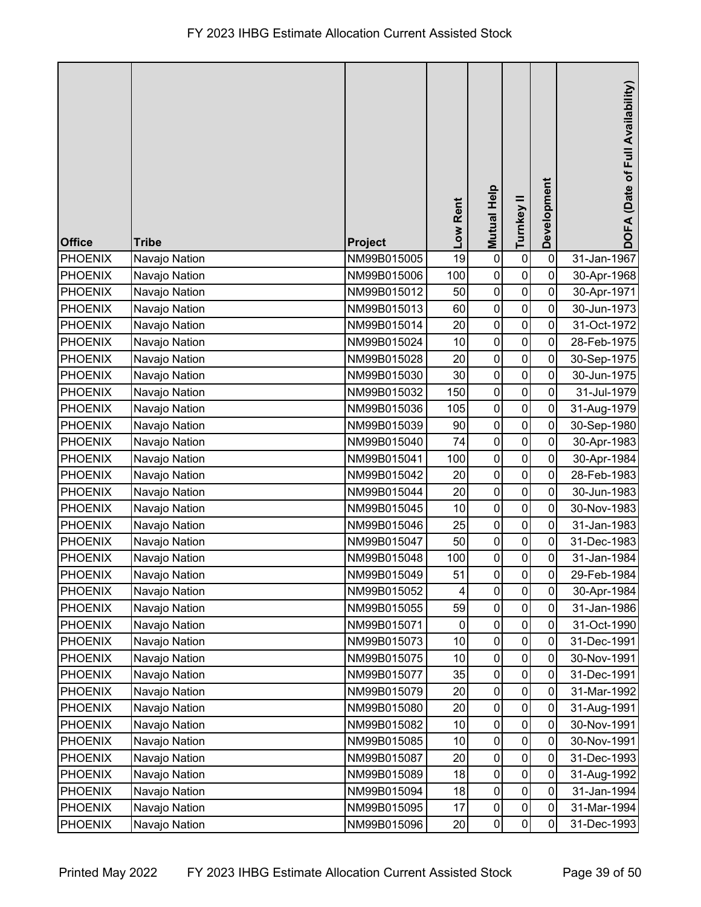| <b>Office</b>  | <b>Tribe</b>  | Project     | Low Rent | <b>Mutual Help</b> | Turnkey II          | Development | DOFA (Date of Full Availability) |
|----------------|---------------|-------------|----------|--------------------|---------------------|-------------|----------------------------------|
| <b>PHOENIX</b> | Navajo Nation | NM99B015005 | 19       | $\pmb{0}$          | $\pmb{0}$           | $\pmb{0}$   | 31-Jan-1967                      |
| <b>PHOENIX</b> | Navajo Nation | NM99B015006 | 100      | $\mathbf 0$        | $\pmb{0}$           | $\mathbf 0$ | 30-Apr-1968                      |
| <b>PHOENIX</b> | Navajo Nation | NM99B015012 | 50       | $\pmb{0}$          | $\pmb{0}$           | $\mathbf 0$ | 30-Apr-1971                      |
| <b>PHOENIX</b> | Navajo Nation | NM99B015013 | 60       | $\pmb{0}$          | $\pmb{0}$           | 0           | 30-Jun-1973                      |
| <b>PHOENIX</b> | Navajo Nation | NM99B015014 | 20       | $\mathbf 0$        | $\pmb{0}$           | 0           | 31-Oct-1972                      |
| <b>PHOENIX</b> | Navajo Nation | NM99B015024 | 10       | $\pmb{0}$          | $\pmb{0}$           | 0           | 28-Feb-1975                      |
| <b>PHOENIX</b> | Navajo Nation | NM99B015028 | 20       | $\mathbf 0$        | $\mathbf 0$         | 0           | 30-Sep-1975                      |
| <b>PHOENIX</b> | Navajo Nation | NM99B015030 | 30       | $\pmb{0}$          | $\pmb{0}$           | $\pmb{0}$   | 30-Jun-1975                      |
| <b>PHOENIX</b> | Navajo Nation | NM99B015032 | 150      | $\pmb{0}$          | $\pmb{0}$           | 0           | 31-Jul-1979                      |
| <b>PHOENIX</b> | Navajo Nation | NM99B015036 | 105      | $\pmb{0}$          | $\pmb{0}$           | 0           | 31-Aug-1979                      |
| <b>PHOENIX</b> | Navajo Nation | NM99B015039 | 90       | $\pmb{0}$          | $\mathbf 0$         | 0           | 30-Sep-1980                      |
| <b>PHOENIX</b> | Navajo Nation | NM99B015040 | 74       | $\mathbf 0$        | $\mathbf 0$         | $\mathbf 0$ | 30-Apr-1983                      |
| <b>PHOENIX</b> | Navajo Nation | NM99B015041 | 100      | $\pmb{0}$          | $\pmb{0}$           | $\pmb{0}$   | 30-Apr-1984                      |
| <b>PHOENIX</b> | Navajo Nation | NM99B015042 | 20       | $\mathbf 0$        | $\pmb{0}$           | 0           | 28-Feb-1983                      |
| <b>PHOENIX</b> | Navajo Nation | NM99B015044 | 20       | $\pmb{0}$          | $\pmb{0}$           | $\mathbf 0$ | 30-Jun-1983                      |
| <b>PHOENIX</b> | Navajo Nation | NM99B015045 | 10       | $\pmb{0}$          | 0                   | 0           | 30-Nov-1983                      |
| <b>PHOENIX</b> | Navajo Nation | NM99B015046 | 25       | $\pmb{0}$          | $\pmb{0}$           | 0           | 31-Jan-1983                      |
| <b>PHOENIX</b> | Navajo Nation | NM99B015047 | 50       | $\pmb{0}$          | 0                   | 0           | 31-Dec-1983                      |
| <b>PHOENIX</b> | Navajo Nation | NM99B015048 | 100      | $\pmb{0}$          | $\mathbf 0$         | $\pmb{0}$   | 31-Jan-1984                      |
| PHOENIX        | Navajo Nation | NM99B015049 | 51       | $\mathbf 0$        | $\overline{0}$      | $\pmb{0}$   | 29-Feb-1984                      |
| <b>PHOENIX</b> | Navajo Nation | NM99B015052 | 4        | $\mathbf 0$        | $\mathsf{O}\xspace$ | 0           | 30-Apr-1984                      |
| <b>PHOENIX</b> | Navajo Nation | NM99B015055 | 59       | $\pmb{0}$          | $\pmb{0}$           | $\mathbf 0$ | 31-Jan-1986                      |
| <b>PHOENIX</b> | Navajo Nation | NM99B015071 | 0        | $\pmb{0}$          | 0                   | 0           | 31-Oct-1990                      |
| <b>PHOENIX</b> | Navajo Nation | NM99B015073 | 10       | $\pmb{0}$          | $\pmb{0}$           | 0           | 31-Dec-1991                      |
| <b>PHOENIX</b> | Navajo Nation | NM99B015075 | 10       | $\pmb{0}$          | 0                   | 0           | 30-Nov-1991                      |
| <b>PHOENIX</b> | Navajo Nation | NM99B015077 | 35       | $\pmb{0}$          | $\pmb{0}$           | 0           | 31-Dec-1991                      |
| <b>PHOENIX</b> | Navajo Nation | NM99B015079 | 20       | $\pmb{0}$          | $\pmb{0}$           | $\mathbf 0$ | 31-Mar-1992                      |
| <b>PHOENIX</b> | Navajo Nation | NM99B015080 | 20       | $\pmb{0}$          | $\pmb{0}$           | 0           | 31-Aug-1991                      |
| <b>PHOENIX</b> | Navajo Nation | NM99B015082 | 10       | $\pmb{0}$          | $\pmb{0}$           | 0           | 30-Nov-1991                      |
| <b>PHOENIX</b> | Navajo Nation | NM99B015085 | 10       | $\pmb{0}$          | $\mathbf 0$         | 0           | 30-Nov-1991                      |
| <b>PHOENIX</b> | Navajo Nation | NM99B015087 | 20       | $\mathbf 0$        | $\pmb{0}$           | $\mathbf 0$ | 31-Dec-1993                      |
| <b>PHOENIX</b> | Navajo Nation | NM99B015089 | 18       | $\pmb{0}$          | $\pmb{0}$           | $\mathbf 0$ | 31-Aug-1992                      |
| <b>PHOENIX</b> | Navajo Nation | NM99B015094 | 18       | $\mathbf 0$        | $\pmb{0}$           | $\mathbf 0$ | 31-Jan-1994                      |
| <b>PHOENIX</b> | Navajo Nation | NM99B015095 | 17       | $\pmb{0}$          | $\pmb{0}$           | $\pmb{0}$   | 31-Mar-1994                      |
| <b>PHOENIX</b> | Navajo Nation | NM99B015096 | 20       | $\pmb{0}$          | 0                   | 0           | 31-Dec-1993                      |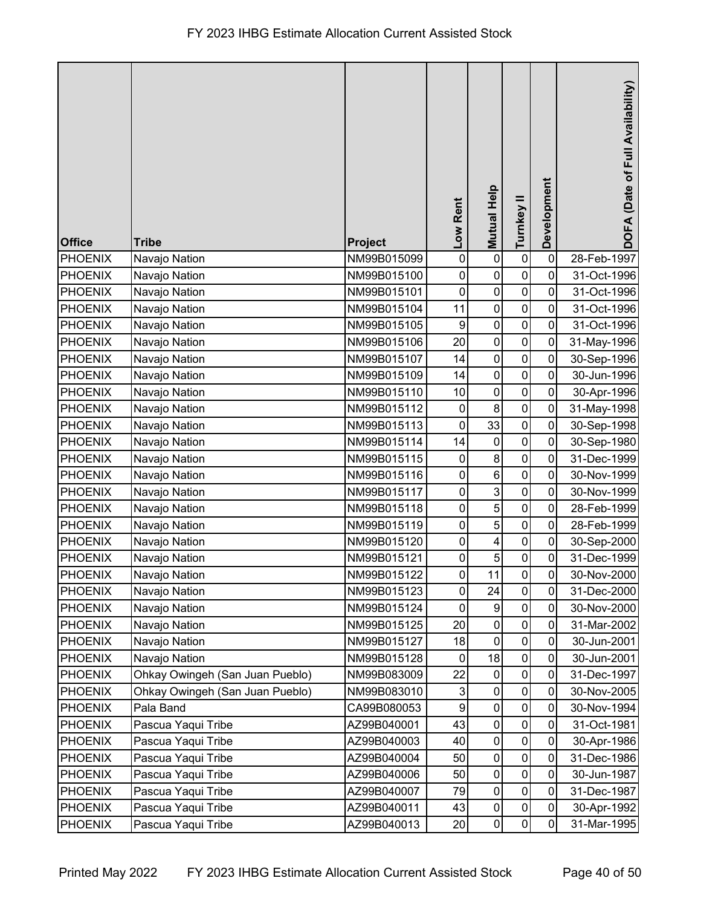| <b>Office</b>  | <b>Tribe</b>                    | <b>Project</b> | Low Rent         | <b>Mutual Help</b>      | Turnkey II          | Development | DOFA (Date of Full Availability) |
|----------------|---------------------------------|----------------|------------------|-------------------------|---------------------|-------------|----------------------------------|
| <b>PHOENIX</b> | Navajo Nation                   | NM99B015099    | $\pmb{0}$        | $\pmb{0}$               | $\pmb{0}$           | $\pmb{0}$   | 28-Feb-1997                      |
| <b>PHOENIX</b> | Navajo Nation                   | NM99B015100    | $\pmb{0}$        | $\pmb{0}$               | $\pmb{0}$           | 0           | 31-Oct-1996                      |
| <b>PHOENIX</b> | Navajo Nation                   | NM99B015101    | 0                | $\pmb{0}$               | $\pmb{0}$           | $\mathbf 0$ | 31-Oct-1996                      |
| <b>PHOENIX</b> | Navajo Nation                   | NM99B015104    | 11               | $\mathbf 0$             | $\pmb{0}$           | 0           | 31-Oct-1996                      |
| <b>PHOENIX</b> | Navajo Nation                   | NM99B015105    | $\boldsymbol{9}$ | $\pmb{0}$               | $\pmb{0}$           | 0           | 31-Oct-1996                      |
| <b>PHOENIX</b> | Navajo Nation                   | NM99B015106    | 20               | $\pmb{0}$               | $\mathbf 0$         | 0           | 31-May-1996                      |
| PHOENIX        | Navajo Nation                   | NM99B015107    | 14               | $\pmb{0}$               | $\mathbf 0$         | $\mathbf 0$ | 30-Sep-1996                      |
| <b>PHOENIX</b> | Navajo Nation                   | NM99B015109    | 14               | $\pmb{0}$               | $\pmb{0}$           | $\pmb{0}$   | 30-Jun-1996                      |
| PHOENIX        | Navajo Nation                   | NM99B015110    | 10               | $\pmb{0}$               | $\pmb{0}$           | $\mathbf 0$ | 30-Apr-1996                      |
| <b>PHOENIX</b> | Navajo Nation                   | NM99B015112    | $\boldsymbol{0}$ | $\bf 8$                 | $\pmb{0}$           | 0           | 31-May-1998                      |
| PHOENIX        | Navajo Nation                   | NM99B015113    | $\mathbf 0$      | 33                      | $\mathbf 0$         | $\mathbf 0$ | 30-Sep-1998                      |
| <b>PHOENIX</b> | Navajo Nation                   | NM99B015114    | 14               | $\pmb{0}$               | $\mathbf 0$         | $\mathbf 0$ | 30-Sep-1980                      |
| <b>PHOENIX</b> | Navajo Nation                   | NM99B015115    | $\pmb{0}$        | $\,8\,$                 | $\pmb{0}$           | 0           | 31-Dec-1999                      |
| <b>PHOENIX</b> | Navajo Nation                   | NM99B015116    | $\pmb{0}$        | $\,6\,$                 | $\pmb{0}$           | $\mathbf 0$ | 30-Nov-1999                      |
| <b>PHOENIX</b> | Navajo Nation                   | NM99B015117    | $\pmb{0}$        | $\mathbf{3}$            | $\pmb{0}$           | $\mathbf 0$ | 30-Nov-1999                      |
| PHOENIX        | Navajo Nation                   | NM99B015118    | 0                | $\overline{5}$          | 0                   | $\mathbf 0$ | 28-Feb-1999                      |
| <b>PHOENIX</b> | Navajo Nation                   | NM99B015119    | $\pmb{0}$        | $\sqrt{5}$              | $\mathbf 0$         | 0           | 28-Feb-1999                      |
| <b>PHOENIX</b> | Navajo Nation                   | NM99B015120    | 0                | $\overline{\mathbf{4}}$ | $\mathbf 0$         | 0           | 30-Sep-2000                      |
| <b>PHOENIX</b> | Navajo Nation                   | NM99B015121    | 0                | $\overline{5}$          | $\pmb{0}$           | $\pmb{0}$   | 31-Dec-1999                      |
| PHOENIX        | Navajo Nation                   | NM99B015122    | $\mathbf{0}$     | 11                      | $\overline{0}$      | $\pmb{0}$   | 30-Nov-2000                      |
| <b>PHOENIX</b> | Navajo Nation                   | NM99B015123    | 0                | 24                      | $\mathsf{O}\xspace$ | 0           | 31-Dec-2000                      |
| <b>PHOENIX</b> | Navajo Nation                   | NM99B015124    | $\pmb{0}$        | $\boldsymbol{9}$        | $\pmb{0}$           | $\mathbf 0$ | 30-Nov-2000                      |
| <b>PHOENIX</b> | Navajo Nation                   | NM99B015125    | 20               | 0                       | 0                   | 0           | 31-Mar-2002                      |
| <b>PHOENIX</b> | Navajo Nation                   | NM99B015127    | 18               | $\mathbf 0$             | $\pmb{0}$           | 0           | 30-Jun-2001                      |
| <b>PHOENIX</b> | Navajo Nation                   | NM99B015128    | 0                | 18                      | 0                   | 0           | 30-Jun-2001                      |
| <b>PHOENIX</b> | Ohkay Owingeh (San Juan Pueblo) | NM99B083009    | 22               | $\pmb{0}$               | $\pmb{0}$           | $\mathbf 0$ | 31-Dec-1997                      |
| <b>PHOENIX</b> | Ohkay Owingeh (San Juan Pueblo) | NM99B083010    | 3                | $\pmb{0}$               | $\pmb{0}$           | $\mathbf 0$ | 30-Nov-2005                      |
| PHOENIX        | Pala Band                       | CA99B080053    | 9                | $\pmb{0}$               | $\mathbf 0$         | $\mathbf 0$ | 30-Nov-1994                      |
| <b>PHOENIX</b> | Pascua Yaqui Tribe              | AZ99B040001    | 43               | $\pmb{0}$               | $\pmb{0}$           | 0           | 31-Oct-1981                      |
| <b>PHOENIX</b> | Pascua Yaqui Tribe              | AZ99B040003    | 40               | $\pmb{0}$               | $\mathbf 0$         | $\mathbf 0$ | 30-Apr-1986                      |
| <b>PHOENIX</b> | Pascua Yaqui Tribe              | AZ99B040004    | 50               | $\pmb{0}$               | $\pmb{0}$           | $\mathbf 0$ | 31-Dec-1986                      |
| <b>PHOENIX</b> | Pascua Yaqui Tribe              | AZ99B040006    | 50               | $\pmb{0}$               | 0                   | $\mathbf 0$ | 30-Jun-1987                      |
| <b>PHOENIX</b> | Pascua Yaqui Tribe              | AZ99B040007    | 79               | $\pmb{0}$               | $\pmb{0}$           | $\mathbf 0$ | 31-Dec-1987                      |
| <b>PHOENIX</b> | Pascua Yaqui Tribe              | AZ99B040011    | 43               | $\pmb{0}$               | $\pmb{0}$           | $\mathbf 0$ | 30-Apr-1992                      |
| <b>PHOENIX</b> | Pascua Yaqui Tribe              | AZ99B040013    | 20               | $\pmb{0}$               | $\pmb{0}$           | $\mathbf 0$ | 31-Mar-1995                      |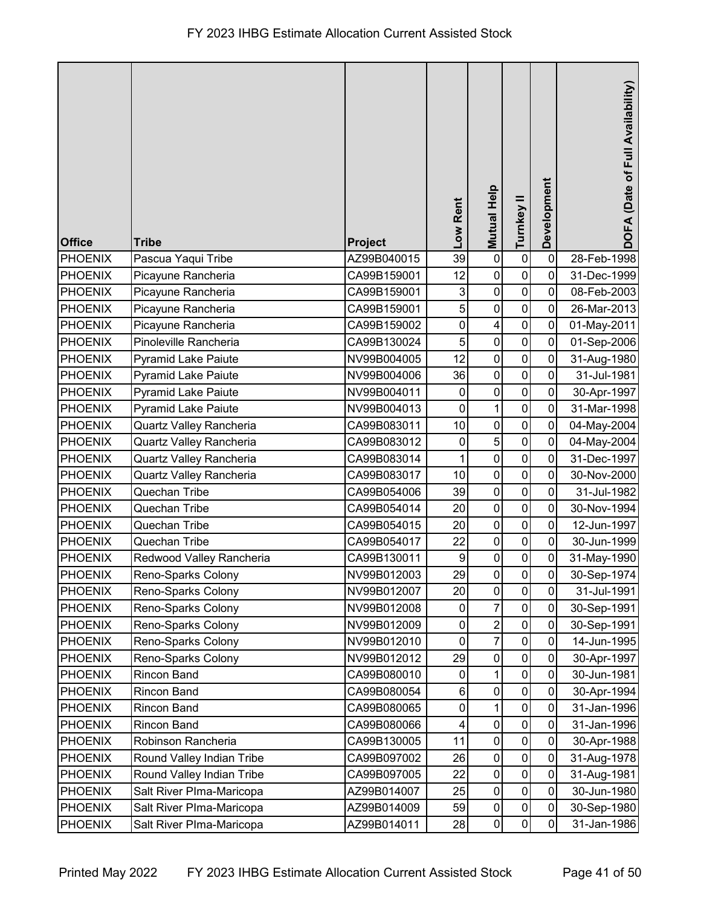| <b>Office</b>  | <b>Tribe</b>               | Project     | Low Rent         | <b>Mutual Help</b>      | Turnkey II     | Development    | DOFA (Date of Full Availability) |
|----------------|----------------------------|-------------|------------------|-------------------------|----------------|----------------|----------------------------------|
| <b>PHOENIX</b> | Pascua Yaqui Tribe         | AZ99B040015 | 39               | $\pmb{0}$               | $\pmb{0}$      | $\mathbf 0$    | 28-Feb-1998                      |
| <b>PHOENIX</b> | Picayune Rancheria         | CA99B159001 | 12               | $\pmb{0}$               | $\mathbf 0$    | $\mathbf 0$    | 31-Dec-1999                      |
| <b>PHOENIX</b> | Picayune Rancheria         | CA99B159001 | 3                | $\pmb{0}$               | $\pmb{0}$      | $\mathbf 0$    | 08-Feb-2003                      |
| <b>PHOENIX</b> | Picayune Rancheria         | CA99B159001 | 5                | $\pmb{0}$               | $\pmb{0}$      | 0              | 26-Mar-2013                      |
| <b>PHOENIX</b> | Picayune Rancheria         | CA99B159002 | $\mathbf 0$      | $\overline{\mathbf{4}}$ | $\pmb{0}$      | 0              | 01-May-2011                      |
| <b>PHOENIX</b> | Pinoleville Rancheria      | CA99B130024 | 5                | $\mathbf 0$             | $\pmb{0}$      | 0              | 01-Sep-2006                      |
| <b>PHOENIX</b> | <b>Pyramid Lake Paiute</b> | NV99B004005 | 12               | $\pmb{0}$               | $\mathbf 0$    | $\mathbf 0$    | 31-Aug-1980                      |
| <b>PHOENIX</b> | Pyramid Lake Paiute        | NV99B004006 | 36               | $\pmb{0}$               | $\pmb{0}$      | $\mathbf 0$    | 31-Jul-1981                      |
| <b>PHOENIX</b> | Pyramid Lake Paiute        | NV99B004011 | $\pmb{0}$        | $\pmb{0}$               | $\pmb{0}$      | $\mathbf 0$    | 30-Apr-1997                      |
| <b>PHOENIX</b> | <b>Pyramid Lake Paiute</b> | NV99B004013 | 0                | $\mathbf 1$             | $\pmb{0}$      | 0              | 31-Mar-1998                      |
| PHOENIX        | Quartz Valley Rancheria    | CA99B083011 | 10               | $\pmb{0}$               | $\mathbf 0$    | 0              | 04-May-2004                      |
| <b>PHOENIX</b> | Quartz Valley Rancheria    | CA99B083012 | 0                | $\overline{5}$          | $\mathbf 0$    | $\mathbf 0$    | 04-May-2004                      |
| <b>PHOENIX</b> | Quartz Valley Rancheria    | CA99B083014 |                  | $\mathbf 0$             | $\pmb{0}$      | 0              | 31-Dec-1997                      |
| <b>PHOENIX</b> | Quartz Valley Rancheria    | CA99B083017 | 10               | $\pmb{0}$               | $\pmb{0}$      | 0              | 30-Nov-2000                      |
| <b>PHOENIX</b> | Quechan Tribe              | CA99B054006 | 39               | $\pmb{0}$               | $\pmb{0}$      | $\mathbf 0$    | 31-Jul-1982                      |
| PHOENIX        | Quechan Tribe              | CA99B054014 | 20               | $\pmb{0}$               | $\pmb{0}$      | 0              | 30-Nov-1994                      |
| PHOENIX        | Quechan Tribe              | CA99B054015 | 20               | $\pmb{0}$               | $\pmb{0}$      | 0              | 12-Jun-1997                      |
| <b>PHOENIX</b> | Quechan Tribe              | CA99B054017 | 22               | $\pmb{0}$               | $\pmb{0}$      | 0              | 30-Jun-1999                      |
| <b>PHOENIX</b> | Redwood Valley Rancheria   | CA99B130011 | $\boldsymbol{9}$ | $\pmb{0}$               | $\pmb{0}$      | $\pmb{0}$      | 31-May-1990                      |
| PHOENIX        | Reno-Sparks Colony         | NV99B012003 | 29               | $\pmb{0}$               | $\overline{0}$ | $\overline{0}$ | 30-Sep-1974                      |
| PHOENIX        | Reno-Sparks Colony         | NV99B012007 | 20               | $\pmb{0}$               | $\mathbf 0$    | 0              | 31-Jul-1991                      |
| <b>PHOENIX</b> | Reno-Sparks Colony         | NV99B012008 | 0                | $\overline{7}$          | $\pmb{0}$      | $\mathbf 0$    | 30-Sep-1991                      |
| PHOENIX        | Reno-Sparks Colony         | NV99B012009 | 0                | $\boldsymbol{2}$        | 0              | 0              | 30-Sep-1991                      |
| <b>PHOENIX</b> | Reno-Sparks Colony         | NV99B012010 | $\mathbf 0$      | $\overline{7}$          | $\mathbf 0$    | 0              | 14-Jun-1995                      |
| <b>PHOENIX</b> | Reno-Sparks Colony         | NV99B012012 | 29               | $\pmb{0}$               | 0              | 0              | 30-Apr-1997                      |
| <b>PHOENIX</b> | <b>Rincon Band</b>         | CA99B080010 | $\mathbf 0$      | $\mathbf{1}$            | $\pmb{0}$      | 0              | 30-Jun-1981                      |
| <b>PHOENIX</b> | <b>Rincon Band</b>         | CA99B080054 | 6                | $\pmb{0}$               | $\pmb{0}$      | $\mathbf 0$    | 30-Apr-1994                      |
| <b>PHOENIX</b> | <b>Rincon Band</b>         | CA99B080065 | $\mathbf 0$      | $\mathbf{1}$            | $\pmb{0}$      | 0              | 31-Jan-1996                      |
| <b>PHOENIX</b> | <b>Rincon Band</b>         | CA99B080066 | 4                | $\pmb{0}$               | $\pmb{0}$      | 0              | 31-Jan-1996                      |
| <b>PHOENIX</b> | Robinson Rancheria         | CA99B130005 | 11               | $\pmb{0}$               | $\pmb{0}$      | 0              | 30-Apr-1988                      |
| <b>PHOENIX</b> | Round Valley Indian Tribe  | CA99B097002 | 26               | $\pmb{0}$               | $\pmb{0}$      | $\mathbf 0$    | 31-Aug-1978                      |
| <b>PHOENIX</b> | Round Valley Indian Tribe  | CA99B097005 | 22               | $\pmb{0}$               | $\pmb{0}$      | 0              | 31-Aug-1981                      |
| <b>PHOENIX</b> | Salt River Plma-Maricopa   | AZ99B014007 | 25               | $\pmb{0}$               | $\pmb{0}$      | $\overline{0}$ | 30-Jun-1980                      |
| <b>PHOENIX</b> | Salt River Plma-Maricopa   | AZ99B014009 | 59               | $\pmb{0}$               | $\pmb{0}$      | $\mathbf 0$    | 30-Sep-1980                      |
| PHOENIX        | Salt River Plma-Maricopa   | AZ99B014011 | 28               | $\pmb{0}$               | $\pmb{0}$      | 0              | 31-Jan-1986                      |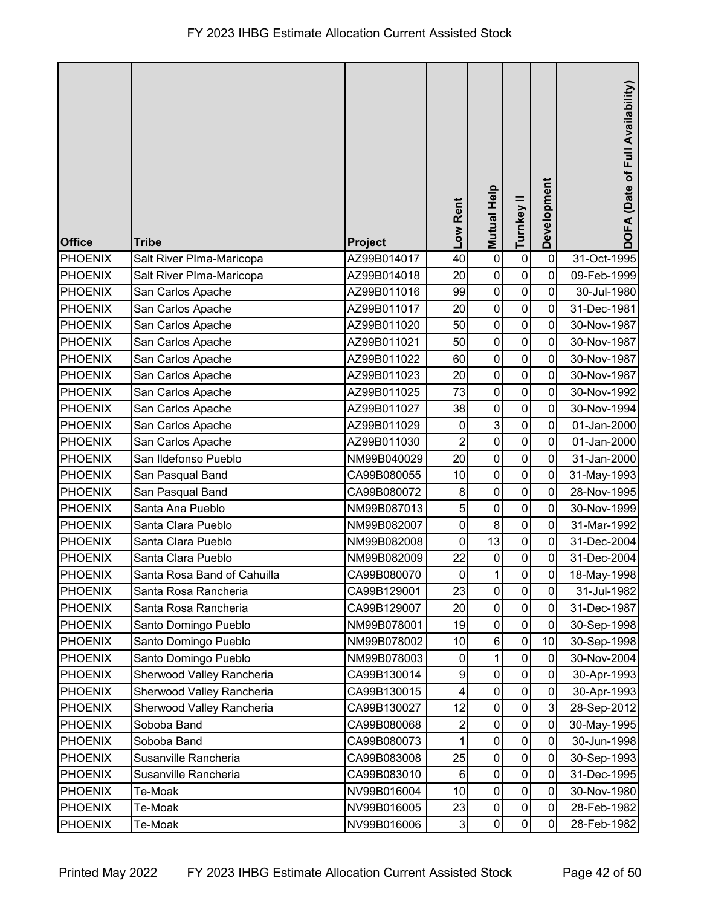| <b>Office</b>  | <b>Tribe</b>                | Project     | Low Rent       | <b>Mutual Help</b> | Turnkey II          | Development    | DOFA (Date of Full Availability) |
|----------------|-----------------------------|-------------|----------------|--------------------|---------------------|----------------|----------------------------------|
| <b>PHOENIX</b> | Salt River Plma-Maricopa    | AZ99B014017 | 40             | $\pmb{0}$          | $\pmb{0}$           | $\mathbf 0$    | 31-Oct-1995                      |
| <b>PHOENIX</b> | Salt River Plma-Maricopa    | AZ99B014018 | 20             | $\mathbf 0$        | $\mathbf 0$         | 0              | 09-Feb-1999                      |
| <b>PHOENIX</b> | San Carlos Apache           | AZ99B011016 | 99             | $\mathbf 0$        | $\mathbf 0$         | 0              | 30-Jul-1980                      |
| <b>PHOENIX</b> | San Carlos Apache           | AZ99B011017 | 20             | $\pmb{0}$          | $\pmb{0}$           | 0              | 31-Dec-1981                      |
| <b>PHOENIX</b> | San Carlos Apache           | AZ99B011020 | 50             | $\mathbf 0$        | $\mathbf 0$         | 0              | 30-Nov-1987                      |
| <b>PHOENIX</b> | San Carlos Apache           | AZ99B011021 | 50             | $\pmb{0}$          | $\mathbf 0$         | 0              | 30-Nov-1987                      |
| <b>PHOENIX</b> | San Carlos Apache           | AZ99B011022 | 60             | $\mathbf 0$        | $\mathbf 0$         | 0              | 30-Nov-1987                      |
| <b>PHOENIX</b> | San Carlos Apache           | AZ99B011023 | 20             | $\pmb{0}$          | $\pmb{0}$           | $\mathbf 0$    | 30-Nov-1987                      |
| <b>PHOENIX</b> | San Carlos Apache           | AZ99B011025 | 73             | $\mathbf 0$        | $\pmb{0}$           | 0              | 30-Nov-1992                      |
| <b>PHOENIX</b> | San Carlos Apache           | AZ99B011027 | 38             | $\pmb{0}$          | $\mathbf 0$         | 0              | 30-Nov-1994                      |
| <b>PHOENIX</b> | San Carlos Apache           | AZ99B011029 | $\mathbf 0$    | $\mathbf{3}$       | $\mathbf 0$         | 0              | 01-Jan-2000                      |
| <b>PHOENIX</b> | San Carlos Apache           | AZ99B011030 | $\overline{2}$ | $\overline{0}$     | $\mathbf 0$         | $\mathbf 0$    | 01-Jan-2000                      |
| <b>PHOENIX</b> | San Ildefonso Pueblo        | NM99B040029 | 20             | $\pmb{0}$          | $\pmb{0}$           | $\mathbf 0$    | 31-Jan-2000                      |
| <b>PHOENIX</b> | San Pasqual Band            | CA99B080055 | 10             | $\mathbf 0$        | $\pmb{0}$           | 0              | 31-May-1993                      |
| <b>PHOENIX</b> | San Pasqual Band            | CA99B080072 | 8              | $\pmb{0}$          | $\pmb{0}$           | $\mathbf 0$    | 28-Nov-1995                      |
| <b>PHOENIX</b> | Santa Ana Pueblo            | NM99B087013 | 5              | $\pmb{0}$          | $\pmb{0}$           | 0              | 30-Nov-1999                      |
| <b>PHOENIX</b> | Santa Clara Pueblo          | NM99B082007 | 0              | 8                  | $\pmb{0}$           | 0              | 31-Mar-1992                      |
| <b>PHOENIX</b> | Santa Clara Pueblo          | NM99B082008 | 0              | 13                 | $\pmb{0}$           | 0              | 31-Dec-2004                      |
| <b>PHOENIX</b> | Santa Clara Pueblo          | NM99B082009 | 22             | $\mathbf 0$        | 0                   | $\pmb{0}$      | 31-Dec-2004                      |
| PHOENIX        | Santa Rosa Band of Cahuilla | CA99B080070 | $\overline{0}$ | $\overline{A}$     | $\overline{0}$      | $\overline{0}$ | 18-May-1998                      |
| <b>PHOENIX</b> | Santa Rosa Rancheria        | CA99B129001 | 23             | $\mathbf 0$        | $\mathsf{O}\xspace$ | $\mathbf 0$    | 31-Jul-1982                      |
| <b>PHOENIX</b> | Santa Rosa Rancheria        | CA99B129007 | 20             | $\pmb{0}$          | $\pmb{0}$           | $\mathbf 0$    | 31-Dec-1987                      |
| <b>PHOENIX</b> | Santo Domingo Pueblo        | NM99B078001 | 19             | $\pmb{0}$          | 0                   | 0              | 30-Sep-1998                      |
| <b>PHOENIX</b> | Santo Domingo Pueblo        | NM99B078002 | 10             | $\,6$              | $\pmb{0}$           | 10             | 30-Sep-1998                      |
| <b>PHOENIX</b> | Santo Domingo Pueblo        | NM99B078003 | 0              | 1                  | 0                   | $\mathbf 0$    | 30-Nov-2004                      |
| <b>PHOENIX</b> | Sherwood Valley Rancheria   | CA99B130014 | 9              | $\mathbf 0$        | $\pmb{0}$           | 0              | 30-Apr-1993                      |
| <b>PHOENIX</b> | Sherwood Valley Rancheria   | CA99B130015 | 4              | $\pmb{0}$          | $\pmb{0}$           | $\mathbf 0$    | 30-Apr-1993                      |
| <b>PHOENIX</b> | Sherwood Valley Rancheria   | CA99B130027 | 12             | $\pmb{0}$          | $\mathbf 0$         | 3              | 28-Sep-2012                      |
| <b>PHOENIX</b> | Soboba Band                 | CA99B080068 | 2              | $\pmb{0}$          | $\pmb{0}$           | 0              | 30-May-1995                      |
| <b>PHOENIX</b> | Soboba Band                 | CA99B080073 |                | $\pmb{0}$          | $\mathbf 0$         | $\mathbf 0$    | 30-Jun-1998                      |
| <b>PHOENIX</b> | Susanville Rancheria        | CA99B083008 | 25             | $\mathbf 0$        | $\pmb{0}$           | $\mathbf 0$    | 30-Sep-1993                      |
| <b>PHOENIX</b> | Susanville Rancheria        | CA99B083010 | 6              | $\pmb{0}$          | $\pmb{0}$           | $\mathbf 0$    | 31-Dec-1995                      |
| <b>PHOENIX</b> | Te-Moak                     | NV99B016004 | 10             | $\pmb{0}$          | $\pmb{0}$           | $\mathbf 0$    | 30-Nov-1980                      |
| <b>PHOENIX</b> | Te-Moak                     | NV99B016005 | 23             | $\pmb{0}$          | $\pmb{0}$           | $\mathbf 0$    | 28-Feb-1982                      |
| <b>PHOENIX</b> | Te-Moak                     | NV99B016006 | $\mathbf{3}$   | $\pmb{0}$          | 0                   | 0              | 28-Feb-1982                      |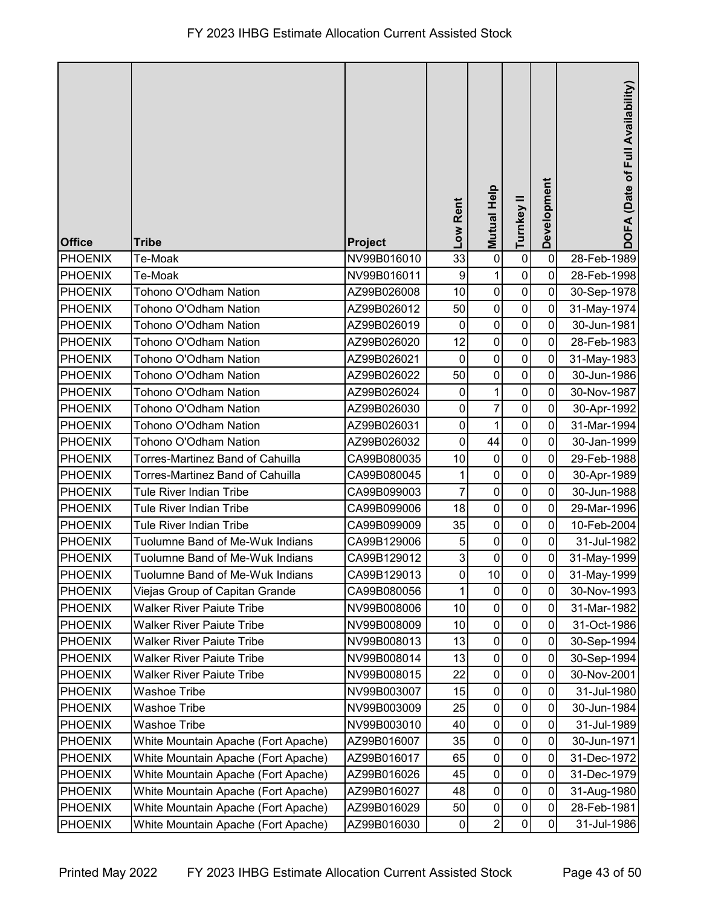| <b>Office</b>  | <b>Tribe</b>                        | <b>Project</b> | Low Rent       | Mutual Help      | Turnkey II   | Development | DOFA (Date of Full Availability) |
|----------------|-------------------------------------|----------------|----------------|------------------|--------------|-------------|----------------------------------|
| PHOENIX        | Te-Moak                             | NV99B016010    | 33             | $\pmb{0}$        | $\pmb{0}$    | $\mathbf 0$ | 28-Feb-1989                      |
| <b>PHOENIX</b> | Te-Moak                             | NV99B016011    | 9              | 1                | $\pmb{0}$    | $\mathbf 0$ | 28-Feb-1998                      |
| PHOENIX        | Tohono O'Odham Nation               | AZ99B026008    | 10             | $\pmb{0}$        | $\pmb{0}$    | $\mathbf 0$ | 30-Sep-1978                      |
| PHOENIX        | Tohono O'Odham Nation               | AZ99B026012    | 50             | $\pmb{0}$        | $\pmb{0}$    | $\mathbf 0$ | 31-May-1974                      |
| <b>PHOENIX</b> | Tohono O'Odham Nation               | AZ99B026019    | $\mathbf 0$    | $\overline{0}$   | $\pmb{0}$    | $\mathbf 0$ | 30-Jun-1981                      |
| PHOENIX        | Tohono O'Odham Nation               | AZ99B026020    | 12             | $\pmb{0}$        | $\pmb{0}$    | 0           | 28-Feb-1983                      |
| PHOENIX        | Tohono O'Odham Nation               | AZ99B026021    | $\mathbf 0$    | $\pmb{0}$        | $\pmb{0}$    | $\mathbf 0$ | 31-May-1983                      |
| <b>PHOENIX</b> | Tohono O'Odham Nation               | AZ99B026022    | 50             | $\pmb{0}$        | $\pmb{0}$    | $\mathbf 0$ | 30-Jun-1986                      |
| PHOENIX        | Tohono O'Odham Nation               | AZ99B026024    | $\mathbf 0$    | 1                | $\mathbf 0$  | $\mathbf 0$ | 30-Nov-1987                      |
| PHOENIX        | Tohono O'Odham Nation               | AZ99B026030    | $\mathbf 0$    | $\overline{7}$   | $\pmb{0}$    | 0           | 30-Apr-1992                      |
| PHOENIX        | Tohono O'Odham Nation               | AZ99B026031    | $\mathbf 0$    | 1                | $\pmb{0}$    | $\mathbf 0$ | 31-Mar-1994                      |
| PHOENIX        | Tohono O'Odham Nation               | AZ99B026032    | $\mathbf 0$    | 44               | $\pmb{0}$    | $\mathbf 0$ | 30-Jan-1999                      |
| PHOENIX        | Torres-Martinez Band of Cahuilla    | CA99B080035    | 10             | $\pmb{0}$        | $\pmb{0}$    | $\mathbf 0$ | 29-Feb-1988                      |
| PHOENIX        | Torres-Martinez Band of Cahuilla    | CA99B080045    | 1              | $\boldsymbol{0}$ | $\pmb{0}$    | $\mathbf 0$ | 30-Apr-1989                      |
| <b>PHOENIX</b> | Tule River Indian Tribe             | CA99B099003    | $\overline{7}$ | $\pmb{0}$        | $\pmb{0}$    | $\mathbf 0$ | 30-Jun-1988                      |
| <b>PHOENIX</b> | Tule River Indian Tribe             | CA99B099006    | 18             | $\boldsymbol{0}$ | $\pmb{0}$    | $\mathbf 0$ | 29-Mar-1996                      |
| PHOENIX        | <b>Tule River Indian Tribe</b>      | CA99B099009    | 35             | $\boldsymbol{0}$ | $\pmb{0}$    | $\mathbf 0$ | 10-Feb-2004                      |
| PHOENIX        | Tuolumne Band of Me-Wuk Indians     | CA99B129006    | 5              | $\pmb{0}$        | $\pmb{0}$    | $\mathbf 0$ | 31-Jul-1982                      |
| PHOENIX        | Tuolumne Band of Me-Wuk Indians     | CA99B129012    | 3              | $\pmb{0}$        | $\pmb{0}$    | $\pmb{0}$   | 31-May-1999                      |
| PHOENIX        | Tuolumne Band of Me-Wuk Indians     | CA99B129013    | $\overline{0}$ | 10               | $\mathbf{0}$ | $\pmb{0}$   | 31-May-1999                      |
| <b>PHOENIX</b> | Viejas Group of Capitan Grande      | CA99B080056    | 1              | $\pmb{0}$        | $\mathbf 0$  | $\mathbf 0$ | 30-Nov-1993                      |
| <b>PHOENIX</b> | <b>Walker River Paiute Tribe</b>    | NV99B008006    | 10             | $\pmb{0}$        | $\pmb{0}$    | $\mathbf 0$ | 31-Mar-1982                      |
| <b>PHOENIX</b> | Walker River Paiute Tribe           | NV99B008009    | 10             | $\pmb{0}$        | $\pmb{0}$    | $\mathbf 0$ | 31-Oct-1986                      |
| <b>PHOENIX</b> | <b>Walker River Paiute Tribe</b>    | NV99B008013    | 13             | $\pmb{0}$        | $\pmb{0}$    | $\mathbf 0$ | 30-Sep-1994                      |
| PHOENIX        | <b>Walker River Paiute Tribe</b>    | NV99B008014    | 13             | $\pmb{0}$        | $\pmb{0}$    | $\mathbf 0$ | 30-Sep-1994                      |
| <b>PHOENIX</b> | <b>Walker River Paiute Tribe</b>    | NV99B008015    | 22             | $\pmb{0}$        | $\pmb{0}$    | $\mathbf 0$ | 30-Nov-2001                      |
| <b>PHOENIX</b> | <b>Washoe Tribe</b>                 | NV99B003007    | 15             | $\pmb{0}$        | $\pmb{0}$    | $\mathbf 0$ | 31-Jul-1980                      |
| <b>PHOENIX</b> | Washoe Tribe                        | NV99B003009    | 25             | $\pmb{0}$        | $\pmb{0}$    | $\mathbf 0$ | 30-Jun-1984                      |
| <b>PHOENIX</b> | <b>Washoe Tribe</b>                 | NV99B003010    | 40             | $\pmb{0}$        | $\pmb{0}$    | $\mathbf 0$ | 31-Jul-1989                      |
| <b>PHOENIX</b> | White Mountain Apache (Fort Apache) | AZ99B016007    | 35             | $\pmb{0}$        | $\pmb{0}$    | $\mathbf 0$ | 30-Jun-1971                      |
| <b>PHOENIX</b> | White Mountain Apache (Fort Apache) | AZ99B016017    | 65             | $\pmb{0}$        | $\pmb{0}$    | $\mathbf 0$ | 31-Dec-1972                      |
| <b>PHOENIX</b> | White Mountain Apache (Fort Apache) | AZ99B016026    | 45             | $\pmb{0}$        | $\pmb{0}$    | $\mathbf 0$ | 31-Dec-1979                      |
| <b>PHOENIX</b> | White Mountain Apache (Fort Apache) | AZ99B016027    | 48             | $\pmb{0}$        | $\pmb{0}$    | $\mathbf 0$ | 31-Aug-1980                      |
| <b>PHOENIX</b> | White Mountain Apache (Fort Apache) | AZ99B016029    | 50             | $\pmb{0}$        | $\pmb{0}$    | $\mathbf 0$ | 28-Feb-1981                      |
| <b>PHOENIX</b> | White Mountain Apache (Fort Apache) | AZ99B016030    | $\pmb{0}$      | $\mathbf 2$      | $\pmb{0}$    | 0           | 31-Jul-1986                      |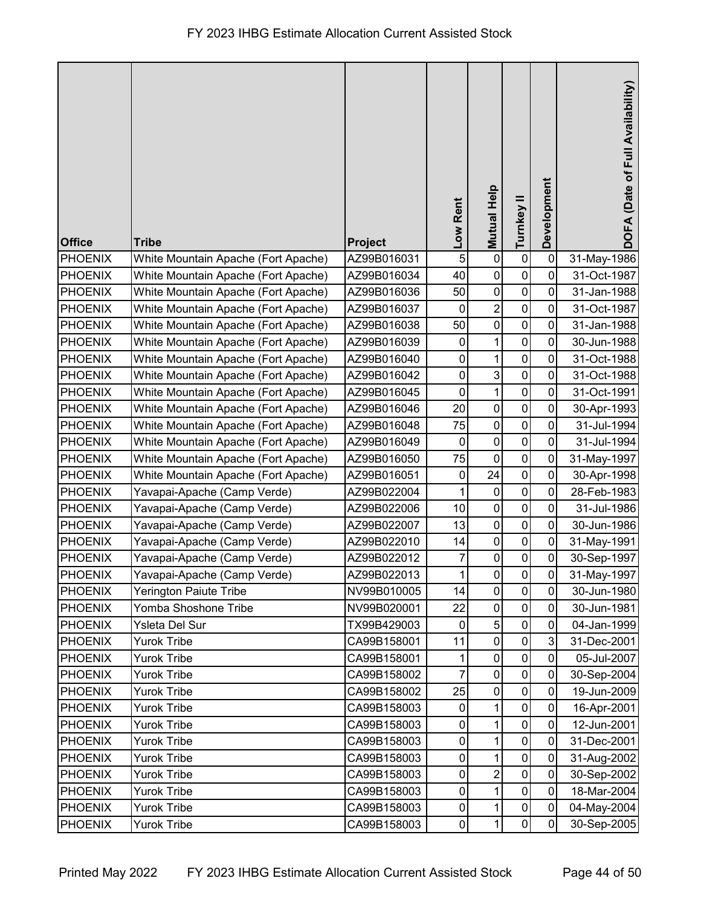|                |                                     |             | Low Rent    | Mutual Help      | Turnkey II     | Development    | DOFA (Date of Full Availability) |
|----------------|-------------------------------------|-------------|-------------|------------------|----------------|----------------|----------------------------------|
|                |                                     |             |             |                  |                |                |                                  |
| <b>Office</b>  | <b>Tribe</b>                        | Project     |             |                  |                |                |                                  |
| PHOENIX        | White Mountain Apache (Fort Apache) | AZ99B016031 | 5           | $\pmb{0}$        | $\pmb{0}$      | $\mathbf 0$    | 31-May-1986                      |
| PHOENIX        | White Mountain Apache (Fort Apache) | AZ99B016034 | 40          | $\pmb{0}$        | $\pmb{0}$      | $\mathbf 0$    | 31-Oct-1987                      |
| <b>PHOENIX</b> | White Mountain Apache (Fort Apache) | AZ99B016036 | 50          | $\pmb{0}$        | $\pmb{0}$      | $\mathbf 0$    | 31-Jan-1988                      |
| PHOENIX        | White Mountain Apache (Fort Apache) | AZ99B016037 | 0           | $\boldsymbol{2}$ | $\pmb{0}$      | $\mathbf 0$    | 31-Oct-1987                      |
| PHOENIX        | White Mountain Apache (Fort Apache) | AZ99B016038 | 50          | $\overline{0}$   | $\pmb{0}$      | $\mathbf 0$    | 31-Jan-1988                      |
| PHOENIX        | White Mountain Apache (Fort Apache) | AZ99B016039 | 0           | 1                | $\pmb{0}$      | $\mathbf 0$    | 30-Jun-1988                      |
| PHOENIX        | White Mountain Apache (Fort Apache) | AZ99B016040 | $\mathbf 0$ | 1                | $\pmb{0}$      | $\mathbf 0$    | 31-Oct-1988                      |
| PHOENIX        | White Mountain Apache (Fort Apache) | AZ99B016042 | $\pmb{0}$   | $\mathbf{3}$     | $\pmb{0}$      | $\mathbf 0$    | 31-Oct-1988                      |
| PHOENIX        | White Mountain Apache (Fort Apache) | AZ99B016045 | $\mathbf 0$ | $\mathbf 1$      | $\mathbf 0$    | $\mathbf 0$    | 31-Oct-1991                      |
| <b>PHOENIX</b> | White Mountain Apache (Fort Apache) | AZ99B016046 | 20          | $\pmb{0}$        | $\pmb{0}$      | $\mathbf 0$    | 30-Apr-1993                      |
| PHOENIX        | White Mountain Apache (Fort Apache) | AZ99B016048 | 75          | $\pmb{0}$        | $\pmb{0}$      | $\mathbf 0$    | 31-Jul-1994                      |
| PHOENIX        | White Mountain Apache (Fort Apache) | AZ99B016049 | $\mathbf 0$ | $\pmb{0}$        | $\pmb{0}$      | $\mathbf 0$    | 31-Jul-1994                      |
| <b>PHOENIX</b> | White Mountain Apache (Fort Apache) | AZ99B016050 | 75          | $\pmb{0}$        | $\pmb{0}$      | $\mathbf 0$    | 31-May-1997                      |
| PHOENIX        | White Mountain Apache (Fort Apache) | AZ99B016051 | $\mathbf 0$ | 24               | $\pmb{0}$      | $\mathbf 0$    | 30-Apr-1998                      |
| PHOENIX        | Yavapai-Apache (Camp Verde)         | AZ99B022004 | 1           | $\pmb{0}$        | $\pmb{0}$      | $\mathbf 0$    | 28-Feb-1983                      |
| PHOENIX        | Yavapai-Apache (Camp Verde)         | AZ99B022006 | 10          | $\pmb{0}$        | $\pmb{0}$      | $\mathbf 0$    | 31-Jul-1986                      |
| <b>PHOENIX</b> | Yavapai-Apache (Camp Verde)         | AZ99B022007 | 13          | $\boldsymbol{0}$ | $\pmb{0}$      | $\overline{0}$ | 30-Jun-1986                      |
| PHOENIX        | Yavapai-Apache (Camp Verde)         | AZ99B022010 | 14          | $\pmb{0}$        | $\pmb{0}$      | $\mathbf 0$    | 31-May-1991                      |
| PHOENIX        | Yavapai-Apache (Camp Verde)         | AZ99B022012 | 7           | $\pmb{0}$        | $\pmb{0}$      | $\pmb{0}$      | 30-Sep-1997                      |
| <b>PHOENIX</b> | Yavapai-Apache (Camp Verde)         | AZ99B022013 |             | $\pmb{0}$        | $\overline{0}$ | $\pmb{0}$      | 31-May-1997                      |
| <b>PHOENIX</b> | <b>Yerington Paiute Tribe</b>       | NV99B010005 | 14          | $\overline{0}$   | $\mathbf 0$    | $\mathbf 0$    | 30-Jun-1980                      |
| PHOENIX        | Yomba Shoshone Tribe                | NV99B020001 | 22          | $\pmb{0}$        | $\pmb{0}$      | $\mathbf 0$    | 30-Jun-1981                      |
| <b>PHOENIX</b> | Ysleta Del Sur                      | TX99B429003 | 0           | $\sqrt{5}$       | 0              | $\mathbf 0$    | 04-Jan-1999                      |
| <b>PHOENIX</b> | <b>Yurok Tribe</b>                  | CA99B158001 | 11          | $\mathbf 0$      | $\pmb{0}$      | 3              | 31-Dec-2001                      |
| <b>PHOENIX</b> | <b>Yurok Tribe</b>                  | CA99B158001 |             | $\pmb{0}$        | $\pmb{0}$      | $\mathbf 0$    | 05-Jul-2007                      |
| PHOENIX        | Yurok Tribe                         | CA99B158002 | 7           | $\pmb{0}$        | $\pmb{0}$      | $\mathbf 0$    | 30-Sep-2004                      |
| <b>PHOENIX</b> | <b>Yurok Tribe</b>                  | CA99B158002 | 25          | $\pmb{0}$        | $\pmb{0}$      | $\mathbf 0$    | 19-Jun-2009                      |
| <b>PHOENIX</b> | <b>Yurok Tribe</b>                  | CA99B158003 | 0           | 1                | $\pmb{0}$      | $\mathbf 0$    | 16-Apr-2001                      |
| <b>PHOENIX</b> | Yurok Tribe                         | CA99B158003 | $\pmb{0}$   | $\mathbf{1}$     | $\pmb{0}$      | $\mathbf 0$    | 12-Jun-2001                      |
| <b>PHOENIX</b> | <b>Yurok Tribe</b>                  | CA99B158003 | 0           | 1                | $\pmb{0}$      | $\mathbf 0$    | 31-Dec-2001                      |
| PHOENIX        | <b>Yurok Tribe</b>                  | CA99B158003 | $\pmb{0}$   | $\overline{1}$   | $\pmb{0}$      | $\mathbf 0$    | 31-Aug-2002                      |
| <b>PHOENIX</b> | Yurok Tribe                         | CA99B158003 | $\pmb{0}$   | $\overline{c}$   | $\pmb{0}$      | $\mathbf 0$    | 30-Sep-2002                      |
| <b>PHOENIX</b> | <b>Yurok Tribe</b>                  | CA99B158003 | $\pmb{0}$   | $\mathbf{1}$     | $\pmb{0}$      | $\mathbf 0$    | 18-Mar-2004                      |
| <b>PHOENIX</b> | Yurok Tribe                         | CA99B158003 | $\pmb{0}$   | $\mathbf{1}$     | $\pmb{0}$      | $\mathbf 0$    | 04-May-2004                      |
| <b>PHOENIX</b> | Yurok Tribe                         | CA99B158003 | 0           | 1                | $\pmb{0}$      | $\mathbf 0$    | 30-Sep-2005                      |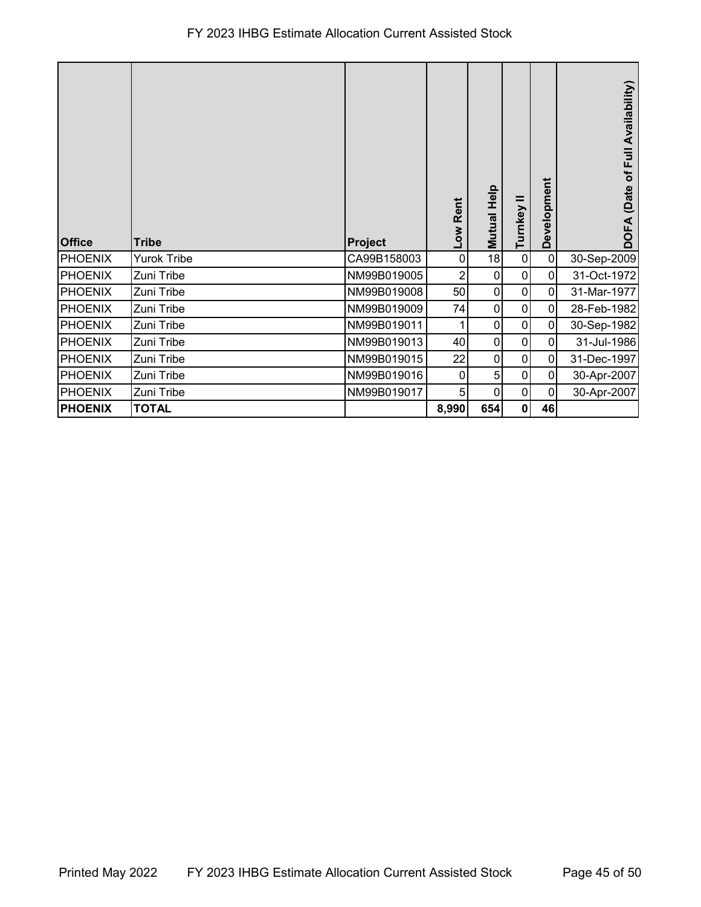## FY 2023 IHBG Estimate Allocation Current Assisted Stock

| <b>Office</b>  | <b>Tribe</b>       | Project     | -ow Rent       | Mutual Help    | Turnkey   | Development    | (Date of Full Availability)<br><b>DOFA</b> |
|----------------|--------------------|-------------|----------------|----------------|-----------|----------------|--------------------------------------------|
| <b>PHOENIX</b> | <b>Yurok Tribe</b> | CA99B158003 | 0              | 18             | $\pmb{0}$ | $\pmb{0}$      | 30-Sep-2009                                |
| <b>PHOENIX</b> | Zuni Tribe         | NM99B019005 | $\overline{2}$ | $\pmb{0}$      | 0         | $\pmb{0}$      | 31-Oct-1972                                |
| <b>PHOENIX</b> | Zuni Tribe         | NM99B019008 | 50             | $\pmb{0}$      | $\pmb{0}$ | $\pmb{0}$      | 31-Mar-1977                                |
| <b>PHOENIX</b> | Zuni Tribe         | NM99B019009 | 74             | 0              | $\pmb{0}$ | $\overline{0}$ | 28-Feb-1982                                |
| <b>PHOENIX</b> | Zuni Tribe         | NM99B019011 |                | 0              | 0         | $\pmb{0}$      | 30-Sep-1982                                |
| <b>PHOENIX</b> | Zuni Tribe         | NM99B019013 | 40             | $\overline{0}$ | 0         | $\mathbf 0$    | 31-Jul-1986                                |
| <b>PHOENIX</b> | Zuni Tribe         | NM99B019015 | 22             | 0              | $\pmb{0}$ | $\mathbf 0$    | 31-Dec-1997                                |
| <b>PHOENIX</b> | Zuni Tribe         | NM99B019016 | 0              | 5 <sup>1</sup> | $\pmb{0}$ | $\overline{0}$ | 30-Apr-2007                                |
| <b>PHOENIX</b> | Zuni Tribe         | NM99B019017 | 5              | $\mathbf 0$    | $\pmb{0}$ | $\mathbf 0$    | 30-Apr-2007                                |
| <b>PHOENIX</b> | <b>TOTAL</b>       |             | 8,990          | 654            | 0         | 46             |                                            |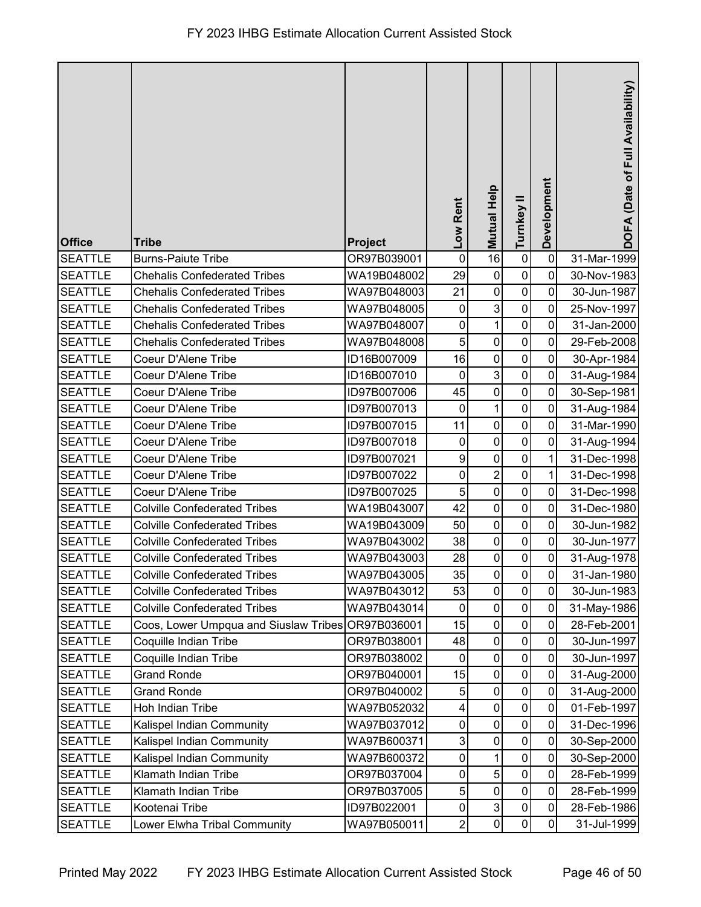| <b>Office</b>  | <b>Tribe</b>                                      | Project     | Low Rent       | <b>Mutual Help</b> | Turnkey II          | Development    | DOFA (Date of Full Availability) |
|----------------|---------------------------------------------------|-------------|----------------|--------------------|---------------------|----------------|----------------------------------|
| <b>SEATTLE</b> | <b>Burns-Paiute Tribe</b>                         | OR97B039001 | $\mathbf 0$    | 16                 | $\pmb{0}$           | $\mathbf 0$    | 31-Mar-1999                      |
| <b>SEATTLE</b> | <b>Chehalis Confederated Tribes</b>               | WA19B048002 | 29             | $\pmb{0}$          | $\mathbf 0$         | 0              | 30-Nov-1983                      |
| <b>SEATTLE</b> | <b>Chehalis Confederated Tribes</b>               | WA97B048003 | 21             | $\pmb{0}$          | $\pmb{0}$           | 0              | 30-Jun-1987                      |
| <b>SEATTLE</b> | <b>Chehalis Confederated Tribes</b>               | WA97B048005 | 0              | $\mathbf{3}$       | $\mathbf 0$         | 0              | 25-Nov-1997                      |
| <b>SEATTLE</b> | <b>Chehalis Confederated Tribes</b>               | WA97B048007 | $\mathbf 0$    | $\mathbf{1}$       | $\pmb{0}$           | 0              | 31-Jan-2000                      |
| <b>SEATTLE</b> | <b>Chehalis Confederated Tribes</b>               | WA97B048008 | 5              | $\mathbf 0$        | $\mathbf 0$         | $\mathbf 0$    | 29-Feb-2008                      |
| <b>SEATTLE</b> | Coeur D'Alene Tribe                               | ID16B007009 | 16             | $\mathbf 0$        | $\mathbf 0$         | $\mathbf 0$    | 30-Apr-1984                      |
| <b>SEATTLE</b> | Coeur D'Alene Tribe                               | ID16B007010 | $\pmb{0}$      | 3                  | $\pmb{0}$           | $\mathbf 0$    | 31-Aug-1984                      |
| <b>SEATTLE</b> | Coeur D'Alene Tribe                               | ID97B007006 | 45             | $\mathbf 0$        | $\pmb{0}$           | 0              | 30-Sep-1981                      |
| <b>SEATTLE</b> | Coeur D'Alene Tribe                               | ID97B007013 | $\pmb{0}$      | $\mathbf{1}$       | $\pmb{0}$           | $\mathbf 0$    | 31-Aug-1984                      |
| <b>SEATTLE</b> | Coeur D'Alene Tribe                               | ID97B007015 | 11             | $\pmb{0}$          | $\mathbf 0$         | 0              | 31-Mar-1990                      |
| <b>SEATTLE</b> | Coeur D'Alene Tribe                               | ID97B007018 | $\mathbf 0$    | $\mathbf 0$        | $\mathbf 0$         | 0              | 31-Aug-1994                      |
| <b>SEATTLE</b> | Coeur D'Alene Tribe                               | ID97B007021 | 9              | $\pmb{0}$          | $\pmb{0}$           | 1              | 31-Dec-1998                      |
| <b>SEATTLE</b> | Coeur D'Alene Tribe                               | ID97B007022 | 0              | $\overline{c}$     | $\pmb{0}$           | 1              | 31-Dec-1998                      |
| <b>SEATTLE</b> | Coeur D'Alene Tribe                               | ID97B007025 | $\sqrt{5}$     | $\pmb{0}$          | $\pmb{0}$           | 0              | 31-Dec-1998                      |
| <b>SEATTLE</b> | <b>Colville Confederated Tribes</b>               | WA19B043007 | 42             | $\mathbf 0$        | $\mathbf 0$         | 0              | 31-Dec-1980                      |
| <b>SEATTLE</b> | <b>Colville Confederated Tribes</b>               | WA19B043009 | 50             | $\pmb{0}$          | $\pmb{0}$           | 0              | 30-Jun-1982                      |
| <b>SEATTLE</b> | <b>Colville Confederated Tribes</b>               | WA97B043002 | 38             | $\mathbf 0$        | $\pmb{0}$           | 0              | 30-Jun-1977                      |
| <b>SEATTLE</b> | <b>Colville Confederated Tribes</b>               | WA97B043003 | 28             | $\mathbf 0$        | $\pmb{0}$           | $\mathbf 0$    | 31-Aug-1978                      |
| <b>SEATTLE</b> | Colville Confederated Tribes                      | WA97B043005 | 35             | $\pmb{0}$          | $\overline{0}$      | $\overline{0}$ | 31-Jan-1980                      |
| <b>SEATTLE</b> | <b>Colville Confederated Tribes</b>               | WA97B043012 | 53             | $\mathbf 0$        | $\mathsf{O}\xspace$ | 0              | 30-Jun-1983                      |
| <b>SEATTLE</b> | <b>Colville Confederated Tribes</b>               | WA97B043014 | $\mathbf 0$    | $\pmb{0}$          | $\pmb{0}$           | $\mathbf 0$    | 31-May-1986                      |
| <b>SEATTLE</b> | Coos, Lower Umpqua and Siuslaw Tribes OR97B036001 |             | 15             | $\pmb{0}$          | $\mathbf 0$         | 0              | 28-Feb-2001                      |
| <b>SEATTLE</b> | Coquille Indian Tribe                             | OR97B038001 | 48             | $\boldsymbol{0}$   | $\mathbf 0$         | 0              | 30-Jun-1997                      |
| <b>SEATTLE</b> | Coquille Indian Tribe                             | OR97B038002 | 0              | $\mathbf 0$        | $\pmb{0}$           | 0              | 30-Jun-1997                      |
| <b>SEATTLE</b> | <b>Grand Ronde</b>                                | OR97B040001 | 15             | $\boldsymbol{0}$   | $\pmb{0}$           | 0              | 31-Aug-2000                      |
| <b>SEATTLE</b> | <b>Grand Ronde</b>                                | OR97B040002 | 5              | $\pmb{0}$          | $\pmb{0}$           | $\mathbf 0$    | 31-Aug-2000                      |
| <b>SEATTLE</b> | Hoh Indian Tribe                                  | WA97B052032 | 4              | $\pmb{0}$          | $\pmb{0}$           | 0              | 01-Feb-1997                      |
| <b>SEATTLE</b> | Kalispel Indian Community                         | WA97B037012 | 0              | $\pmb{0}$          | $\pmb{0}$           | 0              | 31-Dec-1996                      |
| <b>SEATTLE</b> | Kalispel Indian Community                         | WA97B600371 | 3              | $\pmb{0}$          | $\mathbf 0$         | 0              | 30-Sep-2000                      |
| <b>SEATTLE</b> | Kalispel Indian Community                         | WA97B600372 | $\mathbf 0$    | 1                  | $\pmb{0}$           | $\mathbf 0$    | 30-Sep-2000                      |
| <b>SEATTLE</b> | Klamath Indian Tribe                              | OR97B037004 | 0              | 5                  | $\pmb{0}$           | $\mathbf 0$    | 28-Feb-1999                      |
| <b>SEATTLE</b> | Klamath Indian Tribe                              | OR97B037005 | $\overline{5}$ | $\boldsymbol{0}$   | $\pmb{0}$           | 0              | 28-Feb-1999                      |
| <b>SEATTLE</b> | Kootenai Tribe                                    | ID97B022001 | $\pmb{0}$      | $\mathsf 3$        | $\pmb{0}$           | $\mathbf 0$    | 28-Feb-1986                      |
| <b>SEATTLE</b> | Lower Elwha Tribal Community                      | WA97B050011 | $\overline{2}$ | $\mathbf 0$        | $\pmb{0}$           | 0              | 31-Jul-1999                      |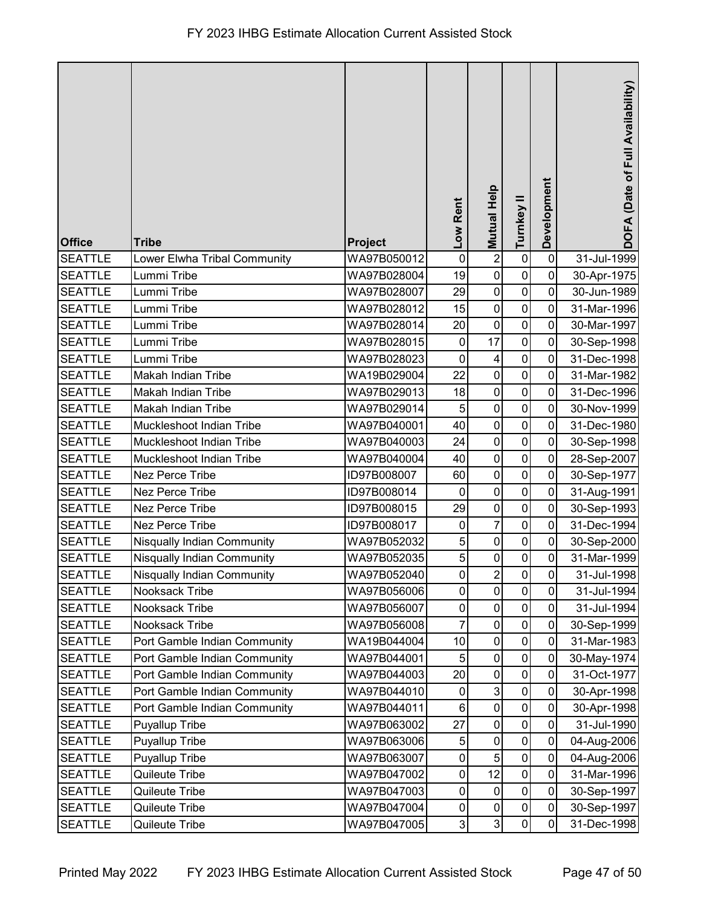| <b>Office</b>  | <b>Tribe</b>                      | Project     | Low Rent         | <b>Mutual Help</b> | Turnkey II  | Development    | DOFA (Date of Full Availability) |
|----------------|-----------------------------------|-------------|------------------|--------------------|-------------|----------------|----------------------------------|
| <b>SEATTLE</b> | Lower Elwha Tribal Community      | WA97B050012 | $\mathbf 0$      | $\overline{c}$     | $\pmb{0}$   | $\mathbf 0$    | 31-Jul-1999                      |
| <b>SEATTLE</b> | Lummi Tribe                       | WA97B028004 | 19               | $\pmb{0}$          | $\pmb{0}$   | $\mathbf 0$    | 30-Apr-1975                      |
| <b>SEATTLE</b> | Lummi Tribe                       | WA97B028007 | 29               | $\pmb{0}$          | $\pmb{0}$   | $\mathbf 0$    | 30-Jun-1989                      |
| <b>SEATTLE</b> | Lummi Tribe                       | WA97B028012 | 15               | $\pmb{0}$          | $\pmb{0}$   | $\mathbf 0$    | 31-Mar-1996                      |
| <b>SEATTLE</b> | Lummi Tribe                       | WA97B028014 | 20               | $\mathbf 0$        | $\mathbf 0$ | $\overline{0}$ | 30-Mar-1997                      |
| <b>SEATTLE</b> | Lummi Tribe                       | WA97B028015 | $\mathbf 0$      | 17                 | $\pmb{0}$   | $\mathbf 0$    | 30-Sep-1998                      |
| <b>SEATTLE</b> | Lummi Tribe                       | WA97B028023 | $\boldsymbol{0}$ | 4                  | $\pmb{0}$   | $\mathbf 0$    | 31-Dec-1998                      |
| <b>SEATTLE</b> | Makah Indian Tribe                | WA19B029004 | 22               | $\pmb{0}$          | $\pmb{0}$   | $\mathbf 0$    | 31-Mar-1982                      |
| <b>SEATTLE</b> | Makah Indian Tribe                | WA97B029013 | 18               | $\pmb{0}$          | $\pmb{0}$   | 0              | 31-Dec-1996                      |
| <b>SEATTLE</b> | Makah Indian Tribe                | WA97B029014 | 5                | $\pmb{0}$          | $\pmb{0}$   | $\mathbf 0$    | 30-Nov-1999                      |
| <b>SEATTLE</b> | Muckleshoot Indian Tribe          | WA97B040001 | 40               | $\pmb{0}$          | $\pmb{0}$   | $\mathbf 0$    | 31-Dec-1980                      |
| <b>SEATTLE</b> | Muckleshoot Indian Tribe          | WA97B040003 | 24               | $\mathbf 0$        | $\pmb{0}$   | $\overline{0}$ | 30-Sep-1998                      |
| <b>SEATTLE</b> | Muckleshoot Indian Tribe          | WA97B040004 | 40               | $\pmb{0}$          | $\mathbf 0$ | $\mathbf 0$    | 28-Sep-2007                      |
| <b>SEATTLE</b> | Nez Perce Tribe                   | ID97B008007 | 60               | $\pmb{0}$          | $\pmb{0}$   | $\mathbf 0$    | 30-Sep-1977                      |
| <b>SEATTLE</b> | Nez Perce Tribe                   | ID97B008014 | $\mathbf 0$      | $\pmb{0}$          | $\pmb{0}$   | $\mathbf 0$    | 31-Aug-1991                      |
| <b>SEATTLE</b> | <b>Nez Perce Tribe</b>            | ID97B008015 | 29               | $\pmb{0}$          | $\mathbf 0$ | $\mathbf 0$    | 30-Sep-1993                      |
| <b>SEATTLE</b> | Nez Perce Tribe                   | ID97B008017 | $\mathbf 0$      | $\overline{7}$     | $\pmb{0}$   | $\mathbf 0$    | 31-Dec-1994                      |
| <b>SEATTLE</b> | <b>Nisqually Indian Community</b> | WA97B052032 | 5                | $\pmb{0}$          | $\pmb{0}$   | $\mathbf 0$    | 30-Sep-2000                      |
| <b>SEATTLE</b> | <b>Nisqually Indian Community</b> | WA97B052035 | 5                | $\pmb{0}$          | $\pmb{0}$   | $\pmb{0}$      | 31-Mar-1999                      |
| <b>SEATTLE</b> | Nisqually Indian Community        | WA97B052040 | $\overline{0}$   | $\sqrt{2}$         | 0           | $\pmb{0}$      | 31-Jul-1998                      |
| <b>SEATTLE</b> | Nooksack Tribe                    | WA97B056006 | $\mathbf 0$      | $\pmb{0}$          | $\pmb{0}$   | $\overline{0}$ | 31-Jul-1994                      |
| <b>SEATTLE</b> | Nooksack Tribe                    | WA97B056007 | $\mathbf 0$      | $\pmb{0}$          | $\pmb{0}$   | $\mathbf 0$    | 31-Jul-1994                      |
| <b>SEATTLE</b> | Nooksack Tribe                    | WA97B056008 | 7                | $\pmb{0}$          | $\pmb{0}$   | $\mathbf 0$    | 30-Sep-1999                      |
| <b>SEATTLE</b> | Port Gamble Indian Community      | WA19B044004 | 10               | $\pmb{0}$          | $\pmb{0}$   | $\overline{0}$ | 31-Mar-1983                      |
| <b>SEATTLE</b> | Port Gamble Indian Community      | WA97B044001 | 5                | $\pmb{0}$          | $\pmb{0}$   | $\mathbf 0$    | 30-May-1974                      |
| <b>SEATTLE</b> | Port Gamble Indian Community      | WA97B044003 | 20               | $\pmb{0}$          | $\pmb{0}$   | $\mathbf 0$    | 31-Oct-1977                      |
| <b>SEATTLE</b> | Port Gamble Indian Community      | WA97B044010 | 0                | 3                  | $\pmb{0}$   | $\mathbf 0$    | 30-Apr-1998                      |
| <b>SEATTLE</b> | Port Gamble Indian Community      | WA97B044011 | 6                | $\pmb{0}$          | $\pmb{0}$   | $\mathbf 0$    | 30-Apr-1998                      |
| <b>SEATTLE</b> | Puyallup Tribe                    | WA97B063002 | 27               | $\pmb{0}$          | $\pmb{0}$   | $\mathbf 0$    | 31-Jul-1990                      |
| <b>SEATTLE</b> | <b>Puyallup Tribe</b>             | WA97B063006 | 5                | $\pmb{0}$          | $\pmb{0}$   | 0              | 04-Aug-2006                      |
| <b>SEATTLE</b> | Puyallup Tribe                    | WA97B063007 | $\pmb{0}$        | 5                  | $\pmb{0}$   | $\mathbf 0$    | 04-Aug-2006                      |
| <b>SEATTLE</b> | Quileute Tribe                    | WA97B047002 | 0                | 12                 | $\pmb{0}$   | $\mathbf 0$    | 31-Mar-1996                      |
| <b>SEATTLE</b> | Quileute Tribe                    | WA97B047003 | $\pmb{0}$        | $\pmb{0}$          | $\pmb{0}$   | $\mathbf 0$    | 30-Sep-1997                      |
| <b>SEATTLE</b> | Quileute Tribe                    | WA97B047004 | $\pmb{0}$        | $\pmb{0}$          | $\pmb{0}$   | 0              | 30-Sep-1997                      |
| <b>SEATTLE</b> | Quileute Tribe                    | WA97B047005 | $\overline{3}$   | $\mathbf{3}$       | $\pmb{0}$   | 0              | 31-Dec-1998                      |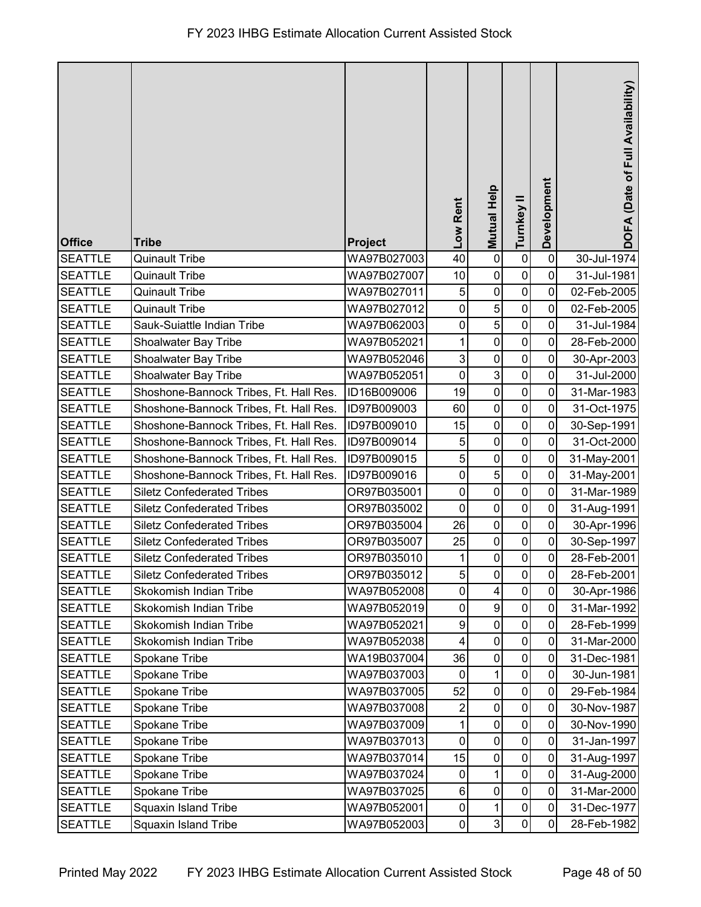| <b>Office</b>  | <b>Tribe</b>                           | <b>Project</b> | Low Rent       | <b>Mutual Help</b>      | Turnkey II     | Development | DOFA (Date of Full Availability) |
|----------------|----------------------------------------|----------------|----------------|-------------------------|----------------|-------------|----------------------------------|
| <b>SEATTLE</b> | <b>Quinault Tribe</b>                  | WA97B027003    | 40             | $\pmb{0}$               | $\pmb{0}$      | $\pmb{0}$   | 30-Jul-1974                      |
| <b>SEATTLE</b> | <b>Quinault Tribe</b>                  | WA97B027007    | 10             | $\pmb{0}$               | $\pmb{0}$      | $\mathbf 0$ | 31-Jul-1981                      |
| <b>SEATTLE</b> | <b>Quinault Tribe</b>                  | WA97B027011    | 5              | $\pmb{0}$               | $\pmb{0}$      | $\mathbf 0$ | 02-Feb-2005                      |
| <b>SEATTLE</b> | <b>Quinault Tribe</b>                  | WA97B027012    | 0              | 5                       | $\pmb{0}$      | 0           | 02-Feb-2005                      |
| <b>SEATTLE</b> | Sauk-Suiattle Indian Tribe             | WA97B062003    | 0              | $\sqrt{5}$              | $\mathbf 0$    | $\mathbf 0$ | 31-Jul-1984                      |
| <b>SEATTLE</b> | Shoalwater Bay Tribe                   | WA97B052021    |                | $\mathbf 0$             | $\mathbf 0$    | $\mathbf 0$ | 28-Feb-2000                      |
| <b>SEATTLE</b> | Shoalwater Bay Tribe                   | WA97B052046    | 3              | $\pmb{0}$               | $\mathbf 0$    | $\mathbf 0$ | 30-Apr-2003                      |
| <b>SEATTLE</b> | Shoalwater Bay Tribe                   | WA97B052051    | $\pmb{0}$      | $\mathbf{3}$            | $\pmb{0}$      | $\pmb{0}$   | 31-Jul-2000                      |
| <b>SEATTLE</b> | Shoshone-Bannock Tribes, Ft. Hall Res. | ID16B009006    | 19             | $\mathbf 0$             | $\pmb{0}$      | $\mathbf 0$ | 31-Mar-1983                      |
| <b>SEATTLE</b> | Shoshone-Bannock Tribes, Ft. Hall Res. | ID97B009003    | 60             | $\pmb{0}$               | $\pmb{0}$      | $\mathbf 0$ | 31-Oct-1975                      |
| <b>SEATTLE</b> | Shoshone-Bannock Tribes, Ft. Hall Res. | ID97B009010    | 15             | $\pmb{0}$               | $\mathbf 0$    | $\mathbf 0$ | 30-Sep-1991                      |
| <b>SEATTLE</b> | Shoshone-Bannock Tribes, Ft. Hall Res. | ID97B009014    | 5              | $\mathbf 0$             | $\mathbf 0$    | $\mathbf 0$ | 31-Oct-2000                      |
| <b>SEATTLE</b> | Shoshone-Bannock Tribes, Ft. Hall Res. | ID97B009015    | 5              | $\pmb{0}$               | $\pmb{0}$      | $\mathbf 0$ | 31-May-2001                      |
| <b>SEATTLE</b> | Shoshone-Bannock Tribes, Ft. Hall Res. | ID97B009016    | $\pmb{0}$      | $\sqrt{5}$              | $\pmb{0}$      | $\mathbf 0$ | 31-May-2001                      |
| <b>SEATTLE</b> | <b>Siletz Confederated Tribes</b>      | OR97B035001    | $\pmb{0}$      | $\pmb{0}$               | $\pmb{0}$      | $\mathbf 0$ | 31-Mar-1989                      |
| <b>SEATTLE</b> | <b>Siletz Confederated Tribes</b>      | OR97B035002    | $\mathbf 0$    | $\pmb{0}$               | $\pmb{0}$      | $\mathbf 0$ | 31-Aug-1991                      |
| <b>SEATTLE</b> | <b>Siletz Confederated Tribes</b>      | OR97B035004    | 26             | $\pmb{0}$               | $\pmb{0}$      | $\mathbf 0$ | 30-Apr-1996                      |
| <b>SEATTLE</b> | <b>Siletz Confederated Tribes</b>      | OR97B035007    | 25             | $\pmb{0}$               | $\mathbf 0$    | $\mathbf 0$ | 30-Sep-1997                      |
| <b>SEATTLE</b> | <b>Siletz Confederated Tribes</b>      | OR97B035010    | 1              | $\pmb{0}$               | $\pmb{0}$      | $\pmb{0}$   | 28-Feb-2001                      |
| <b>SEATTLE</b> | <b>Siletz Confederated Tribes</b>      | OR97B035012    | $\mathbf{5}$   | $\pmb{0}$               | $\overline{0}$ | $\pmb{0}$   | 28-Feb-2001                      |
| <b>SEATTLE</b> | Skokomish Indian Tribe                 | WA97B052008    | $\mathbf 0$    | $\overline{\mathbf{4}}$ | $\pmb{0}$      | $\mathbf 0$ | 30-Apr-1986                      |
| <b>SEATTLE</b> | Skokomish Indian Tribe                 | WA97B052019    | 0              | $\boldsymbol{9}$        | $\pmb{0}$      | $\mathbf 0$ | 31-Mar-1992                      |
| <b>SEATTLE</b> | Skokomish Indian Tribe                 | WA97B052021    | 9              | $\pmb{0}$               | $\mathbf 0$    | 0           | 28-Feb-1999                      |
| <b>SEATTLE</b> | Skokomish Indian Tribe                 | WA97B052038    | 4              | $\pmb{0}$               | $\mathbf 0$    | 0           | 31-Mar-2000                      |
| <b>SEATTLE</b> | Spokane Tribe                          | WA19B037004    | 36             | $\pmb{0}$               | $\mathbf 0$    | 0           | 31-Dec-1981                      |
| <b>SEATTLE</b> | Spokane Tribe                          | WA97B037003    | $\mathbf 0$    | $\mathbf 1$             | $\pmb{0}$      | $\mathbf 0$ | 30-Jun-1981                      |
| <b>SEATTLE</b> | Spokane Tribe                          | WA97B037005    | 52             | $\pmb{0}$               | $\pmb{0}$      | $\mathbf 0$ | 29-Feb-1984                      |
| <b>SEATTLE</b> | Spokane Tribe                          | WA97B037008    | $\overline{c}$ | $\pmb{0}$               | $\pmb{0}$      | $\mathbf 0$ | 30-Nov-1987                      |
| <b>SEATTLE</b> | Spokane Tribe                          | WA97B037009    |                | $\pmb{0}$               | $\pmb{0}$      | 0           | 30-Nov-1990                      |
| <b>SEATTLE</b> | Spokane Tribe                          | WA97B037013    | $\mathbf{0}$   | $\pmb{0}$               | $\mathbf 0$    | 0           | 31-Jan-1997                      |
| <b>SEATTLE</b> | Spokane Tribe                          | WA97B037014    | 15             | $\pmb{0}$               | $\pmb{0}$      | $\mathbf 0$ | 31-Aug-1997                      |
| <b>SEATTLE</b> | Spokane Tribe                          | WA97B037024    | 0              | $\mathbf{1}$            | $\pmb{0}$      | $\mathbf 0$ | 31-Aug-2000                      |
| <b>SEATTLE</b> | Spokane Tribe                          | WA97B037025    | $\,6$          | $\pmb{0}$               | $\pmb{0}$      | $\mathbf 0$ | 31-Mar-2000                      |
| <b>SEATTLE</b> | <b>Squaxin Island Tribe</b>            | WA97B052001    | $\pmb{0}$      | 1                       | $\pmb{0}$      | $\mathbf 0$ | 31-Dec-1977                      |
| <b>SEATTLE</b> | <b>Squaxin Island Tribe</b>            | WA97B052003    | $\overline{0}$ | $\mathbf{3}$            | $\pmb{0}$      | 0           | 28-Feb-1982                      |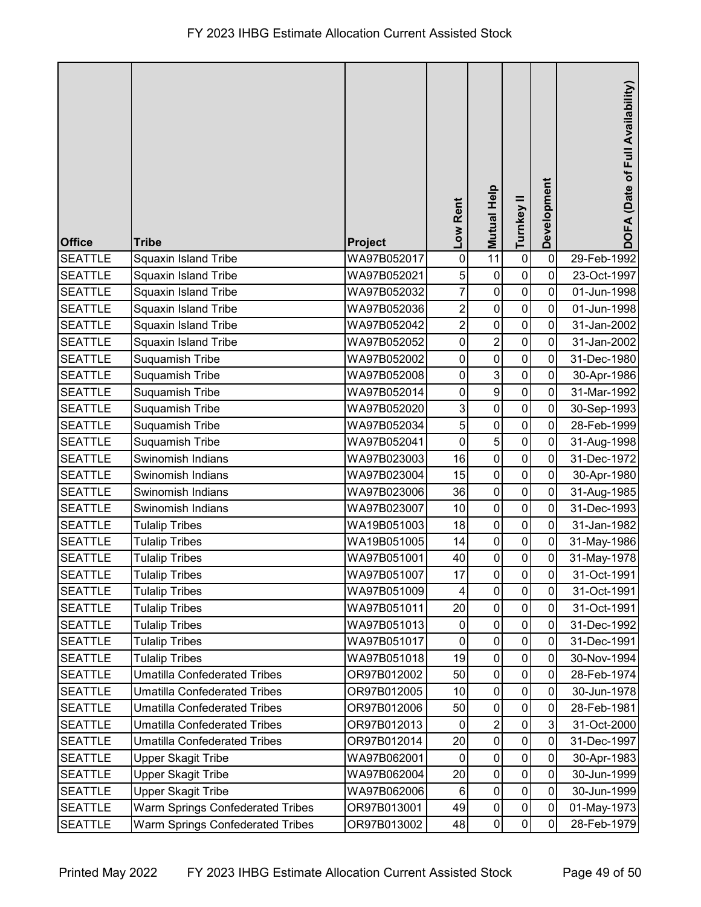| <b>Office</b>  | <b>Tribe</b>                        | Project     | Low Rent       | <b>Mutual Help</b> | Turnkey II     | Development    | DOFA (Date of Full Availability) |
|----------------|-------------------------------------|-------------|----------------|--------------------|----------------|----------------|----------------------------------|
| <b>SEATTLE</b> | <b>Squaxin Island Tribe</b>         | WA97B052017 | $\pmb{0}$      | 11                 | $\pmb{0}$      | $\mathbf 0$    | 29-Feb-1992                      |
| <b>SEATTLE</b> | <b>Squaxin Island Tribe</b>         | WA97B052021 | 5              | $\pmb{0}$          | $\mathbf 0$    | $\overline{0}$ | 23-Oct-1997                      |
| <b>SEATTLE</b> | <b>Squaxin Island Tribe</b>         | WA97B052032 | 7              | $\mathbf 0$        | $\pmb{0}$      | $\mathbf 0$    | 01-Jun-1998                      |
| <b>SEATTLE</b> | <b>Squaxin Island Tribe</b>         | WA97B052036 | 2              | $\mathbf 0$        | $\mathbf 0$    | 0              | 01-Jun-1998                      |
| <b>SEATTLE</b> | <b>Squaxin Island Tribe</b>         | WA97B052042 | $\overline{c}$ | $\mathbf 0$        | $\pmb{0}$      | 0              | 31-Jan-2002                      |
| <b>SEATTLE</b> | <b>Squaxin Island Tribe</b>         | WA97B052052 | 0              | $\overline{2}$     | $\pmb{0}$      | $\mathbf 0$    | 31-Jan-2002                      |
| <b>SEATTLE</b> | Suquamish Tribe                     | WA97B052002 | $\pmb{0}$      | $\mathbf 0$        | $\mathbf 0$    | 0              | 31-Dec-1980                      |
| <b>SEATTLE</b> | Suquamish Tribe                     | WA97B052008 | $\pmb{0}$      | 3                  | $\pmb{0}$      | $\mathbf 0$    | 30-Apr-1986                      |
| <b>SEATTLE</b> | Suquamish Tribe                     | WA97B052014 | $\pmb{0}$      | $\overline{9}$     | $\mathbf 0$    | 0              | 31-Mar-1992                      |
| <b>SEATTLE</b> | Suquamish Tribe                     | WA97B052020 | 3              | $\boldsymbol{0}$   | $\pmb{0}$      | $\mathbf 0$    | 30-Sep-1993                      |
| <b>SEATTLE</b> | Suquamish Tribe                     | WA97B052034 | 5              | $\pmb{0}$          | $\pmb{0}$      | $\mathbf 0$    | 28-Feb-1999                      |
| <b>SEATTLE</b> | Suquamish Tribe                     | WA97B052041 | $\mathbf 0$    | $\overline{5}$     | $\mathbf 0$    | $\mathbf 0$    | 31-Aug-1998                      |
| <b>SEATTLE</b> | Swinomish Indians                   | WA97B023003 | 16             | $\boldsymbol{0}$   | $\pmb{0}$      | $\mathbf 0$    | 31-Dec-1972                      |
| <b>SEATTLE</b> | Swinomish Indians                   | WA97B023004 | 15             | $\boldsymbol{0}$   | $\pmb{0}$      | $\mathbf 0$    | 30-Apr-1980                      |
| <b>SEATTLE</b> | Swinomish Indians                   | WA97B023006 | 36             | $\pmb{0}$          | $\pmb{0}$      | $\overline{0}$ | 31-Aug-1985                      |
| <b>SEATTLE</b> | Swinomish Indians                   | WA97B023007 | 10             | $\boldsymbol{0}$   | $\pmb{0}$      | 0              | 31-Dec-1993                      |
| <b>SEATTLE</b> | <b>Tulalip Tribes</b>               | WA19B051003 | 18             | $\pmb{0}$          | $\pmb{0}$      | 0              | 31-Jan-1982                      |
| <b>SEATTLE</b> | <b>Tulalip Tribes</b>               | WA19B051005 | 14             | $\boldsymbol{0}$   | $\pmb{0}$      | 0              | 31-May-1986                      |
| <b>SEATTLE</b> | <b>Tulalip Tribes</b>               | WA97B051001 | 40             | $\mathbf 0$        | $\mathsf 0$    | $\mathbf 0$    | 31-May-1978                      |
| SEATTLE        | Tulalip Tribes                      | WA97B051007 | 17             | $\mathbf 0$        | $\overline{0}$ | $\overline{0}$ | 31-Oct-1991                      |
| <b>SEATTLE</b> | <b>Tulalip Tribes</b>               | WA97B051009 | 4              | $\mathbf 0$        | $\mathbf 0$    | 0              | 31-Oct-1991                      |
| <b>SEATTLE</b> | <b>Tulalip Tribes</b>               | WA97B051011 | 20             | $\pmb{0}$          | $\pmb{0}$      | $\mathbf 0$    | 31-Oct-1991                      |
| <b>SEATTLE</b> | <b>Tulalip Tribes</b>               | WA97B051013 | 0              | $\pmb{0}$          | 0              | 0              | 31-Dec-1992                      |
| <b>SEATTLE</b> | <b>Tulalip Tribes</b>               | WA97B051017 | $\mathbf 0$    | $\pmb{0}$          | $\mathbf 0$    | 0              | 31-Dec-1991                      |
| <b>SEATTLE</b> | <b>Tulalip Tribes</b>               | WA97B051018 | 19             | $\mathbf 0$        | 0              | 0              | 30-Nov-1994                      |
| <b>SEATTLE</b> | <b>Umatilla Confederated Tribes</b> | OR97B012002 | 50             | $\mathbf 0$        | $\pmb{0}$      | 0              | 28-Feb-1974                      |
| <b>SEATTLE</b> | <b>Umatilla Confederated Tribes</b> | OR97B012005 | 10             | $\pmb{0}$          | $\pmb{0}$      | 0              | 30-Jun-1978                      |
| <b>SEATTLE</b> | <b>Umatilla Confederated Tribes</b> | OR97B012006 | 50             | $\pmb{0}$          | $\mathbf 0$    | 0              | 28-Feb-1981                      |
| <b>SEATTLE</b> | <b>Umatilla Confederated Tribes</b> | OR97B012013 | 0              | $\overline{2}$     | $\mathsf 0$    | 3              | 31-Oct-2000                      |
| <b>SEATTLE</b> | <b>Umatilla Confederated Tribes</b> | OR97B012014 | 20             | $\pmb{0}$          | $\mathbf 0$    | 0              | 31-Dec-1997                      |
| <b>SEATTLE</b> | <b>Upper Skagit Tribe</b>           | WA97B062001 | $\mathbf 0$    | $\mathbf 0$        | $\pmb{0}$      | $\mathbf 0$    | 30-Apr-1983                      |
| <b>SEATTLE</b> | <b>Upper Skagit Tribe</b>           | WA97B062004 | 20             | $\mathbf 0$        | $\pmb{0}$      | $\mathbf 0$    | 30-Jun-1999                      |
| <b>SEATTLE</b> | <b>Upper Skagit Tribe</b>           | WA97B062006 | $\,6$          | $\boldsymbol{0}$   | $\pmb{0}$      | $\overline{0}$ | 30-Jun-1999                      |
| <b>SEATTLE</b> | Warm Springs Confederated Tribes    | OR97B013001 | 49             | $\boldsymbol{0}$   | $\pmb{0}$      | $\mathbf 0$    | 01-May-1973                      |
| <b>SEATTLE</b> | Warm Springs Confederated Tribes    | OR97B013002 | 48             | $\mathbf 0$        | $\pmb{0}$      | 0              | 28-Feb-1979                      |